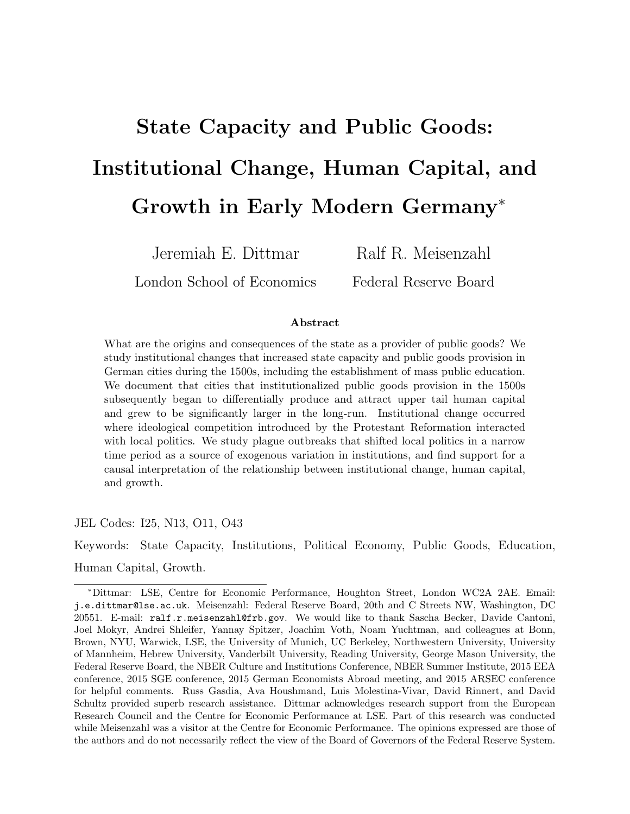# State Capacity and Public Goods: Institutional Change, Human Capital, and Growth in Early Modern Germany<sup>∗</sup>

Jeremiah E. Dittmar

London School of Economics

Ralf R. Meisenzahl

Federal Reserve Board

#### Abstract

What are the origins and consequences of the state as a provider of public goods? We study institutional changes that increased state capacity and public goods provision in German cities during the 1500s, including the establishment of mass public education. We document that cities that institutionalized public goods provision in the 1500s subsequently began to differentially produce and attract upper tail human capital and grew to be significantly larger in the long-run. Institutional change occurred where ideological competition introduced by the Protestant Reformation interacted with local politics. We study plague outbreaks that shifted local politics in a narrow time period as a source of exogenous variation in institutions, and find support for a causal interpretation of the relationship between institutional change, human capital, and growth.

JEL Codes: I25, N13, O11, O43

Keywords: State Capacity, Institutions, Political Economy, Public Goods, Education, Human Capital, Growth.

<sup>∗</sup>Dittmar: LSE, Centre for Economic Performance, Houghton Street, London WC2A 2AE. Email: j.e.dittmar@lse.ac.uk. Meisenzahl: Federal Reserve Board, 20th and C Streets NW, Washington, DC 20551. E-mail: ralf.r.meisenzahl@frb.gov. We would like to thank Sascha Becker, Davide Cantoni, Joel Mokyr, Andrei Shleifer, Yannay Spitzer, Joachim Voth, Noam Yuchtman, and colleagues at Bonn, Brown, NYU, Warwick, LSE, the University of Munich, UC Berkeley, Northwestern University, University of Mannheim, Hebrew University, Vanderbilt University, Reading University, George Mason University, the Federal Reserve Board, the NBER Culture and Institutions Conference, NBER Summer Institute, 2015 EEA conference, 2015 SGE conference, 2015 German Economists Abroad meeting, and 2015 ARSEC conference for helpful comments. Russ Gasdia, Ava Houshmand, Luis Molestina-Vivar, David Rinnert, and David Schultz provided superb research assistance. Dittmar acknowledges research support from the European Research Council and the Centre for Economic Performance at LSE. Part of this research was conducted while Meisenzahl was a visitor at the Centre for Economic Performance. The opinions expressed are those of the authors and do not necessarily reflect the view of the Board of Governors of the Federal Reserve System.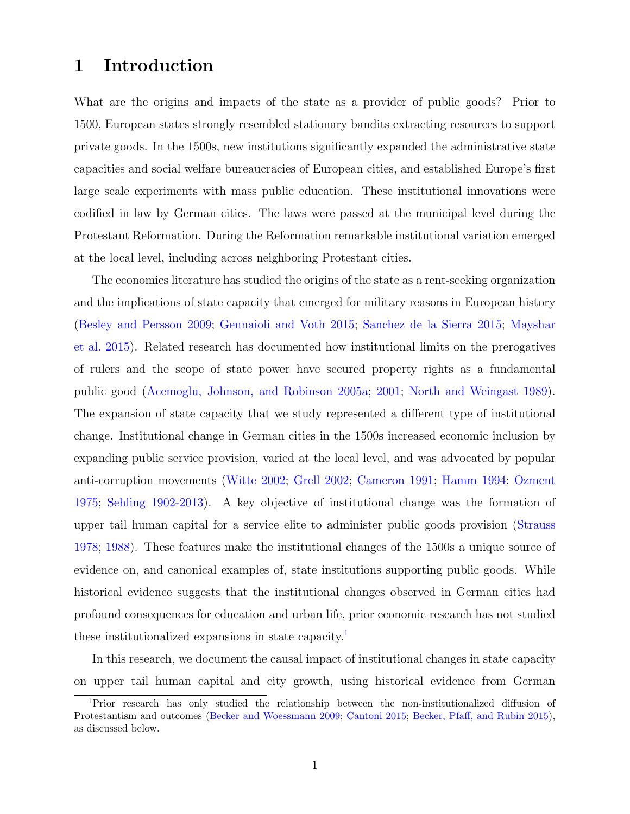# 1 Introduction

What are the origins and impacts of the state as a provider of public goods? Prior to 1500, European states strongly resembled stationary bandits extracting resources to support private goods. In the 1500s, new institutions significantly expanded the administrative state capacities and social welfare bureaucracies of European cities, and established Europe's first large scale experiments with mass public education. These institutional innovations were codified in law by German cities. The laws were passed at the municipal level during the Protestant Reformation. During the Reformation remarkable institutional variation emerged at the local level, including across neighboring Protestant cities.

The economics literature has studied the origins of the state as a rent-seeking organization and the implications of state capacity that emerged for military reasons in European history [\(Besley and Persson](#page-40-0) [2009;](#page-40-0) [Gennaioli and Voth](#page-42-0) [2015;](#page-42-0) [Sanchez de la Sierra](#page-43-0) [2015;](#page-43-0) [Mayshar](#page-42-1) [et al.](#page-42-1) [2015\)](#page-42-1). Related research has documented how institutional limits on the prerogatives of rulers and the scope of state power have secured property rights as a fundamental public good [\(Acemoglu, Johnson, and Robinson](#page-40-1) [2005a;](#page-40-1) [2001;](#page-40-2) [North and Weingast](#page-43-1) [1989\)](#page-43-1). The expansion of state capacity that we study represented a different type of institutional change. Institutional change in German cities in the 1500s increased economic inclusion by expanding public service provision, varied at the local level, and was advocated by popular anti-corruption movements [\(Witte](#page-44-0) [2002;](#page-44-0) [Grell](#page-42-2) [2002;](#page-42-2) [Cameron](#page-41-0) [1991;](#page-41-0) [Hamm](#page-42-3) [1994;](#page-42-3) [Ozment](#page-43-2) [1975;](#page-43-2) [Sehling](#page-43-3) [1902-2013\)](#page-43-3). A key objective of institutional change was the formation of upper tail human capital for a service elite to administer public goods provision [\(Strauss](#page-44-1) [1978;](#page-44-1) [1988\)](#page-44-2). These features make the institutional changes of the 1500s a unique source of evidence on, and canonical examples of, state institutions supporting public goods. While historical evidence suggests that the institutional changes observed in German cities had profound consequences for education and urban life, prior economic research has not studied these institutionalized expansions in state capacity.<sup>[1](#page-1-0)</sup>

In this research, we document the causal impact of institutional changes in state capacity on upper tail human capital and city growth, using historical evidence from German

<span id="page-1-0"></span><sup>1</sup>Prior research has only studied the relationship between the non-institutionalized diffusion of Protestantism and outcomes [\(Becker and Woessmann](#page-40-3) [2009;](#page-40-3) [Cantoni](#page-41-1) [2015;](#page-41-1) [Becker, Pfaff, and Rubin](#page-40-4) [2015\)](#page-40-4), as discussed below.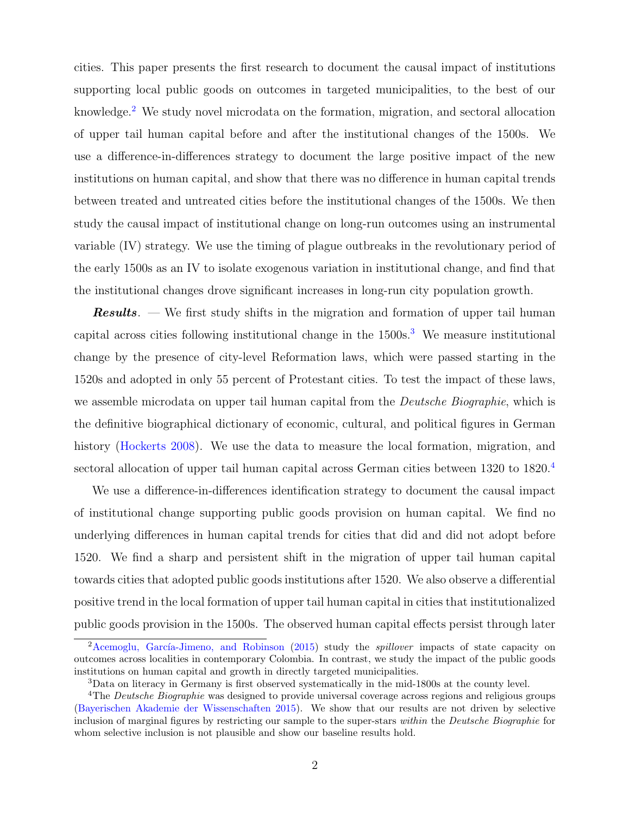cities. This paper presents the first research to document the causal impact of institutions supporting local public goods on outcomes in targeted municipalities, to the best of our knowledge.<sup>[2](#page-2-0)</sup> We study novel microdata on the formation, migration, and sectoral allocation of upper tail human capital before and after the institutional changes of the 1500s. We use a difference-in-differences strategy to document the large positive impact of the new institutions on human capital, and show that there was no difference in human capital trends between treated and untreated cities before the institutional changes of the 1500s. We then study the causal impact of institutional change on long-run outcomes using an instrumental variable (IV) strategy. We use the timing of plague outbreaks in the revolutionary period of the early 1500s as an IV to isolate exogenous variation in institutional change, and find that the institutional changes drove significant increases in long-run city population growth.

**Results.** — We first study shifts in the migration and formation of upper tail human capital across cities following institutional change in the  $1500s$ .<sup>[3](#page-2-1)</sup> We measure institutional change by the presence of city-level Reformation laws, which were passed starting in the 1520s and adopted in only 55 percent of Protestant cities. To test the impact of these laws, we assemble microdata on upper tail human capital from the *Deutsche Biographie*, which is the definitive biographical dictionary of economic, cultural, and political figures in German history [\(Hockerts](#page-42-4) [2008\)](#page-42-4). We use the data to measure the local formation, migration, and sectoral allocation of upper tail human capital across German cities between 1320 to 1820.<sup>[4](#page-2-2)</sup>

We use a difference-in-differences identification strategy to document the causal impact of institutional change supporting public goods provision on human capital. We find no underlying differences in human capital trends for cities that did and did not adopt before 1520. We find a sharp and persistent shift in the migration of upper tail human capital towards cities that adopted public goods institutions after 1520. We also observe a differential positive trend in the local formation of upper tail human capital in cities that institutionalized public goods provision in the 1500s. The observed human capital effects persist through later

<span id="page-2-0"></span><sup>&</sup>lt;sup>2</sup>Acemoglu, García-Jimeno, and Robinson  $(2015)$  study the *spillover* impacts of state capacity on outcomes across localities in contemporary Colombia. In contrast, we study the impact of the public goods institutions on human capital and growth in directly targeted municipalities.

<span id="page-2-2"></span><span id="page-2-1"></span><sup>3</sup>Data on literacy in Germany is first observed systematically in the mid-1800s at the county level.

<sup>&</sup>lt;sup>4</sup>The *Deutsche Biographie* was designed to provide universal coverage across regions and religious groups [\(Bayerischen Akademie der Wissenschaften](#page-40-6) [2015\)](#page-40-6). We show that our results are not driven by selective inclusion of marginal figures by restricting our sample to the super-stars within the Deutsche Biographie for whom selective inclusion is not plausible and show our baseline results hold.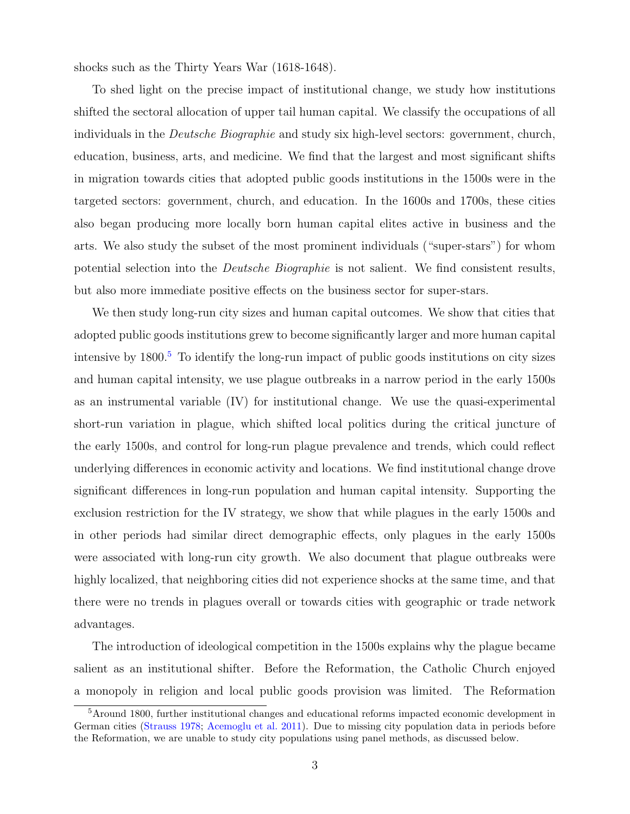shocks such as the Thirty Years War (1618-1648).

To shed light on the precise impact of institutional change, we study how institutions shifted the sectoral allocation of upper tail human capital. We classify the occupations of all individuals in the Deutsche Biographie and study six high-level sectors: government, church, education, business, arts, and medicine. We find that the largest and most significant shifts in migration towards cities that adopted public goods institutions in the 1500s were in the targeted sectors: government, church, and education. In the 1600s and 1700s, these cities also began producing more locally born human capital elites active in business and the arts. We also study the subset of the most prominent individuals ("super-stars") for whom potential selection into the Deutsche Biographie is not salient. We find consistent results, but also more immediate positive effects on the business sector for super-stars.

We then study long-run city sizes and human capital outcomes. We show that cities that adopted public goods institutions grew to become significantly larger and more human capital intensive by  $1800<sup>5</sup>$  $1800<sup>5</sup>$  $1800<sup>5</sup>$  To identify the long-run impact of public goods institutions on city sizes and human capital intensity, we use plague outbreaks in a narrow period in the early 1500s as an instrumental variable (IV) for institutional change. We use the quasi-experimental short-run variation in plague, which shifted local politics during the critical juncture of the early 1500s, and control for long-run plague prevalence and trends, which could reflect underlying differences in economic activity and locations. We find institutional change drove significant differences in long-run population and human capital intensity. Supporting the exclusion restriction for the IV strategy, we show that while plagues in the early 1500s and in other periods had similar direct demographic effects, only plagues in the early 1500s were associated with long-run city growth. We also document that plague outbreaks were highly localized, that neighboring cities did not experience shocks at the same time, and that there were no trends in plagues overall or towards cities with geographic or trade network advantages.

The introduction of ideological competition in the 1500s explains why the plague became salient as an institutional shifter. Before the Reformation, the Catholic Church enjoyed a monopoly in religion and local public goods provision was limited. The Reformation

<span id="page-3-0"></span><sup>5</sup>Around 1800, further institutional changes and educational reforms impacted economic development in German cities [\(Strauss](#page-44-1) [1978;](#page-44-1) [Acemoglu et al.](#page-40-7) [2011\)](#page-40-7). Due to missing city population data in periods before the Reformation, we are unable to study city populations using panel methods, as discussed below.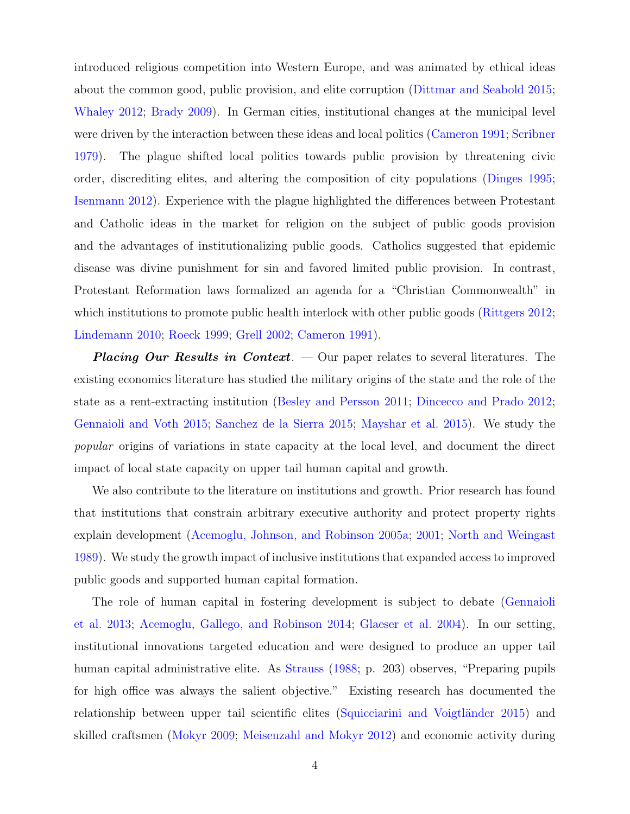introduced religious competition into Western Europe, and was animated by ethical ideas about the common good, public provision, and elite corruption [\(Dittmar and Seabold](#page-41-2) [2015;](#page-41-2) [Whaley](#page-44-3) [2012;](#page-44-3) [Brady](#page-40-8) [2009\)](#page-40-8). In German cities, institutional changes at the municipal level were driven by the interaction between these ideas and local politics [\(Cameron](#page-41-0) [1991;](#page-41-0) [Scribner](#page-43-4) [1979\)](#page-43-4). The plague shifted local politics towards public provision by threatening civic order, discrediting elites, and altering the composition of city populations [\(Dinges](#page-41-3) [1995;](#page-41-3) [Isenmann](#page-42-5) [2012\)](#page-42-5). Experience with the plague highlighted the differences between Protestant and Catholic ideas in the market for religion on the subject of public goods provision and the advantages of institutionalizing public goods. Catholics suggested that epidemic disease was divine punishment for sin and favored limited public provision. In contrast, Protestant Reformation laws formalized an agenda for a "Christian Commonwealth" in which institutions to promote public health interlock with other public goods [\(Rittgers](#page-43-5) [2012;](#page-43-5) [Lindemann](#page-42-6) [2010;](#page-42-6) [Roeck](#page-43-6) [1999;](#page-43-6) [Grell](#page-42-2) [2002;](#page-42-2) [Cameron](#page-41-0) [1991\)](#page-41-0).

**Placing Our Results in Context.**  $\sim$  Our paper relates to several literatures. The existing economics literature has studied the military origins of the state and the role of the state as a rent-extracting institution [\(Besley and Persson](#page-40-9) [2011;](#page-40-9) [Dincecco and Prado](#page-41-4) [2012;](#page-41-4) [Gennaioli and Voth](#page-42-0) [2015;](#page-42-0) [Sanchez de la Sierra](#page-43-0) [2015;](#page-43-0) [Mayshar et al.](#page-42-1) [2015\)](#page-42-1). We study the popular origins of variations in state capacity at the local level, and document the direct impact of local state capacity on upper tail human capital and growth.

We also contribute to the literature on institutions and growth. Prior research has found that institutions that constrain arbitrary executive authority and protect property rights explain development [\(Acemoglu, Johnson, and Robinson](#page-40-1) [2005a;](#page-40-1) [2001;](#page-40-2) [North and Weingast](#page-43-1) [1989\)](#page-43-1). We study the growth impact of inclusive institutions that expanded access to improved public goods and supported human capital formation.

The role of human capital in fostering development is subject to debate [\(Gennaioli](#page-42-7) [et al.](#page-42-7) [2013;](#page-42-7) [Acemoglu, Gallego, and Robinson](#page-40-10) [2014;](#page-40-10) [Glaeser et al.](#page-42-8) [2004\)](#page-42-8). In our setting, institutional innovations targeted education and were designed to produce an upper tail human capital administrative elite. As [Strauss](#page-44-2) [\(1988;](#page-44-2) p. 203) observes, "Preparing pupils for high office was always the salient objective." Existing research has documented the relationship between upper tail scientific elites (Squicciarini and Voigtländer [2015\)](#page-44-4) and skilled craftsmen [\(Mokyr](#page-43-7) [2009;](#page-43-7) [Meisenzahl and Mokyr](#page-42-9) [2012\)](#page-42-9) and economic activity during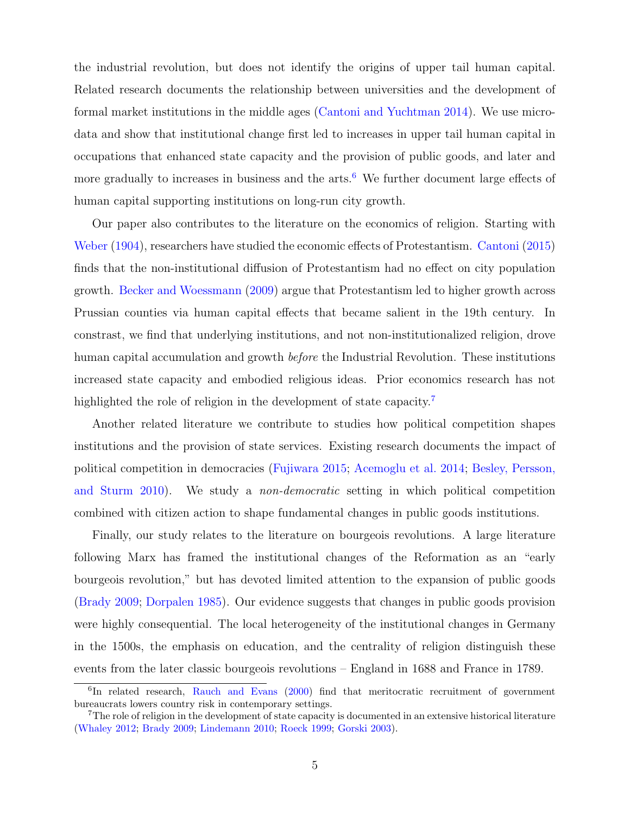the industrial revolution, but does not identify the origins of upper tail human capital. Related research documents the relationship between universities and the development of formal market institutions in the middle ages [\(Cantoni and Yuchtman](#page-41-5) [2014\)](#page-41-5). We use microdata and show that institutional change first led to increases in upper tail human capital in occupations that enhanced state capacity and the provision of public goods, and later and more gradually to increases in business and the arts.<sup>[6](#page-5-0)</sup> We further document large effects of human capital supporting institutions on long-run city growth.

Our paper also contributes to the literature on the economics of religion. Starting with [Weber](#page-44-5) [\(1904\)](#page-44-5), researchers have studied the economic effects of Protestantism. [Cantoni](#page-41-1) [\(2015\)](#page-41-1) finds that the non-institutional diffusion of Protestantism had no effect on city population growth. [Becker and Woessmann](#page-40-3) [\(2009\)](#page-40-3) argue that Protestantism led to higher growth across Prussian counties via human capital effects that became salient in the 19th century. In constrast, we find that underlying institutions, and not non-institutionalized religion, drove human capital accumulation and growth before the Industrial Revolution. These institutions increased state capacity and embodied religious ideas. Prior economics research has not highlighted the role of religion in the development of state capacity.<sup>[7](#page-5-1)</sup>

Another related literature we contribute to studies how political competition shapes institutions and the provision of state services. Existing research documents the impact of political competition in democracies [\(Fujiwara](#page-42-10) [2015;](#page-42-10) [Acemoglu et al.](#page-40-11) [2014;](#page-40-11) [Besley, Persson,](#page-40-12) [and Sturm](#page-40-12) [2010\)](#page-40-12). We study a non-democratic setting in which political competition combined with citizen action to shape fundamental changes in public goods institutions.

Finally, our study relates to the literature on bourgeois revolutions. A large literature following Marx has framed the institutional changes of the Reformation as an "early bourgeois revolution," but has devoted limited attention to the expansion of public goods [\(Brady](#page-40-8) [2009;](#page-40-8) [Dorpalen](#page-41-6) [1985\)](#page-41-6). Our evidence suggests that changes in public goods provision were highly consequential. The local heterogeneity of the institutional changes in Germany in the 1500s, the emphasis on education, and the centrality of religion distinguish these events from the later classic bourgeois revolutions – England in 1688 and France in 1789.

<span id="page-5-0"></span><sup>&</sup>lt;sup>6</sup>In related research, [Rauch and Evans](#page-43-8) [\(2000\)](#page-43-8) find that meritocratic recruitment of government bureaucrats lowers country risk in contemporary settings.

<span id="page-5-1"></span><sup>&</sup>lt;sup>7</sup>The role of religion in the development of state capacity is documented in an extensive historical literature [\(Whaley](#page-44-3) [2012;](#page-44-3) [Brady](#page-40-8) [2009;](#page-40-8) [Lindemann](#page-42-6) [2010;](#page-42-6) [Roeck](#page-43-6) [1999;](#page-43-6) [Gorski](#page-42-11) [2003\)](#page-42-11).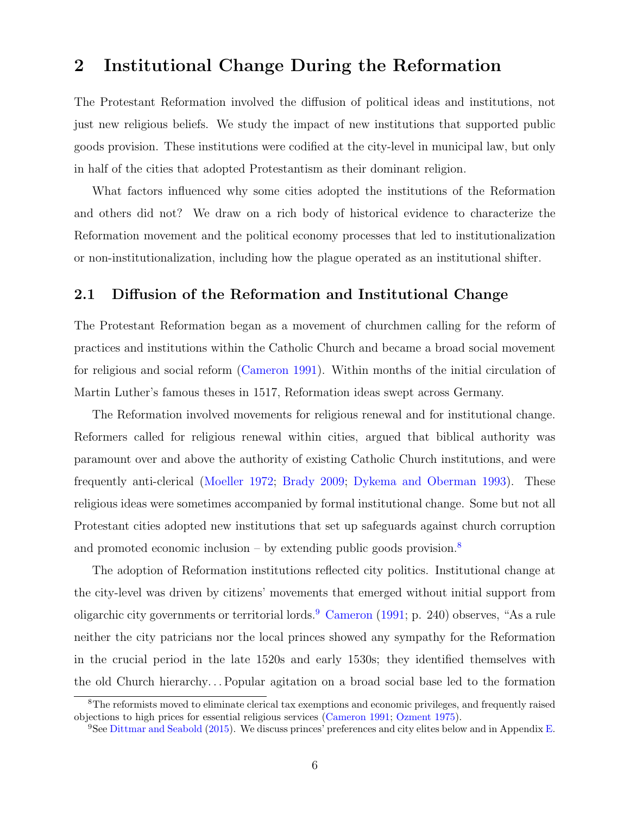# 2 Institutional Change During the Reformation

The Protestant Reformation involved the diffusion of political ideas and institutions, not just new religious beliefs. We study the impact of new institutions that supported public goods provision. These institutions were codified at the city-level in municipal law, but only in half of the cities that adopted Protestantism as their dominant religion.

What factors influenced why some cities adopted the institutions of the Reformation and others did not? We draw on a rich body of historical evidence to characterize the Reformation movement and the political economy processes that led to institutionalization or non-institutionalization, including how the plague operated as an institutional shifter.

## 2.1 Diffusion of the Reformation and Institutional Change

The Protestant Reformation began as a movement of churchmen calling for the reform of practices and institutions within the Catholic Church and became a broad social movement for religious and social reform [\(Cameron](#page-41-0) [1991\)](#page-41-0). Within months of the initial circulation of Martin Luther's famous theses in 1517, Reformation ideas swept across Germany.

The Reformation involved movements for religious renewal and for institutional change. Reformers called for religious renewal within cities, argued that biblical authority was paramount over and above the authority of existing Catholic Church institutions, and were frequently anti-clerical [\(Moeller](#page-43-9) [1972;](#page-43-9) [Brady](#page-40-8) [2009;](#page-40-8) [Dykema and Oberman](#page-41-7) [1993\)](#page-41-7). These religious ideas were sometimes accompanied by formal institutional change. Some but not all Protestant cities adopted new institutions that set up safeguards against church corruption and promoted economic inclusion – by extending public goods provision.<sup>[8](#page-6-0)</sup>

The adoption of Reformation institutions reflected city politics. Institutional change at the city-level was driven by citizens' movements that emerged without initial support from oligarchic city governments or territorial lords.<sup>[9](#page-6-1)</sup> [Cameron](#page-41-0) [\(1991;](#page-41-0) p. 240) observes, "As a rule neither the city patricians nor the local princes showed any sympathy for the Reformation in the crucial period in the late 1520s and early 1530s; they identified themselves with the old Church hierarchy. . . Popular agitation on a broad social base led to the formation

<span id="page-6-0"></span><sup>8</sup>The reformists moved to eliminate clerical tax exemptions and economic privileges, and frequently raised objections to high prices for essential religious services [\(Cameron](#page-41-0) [1991;](#page-41-0) [Ozment](#page-43-2) [1975\)](#page-43-2).

<span id="page-6-1"></span><sup>&</sup>lt;sup>9</sup>See [Dittmar and Seabold](#page-41-2) [\(2015\)](#page-41-2). We discuss princes' preferences and city elites below and in Appendix [E.](#page-103-0)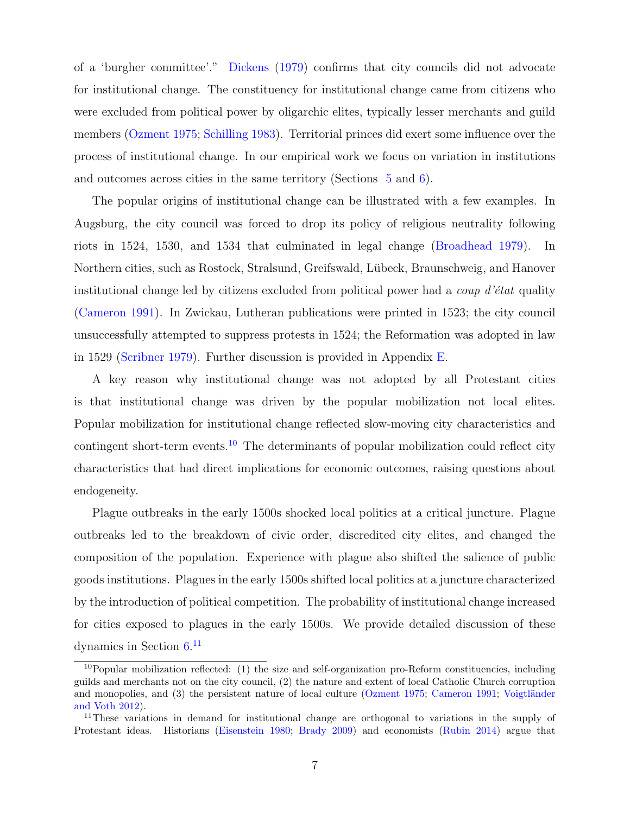of a 'burgher committee'." [Dickens](#page-41-8) [\(1979\)](#page-41-8) confirms that city councils did not advocate for institutional change. The constituency for institutional change came from citizens who were excluded from political power by oligarchic elites, typically lesser merchants and guild members [\(Ozment](#page-43-2) [1975;](#page-43-2) [Schilling](#page-43-10) [1983\)](#page-43-10). Territorial princes did exert some influence over the process of institutional change. In our empirical work we focus on variation in institutions and outcomes across cities in the same territory (Sections [5](#page-24-0) and [6\)](#page-29-0).

The popular origins of institutional change can be illustrated with a few examples. In Augsburg, the city council was forced to drop its policy of religious neutrality following riots in 1524, 1530, and 1534 that culminated in legal change [\(Broadhead](#page-41-9) [1979\)](#page-41-9). In Northern cities, such as Rostock, Stralsund, Greifswald, L¨ubeck, Braunschweig, and Hanover institutional change led by citizens excluded from political power had a *coup d'état* quality [\(Cameron](#page-41-0) [1991\)](#page-41-0). In Zwickau, Lutheran publications were printed in 1523; the city council unsuccessfully attempted to suppress protests in 1524; the Reformation was adopted in law in 1529 [\(Scribner](#page-43-4) [1979\)](#page-43-4). Further discussion is provided in Appendix [E.](#page-103-0)

A key reason why institutional change was not adopted by all Protestant cities is that institutional change was driven by the popular mobilization not local elites. Popular mobilization for institutional change reflected slow-moving city characteristics and contingent short-term events.<sup>[10](#page-7-0)</sup> The determinants of popular mobilization could reflect city characteristics that had direct implications for economic outcomes, raising questions about endogeneity.

Plague outbreaks in the early 1500s shocked local politics at a critical juncture. Plague outbreaks led to the breakdown of civic order, discredited city elites, and changed the composition of the population. Experience with plague also shifted the salience of public goods institutions. Plagues in the early 1500s shifted local politics at a juncture characterized by the introduction of political competition. The probability of institutional change increased for cities exposed to plagues in the early 1500s. We provide detailed discussion of these dynamics in Section [6.](#page-29-0) [11](#page-7-1)

<span id="page-7-0"></span> $10P$ opular mobilization reflected: (1) the size and self-organization pro-Reform constituencies, including guilds and merchants not on the city council, (2) the nature and extent of local Catholic Church corruption and monopolies, and  $(3)$  the persistent nature of local culture [\(Ozment](#page-43-2) [1975;](#page-43-2) [Cameron](#page-41-0) [1991;](#page-41-0) Voigtländer [and Voth](#page-44-6) [2012\)](#page-44-6).

<span id="page-7-1"></span><sup>&</sup>lt;sup>11</sup>These variations in demand for institutional change are orthogonal to variations in the supply of Protestant ideas. Historians [\(Eisenstein](#page-41-10) [1980;](#page-41-10) [Brady](#page-40-8) [2009\)](#page-40-8) and economists [\(Rubin](#page-43-11) [2014\)](#page-43-11) argue that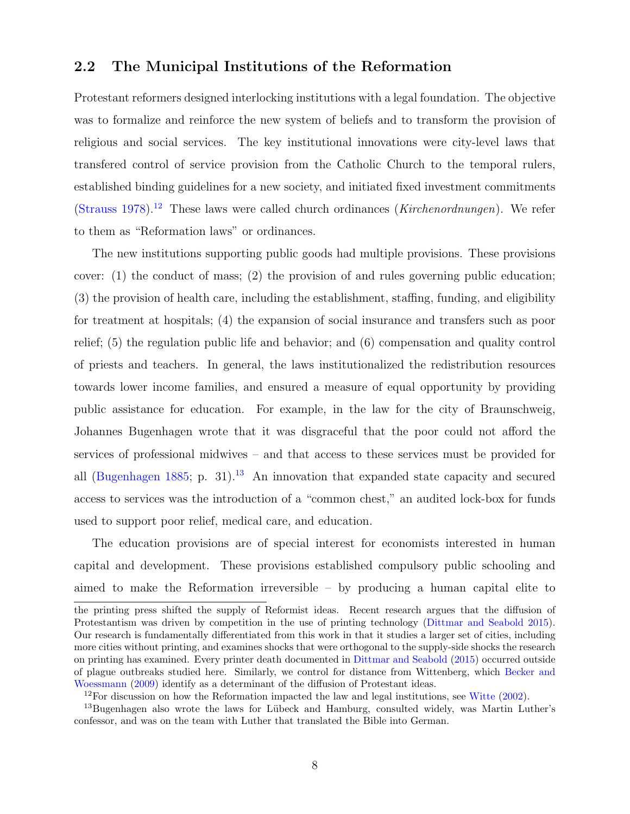## 2.2 The Municipal Institutions of the Reformation

Protestant reformers designed interlocking institutions with a legal foundation. The objective was to formalize and reinforce the new system of beliefs and to transform the provision of religious and social services. The key institutional innovations were city-level laws that transfered control of service provision from the Catholic Church to the temporal rulers, established binding guidelines for a new society, and initiated fixed investment commitments [\(Strauss](#page-44-1) [1978\)](#page-44-1).<sup>[12](#page-8-0)</sup> These laws were called church ordinances (*Kirchenordnungen*). We refer to them as "Reformation laws" or ordinances.

The new institutions supporting public goods had multiple provisions. These provisions cover: (1) the conduct of mass; (2) the provision of and rules governing public education; (3) the provision of health care, including the establishment, staffing, funding, and eligibility for treatment at hospitals; (4) the expansion of social insurance and transfers such as poor relief; (5) the regulation public life and behavior; and (6) compensation and quality control of priests and teachers. In general, the laws institutionalized the redistribution resources towards lower income families, and ensured a measure of equal opportunity by providing public assistance for education. For example, in the law for the city of Braunschweig, Johannes Bugenhagen wrote that it was disgraceful that the poor could not afford the services of professional midwives – and that access to these services must be provided for all [\(Bugenhagen](#page-41-11) [1885;](#page-41-11) p. 31).<sup>[13](#page-8-1)</sup> An innovation that expanded state capacity and secured access to services was the introduction of a "common chest," an audited lock-box for funds used to support poor relief, medical care, and education.

The education provisions are of special interest for economists interested in human capital and development. These provisions established compulsory public schooling and aimed to make the Reformation irreversible – by producing a human capital elite to

the printing press shifted the supply of Reformist ideas. Recent research argues that the diffusion of Protestantism was driven by competition in the use of printing technology [\(Dittmar and Seabold](#page-41-2) [2015\)](#page-41-2). Our research is fundamentally differentiated from this work in that it studies a larger set of cities, including more cities without printing, and examines shocks that were orthogonal to the supply-side shocks the research on printing has examined. Every printer death documented in [Dittmar and Seabold](#page-41-2) [\(2015\)](#page-41-2) occurred outside of plague outbreaks studied here. Similarly, we control for distance from Wittenberg, which [Becker and](#page-40-3) [Woessmann](#page-40-3) [\(2009\)](#page-40-3) identify as a determinant of the diffusion of Protestant ideas.

<span id="page-8-1"></span><span id="page-8-0"></span><sup>&</sup>lt;sup>12</sup>For discussion on how the Reformation impacted the law and legal institutions, see [Witte](#page-44-0) [\(2002\)](#page-44-0).

<sup>&</sup>lt;sup>13</sup>Bugenhagen also wrote the laws for Lübeck and Hamburg, consulted widely, was Martin Luther's confessor, and was on the team with Luther that translated the Bible into German.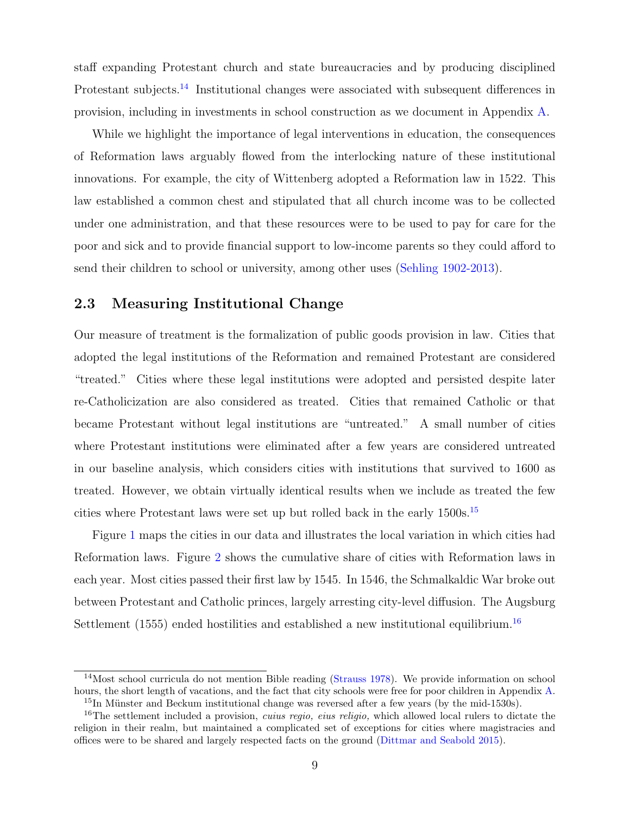staff expanding Protestant church and state bureaucracies and by producing disciplined Protestant subjects.<sup>[14](#page-9-0)</sup> Institutional changes were associated with subsequent differences in provision, including in investments in school construction as we document in Appendix [A.](#page-46-0)

While we highlight the importance of legal interventions in education, the consequences of Reformation laws arguably flowed from the interlocking nature of these institutional innovations. For example, the city of Wittenberg adopted a Reformation law in 1522. This law established a common chest and stipulated that all church income was to be collected under one administration, and that these resources were to be used to pay for care for the poor and sick and to provide financial support to low-income parents so they could afford to send their children to school or university, among other uses [\(Sehling](#page-43-3) [1902-2013\)](#page-43-3).

## 2.3 Measuring Institutional Change

Our measure of treatment is the formalization of public goods provision in law. Cities that adopted the legal institutions of the Reformation and remained Protestant are considered "treated." Cities where these legal institutions were adopted and persisted despite later re-Catholicization are also considered as treated. Cities that remained Catholic or that became Protestant without legal institutions are "untreated." A small number of cities where Protestant institutions were eliminated after a few years are considered untreated in our baseline analysis, which considers cities with institutions that survived to 1600 as treated. However, we obtain virtually identical results when we include as treated the few cities where Protestant laws were set up but rolled back in the early 1500s.[15](#page-9-1)

Figure [1](#page-10-0) maps the cities in our data and illustrates the local variation in which cities had Reformation laws. Figure [2](#page-10-1) shows the cumulative share of cities with Reformation laws in each year. Most cities passed their first law by 1545. In 1546, the Schmalkaldic War broke out between Protestant and Catholic princes, largely arresting city-level diffusion. The Augsburg Settlement (1555) ended hostilities and established a new institutional equilibrium.<sup>[16](#page-9-2)</sup>

<span id="page-9-0"></span><sup>&</sup>lt;sup>14</sup>Most school curricula do not mention Bible reading [\(Strauss](#page-44-1) [1978\)](#page-44-1). We provide information on school hours, the short length of vacations, and the fact that city schools were free for poor children in Appendix [A.](#page-46-0)  $15$ In Münster and Beckum institutional change was reversed after a few years (by the mid-1530s).

<span id="page-9-2"></span><span id="page-9-1"></span><sup>&</sup>lt;sup>16</sup>The settlement included a provision, *cuius regio, eius religio*, which allowed local rulers to dictate the religion in their realm, but maintained a complicated set of exceptions for cities where magistracies and offices were to be shared and largely respected facts on the ground [\(Dittmar and Seabold](#page-41-2) [2015\)](#page-41-2).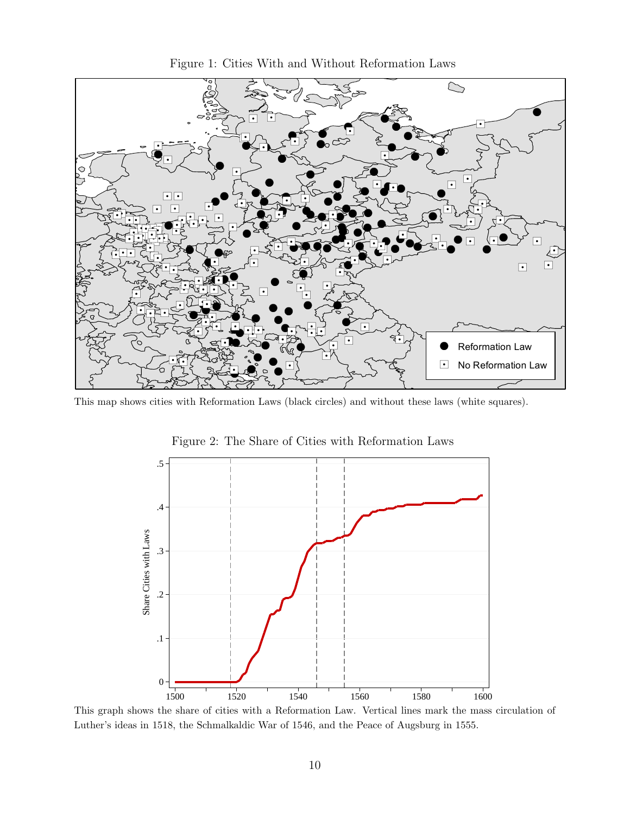

<span id="page-10-0"></span>Figure 1: Cities With and Without Reformation Laws

This map shows cities with Reformation Laws (black circles) and without these laws (white squares).



<span id="page-10-1"></span>Figure 2: The Share of Cities with Reformation Laws

This graph shows the share of cities with a Reformation Law. Vertical lines mark the mass circulation of Luther's ideas in 1518, the Schmalkaldic War of 1546, and the Peace of Augsburg in 1555.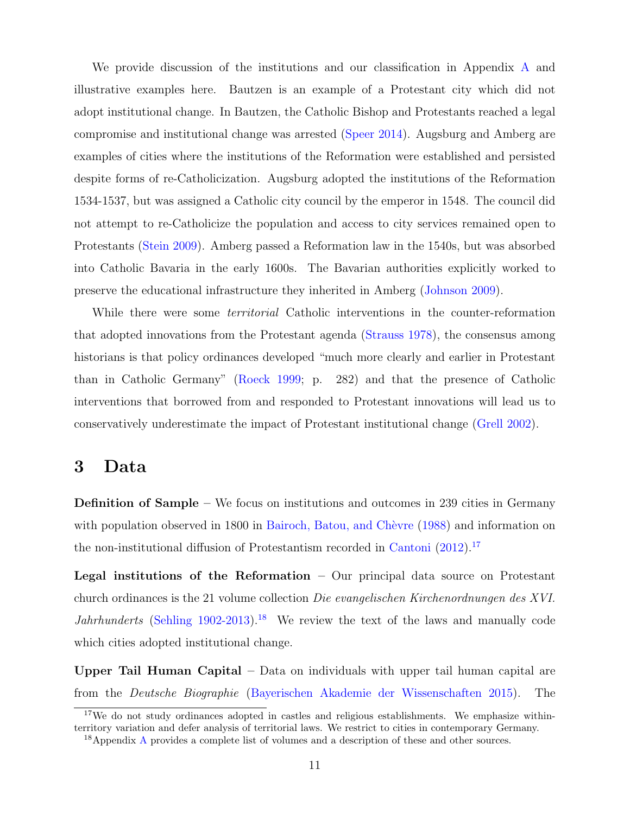We provide discussion of the institutions and our classification in Appendix [A](#page-46-0) and illustrative examples here. Bautzen is an example of a Protestant city which did not adopt institutional change. In Bautzen, the Catholic Bishop and Protestants reached a legal compromise and institutional change was arrested [\(Speer](#page-44-7) [2014\)](#page-44-7). Augsburg and Amberg are examples of cities where the institutions of the Reformation were established and persisted despite forms of re-Catholicization. Augsburg adopted the institutions of the Reformation 1534-1537, but was assigned a Catholic city council by the emperor in 1548. The council did not attempt to re-Catholicize the population and access to city services remained open to Protestants [\(Stein](#page-44-8) [2009\)](#page-44-8). Amberg passed a Reformation law in the 1540s, but was absorbed into Catholic Bavaria in the early 1600s. The Bavarian authorities explicitly worked to preserve the educational infrastructure they inherited in Amberg [\(Johnson](#page-42-12) [2009\)](#page-42-12).

While there were some *territorial* Catholic interventions in the counter-reformation that adopted innovations from the Protestant agenda [\(Strauss](#page-44-1) [1978\)](#page-44-1), the consensus among historians is that policy ordinances developed "much more clearly and earlier in Protestant than in Catholic Germany" [\(Roeck](#page-43-6) [1999;](#page-43-6) p. 282) and that the presence of Catholic interventions that borrowed from and responded to Protestant innovations will lead us to conservatively underestimate the impact of Protestant institutional change [\(Grell](#page-42-2) [2002\)](#page-42-2).

# 3 Data

Definition of Sample – We focus on institutions and outcomes in 239 cities in Germany with population observed in 1800 in Bairoch, Batou, and Chèvre [\(1988\)](#page-40-13) and information on the non-institutional diffusion of Protestantism recorded in [Cantoni](#page-41-12) [\(2012\)](#page-41-12).[17](#page-11-0)

**Legal institutions of the Reformation** – Our principal data source on Protestant church ordinances is the 21 volume collection Die evangelischen Kirchenordnungen des XVI. *Jahrhunderts* [\(Sehling](#page-43-3) [1902-2013\)](#page-43-3).<sup>[18](#page-11-1)</sup> We review the text of the laws and manually code which cities adopted institutional change.

Upper Tail Human Capital – Data on individuals with upper tail human capital are from the Deutsche Biographie [\(Bayerischen Akademie der Wissenschaften](#page-40-6) [2015\)](#page-40-6). The

<span id="page-11-0"></span><sup>&</sup>lt;sup>17</sup>We do not study ordinances adopted in castles and religious establishments. We emphasize withinterritory variation and defer analysis of territorial laws. We restrict to cities in contemporary Germany.

<span id="page-11-1"></span><sup>&</sup>lt;sup>18</sup>[A](#page-46-0)ppendix A provides a complete list of volumes and a description of these and other sources.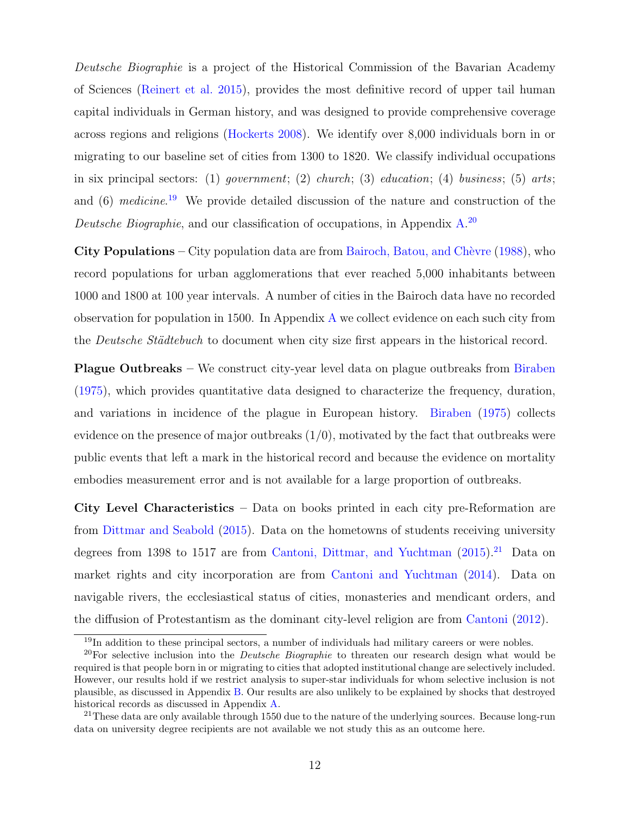Deutsche Biographie is a project of the Historical Commission of the Bavarian Academy of Sciences [\(Reinert et al.](#page-43-12) [2015\)](#page-43-12), provides the most definitive record of upper tail human capital individuals in German history, and was designed to provide comprehensive coverage across regions and religions [\(Hockerts](#page-42-4) [2008\)](#page-42-4). We identify over 8,000 individuals born in or migrating to our baseline set of cities from 1300 to 1820. We classify individual occupations in six principal sectors: (1) government; (2) church; (3) education; (4) business; (5) arts; and (6) medicine.<sup>[19](#page-12-0)</sup> We provide detailed discussion of the nature and construction of the Deutsche Biographie, and our classification of occupations, in Appendix  $A^{20}$  $A^{20}$  $A^{20}$ 

City Populations – City population data are from Bairoch, Batou, and Chèvre [\(1988\)](#page-40-13), who record populations for urban agglomerations that ever reached 5,000 inhabitants between 1000 and 1800 at 100 year intervals. A number of cities in the Bairoch data have no recorded observation for population in 1500. In Appendix [A](#page-46-0) we collect evidence on each such city from the *Deutsche Städtebuch* to document when city size first appears in the historical record.

Plague Outbreaks – We construct city-year level data on plague outbreaks from [Biraben](#page-40-14) [\(1975\)](#page-40-14), which provides quantitative data designed to characterize the frequency, duration, and variations in incidence of the plague in European history. [Biraben](#page-40-14) [\(1975\)](#page-40-14) collects evidence on the presence of major outbreaks  $(1/0)$ , motivated by the fact that outbreaks were public events that left a mark in the historical record and because the evidence on mortality embodies measurement error and is not available for a large proportion of outbreaks.

City Level Characteristics – Data on books printed in each city pre-Reformation are from [Dittmar and Seabold](#page-41-2) [\(2015\)](#page-41-2). Data on the hometowns of students receiving university degrees from 1398 to 1517 are from [Cantoni, Dittmar, and Yuchtman](#page-41-13) [\(2015\)](#page-41-13).<sup>[21](#page-12-2)</sup> Data on market rights and city incorporation are from [Cantoni and Yuchtman](#page-41-5) [\(2014\)](#page-41-5). Data on navigable rivers, the ecclesiastical status of cities, monasteries and mendicant orders, and the diffusion of Protestantism as the dominant city-level religion are from [Cantoni](#page-41-12) [\(2012\)](#page-41-12).

<span id="page-12-1"></span><span id="page-12-0"></span><sup>&</sup>lt;sup>19</sup>In addition to these principal sectors, a number of individuals had military careers or were nobles.

<sup>&</sup>lt;sup>20</sup>For selective inclusion into the *Deutsche Biographie* to threaten our research design what would be required is that people born in or migrating to cities that adopted institutional change are selectively included. However, our results hold if we restrict analysis to super-star individuals for whom selective inclusion is not plausible, as discussed in Appendix [B.](#page-66-0) Our results are also unlikely to be explained by shocks that destroyed historical records as discussed in Appendix [A.](#page-46-0)

<span id="page-12-2"></span> $21$ These data are only available through 1550 due to the nature of the underlying sources. Because long-run data on university degree recipients are not available we not study this as an outcome here.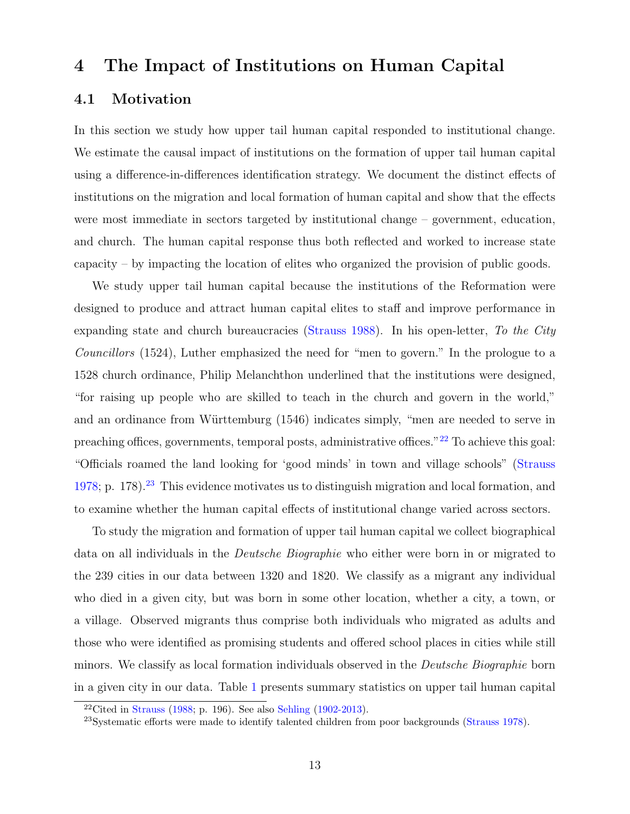# <span id="page-13-2"></span>4 The Impact of Institutions on Human Capital

# 4.1 Motivation

In this section we study how upper tail human capital responded to institutional change. We estimate the causal impact of institutions on the formation of upper tail human capital using a difference-in-differences identification strategy. We document the distinct effects of institutions on the migration and local formation of human capital and show that the effects were most immediate in sectors targeted by institutional change – government, education, and church. The human capital response thus both reflected and worked to increase state capacity – by impacting the location of elites who organized the provision of public goods.

We study upper tail human capital because the institutions of the Reformation were designed to produce and attract human capital elites to staff and improve performance in expanding state and church bureaucracies [\(Strauss](#page-44-2) [1988\)](#page-44-2). In his open-letter, To the City Councillors (1524), Luther emphasized the need for "men to govern." In the prologue to a 1528 church ordinance, Philip Melanchthon underlined that the institutions were designed, "for raising up people who are skilled to teach in the church and govern in the world," and an ordinance from Württemburg (1546) indicates simply, "men are needed to serve in preaching offices, governments, temporal posts, administrative offices."<sup>[22](#page-13-0)</sup> To achieve this goal: "Officials roamed the land looking for 'good minds' in town and village schools" [\(Strauss](#page-44-1) [1978;](#page-44-1) p. 178).<sup>[23](#page-13-1)</sup> This evidence motivates us to distinguish migration and local formation, and to examine whether the human capital effects of institutional change varied across sectors.

To study the migration and formation of upper tail human capital we collect biographical data on all individuals in the Deutsche Biographie who either were born in or migrated to the 239 cities in our data between 1320 and 1820. We classify as a migrant any individual who died in a given city, but was born in some other location, whether a city, a town, or a village. Observed migrants thus comprise both individuals who migrated as adults and those who were identified as promising students and offered school places in cities while still minors. We classify as local formation individuals observed in the Deutsche Biographie born in a given city in our data. Table [1](#page-14-0) presents summary statistics on upper tail human capital

<span id="page-13-0"></span><sup>&</sup>lt;sup>22</sup>Cited in [Strauss](#page-44-2) [\(1988;](#page-44-2) p. 196). See also [Sehling](#page-43-3) [\(1902-2013\)](#page-43-3).

<span id="page-13-1"></span> $^{23}$ Systematic efforts were made to identify talented children from poor backgrounds [\(Strauss](#page-44-1) [1978\)](#page-44-1).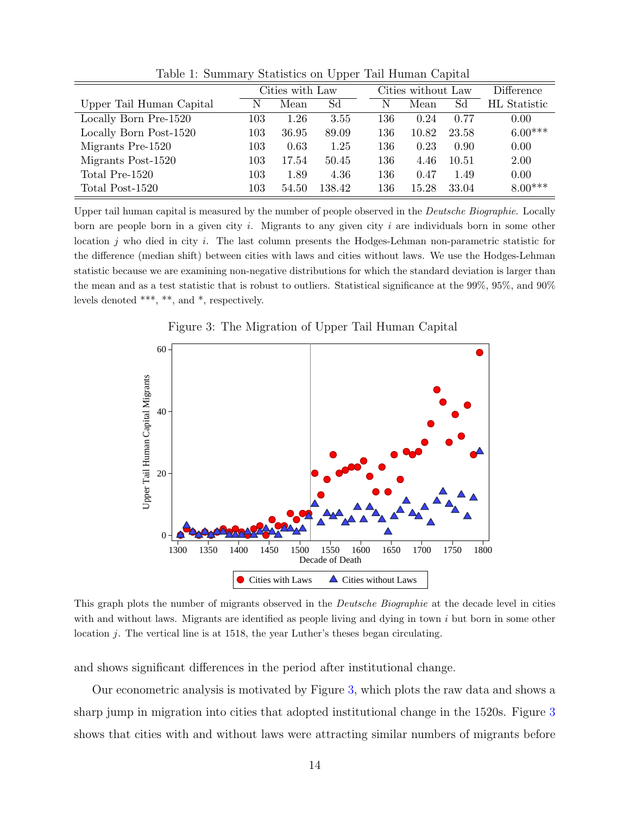|                          | Cities with Law |       |        | Cities without Law |       |       | Difference          |
|--------------------------|-----------------|-------|--------|--------------------|-------|-------|---------------------|
| Upper Tail Human Capital | N               | Mean  | Sd     | N                  | Mean  | Sd    | <b>HL</b> Statistic |
| Locally Born Pre-1520    | 103             | 1.26  | 3.55   | 136                | 0.24  | 0.77  | 0.00                |
| Locally Born Post-1520   | 103             | 36.95 | 89.09  | 136                | 10.82 | 23.58 | $6.00***$           |
| Migrants Pre-1520        | 103             | 0.63  | 1.25   | 136                | 0.23  | 0.90  | 0.00                |
| Migrants Post-1520       | 103             | 17.54 | 50.45  | 136                | 4.46  | 10.51 | 2.00                |
| Total Pre-1520           | 103             | 1.89  | 4.36   | 136                | 0.47  | 1.49  | 0.00                |
| Total Post-1520          | 103             | 54.50 | 138.42 | 136                | 15.28 | 33.04 | $8.00***$           |

<span id="page-14-0"></span>Table 1: Summary Statistics on Upper Tail Human Capital

Upper tail human capital is measured by the number of people observed in the Deutsche Biographie. Locally born are people born in a given city  $i$ . Migrants to any given city  $i$  are individuals born in some other location j who died in city i. The last column presents the Hodges-Lehman non-parametric statistic for the difference (median shift) between cities with laws and cities without laws. We use the Hodges-Lehman statistic because we are examining non-negative distributions for which the standard deviation is larger than the mean and as a test statistic that is robust to outliers. Statistical significance at the 99%, 95%, and 90% levels denoted \*\*\*, \*\*, and \*, respectively.



<span id="page-14-1"></span>Figure 3: The Migration of Upper Tail Human Capital

This graph plots the number of migrants observed in the Deutsche Biographie at the decade level in cities with and without laws. Migrants are identified as people living and dying in town  $i$  but born in some other location  $j$ . The vertical line is at 1518, the year Luther's theses began circulating.

and shows significant differences in the period after institutional change.

Our econometric analysis is motivated by Figure [3,](#page-14-1) which plots the raw data and shows a sharp jump in migration into cities that adopted institutional change in the 1520s. Figure [3](#page-14-1) shows that cities with and without laws were attracting similar numbers of migrants before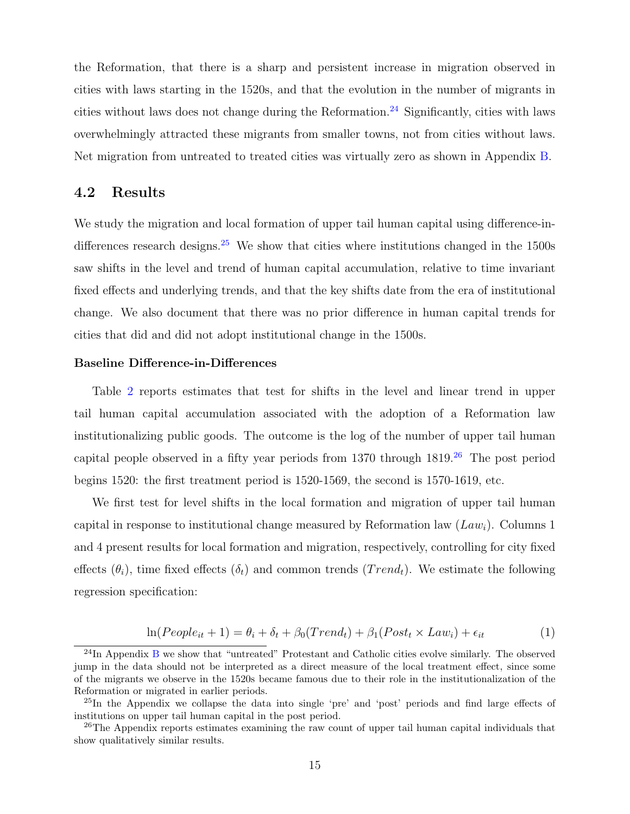the Reformation, that there is a sharp and persistent increase in migration observed in cities with laws starting in the 1520s, and that the evolution in the number of migrants in cities without laws does not change during the Reformation.<sup>[24](#page-15-0)</sup> Significantly, cities with laws overwhelmingly attracted these migrants from smaller towns, not from cities without laws. Net migration from untreated to treated cities was virtually zero as shown in Appendix [B.](#page-66-0)

## 4.2 Results

We study the migration and local formation of upper tail human capital using difference-in-differences research designs.<sup>[25](#page-15-1)</sup> We show that cities where institutions changed in the  $1500s$ saw shifts in the level and trend of human capital accumulation, relative to time invariant fixed effects and underlying trends, and that the key shifts date from the era of institutional change. We also document that there was no prior difference in human capital trends for cities that did and did not adopt institutional change in the 1500s.

#### Baseline Difference-in-Differences

Table [2](#page-16-0) reports estimates that test for shifts in the level and linear trend in upper tail human capital accumulation associated with the adoption of a Reformation law institutionalizing public goods. The outcome is the log of the number of upper tail human capital people observed in a fifty year periods from 1370 through  $1819<sup>26</sup>$  $1819<sup>26</sup>$  $1819<sup>26</sup>$  The post period begins 1520: the first treatment period is 1520-1569, the second is 1570-1619, etc.

We first test for level shifts in the local formation and migration of upper tail human capital in response to institutional change measured by Reformation law  $(Law_i)$ . Columns 1 and 4 present results for local formation and migration, respectively, controlling for city fixed effects  $(\theta_i)$ , time fixed effects  $(\delta_t)$  and common trends  $(Trend_t)$ . We estimate the following regression specification:

$$
\ln(People_{it} + 1) = \theta_i + \delta_t + \beta_0(Trend_t) + \beta_1(Post_t \times Law_i) + \epsilon_{it}
$$
\n(1)

<span id="page-15-0"></span><sup>24</sup>In Appendix [B](#page-66-0) we show that "untreated" Protestant and Catholic cities evolve similarly. The observed jump in the data should not be interpreted as a direct measure of the local treatment effect, since some of the migrants we observe in the 1520s became famous due to their role in the institutionalization of the Reformation or migrated in earlier periods.

<span id="page-15-1"></span><sup>25</sup>In the Appendix we collapse the data into single 'pre' and 'post' periods and find large effects of institutions on upper tail human capital in the post period.

<span id="page-15-2"></span> $26$ The Appendix reports estimates examining the raw count of upper tail human capital individuals that show qualitatively similar results.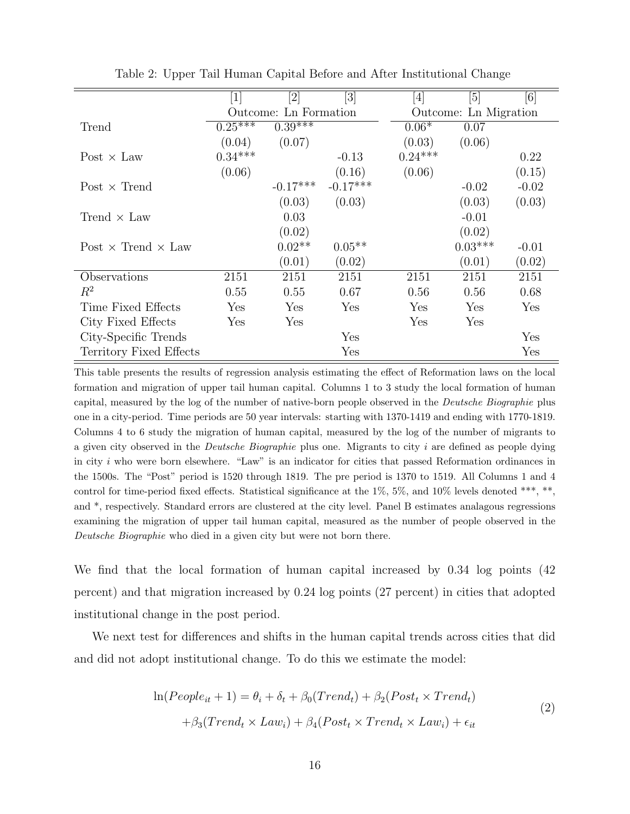|                                  | [1]       |                       | [3]        | $[4] % \includegraphics[width=1\textwidth]{images/TrDiM-Architecture.png} \caption{The figure shows the results of the estimators in the left hand side.} \label{TrDiM-Architecture}$ | [5]                   | [6]     |
|----------------------------------|-----------|-----------------------|------------|---------------------------------------------------------------------------------------------------------------------------------------------------------------------------------------|-----------------------|---------|
|                                  |           | Outcome: Ln Formation |            |                                                                                                                                                                                       | Outcome: Ln Migration |         |
| Trend                            | $0.25***$ | $0.39***$             |            | $0.06*$                                                                                                                                                                               | 0.07                  |         |
|                                  | (0.04)    | (0.07)                |            | (0.03)                                                                                                                                                                                | (0.06)                |         |
| Post $\times$ Law                | $0.34***$ |                       | $-0.13$    | $0.24***$                                                                                                                                                                             |                       | 0.22    |
|                                  | (0.06)    |                       | (0.16)     | (0.06)                                                                                                                                                                                |                       | (0.15)  |
| Post $\times$ Trend              |           | $-0.17***$            | $-0.17***$ |                                                                                                                                                                                       | $-0.02$               | $-0.02$ |
|                                  |           | (0.03)                | (0.03)     |                                                                                                                                                                                       | (0.03)                | (0.03)  |
| Trend $\times$ Law               |           | 0.03                  |            |                                                                                                                                                                                       | $-0.01$               |         |
|                                  |           | (0.02)                |            |                                                                                                                                                                                       | (0.02)                |         |
| Post $\times$ Trend $\times$ Law |           | $0.02**$              | $0.05**$   |                                                                                                                                                                                       | $0.03***$             | $-0.01$ |
|                                  |           | (0.01)                | (0.02)     |                                                                                                                                                                                       | (0.01)                | (0.02)  |
| Observations                     | 2151      | 2151                  | 2151       | 2151                                                                                                                                                                                  | 2151                  | 2151    |
| $R^2$                            | 0.55      | 0.55                  | 0.67       | 0.56                                                                                                                                                                                  | 0.56                  | 0.68    |
| Time Fixed Effects               | Yes       | Yes                   | Yes        | Yes                                                                                                                                                                                   | Yes                   | Yes     |
| City Fixed Effects               | Yes       | Yes                   |            | Yes                                                                                                                                                                                   | Yes                   |         |
| City-Specific Trends             |           |                       | Yes        |                                                                                                                                                                                       |                       | Yes     |
| Territory Fixed Effects          |           |                       | Yes        |                                                                                                                                                                                       |                       | Yes     |

<span id="page-16-0"></span>Table 2: Upper Tail Human Capital Before and After Institutional Change

This table presents the results of regression analysis estimating the effect of Reformation laws on the local formation and migration of upper tail human capital. Columns 1 to 3 study the local formation of human capital, measured by the log of the number of native-born people observed in the Deutsche Biographie plus one in a city-period. Time periods are 50 year intervals: starting with 1370-1419 and ending with 1770-1819. Columns 4 to 6 study the migration of human capital, measured by the log of the number of migrants to a given city observed in the Deutsche Biographie plus one. Migrants to city i are defined as people dying in city  $i$  who were born elsewhere. "Law" is an indicator for cities that passed Reformation ordinances in the 1500s. The "Post" period is 1520 through 1819. The pre period is 1370 to 1519. All Columns 1 and 4 control for time-period fixed effects. Statistical significance at the 1%, 5%, and 10% levels denoted \*\*\*, \*\*, and \*, respectively. Standard errors are clustered at the city level. Panel B estimates analagous regressions examining the migration of upper tail human capital, measured as the number of people observed in the Deutsche Biographie who died in a given city but were not born there.

We find that the local formation of human capital increased by 0.34 log points (42 percent) and that migration increased by 0.24 log points (27 percent) in cities that adopted institutional change in the post period.

We next test for differences and shifts in the human capital trends across cities that did and did not adopt institutional change. To do this we estimate the model:

$$
\ln(People_{it} + 1) = \theta_i + \delta_t + \beta_0(Trend_t) + \beta_2(Post_t \times Trend_t)
$$
  
+ 
$$
\beta_3(Trend_t \times Law_i) + \beta_4(Post_t \times Trend_t \times Law_i) + \epsilon_{it}
$$
 (2)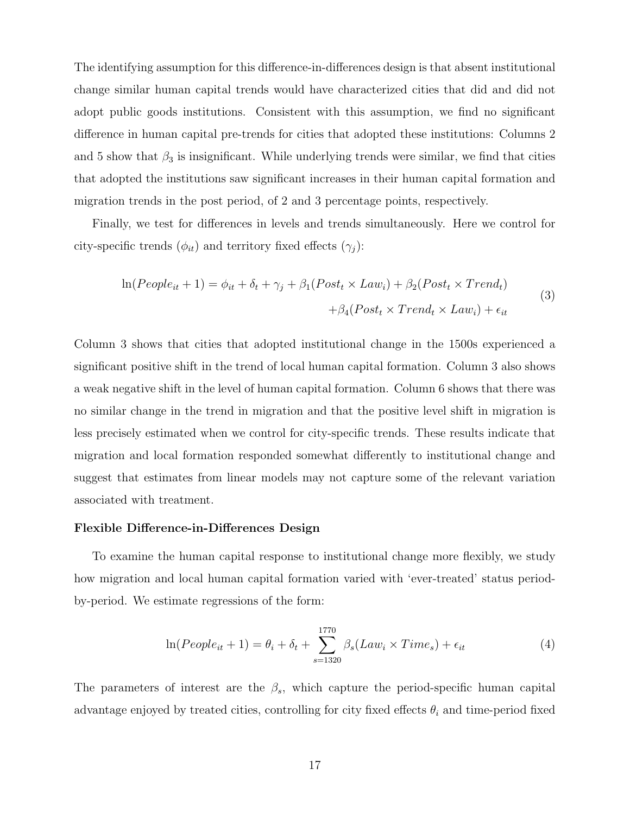The identifying assumption for this difference-in-differences design is that absent institutional change similar human capital trends would have characterized cities that did and did not adopt public goods institutions. Consistent with this assumption, we find no significant difference in human capital pre-trends for cities that adopted these institutions: Columns 2 and 5 show that  $\beta_3$  is insignificant. While underlying trends were similar, we find that cities that adopted the institutions saw significant increases in their human capital formation and migration trends in the post period, of 2 and 3 percentage points, respectively.

Finally, we test for differences in levels and trends simultaneously. Here we control for city-specific trends  $(\phi_{it})$  and territory fixed effects  $(\gamma_i)$ :

$$
\ln(People_{it} + 1) = \phi_{it} + \delta_t + \gamma_j + \beta_1(Post_t \times Law_i) + \beta_2(Post_t \times Trend_t) + \beta_4(Post_t \times Trend_t \times Law_i) + \epsilon_{it}
$$
\n(3)

Column 3 shows that cities that adopted institutional change in the 1500s experienced a significant positive shift in the trend of local human capital formation. Column 3 also shows a weak negative shift in the level of human capital formation. Column 6 shows that there was no similar change in the trend in migration and that the positive level shift in migration is less precisely estimated when we control for city-specific trends. These results indicate that migration and local formation responded somewhat differently to institutional change and suggest that estimates from linear models may not capture some of the relevant variation associated with treatment.

#### Flexible Difference-in-Differences Design

To examine the human capital response to institutional change more flexibly, we study how migration and local human capital formation varied with 'ever-treated' status periodby-period. We estimate regressions of the form:

<span id="page-17-0"></span>
$$
\ln(People_{it} + 1) = \theta_i + \delta_t + \sum_{s=1320}^{1770} \beta_s (Law_i \times Time_s) + \epsilon_{it}
$$
 (4)

The parameters of interest are the  $\beta_s$ , which capture the period-specific human capital advantage enjoyed by treated cities, controlling for city fixed effects  $\theta_i$  and time-period fixed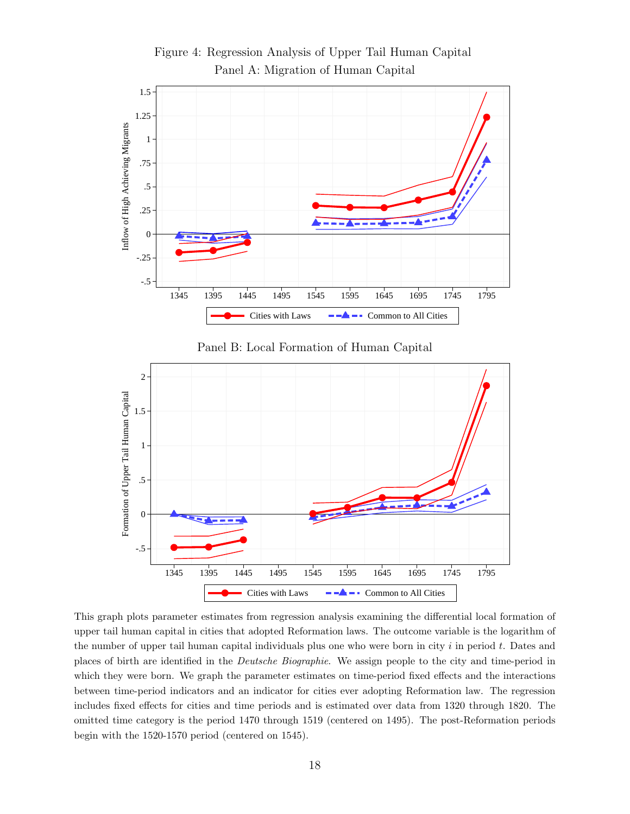

<span id="page-18-0"></span>Figure 4: Regression Analysis of Upper Tail Human Capital Panel A: Migration of Human Capital

This graph plots parameter estimates from regression analysis examining the differential local formation of upper tail human capital in cities that adopted Reformation laws. The outcome variable is the logarithm of the number of upper tail human capital individuals plus one who were born in city  $i$  in period  $t$ . Dates and places of birth are identified in the Deutsche Biographie. We assign people to the city and time-period in which they were born. We graph the parameter estimates on time-period fixed effects and the interactions between time-period indicators and an indicator for cities ever adopting Reformation law. The regression includes fixed effects for cities and time periods and is estimated over data from 1320 through 1820. The omitted time category is the period 1470 through 1519 (centered on 1495). The post-Reformation periods begin with the 1520-1570 period (centered on 1545).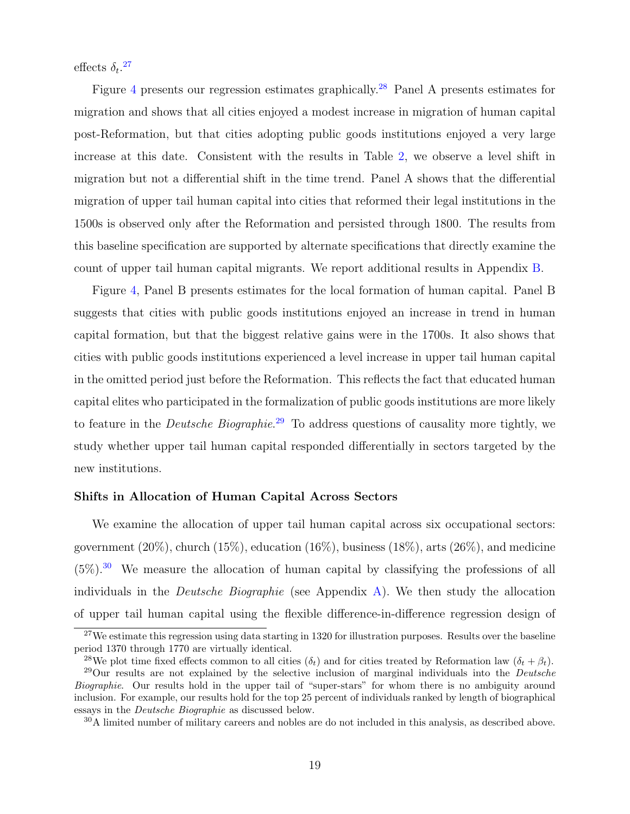effects  $\delta_t$ .<sup>[27](#page-19-0)</sup>

Figure [4](#page-18-0) presents our regression estimates graphically.<sup>[28](#page-19-1)</sup> Panel A presents estimates for migration and shows that all cities enjoyed a modest increase in migration of human capital post-Reformation, but that cities adopting public goods institutions enjoyed a very large increase at this date. Consistent with the results in Table [2,](#page-16-0) we observe a level shift in migration but not a differential shift in the time trend. Panel A shows that the differential migration of upper tail human capital into cities that reformed their legal institutions in the 1500s is observed only after the Reformation and persisted through 1800. The results from this baseline specification are supported by alternate specifications that directly examine the count of upper tail human capital migrants. We report additional results in Appendix [B.](#page-66-0)

Figure [4,](#page-18-0) Panel B presents estimates for the local formation of human capital. Panel B suggests that cities with public goods institutions enjoyed an increase in trend in human capital formation, but that the biggest relative gains were in the 1700s. It also shows that cities with public goods institutions experienced a level increase in upper tail human capital in the omitted period just before the Reformation. This reflects the fact that educated human capital elites who participated in the formalization of public goods institutions are more likely to feature in the *Deutsche Biographie*.<sup>[29](#page-19-2)</sup> To address questions of causality more tightly, we study whether upper tail human capital responded differentially in sectors targeted by the new institutions.

#### Shifts in Allocation of Human Capital Across Sectors

We examine the allocation of upper tail human capital across six occupational sectors: government  $(20\%)$ , church  $(15\%)$ , education  $(16\%)$ , business  $(18\%)$ , arts  $(26\%)$ , and medicine  $(5\%)$ <sup>[30](#page-19-3)</sup> We measure the allocation of human capital by classifying the professions of all individuals in the *Deutsche Biographie* (see Appendix [A\)](#page-46-0). We then study the allocation of upper tail human capital using the flexible difference-in-difference regression design of

<span id="page-19-0"></span><sup>&</sup>lt;sup>27</sup>We estimate this regression using data starting in 1320 for illustration purposes. Results over the baseline period 1370 through 1770 are virtually identical.

<span id="page-19-2"></span><span id="page-19-1"></span><sup>&</sup>lt;sup>28</sup>We plot time fixed effects common to all cities ( $\delta_t$ ) and for cities treated by Reformation law ( $\delta_t + \beta_t$ ).  $^{29}$ Our results are not explained by the selective inclusion of marginal individuals into the *Deutsche* Biographie. Our results hold in the upper tail of "super-stars" for whom there is no ambiguity around inclusion. For example, our results hold for the top 25 percent of individuals ranked by length of biographical essays in the Deutsche Biographie as discussed below.

<span id="page-19-3"></span> $30$ A limited number of military careers and nobles are do not included in this analysis, as described above.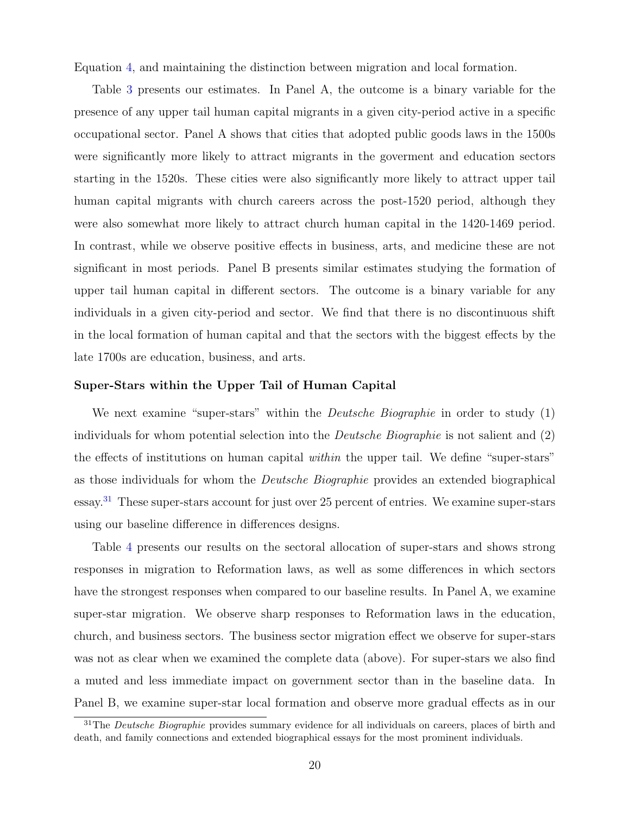Equation [4,](#page-17-0) and maintaining the distinction between migration and local formation.

Table [3](#page-21-0) presents our estimates. In Panel A, the outcome is a binary variable for the presence of any upper tail human capital migrants in a given city-period active in a specific occupational sector. Panel A shows that cities that adopted public goods laws in the 1500s were significantly more likely to attract migrants in the goverment and education sectors starting in the 1520s. These cities were also significantly more likely to attract upper tail human capital migrants with church careers across the post-1520 period, although they were also somewhat more likely to attract church human capital in the 1420-1469 period. In contrast, while we observe positive effects in business, arts, and medicine these are not significant in most periods. Panel B presents similar estimates studying the formation of upper tail human capital in different sectors. The outcome is a binary variable for any individuals in a given city-period and sector. We find that there is no discontinuous shift in the local formation of human capital and that the sectors with the biggest effects by the late 1700s are education, business, and arts.

#### Super-Stars within the Upper Tail of Human Capital

We next examine "super-stars" within the *Deutsche Biographie* in order to study  $(1)$ individuals for whom potential selection into the Deutsche Biographie is not salient and (2) the effects of institutions on human capital within the upper tail. We define "super-stars" as those individuals for whom the Deutsche Biographie provides an extended biographical essay.[31](#page-20-0) These super-stars account for just over 25 percent of entries. We examine super-stars using our baseline difference in differences designs.

Table [4](#page-22-0) presents our results on the sectoral allocation of super-stars and shows strong responses in migration to Reformation laws, as well as some differences in which sectors have the strongest responses when compared to our baseline results. In Panel A, we examine super-star migration. We observe sharp responses to Reformation laws in the education, church, and business sectors. The business sector migration effect we observe for super-stars was not as clear when we examined the complete data (above). For super-stars we also find a muted and less immediate impact on government sector than in the baseline data. In Panel B, we examine super-star local formation and observe more gradual effects as in our

<span id="page-20-0"></span><sup>&</sup>lt;sup>31</sup>The *Deutsche Biographie* provides summary evidence for all individuals on careers, places of birth and death, and family connections and extended biographical essays for the most prominent individuals.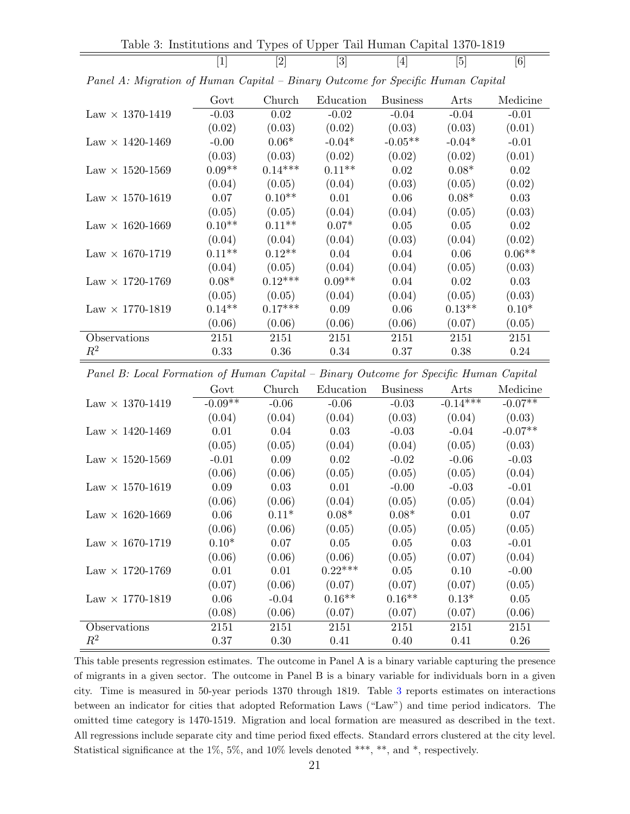<span id="page-21-0"></span>Table 3: Institutions and Types of Upper Tail Human Capital 1370-1819

 $[1]$   $[2]$   $[3]$   $[4]$   $[5]$   $[6]$ 

|                                 | Govt     | Church    | Education | <b>Business</b> | Arts     | Medicine |
|---------------------------------|----------|-----------|-----------|-----------------|----------|----------|
| $Law \times 1370 - 1419$        | $-0.03$  | 0.02      | $-0.02$   | $-0.04$         | $-0.04$  | $-0.01$  |
|                                 | (0.02)   | (0.03)    | (0.02)    | (0.03)          | (0.03)   | (0.01)   |
| $Law \times 1420 - 1469$        | $-0.00$  | $0.06*$   | $-0.04*$  | $-0.05**$       | $-0.04*$ | $-0.01$  |
|                                 | (0.03)   | (0.03)    | (0.02)    | (0.02)          | (0.02)   | (0.01)   |
| $Law \times 1520 - 1569$        | $0.09**$ | $0.14***$ | $0.11**$  | 0.02            | $0.08*$  | 0.02     |
|                                 | (0.04)   | (0.05)    | (0.04)    | (0.03)          | (0.05)   | (0.02)   |
| Law $\times$ 1570-1619          | 0.07     | $0.10**$  | 0.01      | 0.06            | $0.08*$  | 0.03     |
|                                 | (0.05)   | (0.05)    | (0.04)    | (0.04)          | (0.05)   | (0.03)   |
| $\text{Law} \times 1620 - 1669$ | $0.10**$ | $0.11**$  | $0.07*$   | 0.05            | 0.05     | 0.02     |
|                                 | (0.04)   | (0.04)    | (0.04)    | (0.03)          | (0.04)   | (0.02)   |
| $Law \times 1670 - 1719$        | $0.11**$ | $0.12**$  | 0.04      | 0.04            | 0.06     | $0.06**$ |
|                                 | (0.04)   | (0.05)    | (0.04)    | (0.04)          | (0.05)   | (0.03)   |
| $Law \times 1720 - 1769$        | $0.08*$  | $0.12***$ | $0.09**$  | 0.04            | 0.02     | 0.03     |
|                                 | (0.05)   | (0.05)    | (0.04)    | (0.04)          | (0.05)   | (0.03)   |
| Law $\times$ 1770-1819          | $0.14**$ | $0.17***$ | 0.09      | 0.06            | $0.13**$ | $0.10*$  |
|                                 | (0.06)   | (0.06)    | (0.06)    | (0.06)          | (0.07)   | (0.05)   |
| Observations                    | 2151     | 2151      | 2151      | 2151            | 2151     | 2151     |
| $R^2$                           | 0.33     | 0.36      | 0.34      | 0.37            | 0.38     | 0.24     |

Panel A: Migration of Human Capital – Binary Outcome for Specific Human Capital

Panel B: Local Formation of Human Capital – Binary Outcome for Specific Human Capital

|                          | Govt      | Church  | Education | <b>Business</b> | Arts       | Medicine  |
|--------------------------|-----------|---------|-----------|-----------------|------------|-----------|
| Law $\times$ 1370-1419   | $-0.09**$ | $-0.06$ | $-0.06$   | $-0.03$         | $-0.14***$ | $-0.07**$ |
|                          | (0.04)    | (0.04)  | (0.04)    | (0.03)          | (0.04)     | (0.03)    |
| $Law \times 1420 - 1469$ | 0.01      | 0.04    | 0.03      | $-0.03$         | $-0.04$    | $-0.07**$ |
|                          | (0.05)    | (0.05)  | (0.04)    | (0.04)          | (0.05)     | (0.03)    |
| $Law \times 1520 - 1569$ | $-0.01$   | 0.09    | 0.02      | $-0.02$         | $-0.06$    | $-0.03$   |
|                          | (0.06)    | (0.06)  | (0.05)    | (0.05)          | (0.05)     | (0.04)    |
| Law $\times$ 1570-1619   | 0.09      | 0.03    | 0.01      | $-0.00$         | $-0.03$    | $-0.01$   |
|                          | (0.06)    | (0.06)  | (0.04)    | (0.05)          | (0.05)     | (0.04)    |
| Law $\times$ 1620-1669   | 0.06      | $0.11*$ | $0.08*$   | $0.08*$         | 0.01       | 0.07      |
|                          | (0.06)    | (0.06)  | (0.05)    | (0.05)          | (0.05)     | (0.05)    |
| $Law \times 1670 - 1719$ | $0.10*$   | 0.07    | 0.05      | 0.05            | 0.03       | $-0.01$   |
|                          | (0.06)    | (0.06)  | (0.06)    | (0.05)          | (0.07)     | (0.04)    |
| $Law \times 1720 - 1769$ | 0.01      | 0.01    | $0.22***$ | 0.05            | 0.10       | $-0.00$   |
|                          | (0.07)    | (0.06)  | (0.07)    | (0.07)          | (0.07)     | (0.05)    |
| Law $\times$ 1770-1819   | 0.06      | $-0.04$ | $0.16**$  | $0.16**$        | $0.13*$    | 0.05      |
|                          | (0.08)    | (0.06)  | (0.07)    | (0.07)          | (0.07)     | (0.06)    |
| Observations             | 2151      | 2151    | 2151      | 2151            | 2151       | 2151      |
| $R^2$                    | 0.37      | 0.30    | 0.41      | 0.40            | 0.41       | 0.26      |

This table presents regression estimates. The outcome in Panel A is a binary variable capturing the presence of migrants in a given sector. The outcome in Panel B is a binary variable for individuals born in a given city. Time is measured in 50-year periods 1370 through 1819. Table [3](#page-21-0) reports estimates on interactions between an indicator for cities that adopted Reformation Laws ("Law") and time period indicators. The omitted time category is 1470-1519. Migration and local formation are measured as described in the text. All regressions include separate city and time period fixed effects. Standard errors clustered at the city level. Statistical significance at the 1%, 5%, and 10% levels denoted \*\*\*, \*\*, and \*, respectively.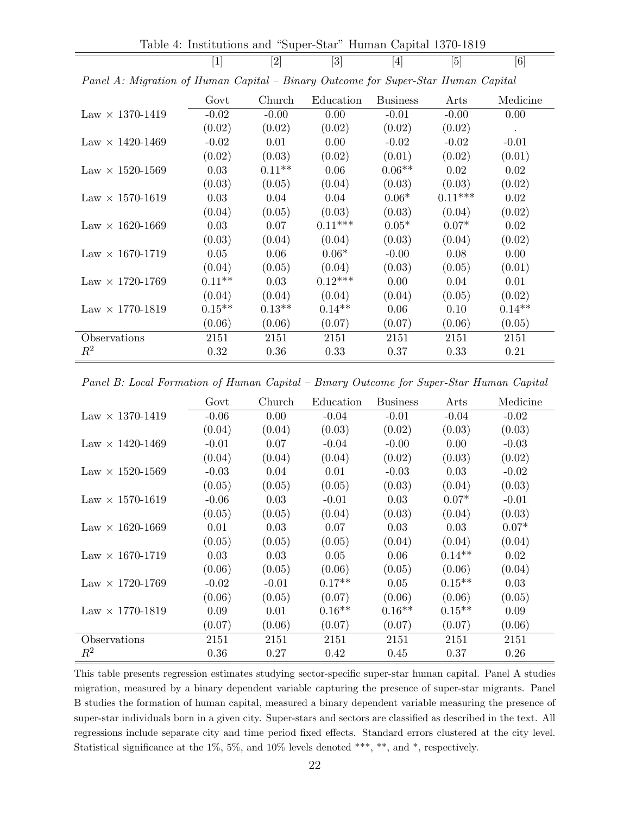Table 4: Institutions and "Super-Star" Human Capital 1370-1819

<span id="page-22-0"></span> $[1]$   $[2]$   $[3]$   $[4]$   $[5]$   $[6]$ 

|                          | Govt     | Church   | Education | <b>Business</b> | Arts      | Medicine      |
|--------------------------|----------|----------|-----------|-----------------|-----------|---------------|
| Law $\times$ 1370-1419   | $-0.02$  | $-0.00$  | 0.00      | $-0.01$         | $-0.00$   | 0.00          |
|                          | (0.02)   | (0.02)   | (0.02)    | (0.02)          | (0.02)    | $\rightarrow$ |
| $Law \times 1420 - 1469$ | $-0.02$  | 0.01     | 0.00      | $-0.02$         | $-0.02$   | $-0.01$       |
|                          | (0.02)   | (0.03)   | (0.02)    | (0.01)          | (0.02)    | (0.01)        |
| $Law \times 1520 - 1569$ | 0.03     | $0.11**$ | 0.06      | $0.06**$        | 0.02      | 0.02          |
|                          | (0.03)   | (0.05)   | (0.04)    | (0.03)          | (0.03)    | (0.02)        |
| Law $\times$ 1570-1619   | 0.03     | 0.04     | 0.04      | $0.06*$         | $0.11***$ | 0.02          |
|                          | (0.04)   | (0.05)   | (0.03)    | (0.03)          | (0.04)    | (0.02)        |
| $Law \times 1620 - 1669$ | 0.03     | 0.07     | $0.11***$ | $0.05*$         | $0.07*$   | 0.02          |
|                          | (0.03)   | (0.04)   | (0.04)    | (0.03)          | (0.04)    | (0.02)        |
| $Law \times 1670 - 1719$ | 0.05     | 0.06     | $0.06*$   | $-0.00$         | 0.08      | 0.00          |
|                          | (0.04)   | (0.05)   | (0.04)    | (0.03)          | (0.05)    | (0.01)        |
| $Law \times 1720 - 1769$ | $0.11**$ | 0.03     | $0.12***$ | 0.00            | 0.04      | 0.01          |
|                          | (0.04)   | (0.04)   | (0.04)    | (0.04)          | (0.05)    | (0.02)        |
| $Law \times 1770-1819$   | $0.15**$ | $0.13**$ | $0.14**$  | 0.06            | 0.10      | $0.14**$      |
|                          | (0.06)   | (0.06)   | (0.07)    | (0.07)          | (0.06)    | (0.05)        |
| Observations             | 2151     | 2151     | 2151      | 2151            | 2151      | 2151          |
| $R^2$                    | 0.32     | 0.36     | 0.33      | 0.37            | 0.33      | 0.21          |

Panel A: Migration of Human Capital – Binary Outcome for Super-Star Human Capital

Panel B: Local Formation of Human Capital – Binary Outcome for Super-Star Human Capital

|                                 | Govt    | Church  | Education | <b>Business</b> | Arts     | Medicine |
|---------------------------------|---------|---------|-----------|-----------------|----------|----------|
| Law $\times$ 1370-1419          | $-0.06$ | 0.00    | $-0.04$   | $-0.01$         | $-0.04$  | $-0.02$  |
|                                 | (0.04)  | (0.04)  | (0.03)    | (0.02)          | (0.03)   | (0.03)   |
| $Law \times 1420 - 1469$        | $-0.01$ | 0.07    | $-0.04$   | $-0.00$         | 0.00     | $-0.03$  |
|                                 | (0.04)  | (0.04)  | (0.04)    | (0.02)          | (0.03)   | (0.02)   |
| $\text{Law} \times 1520 - 1569$ | $-0.03$ | 0.04    | 0.01      | $-0.03$         | 0.03     | $-0.02$  |
|                                 | (0.05)  | (0.05)  | (0.05)    | (0.03)          | (0.04)   | (0.03)   |
| $Law \times 1570 - 1619$        | $-0.06$ | 0.03    | $-0.01$   | 0.03            | $0.07*$  | $-0.01$  |
|                                 | (0.05)  | (0.05)  | (0.04)    | (0.03)          | (0.04)   | (0.03)   |
| $Law \times 1620 - 1669$        | 0.01    | 0.03    | 0.07      | 0.03            | 0.03     | $0.07*$  |
|                                 | (0.05)  | (0.05)  | (0.05)    | (0.04)          | (0.04)   | (0.04)   |
| $Law \times 1670 - 1719$        | 0.03    | 0.03    | 0.05      | 0.06            | $0.14**$ | 0.02     |
|                                 | (0.06)  | (0.05)  | (0.06)    | (0.05)          | (0.06)   | (0.04)   |
| $Law \times 1720 - 1769$        | $-0.02$ | $-0.01$ | $0.17**$  | 0.05            | $0.15**$ | 0.03     |
|                                 | (0.06)  | (0.05)  | (0.07)    | (0.06)          | (0.06)   | (0.05)   |
| Law $\times$ 1770-1819          | 0.09    | 0.01    | $0.16**$  | $0.16**$        | $0.15**$ | 0.09     |
|                                 | (0.07)  | (0.06)  | (0.07)    | (0.07)          | (0.07)   | (0.06)   |
| Observations                    | 2151    | 2151    | 2151      | 2151            | 2151     | 2151     |
| $R^2$                           | 0.36    | 0.27    | 0.42      | 0.45            | 0.37     | 0.26     |

This table presents regression estimates studying sector-specific super-star human capital. Panel A studies migration, measured by a binary dependent variable capturing the presence of super-star migrants. Panel B studies the formation of human capital, measured a binary dependent variable measuring the presence of super-star individuals born in a given city. Super-stars and sectors are classified as described in the text. All regressions include separate city and time period fixed effects. Standard errors clustered at the city level. Statistical significance at the 1%, 5%, and 10% levels denoted \*\*\*, \*\*, and \*, respectively.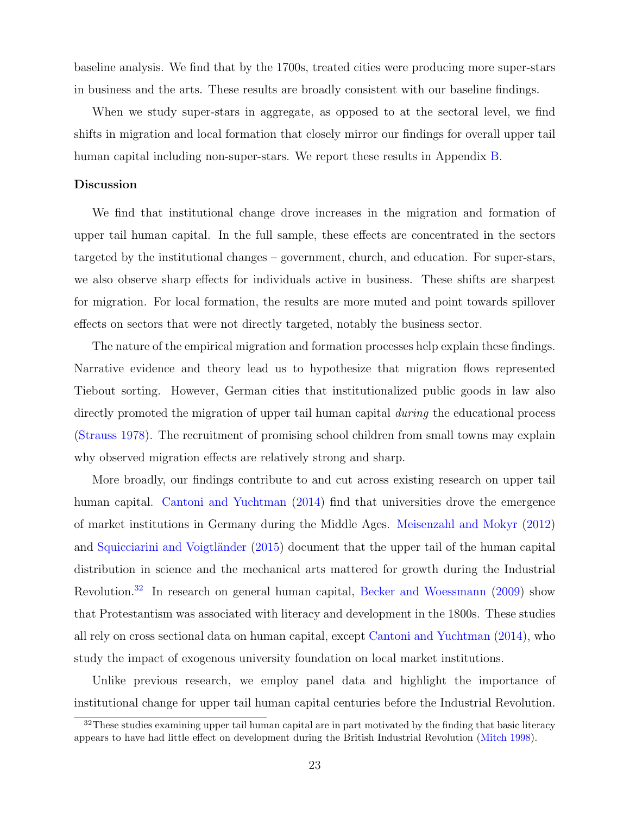baseline analysis. We find that by the 1700s, treated cities were producing more super-stars in business and the arts. These results are broadly consistent with our baseline findings.

When we study super-stars in aggregate, as opposed to at the sectoral level, we find shifts in migration and local formation that closely mirror our findings for overall upper tail human capital including non-super-stars. We report these results in Appendix [B.](#page-66-0)

#### Discussion

We find that institutional change drove increases in the migration and formation of upper tail human capital. In the full sample, these effects are concentrated in the sectors targeted by the institutional changes – government, church, and education. For super-stars, we also observe sharp effects for individuals active in business. These shifts are sharpest for migration. For local formation, the results are more muted and point towards spillover effects on sectors that were not directly targeted, notably the business sector.

The nature of the empirical migration and formation processes help explain these findings. Narrative evidence and theory lead us to hypothesize that migration flows represented Tiebout sorting. However, German cities that institutionalized public goods in law also directly promoted the migration of upper tail human capital *during* the educational process [\(Strauss](#page-44-1) [1978\)](#page-44-1). The recruitment of promising school children from small towns may explain why observed migration effects are relatively strong and sharp.

More broadly, our findings contribute to and cut across existing research on upper tail human capital. [Cantoni and Yuchtman](#page-41-5) [\(2014\)](#page-41-5) find that universities drove the emergence of market institutions in Germany during the Middle Ages. [Meisenzahl and Mokyr](#page-42-9) [\(2012\)](#page-42-9) and Squicciarini and Voigtländer [\(2015\)](#page-44-4) document that the upper tail of the human capital distribution in science and the mechanical arts mattered for growth during the Industrial Revolution.[32](#page-23-0) In research on general human capital, [Becker and Woessmann](#page-40-3) [\(2009\)](#page-40-3) show that Protestantism was associated with literacy and development in the 1800s. These studies all rely on cross sectional data on human capital, except [Cantoni and Yuchtman](#page-41-5) [\(2014\)](#page-41-5), who study the impact of exogenous university foundation on local market institutions.

Unlike previous research, we employ panel data and highlight the importance of institutional change for upper tail human capital centuries before the Industrial Revolution.

<span id="page-23-0"></span> $32$ These studies examining upper tail human capital are in part motivated by the finding that basic literacy appears to have had little effect on development during the British Industrial Revolution [\(Mitch](#page-42-13) [1998\)](#page-42-13).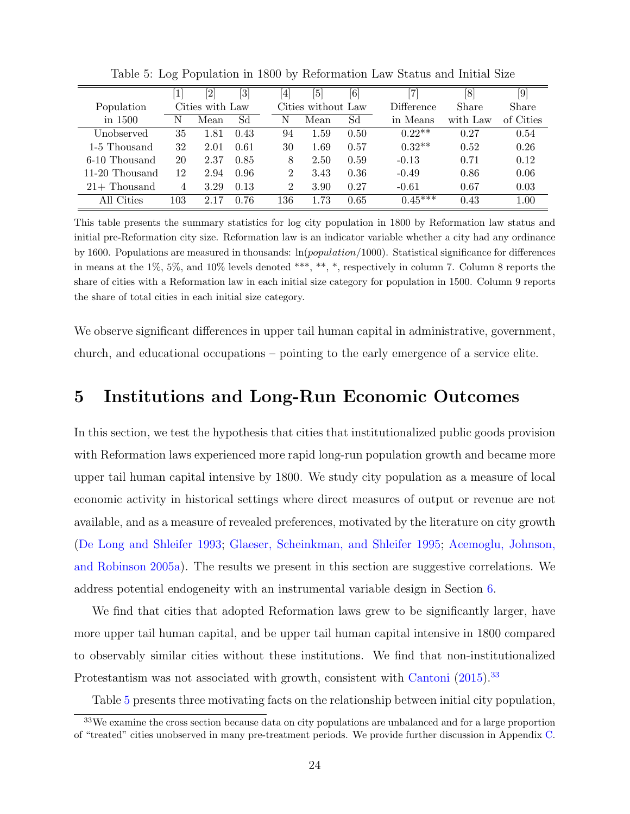|                |     | $\left[ 2\right]$ | $[3] % \includegraphics[width=1\textwidth]{images/TrDiS.png} \caption{The figure shows the results of the estimators in the image. The left-hand side is the same as the right-hand side is the same as the right-hand side is the same as the right-hand side is the same as the right-hand side is the same as the right-hand side is the same as the right-hand side is the same as the right-hand side is the same as the right-hand side is the same as the right-hand side is the same as the right-hand side is the same as the right-hand side is the same as the right-hand side is the same as the right-hand side is the same as the right-hand side is the same as the right-hand side is the same as the right-hand side is the same as the right-hand side is the same as the right-hand side is the same as the right-hand side is the same as the right-hand side is the same as the right-hand side is the same as the right-hand side is the$ | $\left 4\right $ | $\lceil 5 \rceil$  | $\left[ 6\right]$ | 7                 | [8       | [9]       |
|----------------|-----|-------------------|-----------------------------------------------------------------------------------------------------------------------------------------------------------------------------------------------------------------------------------------------------------------------------------------------------------------------------------------------------------------------------------------------------------------------------------------------------------------------------------------------------------------------------------------------------------------------------------------------------------------------------------------------------------------------------------------------------------------------------------------------------------------------------------------------------------------------------------------------------------------------------------------------------------------------------------------------------------------|------------------|--------------------|-------------------|-------------------|----------|-----------|
| Population     |     | Cities with Law   |                                                                                                                                                                                                                                                                                                                                                                                                                                                                                                                                                                                                                                                                                                                                                                                                                                                                                                                                                                 |                  | Cities without Law |                   | <b>Difference</b> | Share    | Share     |
| in 1500        | Ν   | Mean              | Sd                                                                                                                                                                                                                                                                                                                                                                                                                                                                                                                                                                                                                                                                                                                                                                                                                                                                                                                                                              | Ν                | Mean               | Sd                | in Means          | with Law | of Cities |
| Unobserved     | 35  | 1.81              | 0.43                                                                                                                                                                                                                                                                                                                                                                                                                                                                                                                                                                                                                                                                                                                                                                                                                                                                                                                                                            | 94               | 1.59               | 0.50              | $0.22**$          | 0.27     | 0.54      |
| 1-5 Thousand   | 32  | 2.01              | 0.61                                                                                                                                                                                                                                                                                                                                                                                                                                                                                                                                                                                                                                                                                                                                                                                                                                                                                                                                                            | 30               | 1.69               | 0.57              | $0.32**$          | 0.52     | 0.26      |
| 6-10 Thousand  | 20  | 2.37              | 0.85                                                                                                                                                                                                                                                                                                                                                                                                                                                                                                                                                                                                                                                                                                                                                                                                                                                                                                                                                            | 8                | 2.50               | 0.59              | $-0.13$           | 0.71     | 0.12      |
| 11-20 Thousand | 12  | 2.94              | 0.96                                                                                                                                                                                                                                                                                                                                                                                                                                                                                                                                                                                                                                                                                                                                                                                                                                                                                                                                                            | 2                | 3.43               | 0.36              | $-0.49$           | 0.86     | 0.06      |
| $21+$ Thousand | 4   | 3.29              | 0.13                                                                                                                                                                                                                                                                                                                                                                                                                                                                                                                                                                                                                                                                                                                                                                                                                                                                                                                                                            | $\overline{2}$   | 3.90               | 0.27              | $-0.61$           | 0.67     | 0.03      |
| All Cities     | 103 | 2.17              | 0.76                                                                                                                                                                                                                                                                                                                                                                                                                                                                                                                                                                                                                                                                                                                                                                                                                                                                                                                                                            | 136              | 1.73               | 0.65              | $0.45***$         | 0.43     | 1.00      |

<span id="page-24-2"></span>Table 5: Log Population in 1800 by Reformation Law Status and Initial Size

This table presents the summary statistics for log city population in 1800 by Reformation law status and initial pre-Reformation city size. Reformation law is an indicator variable whether a city had any ordinance by 1600. Populations are measured in thousands: ln(population/1000). Statistical significance for differences in means at the 1%, 5%, and 10% levels denoted \*\*\*, \*\*, \*, respectively in column 7. Column 8 reports the share of cities with a Reformation law in each initial size category for population in 1500. Column 9 reports the share of total cities in each initial size category.

We observe significant differences in upper tail human capital in administrative, government, church, and educational occupations – pointing to the early emergence of a service elite.

# <span id="page-24-0"></span>5 Institutions and Long-Run Economic Outcomes

In this section, we test the hypothesis that cities that institutionalized public goods provision with Reformation laws experienced more rapid long-run population growth and became more upper tail human capital intensive by 1800. We study city population as a measure of local economic activity in historical settings where direct measures of output or revenue are not available, and as a measure of revealed preferences, motivated by the literature on city growth [\(De Long and Shleifer](#page-41-14) [1993;](#page-41-14) [Glaeser, Scheinkman, and Shleifer](#page-42-14) [1995;](#page-42-14) [Acemoglu, Johnson,](#page-40-1) [and Robinson](#page-40-1) [2005a\)](#page-40-1). The results we present in this section are suggestive correlations. We address potential endogeneity with an instrumental variable design in Section [6.](#page-29-0)

We find that cities that adopted Reformation laws grew to be significantly larger, have more upper tail human capital, and be upper tail human capital intensive in 1800 compared to observably similar cities without these institutions. We find that non-institutionalized Protestantism was not associated with growth, consistent with [Cantoni](#page-41-1) [\(2015\)](#page-41-1).<sup>[33](#page-24-1)</sup>

<span id="page-24-1"></span>Table [5](#page-24-2) presents three motivating facts on the relationship between initial city population,

<sup>&</sup>lt;sup>33</sup>We examine the cross section because data on city populations are unbalanced and for a large proportion of "treated" cities unobserved in many pre-treatment periods. We provide further discussion in Appendix [C.](#page-78-0)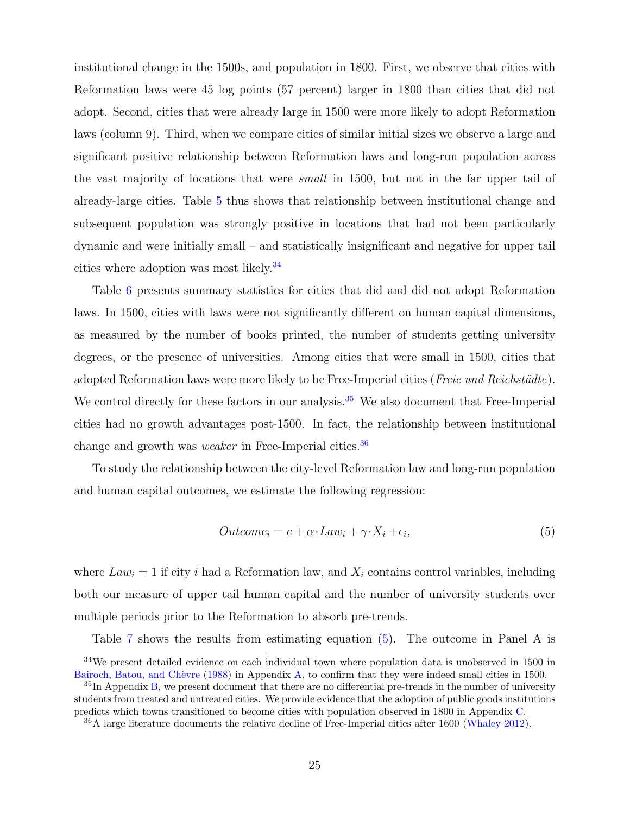institutional change in the 1500s, and population in 1800. First, we observe that cities with Reformation laws were 45 log points (57 percent) larger in 1800 than cities that did not adopt. Second, cities that were already large in 1500 were more likely to adopt Reformation laws (column 9). Third, when we compare cities of similar initial sizes we observe a large and significant positive relationship between Reformation laws and long-run population across the vast majority of locations that were small in 1500, but not in the far upper tail of already-large cities. Table [5](#page-24-2) thus shows that relationship between institutional change and subsequent population was strongly positive in locations that had not been particularly dynamic and were initially small – and statistically insignificant and negative for upper tail cities where adoption was most likely.[34](#page-25-0)

Table [6](#page-26-0) presents summary statistics for cities that did and did not adopt Reformation laws. In 1500, cities with laws were not significantly different on human capital dimensions, as measured by the number of books printed, the number of students getting university degrees, or the presence of universities. Among cities that were small in 1500, cities that adopted Reformation laws were more likely to be Free-Imperial cities ( $Free$  und  $Reichstädte$ ). We control directly for these factors in our analysis.<sup>[35](#page-25-1)</sup> We also document that Free-Imperial cities had no growth advantages post-1500. In fact, the relationship between institutional change and growth was *weaker* in Free-Imperial cities.<sup>[36](#page-25-2)</sup>

To study the relationship between the city-level Reformation law and long-run population and human capital outcomes, we estimate the following regression:

<span id="page-25-3"></span>
$$
Outcome_i = c + \alpha \cdot Law_i + \gamma \cdot X_i + \epsilon_i,\tag{5}
$$

where  $Law_i = 1$  if city i had a Reformation law, and  $X_i$  contains control variables, including both our measure of upper tail human capital and the number of university students over multiple periods prior to the Reformation to absorb pre-trends.

Table [7](#page-27-0) shows the results from estimating equation [\(5\)](#page-25-3). The outcome in Panel A is

<span id="page-25-0"></span><sup>34</sup>We present detailed evidence on each individual town where population data is unobserved in 1500 in Bairoch, Batou, and Chèvre [\(1988\)](#page-40-13) in Appendix [A,](#page-46-0) to confirm that they were indeed small cities in 1500.

<span id="page-25-1"></span> ${}^{35}$ In Appendix [B,](#page-66-0) we present document that there are no differential pre-trends in the number of university students from treated and untreated cities. We provide evidence that the adoption of public goods institutions predicts which towns transitioned to become cities with population observed in 1800 in Appendix [C.](#page-78-0)

<span id="page-25-2"></span><sup>36</sup>A large literature documents the relative decline of Free-Imperial cities after 1600 [\(Whaley](#page-44-3) [2012\)](#page-44-3).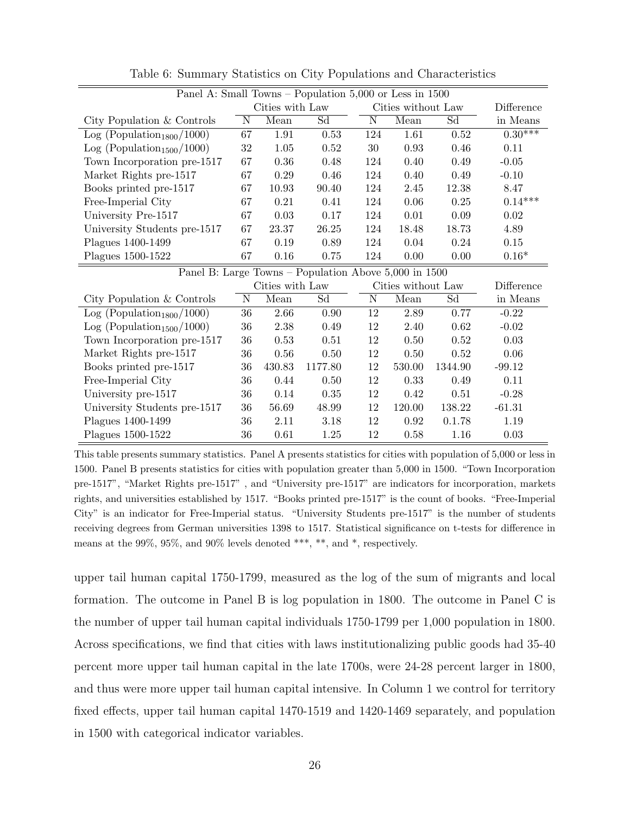| Panel A: Small Towns - Population 5,000 or Less in 1500 |        |                 |          |        |                    |         |            |  |  |  |
|---------------------------------------------------------|--------|-----------------|----------|--------|--------------------|---------|------------|--|--|--|
|                                                         |        | Cities with Law |          |        | Cities without Law |         | Difference |  |  |  |
| City Population & Controls                              | N      | Mean            | Sd       | N      | Mean               | Sd      | in Means   |  |  |  |
| Log (Population <sub>1800</sub> /1000)                  | 67     | 1.91            | 0.53     | 124    | 1.61               | 0.52    | $0.30***$  |  |  |  |
| Log (Population <sub>1500</sub> /1000)                  | $32\,$ | 1.05            | 0.52     | 30     | 0.93               | 0.46    | 0.11       |  |  |  |
| Town Incorporation pre-1517                             | 67     | $0.36\,$        | 0.48     | 124    | 0.40               | 0.49    | $-0.05$    |  |  |  |
| Market Rights pre-1517                                  | 67     | 0.29            | 0.46     | 124    | 0.40               | 0.49    | $-0.10$    |  |  |  |
| Books printed pre-1517                                  | 67     | 10.93           | 90.40    | 124    | 2.45               | 12.38   | 8.47       |  |  |  |
| Free-Imperial City                                      | 67     | 0.21            | 0.41     | 124    | 0.06               | 0.25    | $0.14***$  |  |  |  |
| University Pre-1517                                     | 67     | 0.03            | 0.17     | 124    | 0.01               | 0.09    | 0.02       |  |  |  |
| University Students pre-1517                            | 67     | 23.37           | 26.25    | 124    | 18.48              | 18.73   | 4.89       |  |  |  |
| Plagues 1400-1499                                       | 67     | 0.19            | 0.89     | 124    | 0.04               | 0.24    | 0.15       |  |  |  |
| Plagues $1500-1522$                                     | 67     | 0.16            | 0.75     | 124    | 0.00               | 0.00    | $0.16*$    |  |  |  |
| Panel B: Large Towns - Population Above 5,000 in 1500   |        |                 |          |        |                    |         |            |  |  |  |
|                                                         |        | Cities with Law |          |        | Cities without Law |         | Difference |  |  |  |
| City Population & Controls                              | N      | Mean            | Sd       | N      | Mean               | Sd      | in Means   |  |  |  |
| Log (Population <sub>1800</sub> /1000)                  | 36     | 2.66            | 0.90     | 12     | 2.89               | 0.77    | $-0.22$    |  |  |  |
| Log (Population <sub>1500</sub> /1000)                  | 36     | 2.38            | 0.49     | 12     | 2.40               | 0.62    | $-0.02$    |  |  |  |
| Town Incorporation pre-1517                             | 36     | 0.53            | 0.51     | 12     | 0.50               | 0.52    | 0.03       |  |  |  |
| Market Rights pre-1517                                  | 36     | 0.56            | 0.50     | $12\,$ | 0.50               | 0.52    | 0.06       |  |  |  |
| Books printed pre-1517                                  | 36     | 430.83          | 1177.80  | 12     | 530.00             | 1344.90 | $-99.12$   |  |  |  |
| Free-Imperial City                                      | 36     | 0.44            | 0.50     | 12     | 0.33               | 0.49    | 0.11       |  |  |  |
| University pre-1517                                     | 36     | 0.14            | $0.35\,$ | 12     | 0.42               | 0.51    | $-0.28$    |  |  |  |
| University Students pre-1517                            | 36     | 56.69           | 48.99    | 12     | 120.00             | 138.22  | $-61.31$   |  |  |  |
| Plagues 1400-1499                                       | 36     | 2.11            | 3.18     | 12     | $\rm 0.92$         | 0.1.78  | 1.19       |  |  |  |

<span id="page-26-0"></span>Table 6: Summary Statistics on City Populations and Characteristics

This table presents summary statistics. Panel A presents statistics for cities with population of 5,000 or less in 1500. Panel B presents statistics for cities with population greater than 5,000 in 1500. "Town Incorporation pre-1517", "Market Rights pre-1517" , and "University pre-1517" are indicators for incorporation, markets rights, and universities established by 1517. "Books printed pre-1517" is the count of books. "Free-Imperial City" is an indicator for Free-Imperial status. "University Students pre-1517" is the number of students receiving degrees from German universities 1398 to 1517. Statistical significance on t-tests for difference in means at the 99%, 95%, and 90% levels denoted \*\*\*, \*\*, and \*, respectively.

Plagues 1500-1522 36 0.61 1.25 12 0.58 1.16 0.03

upper tail human capital 1750-1799, measured as the log of the sum of migrants and local formation. The outcome in Panel B is log population in 1800. The outcome in Panel C is the number of upper tail human capital individuals 1750-1799 per 1,000 population in 1800. Across specifications, we find that cities with laws institutionalizing public goods had 35-40 percent more upper tail human capital in the late 1700s, were 24-28 percent larger in 1800, and thus were more upper tail human capital intensive. In Column 1 we control for territory fixed effects, upper tail human capital 1470-1519 and 1420-1469 separately, and population in 1500 with categorical indicator variables.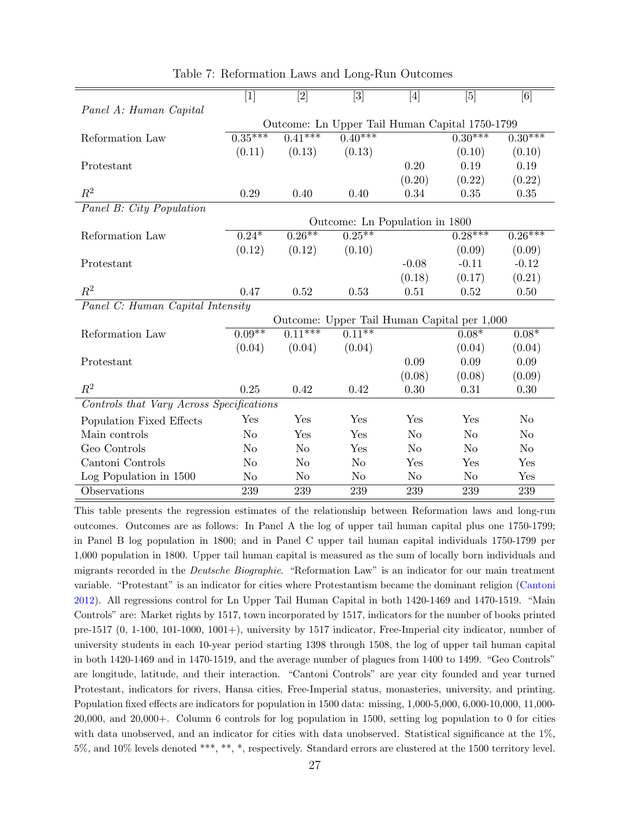|                                          | [1]            | $[2]$                | $[3] % \includegraphics[width=1\textwidth]{images/Traj_4.pdf} \caption{Schematic diagram of the estimators in the image.} \label{fig:Traj_4.pdf}$ | $[4] % \includegraphics[width=0.9\columnwidth]{figures/fig_4} \caption{A graph shows a function of the number of times, in the left and right.} \label{fig:time} %$ | [5]            | [6]                  |
|------------------------------------------|----------------|----------------------|---------------------------------------------------------------------------------------------------------------------------------------------------|---------------------------------------------------------------------------------------------------------------------------------------------------------------------|----------------|----------------------|
| Panel A: Human Capital                   |                |                      |                                                                                                                                                   |                                                                                                                                                                     |                |                      |
|                                          |                |                      | Outcome: Ln Upper Tail Human Capital 1750-1799                                                                                                    |                                                                                                                                                                     |                |                      |
| Reformation Law                          | $0.35***$      | $0.41***$            | $0.40***$                                                                                                                                         |                                                                                                                                                                     | $0.30***$      | $0.30***$            |
|                                          | (0.11)         | (0.13)               | (0.13)                                                                                                                                            |                                                                                                                                                                     | (0.10)         | (0.10)               |
| Protestant                               |                |                      |                                                                                                                                                   | 0.20                                                                                                                                                                | 0.19           | 0.19                 |
|                                          |                |                      |                                                                                                                                                   | (0.20)                                                                                                                                                              | (0.22)         | (0.22)               |
| $\mathbb{R}^2$                           | 0.29           | 0.40                 | 0.40                                                                                                                                              | 0.34                                                                                                                                                                | 0.35           | 0.35                 |
| Panel B: City Population                 |                |                      |                                                                                                                                                   |                                                                                                                                                                     |                |                      |
|                                          |                |                      | Outcome: Ln Population in 1800                                                                                                                    |                                                                                                                                                                     |                |                      |
| Reformation Law                          | $0.24*$        | $0.26**$             | $0.25***$                                                                                                                                         |                                                                                                                                                                     | $0.28***$      | $0.\overline{26***}$ |
|                                          | (0.12)         | (0.12)               | (0.10)                                                                                                                                            |                                                                                                                                                                     | (0.09)         | (0.09)               |
| Protestant                               |                |                      |                                                                                                                                                   | $-0.08$                                                                                                                                                             | $-0.11$        | $-0.12$              |
|                                          |                |                      |                                                                                                                                                   | (0.18)                                                                                                                                                              | (0.17)         | (0.21)               |
| $R^2$                                    | 0.47           | 0.52                 | 0.53                                                                                                                                              | 0.51                                                                                                                                                                | 0.52           | 0.50                 |
| Panel C: Human Capital Intensity         |                |                      |                                                                                                                                                   |                                                                                                                                                                     |                |                      |
|                                          |                |                      | Outcome: Upper Tail Human Capital per 1,000                                                                                                       |                                                                                                                                                                     |                |                      |
| Reformation Law                          | $0.09**$       | $0.\overline{11***}$ | $0.11**$                                                                                                                                          |                                                                                                                                                                     | $0.08*$        | $0.08*$              |
|                                          | (0.04)         | (0.04)               | (0.04)                                                                                                                                            |                                                                                                                                                                     | (0.04)         | (0.04)               |
| Protestant                               |                |                      |                                                                                                                                                   | 0.09                                                                                                                                                                | 0.09           | 0.09                 |
|                                          |                |                      |                                                                                                                                                   | (0.08)                                                                                                                                                              | (0.08)         | (0.09)               |
| $R^2$                                    | 0.25           | 0.42                 | 0.42                                                                                                                                              | 0.30                                                                                                                                                                | 0.31           | 0.30                 |
| Controls that Vary Across Specifications |                |                      |                                                                                                                                                   |                                                                                                                                                                     |                |                      |
| Population Fixed Effects                 | Yes            | Yes                  | Yes                                                                                                                                               | Yes                                                                                                                                                                 | Yes            | N <sub>o</sub>       |
| Main controls                            | N <sub>o</sub> | Yes                  | Yes                                                                                                                                               | $\rm No$                                                                                                                                                            | No             | N <sub>o</sub>       |
| Geo Controls                             | No             | N <sub>o</sub>       | Yes                                                                                                                                               | No                                                                                                                                                                  | N <sub>o</sub> | N <sub>o</sub>       |
| Cantoni Controls                         | No             | N <sub>o</sub>       | N <sub>o</sub>                                                                                                                                    | Yes                                                                                                                                                                 | Yes            | Yes                  |
| Log Population in 1500                   | N <sub>o</sub> | N <sub>o</sub>       | N <sub>o</sub>                                                                                                                                    | N <sub>o</sub>                                                                                                                                                      | N <sub>o</sub> | Yes                  |
| Observations                             | 239            | 239                  | 239                                                                                                                                               | 239                                                                                                                                                                 | 239            | 239                  |
|                                          |                |                      |                                                                                                                                                   |                                                                                                                                                                     |                |                      |

<span id="page-27-0"></span>Table 7: Reformation Laws and Long-Run Outcomes

This table presents the regression estimates of the relationship between Reformation laws and long-run outcomes. Outcomes are as follows: In Panel A the log of upper tail human capital plus one 1750-1799; in Panel B log population in 1800; and in Panel C upper tail human capital individuals 1750-1799 per 1,000 population in 1800. Upper tail human capital is measured as the sum of locally born individuals and migrants recorded in the Deutsche Biographie. "Reformation Law" is an indicator for our main treatment variable. "Protestant" is an indicator for cities where Protestantism became the dominant religion [\(Cantoni](#page-41-12) [2012\)](#page-41-12). All regressions control for Ln Upper Tail Human Capital in both 1420-1469 and 1470-1519. "Main Controls" are: Market rights by 1517, town incorporated by 1517, indicators for the number of books printed pre-1517 (0, 1-100, 101-1000, 1001+), university by 1517 indicator, Free-Imperial city indicator, number of university students in each 10-year period starting 1398 through 1508, the log of upper tail human capital in both 1420-1469 and in 1470-1519, and the average number of plagues from 1400 to 1499. "Geo Controls" are longitude, latitude, and their interaction. "Cantoni Controls" are year city founded and year turned Protestant, indicators for rivers, Hansa cities, Free-Imperial status, monasteries, university, and printing. Population fixed effects are indicators for population in 1500 data: missing, 1,000-5,000, 6,000-10,000, 11,000- 20,000, and 20,000+. Column 6 controls for log population in 1500, setting log population to 0 for cities with data unobserved, and an indicator for cities with data unobserved. Statistical significance at the 1%, 5%, and 10% levels denoted \*\*\*, \*\*, \*, respectively. Standard errors are clustered at the 1500 territory level.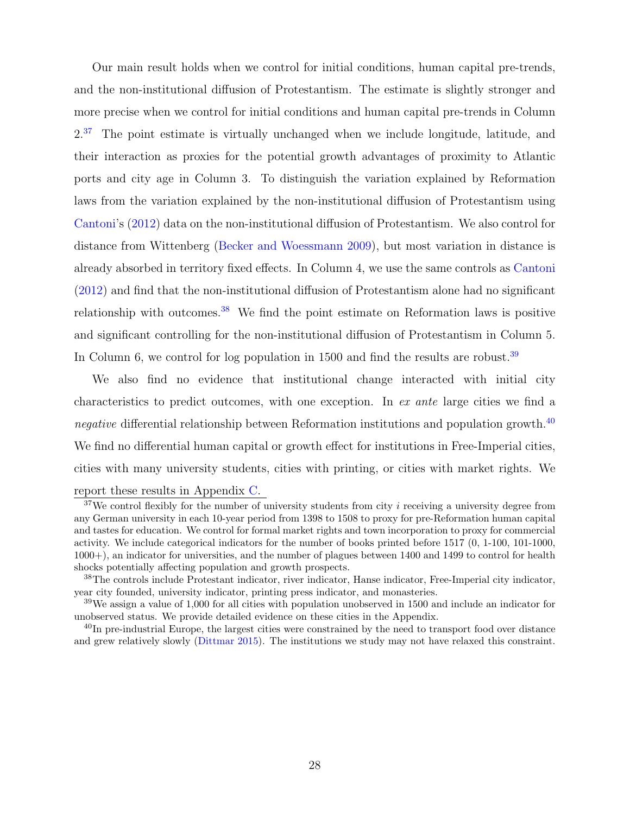Our main result holds when we control for initial conditions, human capital pre-trends, and the non-institutional diffusion of Protestantism. The estimate is slightly stronger and more precise when we control for initial conditions and human capital pre-trends in Column  $2^{37}$  $2^{37}$  $2^{37}$  The point estimate is virtually unchanged when we include longitude, latitude, and their interaction as proxies for the potential growth advantages of proximity to Atlantic ports and city age in Column 3. To distinguish the variation explained by Reformation laws from the variation explained by the non-institutional diffusion of Protestantism using [Cantoni'](#page-41-12)s [\(2012\)](#page-41-12) data on the non-institutional diffusion of Protestantism. We also control for distance from Wittenberg [\(Becker and Woessmann](#page-40-3) [2009\)](#page-40-3), but most variation in distance is already absorbed in territory fixed effects. In Column 4, we use the same controls as [Cantoni](#page-41-12) [\(2012\)](#page-41-12) and find that the non-institutional diffusion of Protestantism alone had no significant relationship with outcomes.[38](#page-28-1) We find the point estimate on Reformation laws is positive and significant controlling for the non-institutional diffusion of Protestantism in Column 5. In Column 6, we control for log population in  $1500$  and find the results are robust.<sup>[39](#page-28-2)</sup>

We also find no evidence that institutional change interacted with initial city characteristics to predict outcomes, with one exception. In ex ante large cities we find a negative differential relationship between Reformation institutions and population growth.<sup>[40](#page-28-3)</sup> We find no differential human capital or growth effect for institutions in Free-Imperial cities, cities with many university students, cities with printing, or cities with market rights. We report these results in Appendix [C.](#page-78-0)

<span id="page-28-0"></span> $37$ We control flexibly for the number of university students from city i receiving a university degree from any German university in each 10-year period from 1398 to 1508 to proxy for pre-Reformation human capital and tastes for education. We control for formal market rights and town incorporation to proxy for commercial activity. We include categorical indicators for the number of books printed before 1517 (0, 1-100, 101-1000, 1000+), an indicator for universities, and the number of plagues between 1400 and 1499 to control for health shocks potentially affecting population and growth prospects.

<span id="page-28-1"></span><sup>38</sup>The controls include Protestant indicator, river indicator, Hanse indicator, Free-Imperial city indicator, year city founded, university indicator, printing press indicator, and monasteries.

<span id="page-28-2"></span><sup>39</sup>We assign a value of 1,000 for all cities with population unobserved in 1500 and include an indicator for unobserved status. We provide detailed evidence on these cities in the Appendix.

<span id="page-28-3"></span><sup>40</sup>In pre-industrial Europe, the largest cities were constrained by the need to transport food over distance and grew relatively slowly [\(Dittmar](#page-41-15) [2015\)](#page-41-15). The institutions we study may not have relaxed this constraint.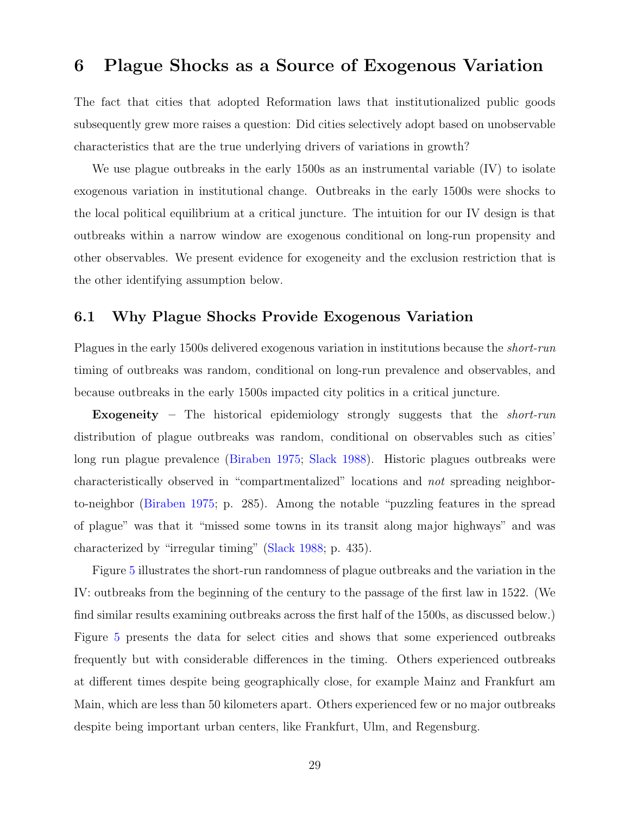# <span id="page-29-0"></span>6 Plague Shocks as a Source of Exogenous Variation

The fact that cities that adopted Reformation laws that institutionalized public goods subsequently grew more raises a question: Did cities selectively adopt based on unobservable characteristics that are the true underlying drivers of variations in growth?

We use plague outbreaks in the early 1500s as an instrumental variable (IV) to isolate exogenous variation in institutional change. Outbreaks in the early 1500s were shocks to the local political equilibrium at a critical juncture. The intuition for our IV design is that outbreaks within a narrow window are exogenous conditional on long-run propensity and other observables. We present evidence for exogeneity and the exclusion restriction that is the other identifying assumption below.

## 6.1 Why Plague Shocks Provide Exogenous Variation

Plagues in the early 1500s delivered exogenous variation in institutions because the short-run timing of outbreaks was random, conditional on long-run prevalence and observables, and because outbreaks in the early 1500s impacted city politics in a critical juncture.

Exogeneity – The historical epidemiology strongly suggests that the *short-run* distribution of plague outbreaks was random, conditional on observables such as cities' long run plague prevalence [\(Biraben](#page-40-14) [1975;](#page-40-14) [Slack](#page-43-13) [1988\)](#page-43-13). Historic plagues outbreaks were characteristically observed in "compartmentalized" locations and not spreading neighborto-neighbor [\(Biraben](#page-40-14) [1975;](#page-40-14) p. 285). Among the notable "puzzling features in the spread of plague" was that it "missed some towns in its transit along major highways" and was characterized by "irregular timing" [\(Slack](#page-43-13) [1988;](#page-43-13) p. 435).

Figure [5](#page-30-0) illustrates the short-run randomness of plague outbreaks and the variation in the IV: outbreaks from the beginning of the century to the passage of the first law in 1522. (We find similar results examining outbreaks across the first half of the 1500s, as discussed below.) Figure [5](#page-30-0) presents the data for select cities and shows that some experienced outbreaks frequently but with considerable differences in the timing. Others experienced outbreaks at different times despite being geographically close, for example Mainz and Frankfurt am Main, which are less than 50 kilometers apart. Others experienced few or no major outbreaks despite being important urban centers, like Frankfurt, Ulm, and Regensburg.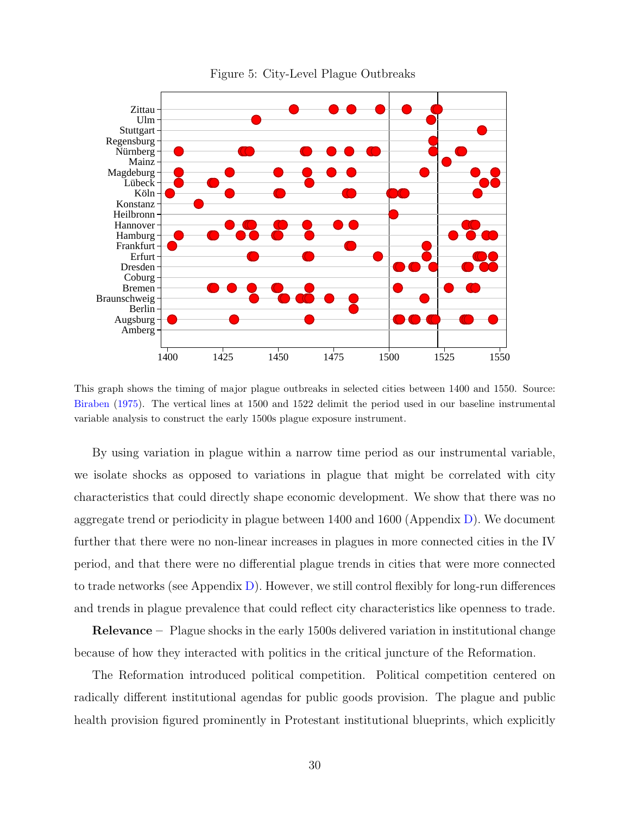

<span id="page-30-0"></span>Figure 5: City-Level Plague Outbreaks

This graph shows the timing of major plague outbreaks in selected cities between 1400 and 1550. Source: [Biraben](#page-40-14) [\(1975\)](#page-40-14). The vertical lines at 1500 and 1522 delimit the period used in our baseline instrumental variable analysis to construct the early 1500s plague exposure instrument.

By using variation in plague within a narrow time period as our instrumental variable, we isolate shocks as opposed to variations in plague that might be correlated with city characteristics that could directly shape economic development. We show that there was no aggregate trend or periodicity in plague between 1400 and 1600 (Appendix [D\)](#page-88-0). We document further that there were no non-linear increases in plagues in more connected cities in the IV period, and that there were no differential plague trends in cities that were more connected to trade networks (see Appendix  $D$ ). However, we still control flexibly for long-run differences and trends in plague prevalence that could reflect city characteristics like openness to trade.

**Relevance** – Plague shocks in the early 1500s delivered variation in institutional change because of how they interacted with politics in the critical juncture of the Reformation.

The Reformation introduced political competition. Political competition centered on radically different institutional agendas for public goods provision. The plague and public health provision figured prominently in Protestant institutional blueprints, which explicitly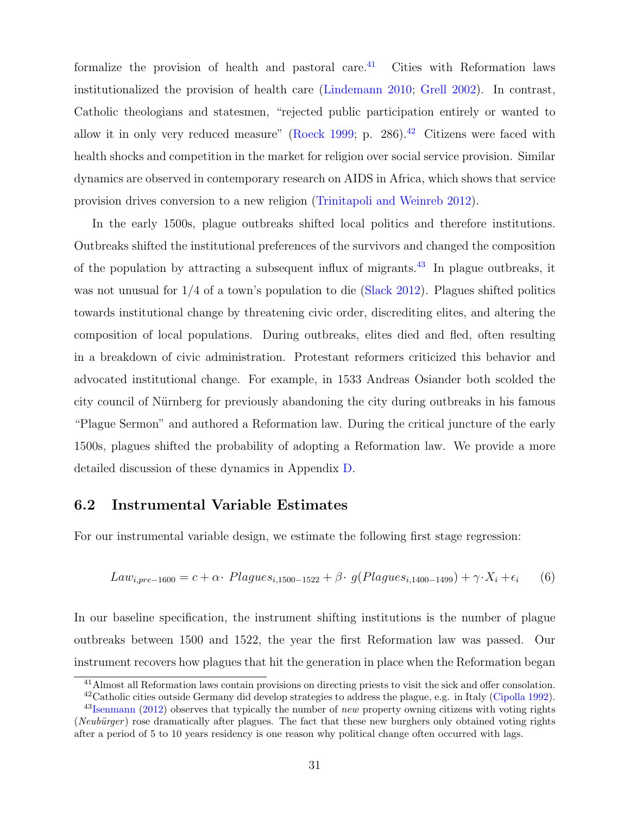formalize the provision of health and pastoral care. $41$  Cities with Reformation laws institutionalized the provision of health care [\(Lindemann](#page-42-6) [2010;](#page-42-6) [Grell](#page-42-2) [2002\)](#page-42-2). In contrast, Catholic theologians and statesmen, "rejected public participation entirely or wanted to allow it in only very reduced measure" [\(Roeck](#page-43-6) [1999;](#page-43-6) p. 286).<sup>[42](#page-31-1)</sup> Citizens were faced with health shocks and competition in the market for religion over social service provision. Similar dynamics are observed in contemporary research on AIDS in Africa, which shows that service provision drives conversion to a new religion [\(Trinitapoli and Weinreb](#page-44-9) [2012\)](#page-44-9).

In the early 1500s, plague outbreaks shifted local politics and therefore institutions. Outbreaks shifted the institutional preferences of the survivors and changed the composition of the population by attracting a subsequent influx of migrants.<sup>[43](#page-31-2)</sup> In plague outbreaks, it was not unusual for 1/4 of a town's population to die [\(Slack](#page-44-10) [2012\)](#page-44-10). Plagues shifted politics towards institutional change by threatening civic order, discrediting elites, and altering the composition of local populations. During outbreaks, elites died and fled, often resulting in a breakdown of civic administration. Protestant reformers criticized this behavior and advocated institutional change. For example, in 1533 Andreas Osiander both scolded the city council of Nürnberg for previously abandoning the city during outbreaks in his famous "Plague Sermon" and authored a Reformation law. During the critical juncture of the early 1500s, plagues shifted the probability of adopting a Reformation law. We provide a more detailed discussion of these dynamics in Appendix [D.](#page-88-0)

## 6.2 Instrumental Variable Estimates

For our instrumental variable design, we estimate the following first stage regression:

<span id="page-31-3"></span>
$$
Law_{i, pre-1600} = c + \alpha \cdot \text{Plagues}_{i, 1500-1522} + \beta \cdot g(\text{Plagues}_{i, 1400-1499}) + \gamma \cdot X_i + \epsilon_i \tag{6}
$$

In our baseline specification, the instrument shifting institutions is the number of plague outbreaks between 1500 and 1522, the year the first Reformation law was passed. Our instrument recovers how plagues that hit the generation in place when the Reformation began

<span id="page-31-1"></span><span id="page-31-0"></span><sup>41</sup>Almost all Reformation laws contain provisions on directing priests to visit the sick and offer consolation. <sup>42</sup>Catholic cities outside Germany did develop strategies to address the plague, e.g. in Italy [\(Cipolla](#page-41-16) [1992\)](#page-41-16).

<span id="page-31-2"></span> $^{43}$ [Isenmann](#page-42-5) [\(2012\)](#page-42-5) observes that typically the number of *new* property owning citizens with voting rights (Neubürger) rose dramatically after plagues. The fact that these new burghers only obtained voting rights after a period of 5 to 10 years residency is one reason why political change often occurred with lags.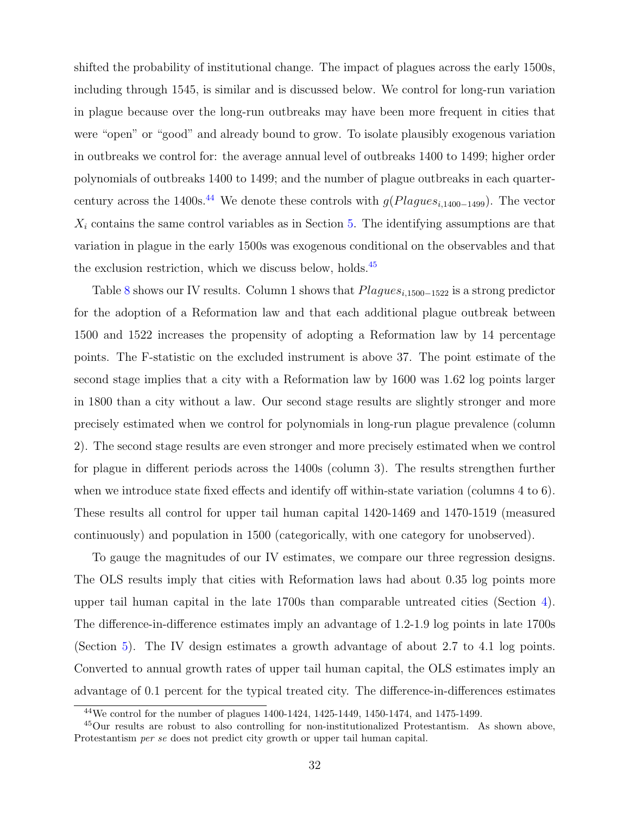shifted the probability of institutional change. The impact of plagues across the early 1500s, including through 1545, is similar and is discussed below. We control for long-run variation in plague because over the long-run outbreaks may have been more frequent in cities that were "open" or "good" and already bound to grow. To isolate plausibly exogenous variation in outbreaks we control for: the average annual level of outbreaks 1400 to 1499; higher order polynomials of outbreaks 1400 to 1499; and the number of plague outbreaks in each quarter-century across the 1400s.<sup>[44](#page-32-0)</sup> We denote these controls with  $g(Plagues_{i,1400-1499})$ . The vector  $X_i$  contains the same control variables as in Section [5.](#page-24-0) The identifying assumptions are that variation in plague in the early 1500s was exogenous conditional on the observables and that the exclusion restriction, which we discuss below, holds. $45$ 

Table [8](#page-33-0) shows our IV results. Column 1 shows that  $Plagues_{i,1500-1522}$  is a strong predictor for the adoption of a Reformation law and that each additional plague outbreak between 1500 and 1522 increases the propensity of adopting a Reformation law by 14 percentage points. The F-statistic on the excluded instrument is above 37. The point estimate of the second stage implies that a city with a Reformation law by 1600 was 1.62 log points larger in 1800 than a city without a law. Our second stage results are slightly stronger and more precisely estimated when we control for polynomials in long-run plague prevalence (column 2). The second stage results are even stronger and more precisely estimated when we control for plague in different periods across the 1400s (column 3). The results strengthen further when we introduce state fixed effects and identify off within-state variation (columns 4 to 6). These results all control for upper tail human capital 1420-1469 and 1470-1519 (measured continuously) and population in 1500 (categorically, with one category for unobserved).

To gauge the magnitudes of our IV estimates, we compare our three regression designs. The OLS results imply that cities with Reformation laws had about 0.35 log points more upper tail human capital in the late 1700s than comparable untreated cities (Section [4\)](#page-13-2). The difference-in-difference estimates imply an advantage of 1.2-1.9 log points in late 1700s (Section [5\)](#page-24-0). The IV design estimates a growth advantage of about 2.7 to 4.1 log points. Converted to annual growth rates of upper tail human capital, the OLS estimates imply an advantage of 0.1 percent for the typical treated city. The difference-in-differences estimates

<span id="page-32-1"></span><span id="page-32-0"></span> $^{44}$ We control for the number of plagues  $1400-1424$ ,  $1425-1449$ ,  $1450-1474$ , and  $1475-1499$ .

<sup>45</sup>Our results are robust to also controlling for non-institutionalized Protestantism. As shown above, Protestantism per se does not predict city growth or upper tail human capital.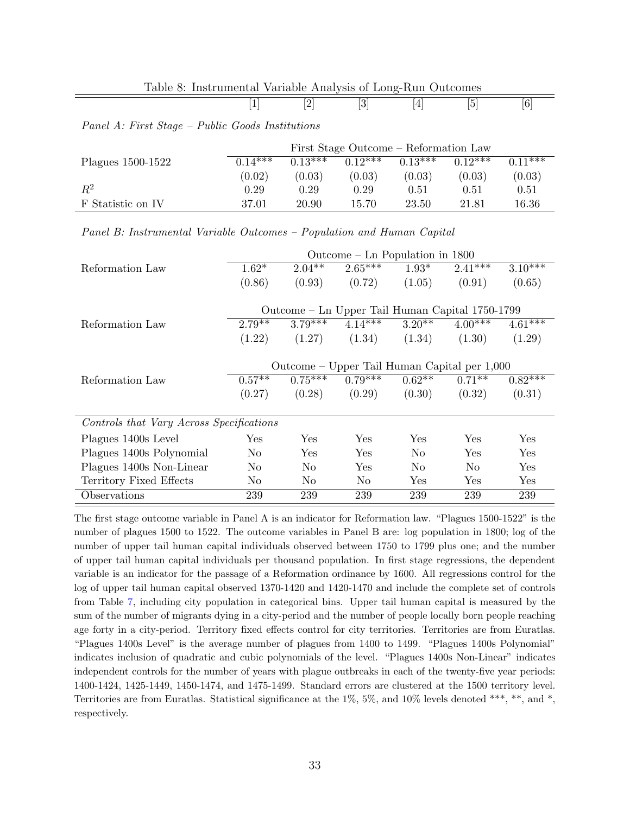| Table 8: Instrumental Variable Analysis of Long-Run Outcomes |  |  |  |
|--------------------------------------------------------------|--|--|--|
|                                                              |  |  |  |

<span id="page-33-0"></span>

| - | . . | - | ∼. |
|---|-----|---|----|
|   |     |   |    |

#### Panel A: First Stage – Public Goods Institutions

|                   | First Stage Outcome – Reformation Law |           |           |           |           |           |  |  |
|-------------------|---------------------------------------|-----------|-----------|-----------|-----------|-----------|--|--|
| Plagues 1500-1522 | $0.14***$                             | $0.13***$ | $0.12***$ | $0.13***$ | $0.19***$ | $0.11***$ |  |  |
|                   | (0.02)                                | (0.03)    | (0.03)    | (0.03)    | (0.03)    | (0.03)    |  |  |
| $\mathbb{R}^2$    | 0.29                                  | 0.29      | $0.29\,$  | 0.51      | 0.51      | 0.51      |  |  |
| F Statistic on IV | 37.01                                 | 20.90     | 15.70     | 23.50     | 21.81     | 16.36     |  |  |

#### Panel B: Instrumental Variable Outcomes – Population and Human Capital

|                                          | Outcome – Ln Population in 1800                 |                |           |                |             |            |
|------------------------------------------|-------------------------------------------------|----------------|-----------|----------------|-------------|------------|
| Reformation Law                          | $1.62*$                                         | $2.04***$      | $2.65***$ | $1.93*$        | $2.41***$   | $3.10***$  |
|                                          | (0.86)                                          | (0.93)         | (0.72)    | (1.05)         | (0.91)      | (0.65)     |
|                                          |                                                 |                |           |                |             |            |
|                                          | Outcome – Ln Upper Tail Human Capital 1750-1799 |                |           |                |             |            |
| Reformation Law                          | $2.79***$                                       | $3.79***$      | $4.14***$ | $3.20**$       | $4.00***$   | $4.61***$  |
|                                          | (1.22)                                          | (1.27)         | (1.34)    | (1.34)         | (1.30)      | (1.29)     |
|                                          |                                                 |                |           |                |             |            |
|                                          | Outcome – Upper Tail Human Capital per 1,000    |                |           |                |             |            |
| Reformation Law                          | $0.57**$                                        | $0.75***$      | $0.79***$ | $0.62**$       | $0.71**$    | $0.82****$ |
|                                          | (0.27)                                          | (0.28)         | (0.29)    | (0.30)         | (0.32)      | (0.31)     |
|                                          |                                                 |                |           |                |             |            |
| Controls that Vary Across Specifications |                                                 |                |           |                |             |            |
| Plagues 1400s Level                      | Yes                                             | <b>Yes</b>     | Yes       | Yes            | Yes         | Yes        |
| Plagues 1400s Polynomial                 | No                                              | Yes            | Yes       | N <sub>o</sub> | Yes         | <b>Yes</b> |
| Plagues 1400s Non-Linear                 | No                                              | N <sub>o</sub> | Yes       | N <sub>o</sub> | No          | Yes        |
| Territory Fixed Effects                  | No.                                             | No.            | No        | Yes            | ${\rm Yes}$ | Yes        |
| Observations                             | 239                                             | 239            | 239       | 239            | 239         | 239        |

The first stage outcome variable in Panel A is an indicator for Reformation law. "Plagues 1500-1522" is the number of plagues 1500 to 1522. The outcome variables in Panel B are: log population in 1800; log of the number of upper tail human capital individuals observed between 1750 to 1799 plus one; and the number of upper tail human capital individuals per thousand population. In first stage regressions, the dependent variable is an indicator for the passage of a Reformation ordinance by 1600. All regressions control for the log of upper tail human capital observed 1370-1420 and 1420-1470 and include the complete set of controls from Table [7,](#page-27-0) including city population in categorical bins. Upper tail human capital is measured by the sum of the number of migrants dying in a city-period and the number of people locally born people reaching age forty in a city-period. Territory fixed effects control for city territories. Territories are from Euratlas. "Plagues 1400s Level" is the average number of plagues from 1400 to 1499. "Plagues 1400s Polynomial" indicates inclusion of quadratic and cubic polynomials of the level. "Plagues 1400s Non-Linear" indicates independent controls for the number of years with plague outbreaks in each of the twenty-five year periods: 1400-1424, 1425-1449, 1450-1474, and 1475-1499. Standard errors are clustered at the 1500 territory level. Territories are from Euratlas. Statistical significance at the 1%, 5%, and 10% levels denoted \*\*\*, \*\*, and \*, respectively.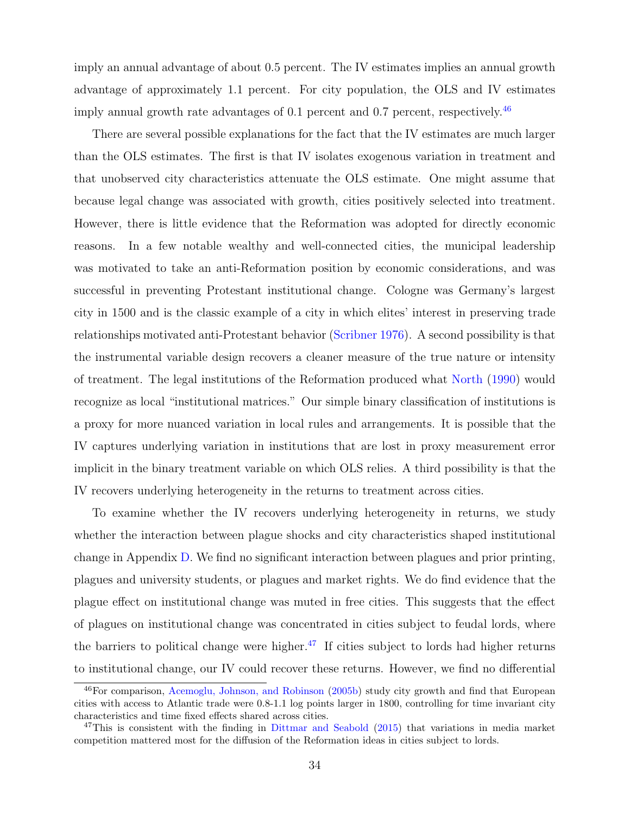imply an annual advantage of about 0.5 percent. The IV estimates implies an annual growth advantage of approximately 1.1 percent. For city population, the OLS and IV estimates imply annual growth rate advantages of 0.1 percent and 0.7 percent, respectively.<sup>[46](#page-34-0)</sup>

There are several possible explanations for the fact that the IV estimates are much larger than the OLS estimates. The first is that IV isolates exogenous variation in treatment and that unobserved city characteristics attenuate the OLS estimate. One might assume that because legal change was associated with growth, cities positively selected into treatment. However, there is little evidence that the Reformation was adopted for directly economic reasons. In a few notable wealthy and well-connected cities, the municipal leadership was motivated to take an anti-Reformation position by economic considerations, and was successful in preventing Protestant institutional change. Cologne was Germany's largest city in 1500 and is the classic example of a city in which elites' interest in preserving trade relationships motivated anti-Protestant behavior [\(Scribner](#page-43-14) [1976\)](#page-43-14). A second possibility is that the instrumental variable design recovers a cleaner measure of the true nature or intensity of treatment. The legal institutions of the Reformation produced what [North](#page-43-15) [\(1990\)](#page-43-15) would recognize as local "institutional matrices." Our simple binary classification of institutions is a proxy for more nuanced variation in local rules and arrangements. It is possible that the IV captures underlying variation in institutions that are lost in proxy measurement error implicit in the binary treatment variable on which OLS relies. A third possibility is that the IV recovers underlying heterogeneity in the returns to treatment across cities.

To examine whether the IV recovers underlying heterogeneity in returns, we study whether the interaction between plague shocks and city characteristics shaped institutional change in Appendix [D.](#page-88-0) We find no significant interaction between plagues and prior printing, plagues and university students, or plagues and market rights. We do find evidence that the plague effect on institutional change was muted in free cities. This suggests that the effect of plagues on institutional change was concentrated in cities subject to feudal lords, where the barriers to political change were higher.<sup>[47](#page-34-1)</sup> If cities subject to lords had higher returns to institutional change, our IV could recover these returns. However, we find no differential

<span id="page-34-0"></span><sup>46</sup>For comparison, [Acemoglu, Johnson, and Robinson](#page-40-15) [\(2005b\)](#page-40-15) study city growth and find that European cities with access to Atlantic trade were 0.8-1.1 log points larger in 1800, controlling for time invariant city characteristics and time fixed effects shared across cities.

<span id="page-34-1"></span><sup>&</sup>lt;sup>47</sup>This is consistent with the finding in [Dittmar and Seabold](#page-41-2) [\(2015\)](#page-41-2) that variations in media market competition mattered most for the diffusion of the Reformation ideas in cities subject to lords.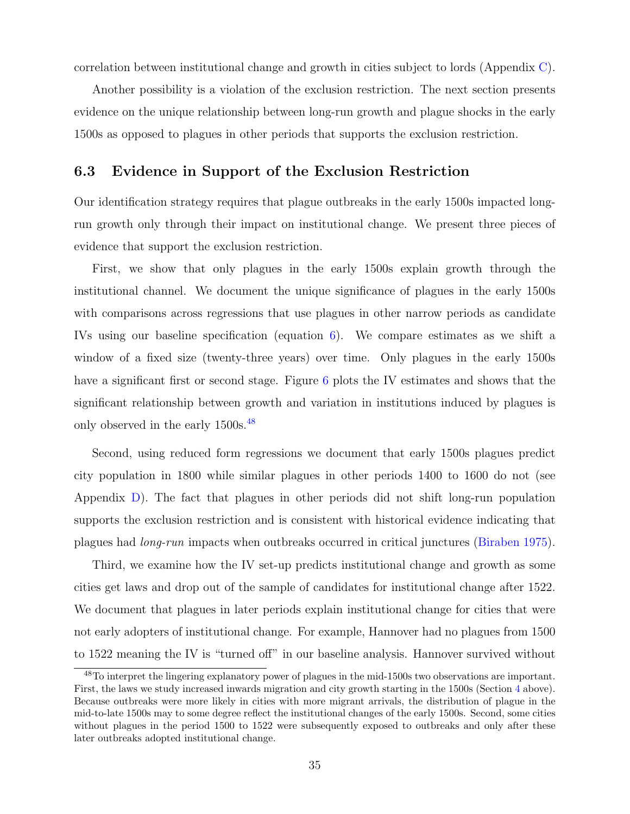correlation between institutional change and growth in cities subject to lords (Appendix [C\)](#page-78-0).

Another possibility is a violation of the exclusion restriction. The next section presents evidence on the unique relationship between long-run growth and plague shocks in the early 1500s as opposed to plagues in other periods that supports the exclusion restriction.

## 6.3 Evidence in Support of the Exclusion Restriction

Our identification strategy requires that plague outbreaks in the early 1500s impacted longrun growth only through their impact on institutional change. We present three pieces of evidence that support the exclusion restriction.

First, we show that only plagues in the early 1500s explain growth through the institutional channel. We document the unique significance of plagues in the early 1500s with comparisons across regressions that use plagues in other narrow periods as candidate IVs using our baseline specification (equation [6\)](#page-31-3). We compare estimates as we shift a window of a fixed size (twenty-three years) over time. Only plagues in the early 1500s have a significant first or second stage. Figure [6](#page-36-0) plots the IV estimates and shows that the significant relationship between growth and variation in institutions induced by plagues is only observed in the early 1500s.[48](#page-35-0)

Second, using reduced form regressions we document that early 1500s plagues predict city population in 1800 while similar plagues in other periods 1400 to 1600 do not (see Appendix [D\)](#page-88-0). The fact that plagues in other periods did not shift long-run population supports the exclusion restriction and is consistent with historical evidence indicating that plagues had long-run impacts when outbreaks occurred in critical junctures [\(Biraben](#page-40-14) [1975\)](#page-40-14).

Third, we examine how the IV set-up predicts institutional change and growth as some cities get laws and drop out of the sample of candidates for institutional change after 1522. We document that plagues in later periods explain institutional change for cities that were not early adopters of institutional change. For example, Hannover had no plagues from 1500 to 1522 meaning the IV is "turned off" in our baseline analysis. Hannover survived without

<span id="page-35-0"></span><sup>48</sup>To interpret the lingering explanatory power of plagues in the mid-1500s two observations are important. First, the laws we study increased inwards migration and city growth starting in the 1500s (Section [4](#page-13-2) above). Because outbreaks were more likely in cities with more migrant arrivals, the distribution of plague in the mid-to-late 1500s may to some degree reflect the institutional changes of the early 1500s. Second, some cities without plagues in the period 1500 to 1522 were subsequently exposed to outbreaks and only after these later outbreaks adopted institutional change.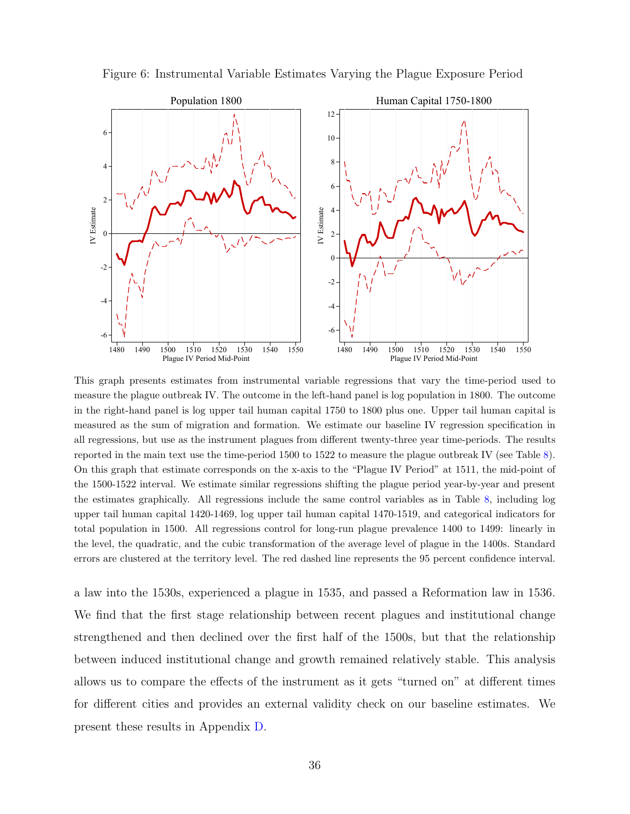Figure 6: Instrumental Variable Estimates Varying the Plague Exposure Period



This graph presents estimates from instrumental variable regressions that vary the time-period used to measure the plague outbreak IV. The outcome in the left-hand panel is log population in 1800. The outcome in the right-hand panel is log upper tail human capital 1750 to 1800 plus one. Upper tail human capital is measured as the sum of migration and formation. We estimate our baseline IV regression specification in all regressions, but use as the instrument plagues from different twenty-three year time-periods. The results reported in the main text use the time-period 1500 to 1522 to measure the plague outbreak IV (see Table [8\)](#page-33-0). On this graph that estimate corresponds on the x-axis to the "Plague IV Period" at 1511, the mid-point of the 1500-1522 interval. We estimate similar regressions shifting the plague period year-by-year and present the estimates graphically. All regressions include the same control variables as in Table [8,](#page-33-0) including log upper tail human capital 1420-1469, log upper tail human capital 1470-1519, and categorical indicators for total population in 1500. All regressions control for long-run plague prevalence 1400 to 1499: linearly in the level, the quadratic, and the cubic transformation of the average level of plague in the 1400s. Standard errors are clustered at the territory level. The red dashed line represents the 95 percent confidence interval.

a law into the 1530s, experienced a plague in 1535, and passed a Reformation law in 1536. We find that the first stage relationship between recent plagues and institutional change strengthened and then declined over the first half of the 1500s, but that the relationship between induced institutional change and growth remained relatively stable. This analysis allows us to compare the effects of the instrument as it gets "turned on" at different times for different cities and provides an external validity check on our baseline estimates. We present these results in Appendix [D.](#page-88-0)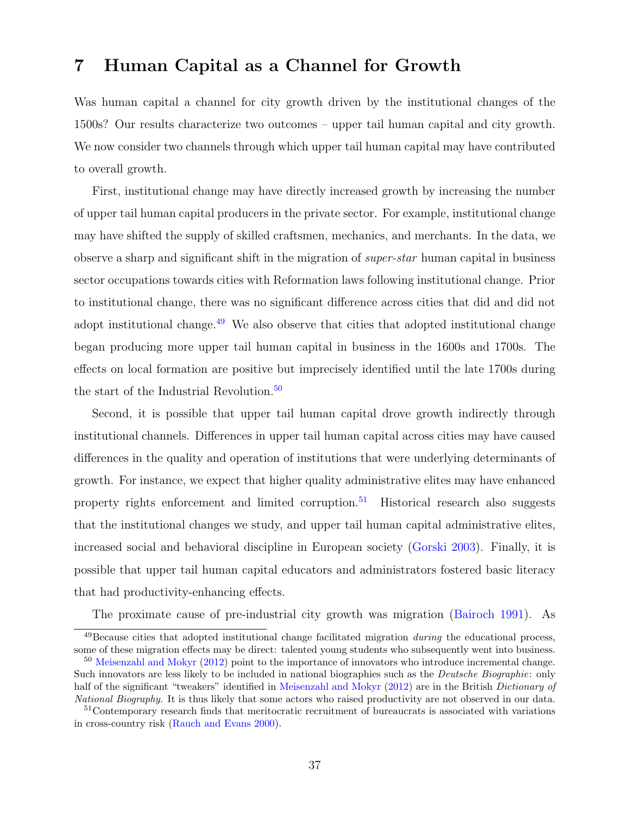# 7 Human Capital as a Channel for Growth

Was human capital a channel for city growth driven by the institutional changes of the 1500s? Our results characterize two outcomes – upper tail human capital and city growth. We now consider two channels through which upper tail human capital may have contributed to overall growth.

First, institutional change may have directly increased growth by increasing the number of upper tail human capital producers in the private sector. For example, institutional change may have shifted the supply of skilled craftsmen, mechanics, and merchants. In the data, we observe a sharp and significant shift in the migration of super-star human capital in business sector occupations towards cities with Reformation laws following institutional change. Prior to institutional change, there was no significant difference across cities that did and did not adopt institutional change.<sup>[49](#page-37-0)</sup> We also observe that cities that adopted institutional change began producing more upper tail human capital in business in the 1600s and 1700s. The effects on local formation are positive but imprecisely identified until the late 1700s during the start of the Industrial Revolution.<sup>[50](#page-37-1)</sup>

Second, it is possible that upper tail human capital drove growth indirectly through institutional channels. Differences in upper tail human capital across cities may have caused differences in the quality and operation of institutions that were underlying determinants of growth. For instance, we expect that higher quality administrative elites may have enhanced property rights enforcement and limited corruption.<sup>[51](#page-37-2)</sup> Historical research also suggests that the institutional changes we study, and upper tail human capital administrative elites, increased social and behavioral discipline in European society [\(Gorski](#page-42-0) [2003\)](#page-42-0). Finally, it is possible that upper tail human capital educators and administrators fostered basic literacy that had productivity-enhancing effects.

<span id="page-37-0"></span>The proximate cause of pre-industrial city growth was migration [\(Bairoch](#page-40-0) [1991\)](#page-40-0). As

 $^{49}$ Because cities that adopted institutional change facilitated migration *during* the educational process, some of these migration effects may be direct: talented young students who subsequently went into business.

<span id="page-37-1"></span><sup>50</sup> [Meisenzahl and Mokyr](#page-42-1) [\(2012\)](#page-42-1) point to the importance of innovators who introduce incremental change. Such innovators are less likely to be included in national biographies such as the Deutsche Biographie: only half of the significant "tweakers" identified in [Meisenzahl and Mokyr](#page-42-1) [\(2012\)](#page-42-1) are in the British Dictionary of National Biography. It is thus likely that some actors who raised productivity are not observed in our data.

<span id="page-37-2"></span><sup>51</sup>Contemporary research finds that meritocratic recruitment of bureaucrats is associated with variations in cross-country risk [\(Rauch and Evans](#page-43-0) [2000\)](#page-43-0).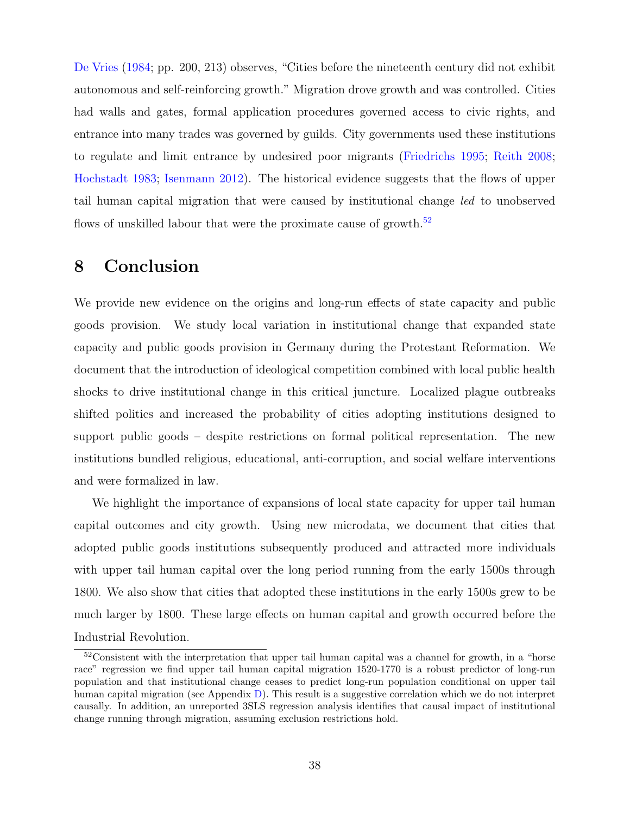[De Vries](#page-41-0) [\(1984;](#page-41-0) pp. 200, 213) observes, "Cities before the nineteenth century did not exhibit autonomous and self-reinforcing growth." Migration drove growth and was controlled. Cities had walls and gates, formal application procedures governed access to civic rights, and entrance into many trades was governed by guilds. City governments used these institutions to regulate and limit entrance by undesired poor migrants [\(Friedrichs](#page-41-1) [1995;](#page-41-1) [Reith](#page-43-1) [2008;](#page-43-1) [Hochstadt](#page-42-2) [1983;](#page-42-2) [Isenmann](#page-42-3) [2012\)](#page-42-3). The historical evidence suggests that the flows of upper tail human capital migration that were caused by institutional change led to unobserved flows of unskilled labour that were the proximate cause of growth.<sup>[52](#page-38-0)</sup>

# 8 Conclusion

We provide new evidence on the origins and long-run effects of state capacity and public goods provision. We study local variation in institutional change that expanded state capacity and public goods provision in Germany during the Protestant Reformation. We document that the introduction of ideological competition combined with local public health shocks to drive institutional change in this critical juncture. Localized plague outbreaks shifted politics and increased the probability of cities adopting institutions designed to support public goods – despite restrictions on formal political representation. The new institutions bundled religious, educational, anti-corruption, and social welfare interventions and were formalized in law.

We highlight the importance of expansions of local state capacity for upper tail human capital outcomes and city growth. Using new microdata, we document that cities that adopted public goods institutions subsequently produced and attracted more individuals with upper tail human capital over the long period running from the early 1500s through 1800. We also show that cities that adopted these institutions in the early 1500s grew to be much larger by 1800. These large effects on human capital and growth occurred before the Industrial Revolution.

<span id="page-38-0"></span> $52\text{Consistent with the interpretation that upper tail human capital was a channel for growth, in a "horse}$ race" regression we find upper tail human capital migration 1520-1770 is a robust predictor of long-run population and that institutional change ceases to predict long-run population conditional on upper tail human capital migration (see Appendix [D\)](#page-88-0). This result is a suggestive correlation which we do not interpret causally. In addition, an unreported 3SLS regression analysis identifies that causal impact of institutional change running through migration, assuming exclusion restrictions hold.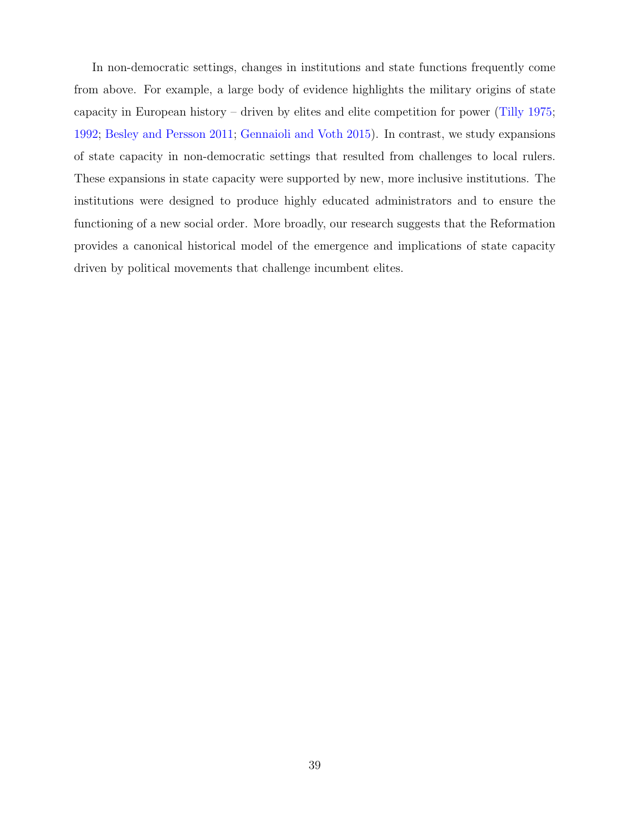In non-democratic settings, changes in institutions and state functions frequently come from above. For example, a large body of evidence highlights the military origins of state capacity in European history – driven by elites and elite competition for power [\(Tilly](#page-44-0) [1975;](#page-44-0) [1992;](#page-44-1) [Besley and Persson](#page-40-1) [2011;](#page-40-1) [Gennaioli and Voth](#page-42-4) [2015\)](#page-42-4). In contrast, we study expansions of state capacity in non-democratic settings that resulted from challenges to local rulers. These expansions in state capacity were supported by new, more inclusive institutions. The institutions were designed to produce highly educated administrators and to ensure the functioning of a new social order. More broadly, our research suggests that the Reformation provides a canonical historical model of the emergence and implications of state capacity driven by political movements that challenge incumbent elites.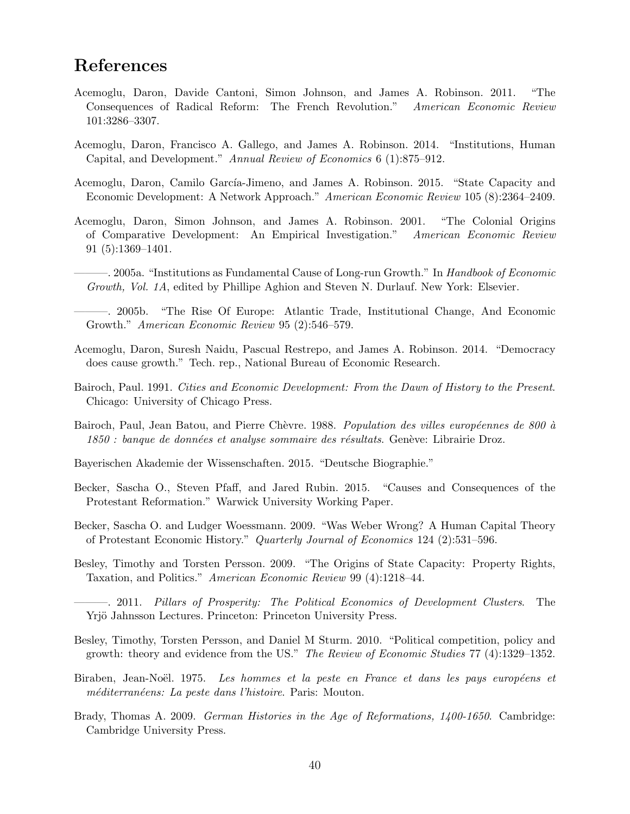# References

- Acemoglu, Daron, Davide Cantoni, Simon Johnson, and James A. Robinson. 2011. "The Consequences of Radical Reform: The French Revolution." American Economic Review 101:3286–3307.
- Acemoglu, Daron, Francisco A. Gallego, and James A. Robinson. 2014. "Institutions, Human Capital, and Development." Annual Review of Economics 6 (1):875–912.
- Acemoglu, Daron, Camilo García-Jimeno, and James A. Robinson. 2015. "State Capacity and Economic Development: A Network Approach." American Economic Review 105 (8):2364–2409.
- Acemoglu, Daron, Simon Johnson, and James A. Robinson. 2001. "The Colonial Origins of Comparative Development: An Empirical Investigation." American Economic Review 91 (5):1369–1401.
- 2005a. "Institutions as Fundamental Cause of Long-run Growth." In Handbook of Economic Growth, Vol. 1A, edited by Phillipe Aghion and Steven N. Durlauf. New York: Elsevier.
- ———. 2005b. "The Rise Of Europe: Atlantic Trade, Institutional Change, And Economic Growth." American Economic Review 95 (2):546–579.
- Acemoglu, Daron, Suresh Naidu, Pascual Restrepo, and James A. Robinson. 2014. "Democracy does cause growth." Tech. rep., National Bureau of Economic Research.
- <span id="page-40-0"></span>Bairoch, Paul. 1991. Cities and Economic Development: From the Dawn of History to the Present. Chicago: University of Chicago Press.
- <span id="page-40-2"></span>Bairoch, Paul, Jean Batou, and Pierre Chèvre. 1988. Population des villes européennes de 800 à  $1850$  : banque de données et analyse sommaire des résultats. Genève: Librairie Droz.
- Bayerischen Akademie der Wissenschaften. 2015. "Deutsche Biographie."
- Becker, Sascha O., Steven Pfaff, and Jared Rubin. 2015. "Causes and Consequences of the Protestant Reformation." Warwick University Working Paper.
- Becker, Sascha O. and Ludger Woessmann. 2009. "Was Weber Wrong? A Human Capital Theory of Protestant Economic History." Quarterly Journal of Economics 124 (2):531–596.
- Besley, Timothy and Torsten Persson. 2009. "The Origins of State Capacity: Property Rights, Taxation, and Politics." American Economic Review 99 (4):1218–44.
- <span id="page-40-1"></span>———. 2011. Pillars of Prosperity: The Political Economics of Development Clusters. The Yrjö Jahnsson Lectures. Princeton: Princeton University Press.
- Besley, Timothy, Torsten Persson, and Daniel M Sturm. 2010. "Political competition, policy and growth: theory and evidence from the US." The Review of Economic Studies 77 (4):1329–1352.
- Biraben, Jean-Noël. 1975. Les hommes et la peste en France et dans les pays européens et méditerranéens: La peste dans l'histoire. Paris: Mouton.
- Brady, Thomas A. 2009. German Histories in the Age of Reformations, 1400-1650. Cambridge: Cambridge University Press.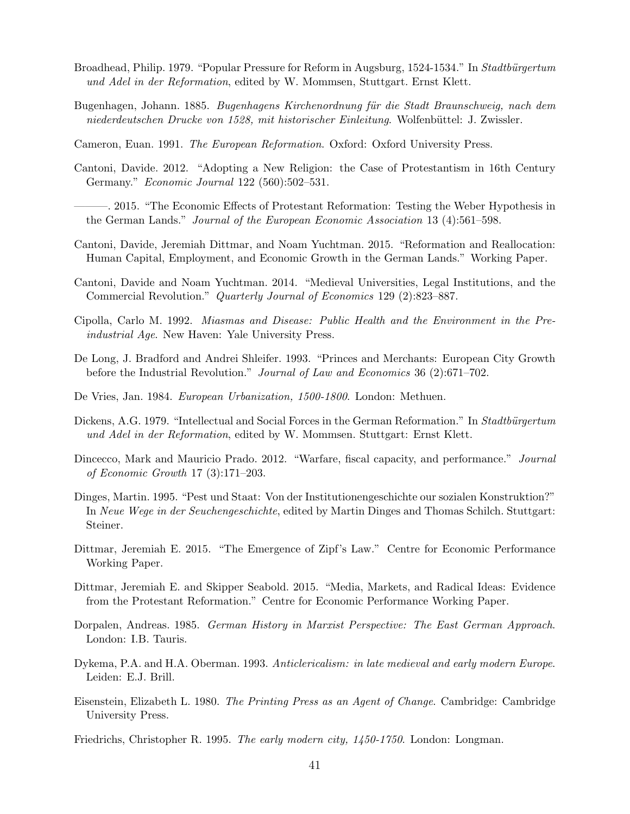- <span id="page-41-3"></span>Broadhead, Philip. 1979. "Popular Pressure for Reform in Augsburg, 1524-1534." In Stadtbürgertum und Adel in der Reformation, edited by W. Mommsen, Stuttgart. Ernst Klett.
- Bugenhagen, Johann. 1885. Bugenhagens Kirchenordnung für die Stadt Braunschweig, nach dem niederdeutschen Drucke von 1528, mit historischer Einleitung. Wolfenbüttel: J. Zwissler.
- <span id="page-41-2"></span>Cameron, Euan. 1991. The European Reformation. Oxford: Oxford University Press.
- <span id="page-41-5"></span>Cantoni, Davide. 2012. "Adopting a New Religion: the Case of Protestantism in 16th Century Germany." Economic Journal 122 (560):502–531.
- <span id="page-41-4"></span>———. 2015. "The Economic Effects of Protestant Reformation: Testing the Weber Hypothesis in the German Lands." Journal of the European Economic Association 13 (4):561–598.
- <span id="page-41-6"></span>Cantoni, Davide, Jeremiah Dittmar, and Noam Yuchtman. 2015. "Reformation and Reallocation: Human Capital, Employment, and Economic Growth in the German Lands." Working Paper.
- Cantoni, Davide and Noam Yuchtman. 2014. "Medieval Universities, Legal Institutions, and the Commercial Revolution." Quarterly Journal of Economics 129 (2):823–887.
- Cipolla, Carlo M. 1992. Miasmas and Disease: Public Health and the Environment in the Preindustrial Age. New Haven: Yale University Press.
- De Long, J. Bradford and Andrei Shleifer. 1993. "Princes and Merchants: European City Growth before the Industrial Revolution." Journal of Law and Economics 36 (2):671–702.
- <span id="page-41-0"></span>De Vries, Jan. 1984. European Urbanization, 1500-1800. London: Methuen.
- Dickens, A.G. 1979. "Intellectual and Social Forces in the German Reformation." In Stadtbürgertum und Adel in der Reformation, edited by W. Mommsen. Stuttgart: Ernst Klett.
- Dincecco, Mark and Mauricio Prado. 2012. "Warfare, fiscal capacity, and performance." Journal of Economic Growth 17 (3):171–203.
- Dinges, Martin. 1995. "Pest und Staat: Von der Institutionengeschichte our sozialen Konstruktion?" In Neue Wege in der Seuchengeschichte, edited by Martin Dinges and Thomas Schilch. Stuttgart: Steiner.
- Dittmar, Jeremiah E. 2015. "The Emergence of Zipf's Law." Centre for Economic Performance Working Paper.
- Dittmar, Jeremiah E. and Skipper Seabold. 2015. "Media, Markets, and Radical Ideas: Evidence from the Protestant Reformation." Centre for Economic Performance Working Paper.
- Dorpalen, Andreas. 1985. German History in Marxist Perspective: The East German Approach. London: I.B. Tauris.
- Dykema, P.A. and H.A. Oberman. 1993. Anticlericalism: in late medieval and early modern Europe. Leiden: E.J. Brill.
- Eisenstein, Elizabeth L. 1980. The Printing Press as an Agent of Change. Cambridge: Cambridge University Press.
- <span id="page-41-1"></span>Friedrichs, Christopher R. 1995. The early modern city, 1450-1750. London: Longman.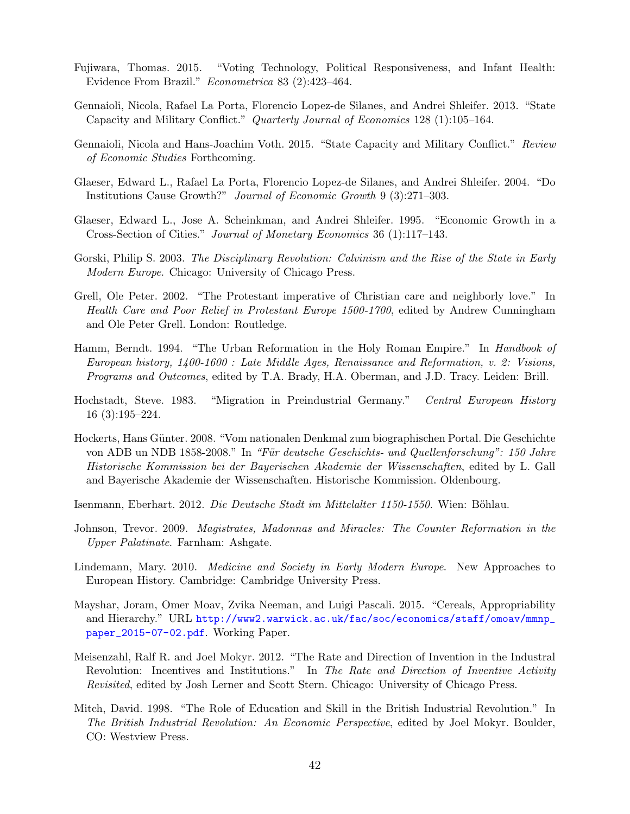- Fujiwara, Thomas. 2015. "Voting Technology, Political Responsiveness, and Infant Health: Evidence From Brazil." Econometrica 83 (2):423–464.
- Gennaioli, Nicola, Rafael La Porta, Florencio Lopez-de Silanes, and Andrei Shleifer. 2013. "State Capacity and Military Conflict." Quarterly Journal of Economics 128 (1):105–164.
- <span id="page-42-4"></span>Gennaioli, Nicola and Hans-Joachim Voth. 2015. "State Capacity and Military Conflict." Review of Economic Studies Forthcoming.
- Glaeser, Edward L., Rafael La Porta, Florencio Lopez-de Silanes, and Andrei Shleifer. 2004. "Do Institutions Cause Growth?" Journal of Economic Growth 9 (3):271–303.
- Glaeser, Edward L., Jose A. Scheinkman, and Andrei Shleifer. 1995. "Economic Growth in a Cross-Section of Cities." Journal of Monetary Economics 36 (1):117–143.
- <span id="page-42-0"></span>Gorski, Philip S. 2003. The Disciplinary Revolution: Calvinism and the Rise of the State in Early Modern Europe. Chicago: University of Chicago Press.
- Grell, Ole Peter. 2002. "The Protestant imperative of Christian care and neighborly love." In Health Care and Poor Relief in Protestant Europe 1500-1700, edited by Andrew Cunningham and Ole Peter Grell. London: Routledge.
- Hamm, Berndt. 1994. "The Urban Reformation in the Holy Roman Empire." In *Handbook of* European history, 1400-1600 : Late Middle Ages, Renaissance and Reformation, v. 2: Visions, Programs and Outcomes, edited by T.A. Brady, H.A. Oberman, and J.D. Tracy. Leiden: Brill.
- <span id="page-42-2"></span>Hochstadt, Steve. 1983. "Migration in Preindustrial Germany." Central European History 16 (3):195–224.
- <span id="page-42-6"></span>Hockerts, Hans G¨unter. 2008. "Vom nationalen Denkmal zum biographischen Portal. Die Geschichte von ADB un NDB 1858-2008." In "Für deutsche Geschichts- und Quellenforschung": 150 Jahre Historische Kommission bei der Bayerischen Akademie der Wissenschaften, edited by L. Gall and Bayerische Akademie der Wissenschaften. Historische Kommission. Oldenbourg.
- <span id="page-42-3"></span>Isenmann, Eberhart. 2012. Die Deutsche Stadt im Mittelalter 1150-1550. Wien: Böhlau.
- <span id="page-42-5"></span>Johnson, Trevor. 2009. Magistrates, Madonnas and Miracles: The Counter Reformation in the Upper Palatinate. Farnham: Ashgate.
- Lindemann, Mary. 2010. Medicine and Society in Early Modern Europe. New Approaches to European History. Cambridge: Cambridge University Press.
- Mayshar, Joram, Omer Moav, Zvika Neeman, and Luigi Pascali. 2015. "Cereals, Appropriability and Hierarchy." URL [http://www2.warwick.ac.uk/fac/soc/economics/staff/omoav/mmnp\\_](http://www2.warwick.ac.uk/fac/soc/economics/staff/omoav/mmnp_paper_2015-07-02.pdf) [paper\\_2015-07-02.pdf](http://www2.warwick.ac.uk/fac/soc/economics/staff/omoav/mmnp_paper_2015-07-02.pdf). Working Paper.
- <span id="page-42-1"></span>Meisenzahl, Ralf R. and Joel Mokyr. 2012. "The Rate and Direction of Invention in the Industral Revolution: Incentives and Institutions." In The Rate and Direction of Inventive Activity Revisited, edited by Josh Lerner and Scott Stern. Chicago: University of Chicago Press.
- Mitch, David. 1998. "The Role of Education and Skill in the British Industrial Revolution." In The British Industrial Revolution: An Economic Perspective, edited by Joel Mokyr. Boulder, CO: Westview Press.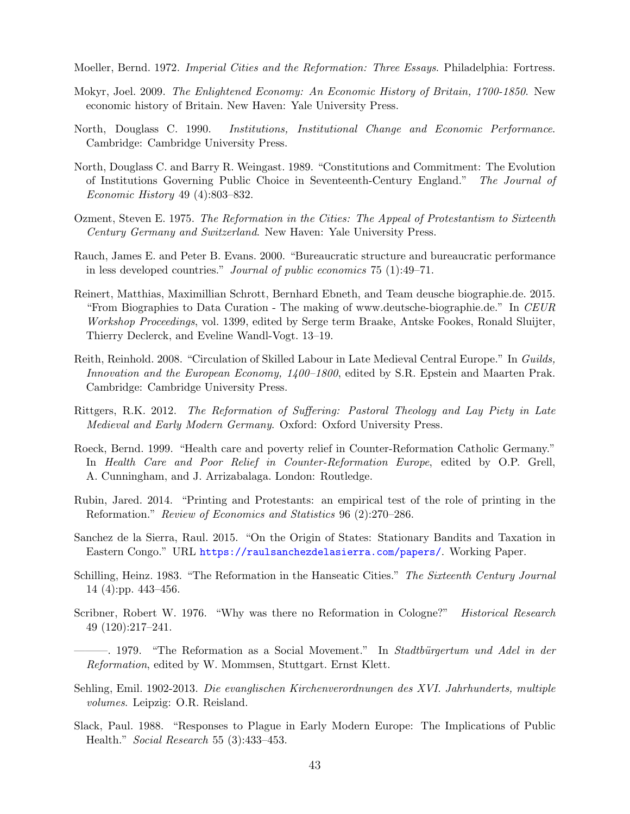Moeller, Bernd. 1972. Imperial Cities and the Reformation: Three Essays. Philadelphia: Fortress.

- Mokyr, Joel. 2009. The Enlightened Economy: An Economic History of Britain, 1700-1850. New economic history of Britain. New Haven: Yale University Press.
- North, Douglass C. 1990. Institutions, Institutional Change and Economic Performance. Cambridge: Cambridge University Press.
- North, Douglass C. and Barry R. Weingast. 1989. "Constitutions and Commitment: The Evolution of Institutions Governing Public Choice in Seventeenth-Century England." The Journal of Economic History 49 (4):803–832.
- Ozment, Steven E. 1975. The Reformation in the Cities: The Appeal of Protestantism to Sixteenth Century Germany and Switzerland. New Haven: Yale University Press.
- <span id="page-43-0"></span>Rauch, James E. and Peter B. Evans. 2000. "Bureaucratic structure and bureaucratic performance in less developed countries." Journal of public economics 75 (1):49–71.
- Reinert, Matthias, Maximillian Schrott, Bernhard Ebneth, and Team deusche biographie.de. 2015. "From Biographies to Data Curation - The making of www.deutsche-biographie.de." In CEUR Workshop Proceedings, vol. 1399, edited by Serge term Braake, Antske Fookes, Ronald Sluijter, Thierry Declerck, and Eveline Wandl-Vogt. 13–19.
- <span id="page-43-1"></span>Reith, Reinhold. 2008. "Circulation of Skilled Labour in Late Medieval Central Europe." In Guilds, Innovation and the European Economy, 1400–1800, edited by S.R. Epstein and Maarten Prak. Cambridge: Cambridge University Press.
- Rittgers, R.K. 2012. The Reformation of Suffering: Pastoral Theology and Lay Piety in Late Medieval and Early Modern Germany. Oxford: Oxford University Press.
- <span id="page-43-2"></span>Roeck, Bernd. 1999. "Health care and poverty relief in Counter-Reformation Catholic Germany." In Health Care and Poor Relief in Counter-Reformation Europe, edited by O.P. Grell, A. Cunningham, and J. Arrizabalaga. London: Routledge.
- Rubin, Jared. 2014. "Printing and Protestants: an empirical test of the role of printing in the Reformation." Review of Economics and Statistics 96 (2):270–286.
- Sanchez de la Sierra, Raul. 2015. "On the Origin of States: Stationary Bandits and Taxation in Eastern Congo." URL <https://raulsanchezdelasierra.com/papers/>. Working Paper.
- Schilling, Heinz. 1983. "The Reformation in the Hanseatic Cities." The Sixteenth Century Journal 14 (4):pp. 443–456.
- Scribner, Robert W. 1976. "Why was there no Reformation in Cologne?" *Historical Research* 49 (120):217–241.
- $-$ . 1979. "The Reformation as a Social Movement." In Stadtbürgertum und Adel in der Reformation, edited by W. Mommsen, Stuttgart. Ernst Klett.
- Sehling, Emil. 1902-2013. Die evanglischen Kirchenverordnungen des XVI. Jahrhunderts, multiple volumes. Leipzig: O.R. Reisland.
- Slack, Paul. 1988. "Responses to Plague in Early Modern Europe: The Implications of Public Health." Social Research 55 (3):433–453.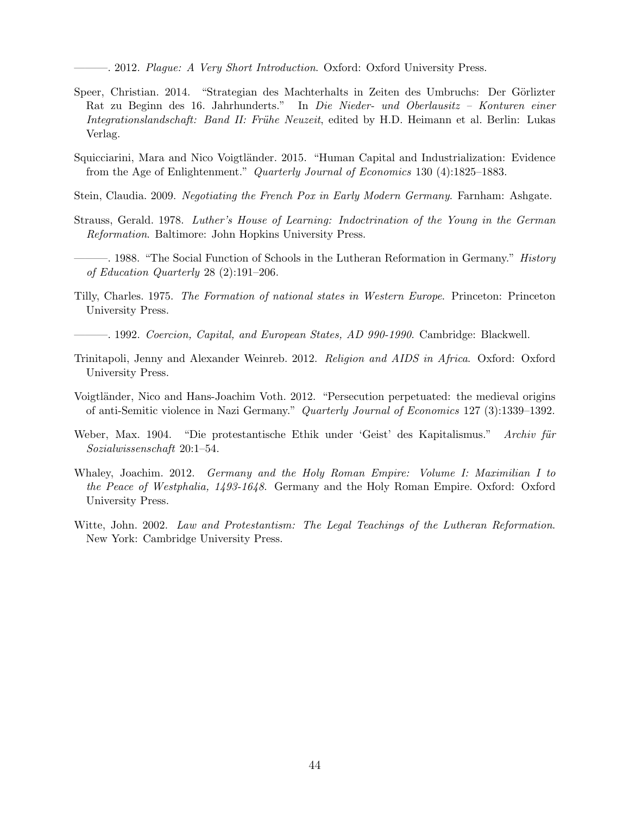-. 2012. Plague: A Very Short Introduction. Oxford: Oxford University Press.

- <span id="page-44-5"></span>Speer, Christian. 2014. "Strategian des Machterhalts in Zeiten des Umbruchs: Der Görlizter Rat zu Beginn des 16. Jahrhunderts." In Die Nieder- und Oberlausitz – Konturen einer Integrationslandschaft: Band II: Frühe Neuzeit, edited by H.D. Heimann et al. Berlin: Lukas Verlag.
- Squicciarini, Mara and Nico Voigtländer. 2015. "Human Capital and Industrialization: Evidence from the Age of Enlightenment." Quarterly Journal of Economics 130 (4):1825–1883.
- <span id="page-44-2"></span>Stein, Claudia. 2009. Negotiating the French Pox in Early Modern Germany. Farnham: Ashgate.
- <span id="page-44-3"></span>Strauss, Gerald. 1978. Luther's House of Learning: Indoctrination of the Young in the German Reformation. Baltimore: John Hopkins University Press.
- <span id="page-44-4"></span>-. 1988. "The Social Function of Schools in the Lutheran Reformation in Germany." *History* of Education Quarterly 28 (2):191–206.
- <span id="page-44-0"></span>Tilly, Charles. 1975. The Formation of national states in Western Europe. Princeton: Princeton University Press.
- <span id="page-44-1"></span>———. 1992. Coercion, Capital, and European States, AD 990-1990. Cambridge: Blackwell.
- Trinitapoli, Jenny and Alexander Weinreb. 2012. Religion and AIDS in Africa. Oxford: Oxford University Press.
- Voigtländer, Nico and Hans-Joachim Voth. 2012. "Persecution perpetuated: the medieval origins of anti-Semitic violence in Nazi Germany." Quarterly Journal of Economics 127 (3):1339–1392.
- Weber, Max. 1904. "Die protestantische Ethik under 'Geist' des Kapitalismus." Archiv für Sozialwissenschaft 20:1–54.
- <span id="page-44-6"></span>Whaley, Joachim. 2012. Germany and the Holy Roman Empire: Volume I: Maximilian I to the Peace of Westphalia, 1493-1648. Germany and the Holy Roman Empire. Oxford: Oxford University Press.
- Witte, John. 2002. Law and Protestantism: The Legal Teachings of the Lutheran Reformation. New York: Cambridge University Press.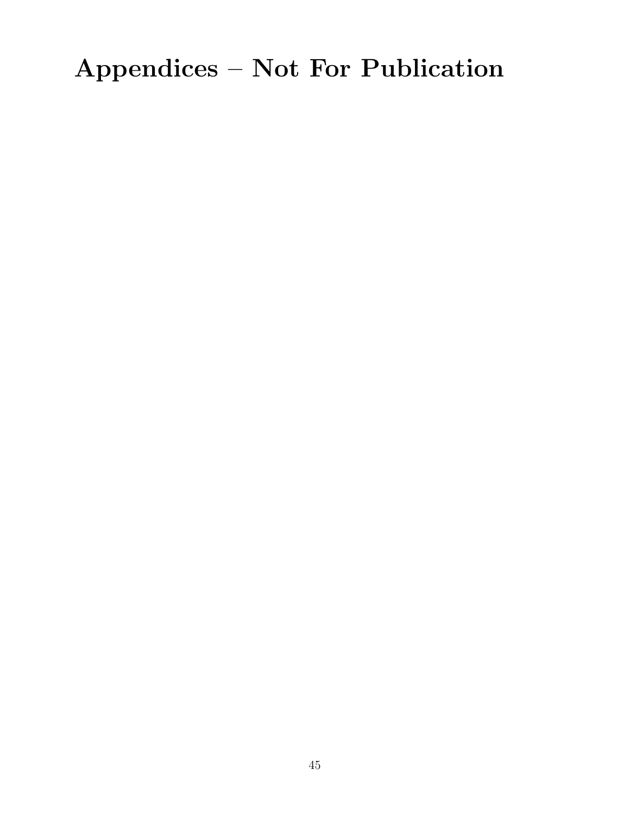# Appendices – Not For Publication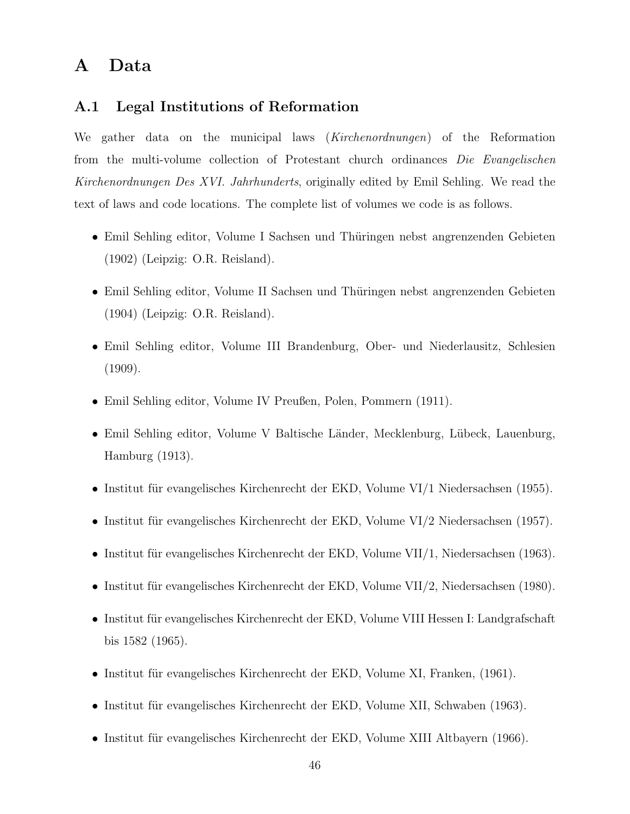# A Data

# A.1 Legal Institutions of Reformation

We gather data on the municipal laws (*Kirchenordnungen*) of the Reformation from the multi-volume collection of Protestant church ordinances Die Evangelischen Kirchenordnungen Des XVI. Jahrhunderts, originally edited by Emil Sehling. We read the text of laws and code locations. The complete list of volumes we code is as follows.

- Emil Sehling editor, Volume I Sachsen und Thüringen nebst angrenzenden Gebieten (1902) (Leipzig: O.R. Reisland).
- Emil Sehling editor, Volume II Sachsen und Thüringen nebst angrenzenden Gebieten (1904) (Leipzig: O.R. Reisland).
- Emil Sehling editor, Volume III Brandenburg, Ober- und Niederlausitz, Schlesien (1909).
- Emil Sehling editor, Volume IV Preußen, Polen, Pommern (1911).
- Emil Sehling editor, Volume V Baltische Länder, Mecklenburg, Lübeck, Lauenburg, Hamburg (1913).
- Institut für evangelisches Kirchenrecht der EKD, Volume VI/1 Niedersachsen (1955).
- Institut für evangelisches Kirchenrecht der EKD, Volume VI/2 Niedersachsen (1957).
- Institut für evangelisches Kirchenrecht der EKD, Volume VII/1, Niedersachsen (1963).
- Institut für evangelisches Kirchenrecht der EKD, Volume VII/2, Niedersachsen (1980).
- Institut für evangelisches Kirchenrecht der EKD, Volume VIII Hessen I: Landgrafschaft bis 1582 (1965).
- Institut für evangelisches Kirchenrecht der EKD, Volume XI, Franken,  $(1961)$ .
- Institut für evangelisches Kirchenrecht der EKD, Volume XII, Schwaben (1963).
- Institut für evangelisches Kirchenrecht der EKD, Volume XIII Altbayern  $(1966)$ .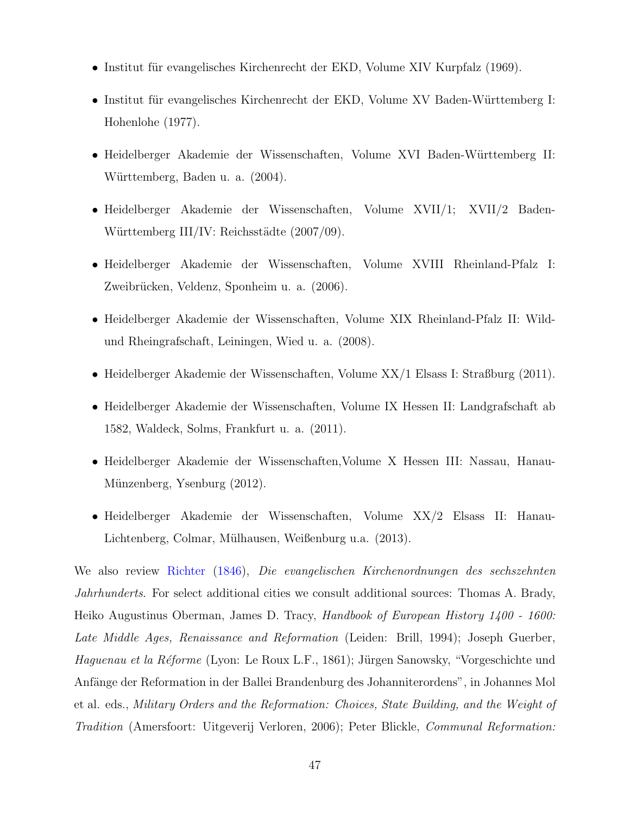- Institut für evangelisches Kirchenrecht der EKD, Volume XIV Kurpfalz (1969).
- Institut für evangelisches Kirchenrecht der EKD, Volume XV Baden-Württemberg I: Hohenlohe (1977).
- Heidelberger Akademie der Wissenschaften, Volume XVI Baden-Württemberg II: Württemberg, Baden u. a. (2004).
- Heidelberger Akademie der Wissenschaften, Volume XVII/1; XVII/2 Baden-Württemberg III/IV: Reichsstädte (2007/09).
- Heidelberger Akademie der Wissenschaften, Volume XVIII Rheinland-Pfalz I: Zweibrücken, Veldenz, Sponheim u. a. (2006).
- Heidelberger Akademie der Wissenschaften, Volume XIX Rheinland-Pfalz II: Wildund Rheingrafschaft, Leiningen, Wied u. a. (2008).
- Heidelberger Akademie der Wissenschaften, Volume XX/1 Elsass I: Straßburg (2011).
- Heidelberger Akademie der Wissenschaften, Volume IX Hessen II: Landgrafschaft ab 1582, Waldeck, Solms, Frankfurt u. a. (2011).
- Heidelberger Akademie der Wissenschaften,Volume X Hessen III: Nassau, Hanau-Münzenberg, Ysenburg (2012).
- Heidelberger Akademie der Wissenschaften, Volume XX/2 Elsass II: Hanau-Lichtenberg, Colmar, Mülhausen, Weißenburg u.a. (2013).

We also review [Richter](#page-108-0) [\(1846\)](#page-108-0), Die evangelischen Kirchenordnungen des sechszehnten Jahrhunderts. For select additional cities we consult additional sources: Thomas A. Brady, Heiko Augustinus Oberman, James D. Tracy, Handbook of European History 1400 - 1600: Late Middle Ages, Renaissance and Reformation (Leiden: Brill, 1994); Joseph Guerber, Haguenau et la Réforme (Lyon: Le Roux L.F., 1861); Jürgen Sanowsky, "Vorgeschichte und Anfänge der Reformation in der Ballei Brandenburg des Johanniterordens", in Johannes Mol et al. eds., Military Orders and the Reformation: Choices, State Building, and the Weight of Tradition (Amersfoort: Uitgeverij Verloren, 2006); Peter Blickle, Communal Reformation: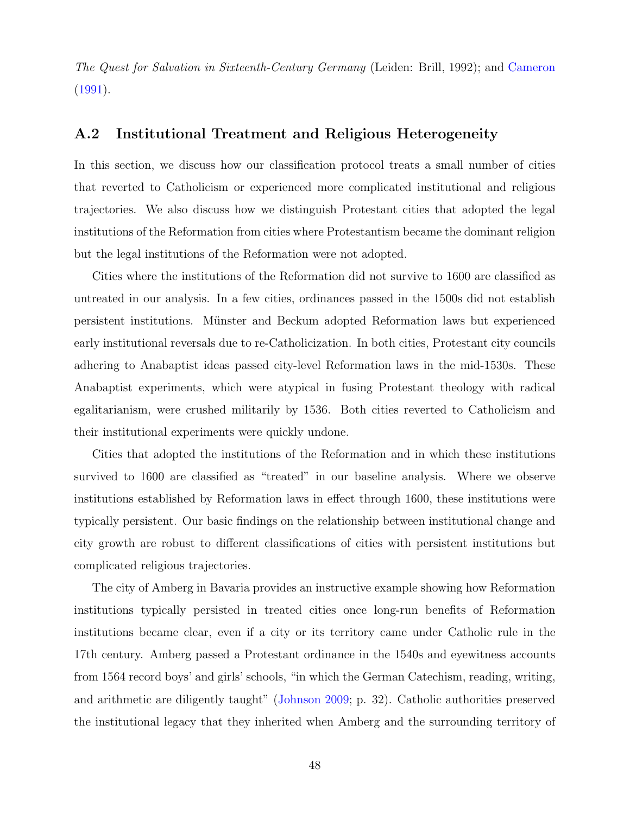The Quest for Salvation in Sixteenth-Century Germany (Leiden: Brill, 1992); and [Cameron](#page-41-2) [\(1991\)](#page-41-2).

## A.2 Institutional Treatment and Religious Heterogeneity

In this section, we discuss how our classification protocol treats a small number of cities that reverted to Catholicism or experienced more complicated institutional and religious trajectories. We also discuss how we distinguish Protestant cities that adopted the legal institutions of the Reformation from cities where Protestantism became the dominant religion but the legal institutions of the Reformation were not adopted.

Cities where the institutions of the Reformation did not survive to 1600 are classified as untreated in our analysis. In a few cities, ordinances passed in the 1500s did not establish persistent institutions. M¨unster and Beckum adopted Reformation laws but experienced early institutional reversals due to re-Catholicization. In both cities, Protestant city councils adhering to Anabaptist ideas passed city-level Reformation laws in the mid-1530s. These Anabaptist experiments, which were atypical in fusing Protestant theology with radical egalitarianism, were crushed militarily by 1536. Both cities reverted to Catholicism and their institutional experiments were quickly undone.

Cities that adopted the institutions of the Reformation and in which these institutions survived to 1600 are classified as "treated" in our baseline analysis. Where we observe institutions established by Reformation laws in effect through 1600, these institutions were typically persistent. Our basic findings on the relationship between institutional change and city growth are robust to different classifications of cities with persistent institutions but complicated religious trajectories.

The city of Amberg in Bavaria provides an instructive example showing how Reformation institutions typically persisted in treated cities once long-run benefits of Reformation institutions became clear, even if a city or its territory came under Catholic rule in the 17th century. Amberg passed a Protestant ordinance in the 1540s and eyewitness accounts from 1564 record boys' and girls' schools, "in which the German Catechism, reading, writing, and arithmetic are diligently taught" [\(Johnson](#page-42-5) [2009;](#page-42-5) p. 32). Catholic authorities preserved the institutional legacy that they inherited when Amberg and the surrounding territory of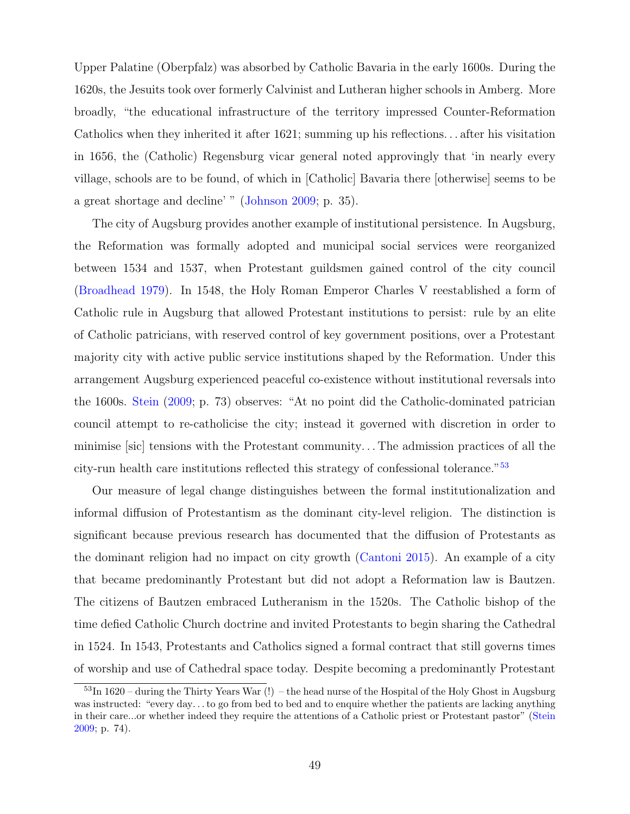Upper Palatine (Oberpfalz) was absorbed by Catholic Bavaria in the early 1600s. During the 1620s, the Jesuits took over formerly Calvinist and Lutheran higher schools in Amberg. More broadly, "the educational infrastructure of the territory impressed Counter-Reformation Catholics when they inherited it after 1621; summing up his reflections. . . after his visitation in 1656, the (Catholic) Regensburg vicar general noted approvingly that 'in nearly every village, schools are to be found, of which in [Catholic] Bavaria there [otherwise] seems to be a great shortage and decline' " [\(Johnson](#page-42-5) [2009;](#page-42-5) p. 35).

The city of Augsburg provides another example of institutional persistence. In Augsburg, the Reformation was formally adopted and municipal social services were reorganized between 1534 and 1537, when Protestant guildsmen gained control of the city council [\(Broadhead](#page-41-3) [1979\)](#page-41-3). In 1548, the Holy Roman Emperor Charles V reestablished a form of Catholic rule in Augsburg that allowed Protestant institutions to persist: rule by an elite of Catholic patricians, with reserved control of key government positions, over a Protestant majority city with active public service institutions shaped by the Reformation. Under this arrangement Augsburg experienced peaceful co-existence without institutional reversals into the 1600s. [Stein](#page-44-2) [\(2009;](#page-44-2) p. 73) observes: "At no point did the Catholic-dominated patrician council attempt to re-catholicise the city; instead it governed with discretion in order to minimise [sic] tensions with the Protestant community. . . The admission practices of all the city-run health care institutions reflected this strategy of confessional tolerance."[53](#page-49-0)

Our measure of legal change distinguishes between the formal institutionalization and informal diffusion of Protestantism as the dominant city-level religion. The distinction is significant because previous research has documented that the diffusion of Protestants as the dominant religion had no impact on city growth [\(Cantoni](#page-41-4) [2015\)](#page-41-4). An example of a city that became predominantly Protestant but did not adopt a Reformation law is Bautzen. The citizens of Bautzen embraced Lutheranism in the 1520s. The Catholic bishop of the time defied Catholic Church doctrine and invited Protestants to begin sharing the Cathedral in 1524. In 1543, Protestants and Catholics signed a formal contract that still governs times of worship and use of Cathedral space today. Despite becoming a predominantly Protestant

<span id="page-49-0"></span> $53\text{In }1620$  – during the Thirty Years War (!) – the head nurse of the Hospital of the Holy Ghost in Augsburg was instructed: "every day. . . to go from bed to bed and to enquire whether the patients are lacking anything in their care...or whether indeed they require the attentions of a Catholic priest or Protestant pastor" [\(Stein](#page-44-2) [2009;](#page-44-2) p. 74).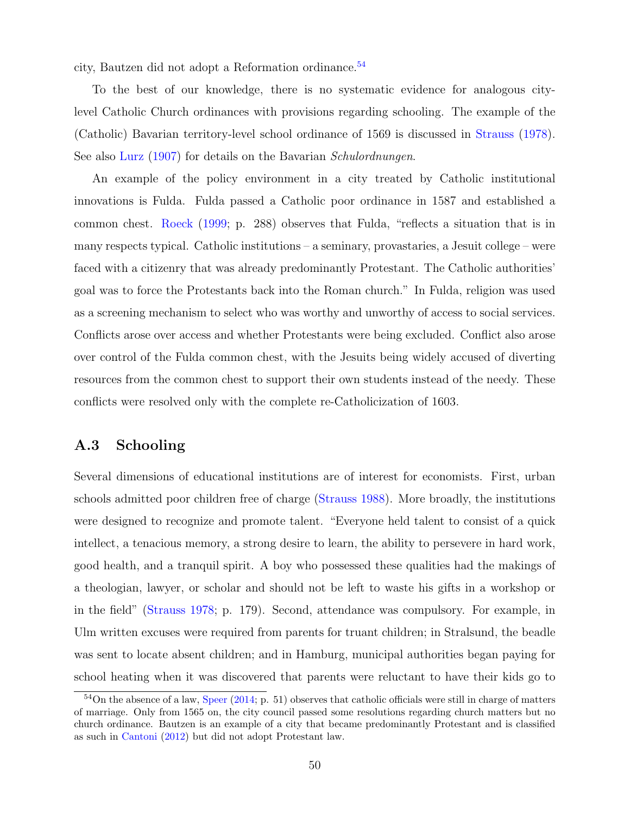city, Bautzen did not adopt a Reformation ordinance.[54](#page-50-0)

To the best of our knowledge, there is no systematic evidence for analogous citylevel Catholic Church ordinances with provisions regarding schooling. The example of the (Catholic) Bavarian territory-level school ordinance of 1569 is discussed in [Strauss](#page-44-3) [\(1978\)](#page-44-3). See also [Lurz](#page-108-1) [\(1907\)](#page-108-1) for details on the Bavarian Schulordnungen.

An example of the policy environment in a city treated by Catholic institutional innovations is Fulda. Fulda passed a Catholic poor ordinance in 1587 and established a common chest. [Roeck](#page-43-2) [\(1999;](#page-43-2) p. 288) observes that Fulda, "reflects a situation that is in many respects typical. Catholic institutions – a seminary, provastaries, a Jesuit college – were faced with a citizenry that was already predominantly Protestant. The Catholic authorities' goal was to force the Protestants back into the Roman church." In Fulda, religion was used as a screening mechanism to select who was worthy and unworthy of access to social services. Conflicts arose over access and whether Protestants were being excluded. Conflict also arose over control of the Fulda common chest, with the Jesuits being widely accused of diverting resources from the common chest to support their own students instead of the needy. These conflicts were resolved only with the complete re-Catholicization of 1603.

# A.3 Schooling

Several dimensions of educational institutions are of interest for economists. First, urban schools admitted poor children free of charge [\(Strauss](#page-44-4) [1988\)](#page-44-4). More broadly, the institutions were designed to recognize and promote talent. "Everyone held talent to consist of a quick intellect, a tenacious memory, a strong desire to learn, the ability to persevere in hard work, good health, and a tranquil spirit. A boy who possessed these qualities had the makings of a theologian, lawyer, or scholar and should not be left to waste his gifts in a workshop or in the field" [\(Strauss](#page-44-3) [1978;](#page-44-3) p. 179). Second, attendance was compulsory. For example, in Ulm written excuses were required from parents for truant children; in Stralsund, the beadle was sent to locate absent children; and in Hamburg, municipal authorities began paying for school heating when it was discovered that parents were reluctant to have their kids go to

<span id="page-50-0"></span><sup>54</sup>On the absence of a law, [Speer](#page-44-5) [\(2014;](#page-44-5) p. 51) observes that catholic officials were still in charge of matters of marriage. Only from 1565 on, the city council passed some resolutions regarding church matters but no church ordinance. Bautzen is an example of a city that became predominantly Protestant and is classified as such in [Cantoni](#page-41-5) [\(2012\)](#page-41-5) but did not adopt Protestant law.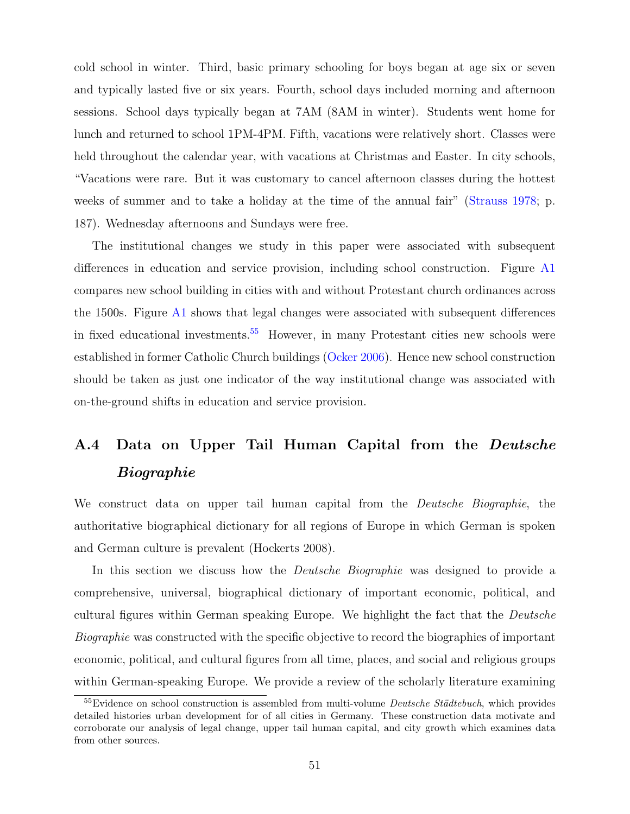cold school in winter. Third, basic primary schooling for boys began at age six or seven and typically lasted five or six years. Fourth, school days included morning and afternoon sessions. School days typically began at 7AM (8AM in winter). Students went home for lunch and returned to school 1PM-4PM. Fifth, vacations were relatively short. Classes were held throughout the calendar year, with vacations at Christmas and Easter. In city schools, "Vacations were rare. But it was customary to cancel afternoon classes during the hottest weeks of summer and to take a holiday at the time of the annual fair" [\(Strauss](#page-44-3) [1978;](#page-44-3) p. 187). Wednesday afternoons and Sundays were free.

The institutional changes we study in this paper were associated with subsequent differences in education and service provision, including school construction. Figure [A1](#page-10-0) compares new school building in cities with and without Protestant church ordinances across the 1500s. Figure [A1](#page-10-0) shows that legal changes were associated with subsequent differences in fixed educational investments.<sup>[55](#page-51-0)</sup> However, in many Protestant cities new schools were established in former Catholic Church buildings [\(Ocker](#page-108-2) [2006\)](#page-108-2). Hence new school construction should be taken as just one indicator of the way institutional change was associated with on-the-ground shifts in education and service provision.

# A.4 Data on Upper Tail Human Capital from the Deutsche Biographie

We construct data on upper tail human capital from the *Deutsche Biographie*, the authoritative biographical dictionary for all regions of Europe in which German is spoken and German culture is prevalent (Hockerts 2008).

In this section we discuss how the *Deutsche Biographie* was designed to provide a comprehensive, universal, biographical dictionary of important economic, political, and cultural figures within German speaking Europe. We highlight the fact that the Deutsche Biographie was constructed with the specific objective to record the biographies of important economic, political, and cultural figures from all time, places, and social and religious groups within German-speaking Europe. We provide a review of the scholarly literature examining

<span id="page-51-0"></span> $55$ Evidence on school construction is assembled from multi-volume *Deutsche Städtebuch*, which provides detailed histories urban development for of all cities in Germany. These construction data motivate and corroborate our analysis of legal change, upper tail human capital, and city growth which examines data from other sources.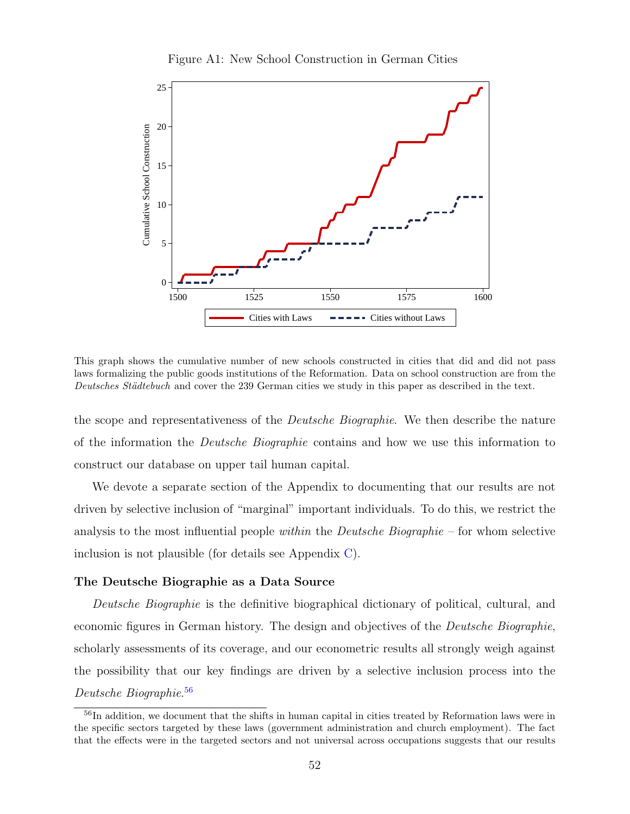

Figure A1: New School Construction in German Cities

This graph shows the cumulative number of new schools constructed in cities that did and did not pass laws formalizing the public goods institutions of the Reformation. Data on school construction are from the Deutsches Städtebuch and cover the 239 German cities we study in this paper as described in the text.

the scope and representativeness of the *Deutsche Biographie*. We then describe the nature of the information the Deutsche Biographie contains and how we use this information to construct our database on upper tail human capital.

We devote a separate section of the Appendix to documenting that our results are not driven by selective inclusion of "marginal" important individuals. To do this, we restrict the analysis to the most influential people within the *Deutsche Biographie* – for whom selective inclusion is not plausible (for details see Appendix [C\)](#page-78-0).

#### The Deutsche Biographie as a Data Source

Deutsche Biographie is the definitive biographical dictionary of political, cultural, and economic figures in German history. The design and objectives of the Deutsche Biographie, scholarly assessments of its coverage, and our econometric results all strongly weigh against the possibility that our key findings are driven by a selective inclusion process into the Deutsche Biographie. [56](#page-52-0)

<span id="page-52-0"></span><sup>&</sup>lt;sup>56</sup>In addition, we document that the shifts in human capital in cities treated by Reformation laws were in the specific sectors targeted by these laws (government administration and church employment). The fact that the effects were in the targeted sectors and not universal across occupations suggests that our results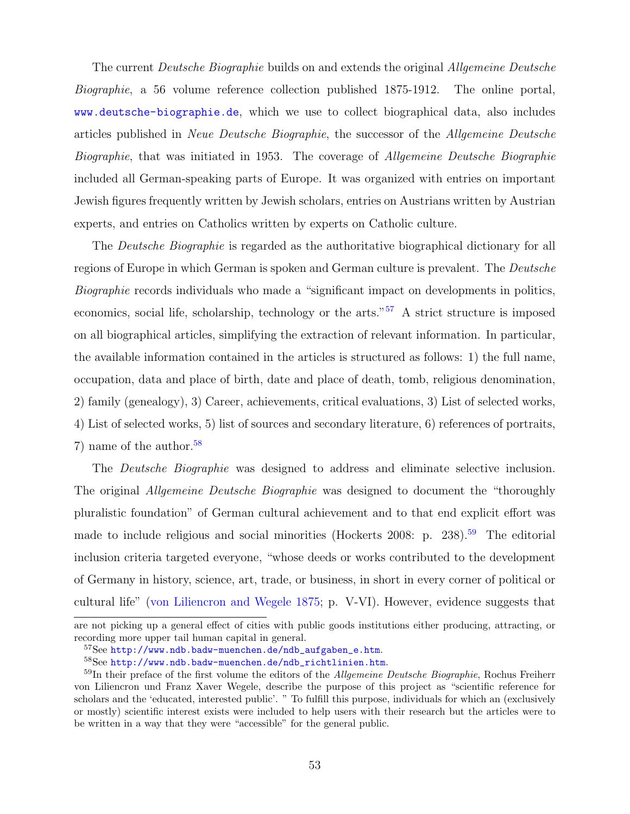The current *Deutsche Biographie* builds on and extends the original *Allgemeine Deutsche* Biographie, a 56 volume reference collection published 1875-1912. The online portal, <www.deutsche-biographie.de>, which we use to collect biographical data, also includes articles published in Neue Deutsche Biographie, the successor of the Allgemeine Deutsche Biographie, that was initiated in 1953. The coverage of Allgemeine Deutsche Biographie included all German-speaking parts of Europe. It was organized with entries on important Jewish figures frequently written by Jewish scholars, entries on Austrians written by Austrian experts, and entries on Catholics written by experts on Catholic culture.

The Deutsche Biographie is regarded as the authoritative biographical dictionary for all regions of Europe in which German is spoken and German culture is prevalent. The Deutsche Biographie records individuals who made a "significant impact on developments in politics, economics, social life, scholarship, technology or the arts."[57](#page-53-0) A strict structure is imposed on all biographical articles, simplifying the extraction of relevant information. In particular, the available information contained in the articles is structured as follows: 1) the full name, occupation, data and place of birth, date and place of death, tomb, religious denomination, 2) family (genealogy), 3) Career, achievements, critical evaluations, 3) List of selected works, 4) List of selected works, 5) list of sources and secondary literature, 6) references of portraits, 7) name of the author.<sup>[58](#page-53-1)</sup>

The *Deutsche Biographie* was designed to address and eliminate selective inclusion. The original *Allgemeine Deutsche Biographie* was designed to document the "thoroughly" pluralistic foundation" of German cultural achievement and to that end explicit effort was made to include religious and social minorities (Hockerts 2008: p. 238).<sup>[59](#page-53-2)</sup> The editorial inclusion criteria targeted everyone, "whose deeds or works contributed to the development of Germany in history, science, art, trade, or business, in short in every corner of political or cultural life" [\(von Liliencron and Wegele](#page-109-0) [1875;](#page-109-0) p. V-VI). However, evidence suggests that

are not picking up a general effect of cities with public goods institutions either producing, attracting, or recording more upper tail human capital in general.

<span id="page-53-0"></span><sup>57</sup>See [http://www.ndb.badw-muenchen.de/ndb\\_aufgaben\\_e.htm](http://www.ndb.badw-muenchen.de/ndb_aufgaben_e.htm).

<span id="page-53-2"></span><span id="page-53-1"></span><sup>58</sup>See [http://www.ndb.badw-muenchen.de/ndb\\_richtlinien.htm](http://www.ndb.badw-muenchen.de/ndb_richtlinien.htm).

 $59$ In their preface of the first volume the editors of the *Allgemeine Deutsche Biographie*, Rochus Freiherr von Liliencron und Franz Xaver Wegele, describe the purpose of this project as "scientific reference for scholars and the 'educated, interested public'. " To fulfill this purpose, individuals for which an (exclusively or mostly) scientific interest exists were included to help users with their research but the articles were to be written in a way that they were "accessible" for the general public.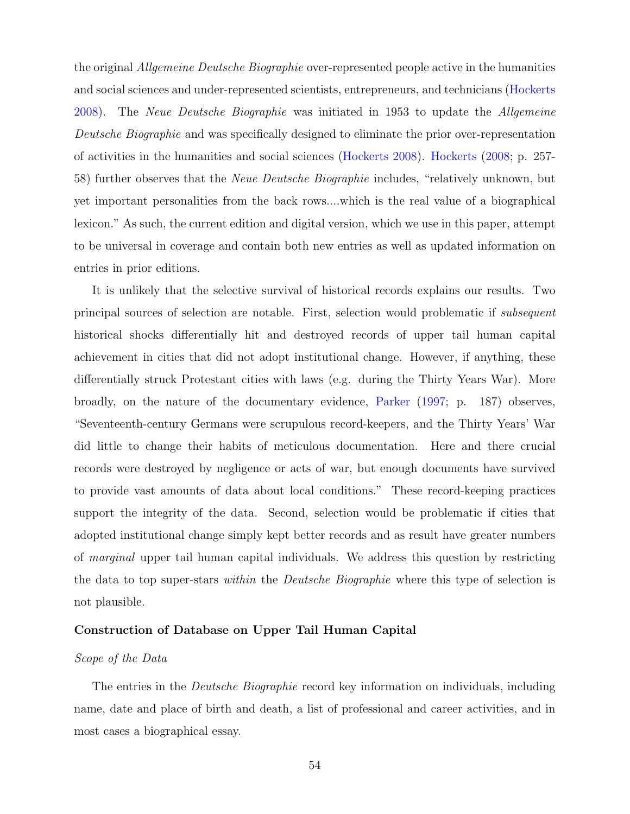the original Allgemeine Deutsche Biographie over-represented people active in the humanities and social sciences and under-represented scientists, entrepreneurs, and technicians [\(Hockerts](#page-42-6) [2008\)](#page-42-6). The Neue Deutsche Biographie was initiated in 1953 to update the Allgemeine Deutsche Biographie and was specifically designed to eliminate the prior over-representation of activities in the humanities and social sciences [\(Hockerts](#page-42-6) [2008\)](#page-42-6). [Hockerts](#page-42-6) [\(2008;](#page-42-6) p. 257- 58) further observes that the Neue Deutsche Biographie includes, "relatively unknown, but yet important personalities from the back rows....which is the real value of a biographical lexicon." As such, the current edition and digital version, which we use in this paper, attempt to be universal in coverage and contain both new entries as well as updated information on entries in prior editions.

It is unlikely that the selective survival of historical records explains our results. Two principal sources of selection are notable. First, selection would problematic if subsequent historical shocks differentially hit and destroyed records of upper tail human capital achievement in cities that did not adopt institutional change. However, if anything, these differentially struck Protestant cities with laws (e.g. during the Thirty Years War). More broadly, on the nature of the documentary evidence, [Parker](#page-108-3) [\(1997;](#page-108-3) p. 187) observes, "Seventeenth-century Germans were scrupulous record-keepers, and the Thirty Years' War did little to change their habits of meticulous documentation. Here and there crucial records were destroyed by negligence or acts of war, but enough documents have survived to provide vast amounts of data about local conditions." These record-keeping practices support the integrity of the data. Second, selection would be problematic if cities that adopted institutional change simply kept better records and as result have greater numbers of marginal upper tail human capital individuals. We address this question by restricting the data to top super-stars within the Deutsche Biographie where this type of selection is not plausible.

#### Construction of Database on Upper Tail Human Capital

#### Scope of the Data

The entries in the *Deutsche Biographie* record key information on individuals, including name, date and place of birth and death, a list of professional and career activities, and in most cases a biographical essay.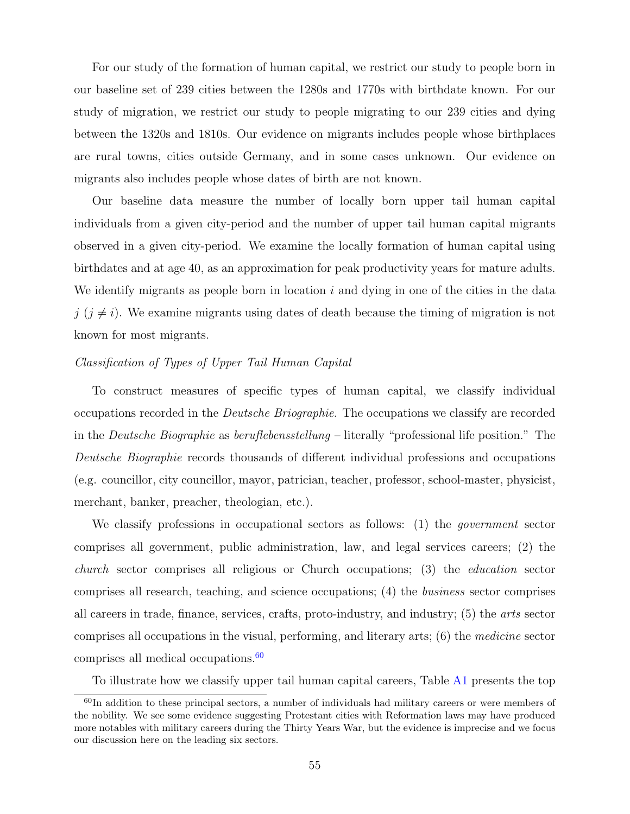For our study of the formation of human capital, we restrict our study to people born in our baseline set of 239 cities between the 1280s and 1770s with birthdate known. For our study of migration, we restrict our study to people migrating to our 239 cities and dying between the 1320s and 1810s. Our evidence on migrants includes people whose birthplaces are rural towns, cities outside Germany, and in some cases unknown. Our evidence on migrants also includes people whose dates of birth are not known.

Our baseline data measure the number of locally born upper tail human capital individuals from a given city-period and the number of upper tail human capital migrants observed in a given city-period. We examine the locally formation of human capital using birthdates and at age 40, as an approximation for peak productivity years for mature adults. We identify migrants as people born in location  $i$  and dying in one of the cities in the data  $j$  ( $j \neq i$ ). We examine migrants using dates of death because the timing of migration is not known for most migrants.

#### Classification of Types of Upper Tail Human Capital

To construct measures of specific types of human capital, we classify individual occupations recorded in the Deutsche Briographie. The occupations we classify are recorded in the Deutsche Biographie as beruflebensstellung – literally "professional life position." The Deutsche Biographie records thousands of different individual professions and occupations (e.g. councillor, city councillor, mayor, patrician, teacher, professor, school-master, physicist, merchant, banker, preacher, theologian, etc.).

We classify professions in occupational sectors as follows: (1) the *government* sector comprises all government, public administration, law, and legal services careers; (2) the church sector comprises all religious or Church occupations; (3) the education sector comprises all research, teaching, and science occupations; (4) the business sector comprises all careers in trade, finance, services, crafts, proto-industry, and industry; (5) the arts sector comprises all occupations in the visual, performing, and literary arts; (6) the medicine sector comprises all medical occupations.[60](#page-55-0)

<span id="page-55-0"></span>To illustrate how we classify upper tail human capital careers, Table [A1](#page-14-0) presents the top

 $60$ In addition to these principal sectors, a number of individuals had military careers or were members of the nobility. We see some evidence suggesting Protestant cities with Reformation laws may have produced more notables with military careers during the Thirty Years War, but the evidence is imprecise and we focus our discussion here on the leading six sectors.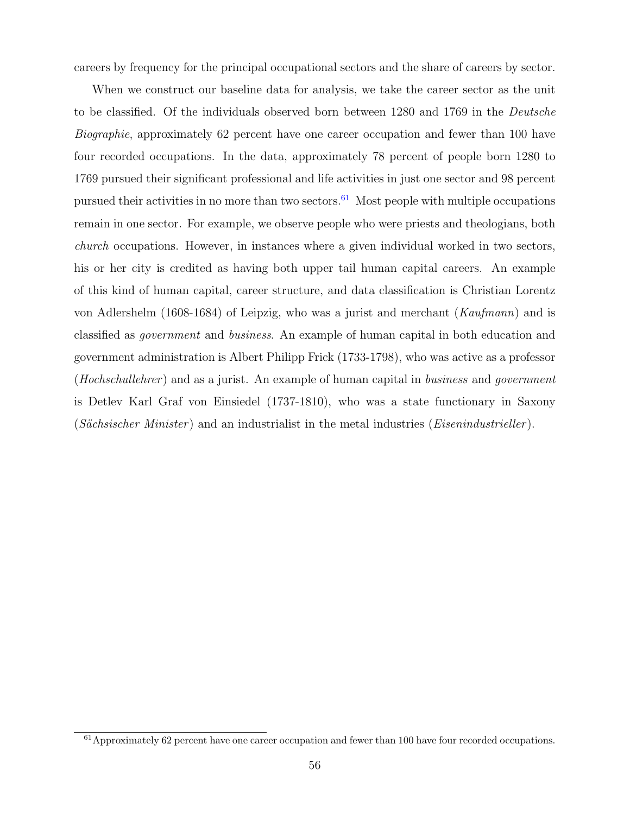careers by frequency for the principal occupational sectors and the share of careers by sector.

When we construct our baseline data for analysis, we take the career sector as the unit to be classified. Of the individuals observed born between 1280 and 1769 in the Deutsche Biographie, approximately 62 percent have one career occupation and fewer than 100 have four recorded occupations. In the data, approximately 78 percent of people born 1280 to 1769 pursued their significant professional and life activities in just one sector and 98 percent pursued their activities in no more than two sectors.<sup>[61](#page-56-0)</sup> Most people with multiple occupations remain in one sector. For example, we observe people who were priests and theologians, both church occupations. However, in instances where a given individual worked in two sectors, his or her city is credited as having both upper tail human capital careers. An example of this kind of human capital, career structure, and data classification is Christian Lorentz von Adlershelm (1608-1684) of Leipzig, who was a jurist and merchant (Kaufmann) and is classified as government and business. An example of human capital in both education and government administration is Albert Philipp Frick (1733-1798), who was active as a professor (*Hochschullehrer*) and as a jurist. An example of human capital in *business* and *government* is Detlev Karl Graf von Einsiedel (1737-1810), who was a state functionary in Saxony  $(Sächsischer Minister)$  and an industrialist in the metal industries  $(Eisenindustrieller)$ .

<span id="page-56-0"></span><sup>61</sup>Approximately 62 percent have one career occupation and fewer than 100 have four recorded occupations.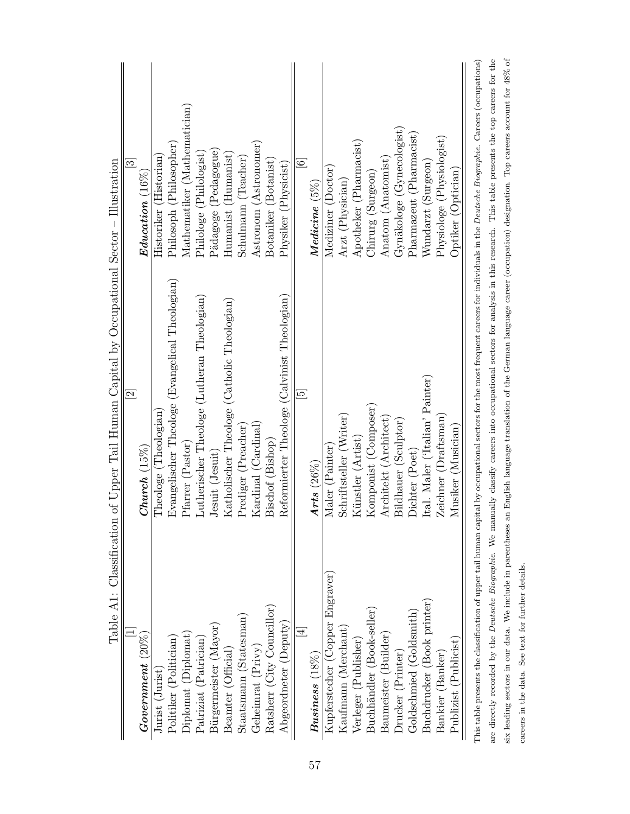|                                 | $\overline{\mathfrak{D}}$                                                                                                                                                                          | $\overline{\mathfrak{c}}$    |
|---------------------------------|----------------------------------------------------------------------------------------------------------------------------------------------------------------------------------------------------|------------------------------|
| $Government(20\%)$              | $Church(15\%)$                                                                                                                                                                                     | $\bm{E}$ ducation $(16\%)$   |
| Jurist (Jurist)                 | Theologe (Theologian)                                                                                                                                                                              | Historiker (Historian)       |
| Politiker (Politician)          | Evangelischer Theologe (Evangelical Theologian)                                                                                                                                                    | Philosoph (Philosopher)      |
| Diplomat (Diplomat)             | Pfarrer (Pastor)                                                                                                                                                                                   | Mathematiker (Mathematician) |
| Patriziat (Patrician)           | Lutherischer Theologe (Lutheran Theologian)                                                                                                                                                        | Philologe (Philologist)      |
| Bürgermeister (Mayor)           | Jesuit (Jesuit)                                                                                                                                                                                    | Pädagoge (Pedagogue)         |
| Beamter (Official)              | Katholischer Theologe (Catholic Theologian)                                                                                                                                                        | $Humanist$ ( $Humanist$ )    |
| Staatsmann (Statesman)          | Prediger (Preacher)                                                                                                                                                                                | Schulmann (Teacher)          |
| Geheimrat (Privy)               | Kardinal (Cardinal)                                                                                                                                                                                | Astronom (Astronomer)        |
| Ratsherr (City Councillor)      | Bischof (Bishop)                                                                                                                                                                                   | Botaniker (Botanist)         |
| Abgeordneter (Deputy)           | Reformierter Theologe (Calvinist Theologian)                                                                                                                                                       | Physiker (Physicist)         |
| $\overline{4}$                  | $\overline{5}$                                                                                                                                                                                     | $\odot$                      |
| $Busines$ $(18\%)$              | Arts $(26\%)$                                                                                                                                                                                      | $Medicine(5\%)$              |
| Kupferstecher (Copper Engraver) | Maler (Painter)                                                                                                                                                                                    | Mediziner (Doctor            |
| Kaufmann (Merchant)             | Schriftsteller (Writer)                                                                                                                                                                            | Arzt (Physician)             |
| Verleger (Publisher)            | Künstler (Artist)                                                                                                                                                                                  | Apotheker (Pharmacist)       |
| Buchhändler (Book-seller)       | Komponist (Composer)                                                                                                                                                                               | Chirurg (Surgeon)            |
| Baumeister (Builder)            | Architekt (Architect)                                                                                                                                                                              | Anatom (Anatomist)           |
| Drucker (Printer)               | Bildhauer (Sculptor)                                                                                                                                                                               | Gynäkologe (Gynecologist)    |
| Goldschmied (Goldsmith)         | Dichter (Poet)                                                                                                                                                                                     | Pharmazeut (Pharmacist)      |
| Buchdrucker (Book printer)      | Ital. Maler ('Italian' Painter)                                                                                                                                                                    | Wundarzt (Surgeon)           |
| Bankier (Banker)                | Zeichner (Draftsman)                                                                                                                                                                               | Physiologe (Physiologist)    |
| Publizist (Publicist)           | Musiker (Musician)                                                                                                                                                                                 | Optiker (Optician)           |
|                                 | This table presents the classification of upper tail human capital by occupational sectors for the most frequent careers for individuals in the <i>Deutsche Biographie</i> . Careers (occupations) |                              |

| This table presents the classification of upper tail human capital by occupational sectors for the most frequent careers for individuals in the <i>Deutsche Biographie</i> . Careers (occupations) |
|----------------------------------------------------------------------------------------------------------------------------------------------------------------------------------------------------|
| are directly recorded by the Deutsche Biographie. We manually classify careers into occupational sectors for analysis in this research. This table presents the top careers for the                |
| six leading sectors in our data. We include in parentheses an English language translation of the German language career (occupation) designation. Top careers account for 48% of                  |
| careers in the data. See text for further details.                                                                                                                                                 |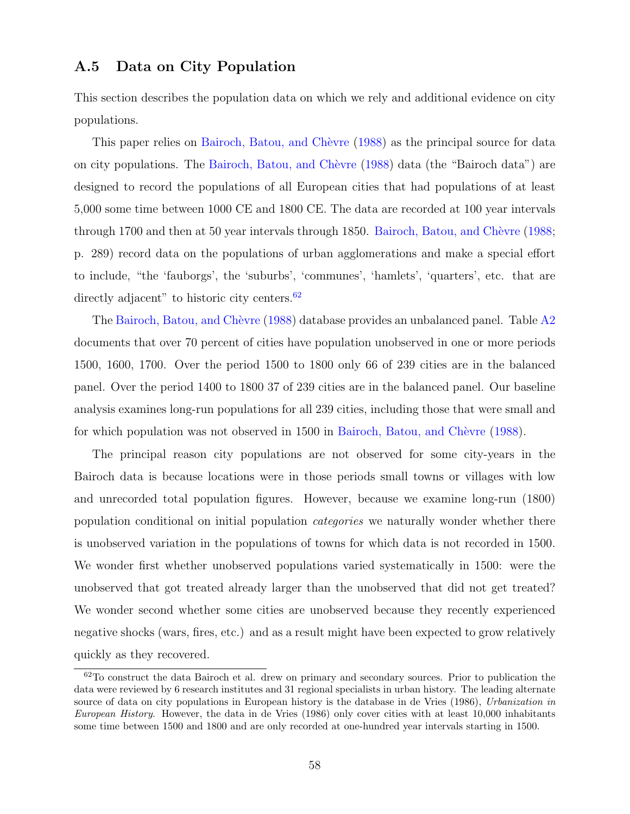# A.5 Data on City Population

This section describes the population data on which we rely and additional evidence on city populations.

This paper relies on Bairoch, Batou, and Chèvre [\(1988\)](#page-40-2) as the principal source for data on city populations. The Bairoch, Batou, and Chèvre [\(1988\)](#page-40-2) data (the "Bairoch data") are designed to record the populations of all European cities that had populations of at least 5,000 some time between 1000 CE and 1800 CE. The data are recorded at 100 year intervals through 1700 and then at 50 year intervals through 1850. Bairoch, Batou, and Chèvre [\(1988;](#page-40-2) p. 289) record data on the populations of urban agglomerations and make a special effort to include, "the 'fauborgs', the 'suburbs', 'communes', 'hamlets', 'quarters', etc. that are directly adjacent" to historic city centers.<sup>[62](#page-58-0)</sup>

The Bairoch, Batou, and Chèvre [\(1988\)](#page-40-2) database provides an unbalanced panel. Table  $A2$ documents that over 70 percent of cities have population unobserved in one or more periods 1500, 1600, 1700. Over the period 1500 to 1800 only 66 of 239 cities are in the balanced panel. Over the period 1400 to 1800 37 of 239 cities are in the balanced panel. Our baseline analysis examines long-run populations for all 239 cities, including those that were small and for which population was not observed in 1500 in Bairoch, Batou, and Chèvre [\(1988\)](#page-40-2).

The principal reason city populations are not observed for some city-years in the Bairoch data is because locations were in those periods small towns or villages with low and unrecorded total population figures. However, because we examine long-run (1800) population conditional on initial population categories we naturally wonder whether there is unobserved variation in the populations of towns for which data is not recorded in 1500. We wonder first whether unobserved populations varied systematically in 1500: were the unobserved that got treated already larger than the unobserved that did not get treated? We wonder second whether some cities are unobserved because they recently experienced negative shocks (wars, fires, etc.) and as a result might have been expected to grow relatively quickly as they recovered.

<span id="page-58-0"></span> $62$ To construct the data Bairoch et al. drew on primary and secondary sources. Prior to publication the data were reviewed by 6 research institutes and 31 regional specialists in urban history. The leading alternate source of data on city populations in European history is the database in de Vries (1986), Urbanization in European History. However, the data in de Vries (1986) only cover cities with at least 10,000 inhabitants some time between 1500 and 1800 and are only recorded at one-hundred year intervals starting in 1500.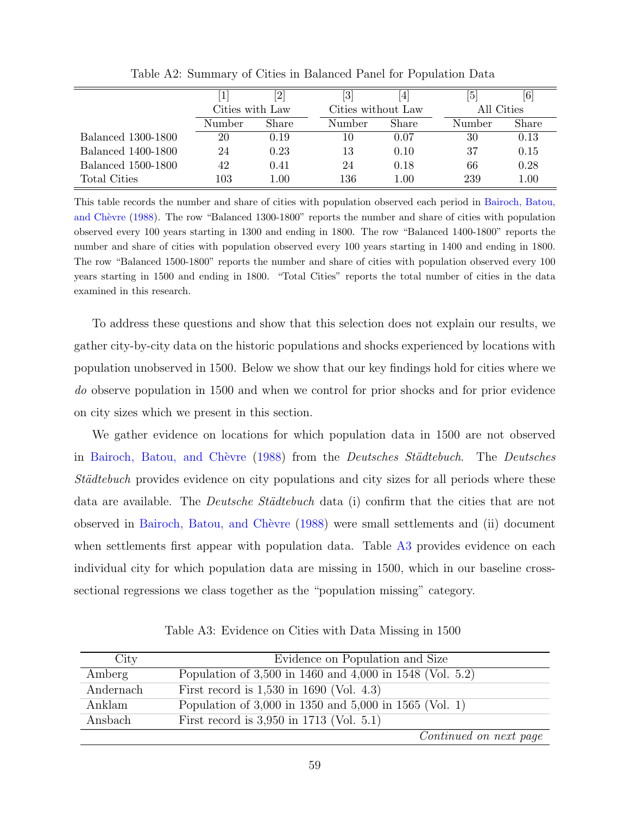|                           |                 | '2       | $\left[3\right]$   | 4        | Ι5         | [6]   |
|---------------------------|-----------------|----------|--------------------|----------|------------|-------|
|                           | Cities with Law |          | Cities without Law |          | All Cities |       |
|                           | Number          | Share    | Number             | Share    | Number     | Share |
| <b>Balanced 1300-1800</b> | 20              | 0.19     | 10                 | 0.07     | 30         | 0.13  |
| Balanced 1400-1800        | 24              | 0.23     | 13                 | 0.10     | 37         | 0.15  |
| <b>Balanced 1500-1800</b> | 42              | 0.41     | 24                 | 0.18     | 66         | 0.28  |
| Total Cities              | $103\,$         | $1.00\,$ | 136                | $1.00\,$ | 239        | 1.00  |

Table A2: Summary of Cities in Balanced Panel for Population Data

This table records the number and share of cities with population observed each period in [Bairoch, Batou,](#page-40-2) and Chèvre [\(1988\)](#page-40-2). The row "Balanced 1300-1800" reports the number and share of cities with population observed every 100 years starting in 1300 and ending in 1800. The row "Balanced 1400-1800" reports the number and share of cities with population observed every 100 years starting in 1400 and ending in 1800. The row "Balanced 1500-1800" reports the number and share of cities with population observed every 100 years starting in 1500 and ending in 1800. "Total Cities" reports the total number of cities in the data examined in this research.

To address these questions and show that this selection does not explain our results, we gather city-by-city data on the historic populations and shocks experienced by locations with population unobserved in 1500. Below we show that our key findings hold for cities where we do observe population in 1500 and when we control for prior shocks and for prior evidence on city sizes which we present in this section.

We gather evidence on locations for which population data in 1500 are not observed in Bairoch, Batou, and Chèvre [\(1988\)](#page-40-2) from the *Deutsches Städtebuch*. The *Deutsches* Städtebuch provides evidence on city populations and city sizes for all periods where these data are available. The *Deutsche Städtebuch* data (i) confirm that the cities that are not observed in [Bairoch, Batou, and Ch`evre](#page-40-2) [\(1988\)](#page-40-2) were small settlements and (ii) document when settlements first appear with population data. Table [A3](#page-21-0) provides evidence on each individual city for which population data are missing in 1500, which in our baseline crosssectional regressions we class together as the "population missing" category.

| City      | Evidence on Population and Size                          |
|-----------|----------------------------------------------------------|
| Amberg    | Population of 3,500 in 1460 and 4,000 in 1548 (Vol. 5.2) |
| Andernach | First record is $1,530$ in 1690 (Vol. 4.3)               |
| Anklam    | Population of 3,000 in 1350 and 5,000 in 1565 (Vol. 1)   |
| Ansbach   | First record is $3,950$ in 1713 (Vol. 5.1)               |
|           | Continued on next page                                   |

Table A3: Evidence on Cities with Data Missing in 1500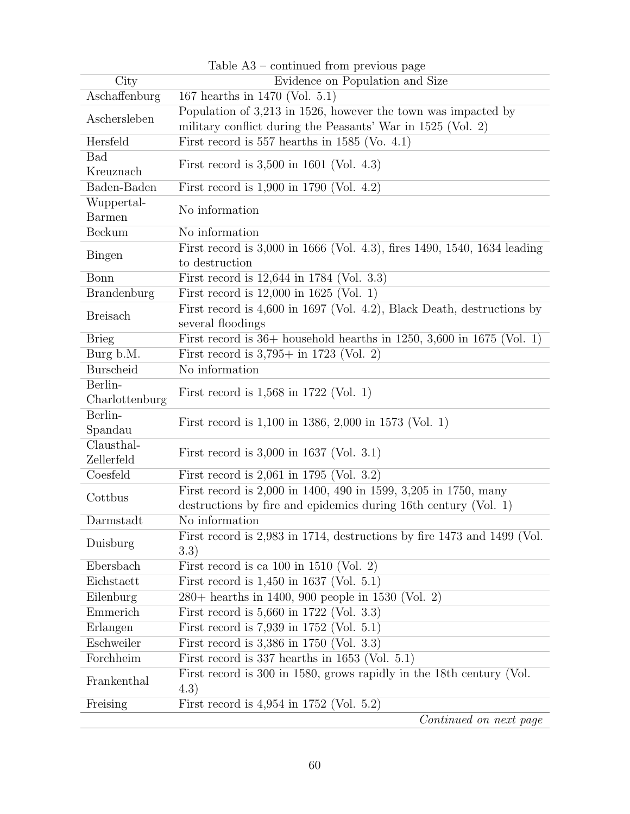|                    | Table A3 – continued from previous page                                  |  |  |  |  |
|--------------------|--------------------------------------------------------------------------|--|--|--|--|
| City               | Evidence on Population and Size                                          |  |  |  |  |
| Aschaffenburg      | 167 hearths in 1470 (Vol. 5.1)                                           |  |  |  |  |
| Aschersleben       | Population of 3,213 in 1526, however the town was impacted by            |  |  |  |  |
|                    | military conflict during the Peasants' War in 1525 (Vol. 2)              |  |  |  |  |
| Hersfeld           | First record is $557$ hearths in $1585$ (Vo. 4.1)                        |  |  |  |  |
| <b>Bad</b>         | First record is $3,500$ in 1601 (Vol. 4.3)                               |  |  |  |  |
| Kreuznach          |                                                                          |  |  |  |  |
| Baden-Baden        | First record is $1,900$ in 1790 (Vol. 4.2)                               |  |  |  |  |
| Wuppertal-         | No information                                                           |  |  |  |  |
| <b>Barmen</b>      |                                                                          |  |  |  |  |
| <b>Beckum</b>      | No information                                                           |  |  |  |  |
| <b>Bingen</b>      | First record is 3,000 in 1666 (Vol. 4.3), fires 1490, 1540, 1634 leading |  |  |  |  |
|                    | to destruction                                                           |  |  |  |  |
| Bonn               | First record is 12,644 in 1784 (Vol. 3.3)                                |  |  |  |  |
| <b>Brandenburg</b> | First record is $12,000$ in $1625$ (Vol. 1)                              |  |  |  |  |
| <b>Breisach</b>    | First record is $4,600$ in 1697 (Vol. 4.2), Black Death, destructions by |  |  |  |  |
|                    | several floodings                                                        |  |  |  |  |
| <b>Brieg</b>       | First record is $36+$ household hearths in 1250, 3,600 in 1675 (Vol. 1)  |  |  |  |  |
| Burg b.M.          | First record is $3,795+$ in 1723 (Vol. 2)                                |  |  |  |  |
| <b>Burscheid</b>   | No information                                                           |  |  |  |  |
| Berlin-            |                                                                          |  |  |  |  |
| Charlottenburg     | First record is $1,568$ in 1722 (Vol. 1)                                 |  |  |  |  |
| Berlin-            |                                                                          |  |  |  |  |
| Spandau            | First record is 1,100 in 1386, 2,000 in 1573 (Vol. 1)                    |  |  |  |  |
| Clausthal-         |                                                                          |  |  |  |  |
| Zellerfeld         | First record is $3,000$ in 1637 (Vol. 3.1)                               |  |  |  |  |
| Coesfeld           | First record is $2,061$ in 1795 (Vol. 3.2)                               |  |  |  |  |
| Cottbus            | First record is 2,000 in 1400, 490 in 1599, 3,205 in 1750, many          |  |  |  |  |
|                    | destructions by fire and epidemics during 16th century (Vol. 1)          |  |  |  |  |
| Darmstadt          | No information                                                           |  |  |  |  |
|                    | First record is 2,983 in 1714, destructions by fire 1473 and 1499 (Vol.  |  |  |  |  |
| Duisburg           | 3.3)                                                                     |  |  |  |  |
| Ebersbach          | First record is ca $100$ in $1510$ (Vol. 2)                              |  |  |  |  |
| Eichstaett         | First record is $1,450$ in 1637 (Vol. 5.1)                               |  |  |  |  |
| Eilenburg          | 280+ hearths in 1400, 900 people in 1530 (Vol. 2)                        |  |  |  |  |
| Emmerich           | First record is 5,660 in 1722 (Vol. 3.3)                                 |  |  |  |  |
| Erlangen           | First record is $7,939$ in 1752 (Vol. 5.1)                               |  |  |  |  |
| Eschweiler         | First record is 3,386 in 1750 (Vol. 3.3)                                 |  |  |  |  |
| Forchheim          | First record is 337 hearths in 1653 (Vol. $5.1$ )                        |  |  |  |  |
|                    | First record is 300 in 1580, grows rapidly in the 18th century (Vol.     |  |  |  |  |
| Frankenthal        | (4.3)                                                                    |  |  |  |  |
| Freising           | First record is $4,954$ in 1752 (Vol. 5.2)                               |  |  |  |  |
|                    | $Confinuod$ on next near                                                 |  |  |  |  |

|  |  |  | Table $A3$ – continued from previous page |  |  |  |
|--|--|--|-------------------------------------------|--|--|--|
|--|--|--|-------------------------------------------|--|--|--|

Continued on next page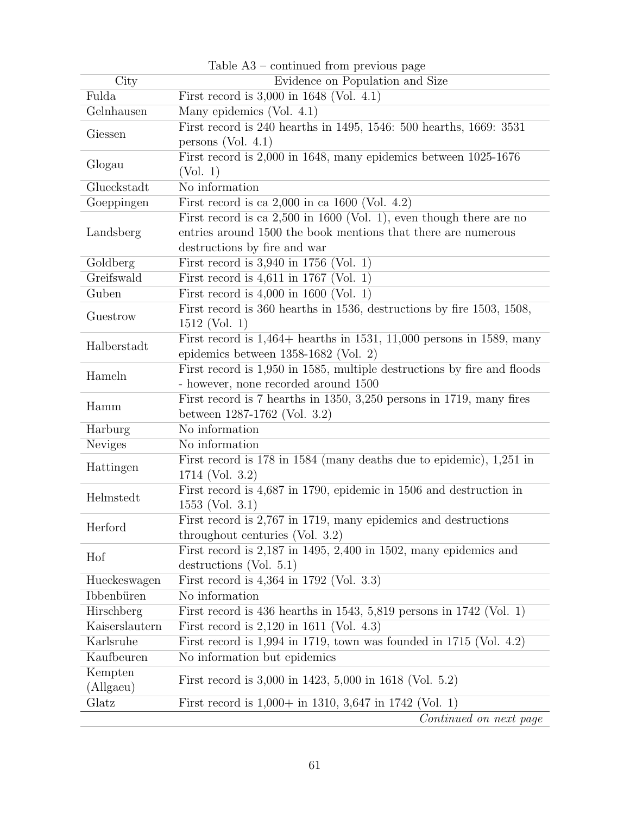|                                                                           | rable A <sub>2</sub> – continued from previous page                     |  |  |  |  |  |
|---------------------------------------------------------------------------|-------------------------------------------------------------------------|--|--|--|--|--|
| $\overline{C}$ ity                                                        | Evidence on Population and Size                                         |  |  |  |  |  |
| Fulda                                                                     | First record is $3,000$ in 1648 (Vol. 4.1)                              |  |  |  |  |  |
| Gelnhausen                                                                | Many epidemics (Vol. 4.1)                                               |  |  |  |  |  |
| Giessen                                                                   | First record is 240 hearths in 1495, 1546: 500 hearths, 1669: 3531      |  |  |  |  |  |
|                                                                           | persons (Vol. $4.1$ )                                                   |  |  |  |  |  |
| First record is 2,000 in 1648, many epidemics between 1025-1676<br>Glogau |                                                                         |  |  |  |  |  |
|                                                                           | (Vol. 1)                                                                |  |  |  |  |  |
| Glueckstadt                                                               | No information                                                          |  |  |  |  |  |
| Goeppingen                                                                | First record is ca $2,000$ in ca $1600$ (Vol. 4.2)                      |  |  |  |  |  |
|                                                                           | First record is ca $2,500$ in 1600 (Vol. 1), even though there are no   |  |  |  |  |  |
| Landsberg                                                                 | entries around 1500 the book mentions that there are numerous           |  |  |  |  |  |
|                                                                           | destructions by fire and war                                            |  |  |  |  |  |
| Goldberg                                                                  | First record is $3,940$ in $1756$ (Vol. 1)                              |  |  |  |  |  |
| Greifswald                                                                | First record is $4,611$ in 1767 (Vol. 1)                                |  |  |  |  |  |
| Guben                                                                     | First record is $4,000$ in 1600 (Vol. 1)                                |  |  |  |  |  |
| Guestrow                                                                  | First record is 360 hearths in 1536, destructions by fire 1503, 1508,   |  |  |  |  |  |
|                                                                           | $1512$ (Vol. 1)                                                         |  |  |  |  |  |
| Halberstadt                                                               | First record is $1,464+$ hearths in 1531, 11,000 persons in 1589, many  |  |  |  |  |  |
|                                                                           | epidemics between $1358-1682$ (Vol. 2)                                  |  |  |  |  |  |
| Hameln                                                                    | First record is 1,950 in 1585, multiple destructions by fire and floods |  |  |  |  |  |
|                                                                           | - however, none recorded around 1500                                    |  |  |  |  |  |
| Hamm                                                                      | First record is 7 hearths in 1350, 3,250 persons in 1719, many fires    |  |  |  |  |  |
|                                                                           | between 1287-1762 (Vol. 3.2)                                            |  |  |  |  |  |
| Harburg                                                                   | No information                                                          |  |  |  |  |  |
| <b>Neviges</b>                                                            | No information                                                          |  |  |  |  |  |
| Hattingen                                                                 | First record is 178 in 1584 (many deaths due to epidemic), 1,251 in     |  |  |  |  |  |
|                                                                           | 1714 (Vol. 3.2)                                                         |  |  |  |  |  |
| Helmstedt                                                                 | First record is 4,687 in 1790, epidemic in 1506 and destruction in      |  |  |  |  |  |
|                                                                           | $1553$ (Vol. 3.1)                                                       |  |  |  |  |  |
| Herford                                                                   | First record is 2,767 in 1719, many epidemics and destructions          |  |  |  |  |  |
|                                                                           | throughout centuries (Vol. $3.2$ )                                      |  |  |  |  |  |
| Hof                                                                       | First record is $2,187$ in 1495, $2,400$ in 1502, many epidemics and    |  |  |  |  |  |
|                                                                           | destructions (Vol. $5.1$ )                                              |  |  |  |  |  |
| Hueckeswagen                                                              | First record is 4,364 in 1792 (Vol. 3.3)                                |  |  |  |  |  |
| Ibbenbüren                                                                | No information                                                          |  |  |  |  |  |
| Hirschberg                                                                | First record is 436 hearths in 1543, 5,819 persons in 1742 (Vol. 1)     |  |  |  |  |  |
| Kaiserslautern                                                            | First record is $2,120$ in 1611 (Vol. 4.3)                              |  |  |  |  |  |
| Karlsruhe                                                                 | First record is $1,994$ in 1719, town was founded in 1715 (Vol. 4.2)    |  |  |  |  |  |
| Kaufbeuren                                                                | No information but epidemics                                            |  |  |  |  |  |
| Kempten                                                                   | First record is 3,000 in 1423, 5,000 in 1618 (Vol. 5.2)                 |  |  |  |  |  |
| (Allgaeu)                                                                 |                                                                         |  |  |  |  |  |
| Glatz                                                                     | First record is $1,000+$ in 1310, 3,647 in 1742 (Vol. 1)                |  |  |  |  |  |
|                                                                           | Continued on next page                                                  |  |  |  |  |  |

Table A3 – continued from previous page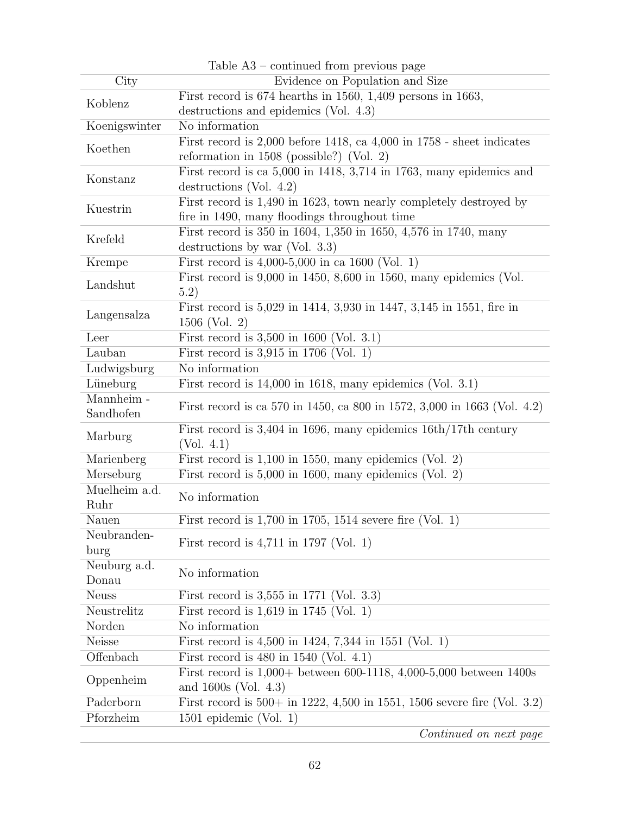|                                | Table A5 – continued from previous page                                                        |  |  |  |  |  |
|--------------------------------|------------------------------------------------------------------------------------------------|--|--|--|--|--|
| $\overline{\mathrm{City}}$     | Evidence on Population and Size                                                                |  |  |  |  |  |
| Koblenz                        | First record is $674$ hearths in 1560, 1,409 persons in 1663,                                  |  |  |  |  |  |
|                                | destructions and epidemics (Vol. 4.3)                                                          |  |  |  |  |  |
| Koenigswinter                  | No information                                                                                 |  |  |  |  |  |
| Koethen                        | First record is $2,000$ before 1418, ca $4,000$ in $1758$ - sheet indicates                    |  |  |  |  |  |
|                                | reformation in $1508$ (possible?) (Vol. 2)                                                     |  |  |  |  |  |
| Konstanz                       | First record is ca 5,000 in 1418, 3,714 in 1763, many epidemics and                            |  |  |  |  |  |
|                                | destructions (Vol. $4.2$ )                                                                     |  |  |  |  |  |
| Kuestrin                       | First record is 1,490 in 1623, town nearly completely destroyed by                             |  |  |  |  |  |
|                                | fire in 1490, many floodings throughout time                                                   |  |  |  |  |  |
| Krefeld                        | First record is 350 in 1604, 1,350 in 1650, 4,576 in 1740, many                                |  |  |  |  |  |
|                                | destructions by war (Vol. $3.3$ )                                                              |  |  |  |  |  |
| Krempe                         | First record is $4,000-5,000$ in ca 1600 (Vol. 1)                                              |  |  |  |  |  |
| Landshut                       | First record is $9,000$ in 1450, $8,600$ in 1560, many epidemics (Vol.<br>(5.2)                |  |  |  |  |  |
| Langensalza                    | First record is 5,029 in 1414, 3,930 in 1447, 3,145 in 1551, fire in<br>1506 (Vol. 2)          |  |  |  |  |  |
| Leer                           | First record is $3,500$ in $1600$ (Vol. 3.1)                                                   |  |  |  |  |  |
| Lauban                         | First record is $3,915$ in 1706 (Vol. 1)                                                       |  |  |  |  |  |
| Ludwigsburg                    | No information                                                                                 |  |  |  |  |  |
| Lüneburg                       | First record is $14,000$ in 1618, many epidemics (Vol. 3.1)                                    |  |  |  |  |  |
| $\overline{\text{Mannheim}}$ - |                                                                                                |  |  |  |  |  |
| Sandhofen                      | First record is ca 570 in 1450, ca 800 in 1572, 3,000 in 1663 (Vol. 4.2)                       |  |  |  |  |  |
| Marburg                        | First record is 3,404 in 1696, many epidemics 16th/17th century<br>(Vol. 4.1)                  |  |  |  |  |  |
| Marienberg                     | First record is $1,100$ in 1550, many epidemics (Vol. 2)                                       |  |  |  |  |  |
| Merseburg                      | First record is $5,000$ in 1600, many epidemics (Vol. 2)                                       |  |  |  |  |  |
| Muelheim a.d.<br>Ruhr          | No information                                                                                 |  |  |  |  |  |
| Nauen                          | First record is $1,700$ in 1705, 1514 severe fire (Vol. 1)                                     |  |  |  |  |  |
| Neubranden-                    |                                                                                                |  |  |  |  |  |
| burg                           | First record is $4,711$ in 1797 (Vol. 1)                                                       |  |  |  |  |  |
| Neuburg a.d.                   | No information                                                                                 |  |  |  |  |  |
| Donau                          |                                                                                                |  |  |  |  |  |
| <b>Neuss</b>                   | First record is $3,555$ in 1771 (Vol. 3.3)                                                     |  |  |  |  |  |
| Neustrelitz                    | First record is $1,619$ in 1745 (Vol. 1)                                                       |  |  |  |  |  |
| Norden                         | No information                                                                                 |  |  |  |  |  |
| Neisse                         | First record is $4,500$ in 1424, 7,344 in 1551 (Vol. 1)                                        |  |  |  |  |  |
| Offenbach                      | First record is $480$ in $1540$ (Vol. 4.1)                                                     |  |  |  |  |  |
| Oppenheim                      | First record is $1,000+$ between 600-1118, 4,000-5,000 between 1400s<br>and $1600s$ (Vol. 4.3) |  |  |  |  |  |
| Paderborn                      | First record is $500+$ in 1222, 4,500 in 1551, 1506 severe fire (Vol. 3.2)                     |  |  |  |  |  |
| Pforzheim                      | 1501 epidemic (Vol. 1)                                                                         |  |  |  |  |  |
|                                | Continued on next page                                                                         |  |  |  |  |  |

Table  $\Delta$ 3 – continued from previous page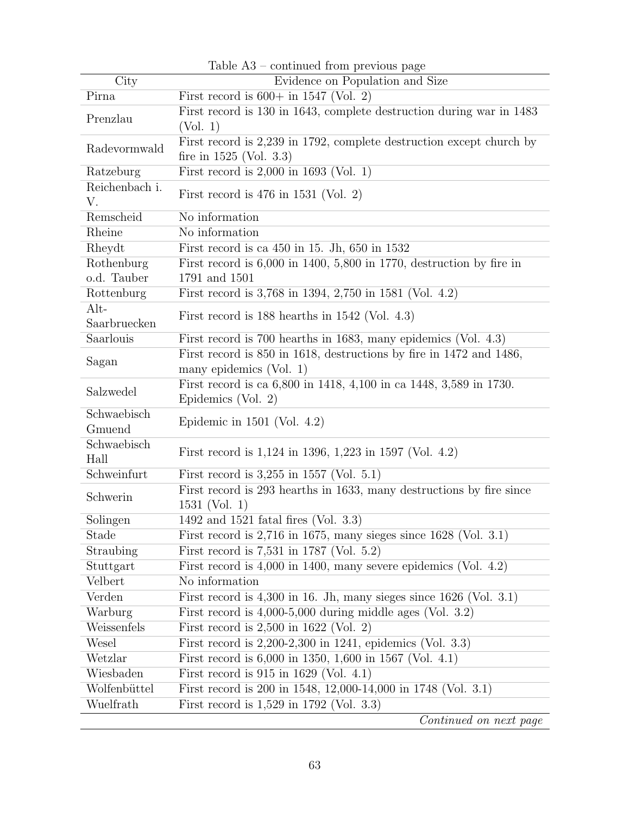|                        | rable A <sub>2</sub> – continued from previous page                                               |
|------------------------|---------------------------------------------------------------------------------------------------|
| City                   | Evidence on Population and Size                                                                   |
| Pirna                  | First record is $600+$ in 1547 (Vol. 2)                                                           |
| Prenzlau               | First record is 130 in 1643, complete destruction during war in 1483<br>(Vol. 1)                  |
| Radevormwald           | First record is 2,239 in 1792, complete destruction except church by<br>fire in $1525$ (Vol. 3.3) |
| Ratzeburg              | First record is $2,000$ in 1693 (Vol. 1)                                                          |
| Reichenbach i.<br>V.   | First record is $476$ in $1531$ (Vol. 2)                                                          |
| Remscheid              | No information                                                                                    |
| Rheine                 | No information                                                                                    |
| Rheydt                 | First record is ca $450$ in 15. Jh, $650$ in $1532$                                               |
| Rothenburg             | First record is $6,000$ in 1400, 5,800 in 1770, destruction by fire in                            |
| o.d. Tauber            | 1791 and 1501                                                                                     |
| Rottenburg             | First record is 3,768 in 1394, 2,750 in 1581 (Vol. 4.2)                                           |
| $Alt-$<br>Saarbruecken | First record is $188$ hearths in $1542$ (Vol. 4.3)                                                |
| Saarlouis              | First record is 700 hearths in 1683, many epidemics (Vol. 4.3)                                    |
| Sagan                  | First record is 850 in 1618, destructions by fire in 1472 and 1486,<br>many epidemics $(Vol. 1)$  |
| Salzwedel              | First record is ca 6,800 in 1418, 4,100 in ca 1448, 3,589 in 1730.<br>Epidemics (Vol. 2)          |
| Schwaebisch<br>Gmuend  | Epidemic in $1501$ (Vol. 4.2)                                                                     |
| Schwaebisch<br>Hall    | First record is $1,124$ in 1396, $1,223$ in 1597 (Vol. 4.2)                                       |
| Schweinfurt            | First record is $3,255$ in 1557 (Vol. 5.1)                                                        |
| Schwerin               | First record is 293 hearths in 1633, many destructions by fire since<br>$1531$ (Vol. 1)           |
| Solingen               | 1492 and 1521 fatal fires (Vol. 3.3)                                                              |
| Stade                  | First record is $2,716$ in 1675, many sieges since $1628$ (Vol. 3.1)                              |
| Straubing              | First record is 7,531 in 1787 (Vol. 5.2)                                                          |
| Stuttgart              | First record is $4,000$ in 1400, many severe epidemics (Vol. $4.2$ )                              |
| Velbert                | No information                                                                                    |
| Verden                 | First record is $4,300$ in 16. Jh, many sieges since $1626$ (Vol. 3.1)                            |
| Warburg                | First record is $4,000-5,000$ during middle ages (Vol. 3.2)                                       |
| Weissenfels            | First record is $2,500$ in 1622 (Vol. 2)                                                          |
| Wesel                  | First record is $2,200-2,300$ in 1241, epidemics (Vol. 3.3)                                       |
| Wetzlar                | First record is $6,000$ in $1350, 1,600$ in $1567$ (Vol. 4.1)                                     |
| Wiesbaden              | First record is $915$ in $1629$ (Vol. 4.1)                                                        |
| Wolfenbüttel           | First record is 200 in 1548, 12,000-14,000 in 1748 (Vol. 3.1)                                     |
| Wuelfrath              | First record is $1,529$ in 1792 (Vol. 3.3)                                                        |
|                        | Continued on next page                                                                            |

Table A3 – continued from previous page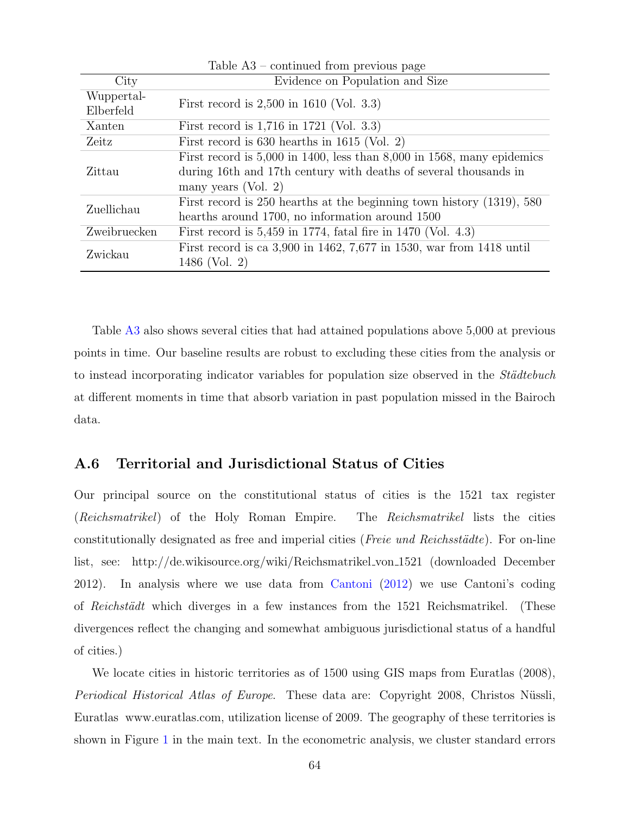|              | Table $A3$ – continued from previous page                                  |  |  |  |
|--------------|----------------------------------------------------------------------------|--|--|--|
| City         | Evidence on Population and Size                                            |  |  |  |
| Wuppertal-   | First record is $2,500$ in 1610 (Vol. 3.3)                                 |  |  |  |
| Elberfeld    |                                                                            |  |  |  |
| Xanten       | First record is $1,716$ in $1721$ (Vol. 3.3)                               |  |  |  |
| Zeitz        | First record is $630$ hearths in $1615$ (Vol. 2)                           |  |  |  |
|              | First record is $5,000$ in 1400, less than $8,000$ in 1568, many epidemics |  |  |  |
| Zittau       | during 16th and 17th century with deaths of several thousands in           |  |  |  |
|              | many years (Vol. 2)                                                        |  |  |  |
| Zuellichau   | First record is 250 hearths at the beginning town history (1319), 580      |  |  |  |
|              | hearths around 1700, no information around 1500                            |  |  |  |
| Zweibruecken | First record is $5,459$ in 1774, fatal fire in 1470 (Vol. 4.3)             |  |  |  |
| Zwickau      | First record is ca 3,900 in 1462, 7,677 in 1530, war from 1418 until       |  |  |  |
|              | 1486 (Vol. 2)                                                              |  |  |  |

Table [A3](#page-21-0) also shows several cities that had attained populations above 5,000 at previous points in time. Our baseline results are robust to excluding these cities from the analysis or to instead incorporating indicator variables for population size observed in the *Städtebuch* at different moments in time that absorb variation in past population missed in the Bairoch data.

# A.6 Territorial and Jurisdictional Status of Cities

Our principal source on the constitutional status of cities is the 1521 tax register (Reichsmatrikel) of the Holy Roman Empire. The Reichsmatrikel lists the cities constitutionally designated as free and imperial cities (*Freie und Reichsstädte*). For on-line list, see: http://de.wikisource.org/wiki/Reichsmatrikel von 1521 (downloaded December 2012). In analysis where we use data from [Cantoni](#page-41-5) [\(2012\)](#page-41-5) we use Cantoni's coding of Reichstädt which diverges in a few instances from the 1521 Reichsmatrikel. (These divergences reflect the changing and somewhat ambiguous jurisdictional status of a handful of cities.)

We locate cities in historic territories as of 1500 using GIS maps from Euratlas (2008), Periodical Historical Atlas of Europe. These data are: Copyright 2008, Christos Nüssli, Euratlas www.euratlas.com, utilization license of 2009. The geography of these territories is shown in Figure [1](#page-10-0) in the main text. In the econometric analysis, we cluster standard errors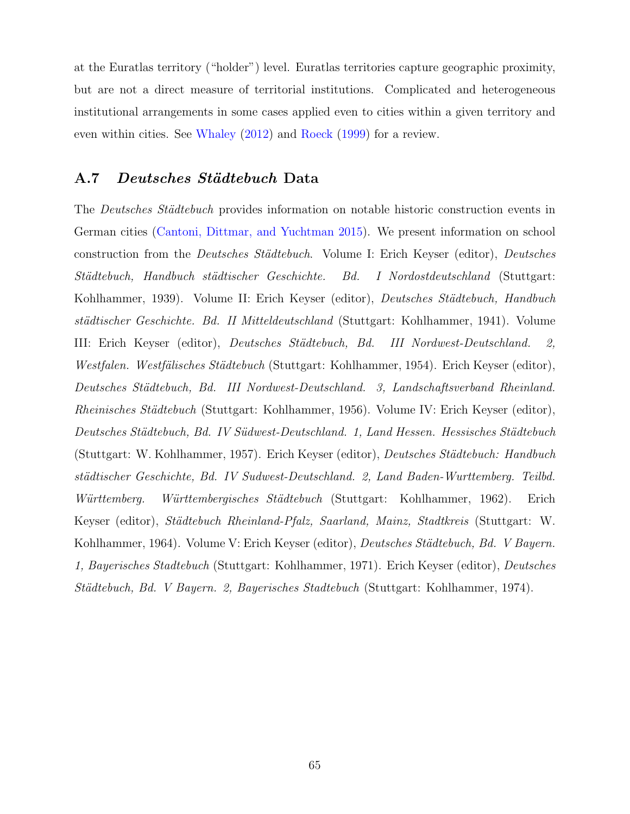at the Euratlas territory ("holder") level. Euratlas territories capture geographic proximity, but are not a direct measure of territorial institutions. Complicated and heterogeneous institutional arrangements in some cases applied even to cities within a given territory and even within cities. See [Whaley](#page-44-6) [\(2012\)](#page-44-6) and [Roeck](#page-43-2) [\(1999\)](#page-43-2) for a review.

## A.7 Deutsches Städtebuch Data

The *Deutsches Städtebuch* provides information on notable historic construction events in German cities [\(Cantoni, Dittmar, and Yuchtman](#page-41-6) [2015\)](#page-41-6). We present information on school construction from the *Deutsches Städtebuch*. Volume I: Erich Keyser (editor), *Deutsches* Städtebuch, Handbuch städtischer Geschichte. Bd. I Nordostdeutschland (Stuttgart: Kohlhammer, 1939). Volume II: Erich Keyser (editor), Deutsches Städtebuch, Handbuch städtischer Geschichte. Bd. II Mitteldeutschland (Stuttgart: Kohlhammer, 1941). Volume III: Erich Keyser (editor), Deutsches Städtebuch, Bd. III Nordwest-Deutschland. 2, Westfalen. Westfälisches Städtebuch (Stuttgart: Kohlhammer, 1954). Erich Keyser (editor), Deutsches Städtebuch, Bd. III Nordwest-Deutschland. 3, Landschaftsverband Rheinland. Rheinisches Städtebuch (Stuttgart: Kohlhammer, 1956). Volume IV: Erich Keyser (editor), Deutsches Städtebuch, Bd. IV Südwest-Deutschland. 1, Land Hessen. Hessisches Städtebuch (Stuttgart: W. Kohlhammer, 1957). Erich Keyser (editor), Deutsches Städtebuch: Handbuch städtischer Geschichte, Bd. IV Sudwest-Deutschland. 2, Land Baden-Wurttemberg. Teilbd. Württemberg. Württembergisches Städtebuch (Stuttgart: Kohlhammer, 1962). Erich Keyser (editor), Städtebuch Rheinland-Pfalz, Saarland, Mainz, Stadtkreis (Stuttgart: W. Kohlhammer, 1964). Volume V: Erich Keyser (editor), Deutsches Städtebuch, Bd. V Bayern. 1, Bayerisches Stadtebuch (Stuttgart: Kohlhammer, 1971). Erich Keyser (editor), Deutsches Städtebuch, Bd. V Bayern. 2, Bayerisches Stadtebuch (Stuttgart: Kohlhammer, 1974).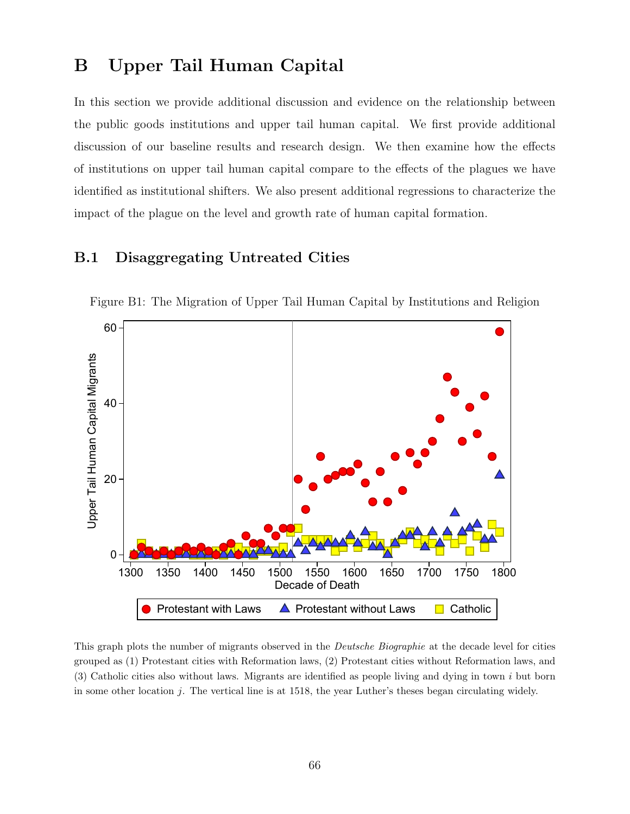# B Upper Tail Human Capital

In this section we provide additional discussion and evidence on the relationship between the public goods institutions and upper tail human capital. We first provide additional discussion of our baseline results and research design. We then examine how the effects of institutions on upper tail human capital compare to the effects of the plagues we have identified as institutional shifters. We also present additional regressions to characterize the impact of the plague on the level and growth rate of human capital formation.

## B.1 Disaggregating Untreated Cities



Figure B1: The Migration of Upper Tail Human Capital by Institutions and Religion

This graph plots the number of migrants observed in the *Deutsche Biographie* at the decade level for cities grouped as (1) Protestant cities with Reformation laws, (2) Protestant cities without Reformation laws, and (3) Catholic cities also without laws. Migrants are identified as people living and dying in town i but born in some other location  $j$ . The vertical line is at 1518, the year Luther's theses began circulating widely.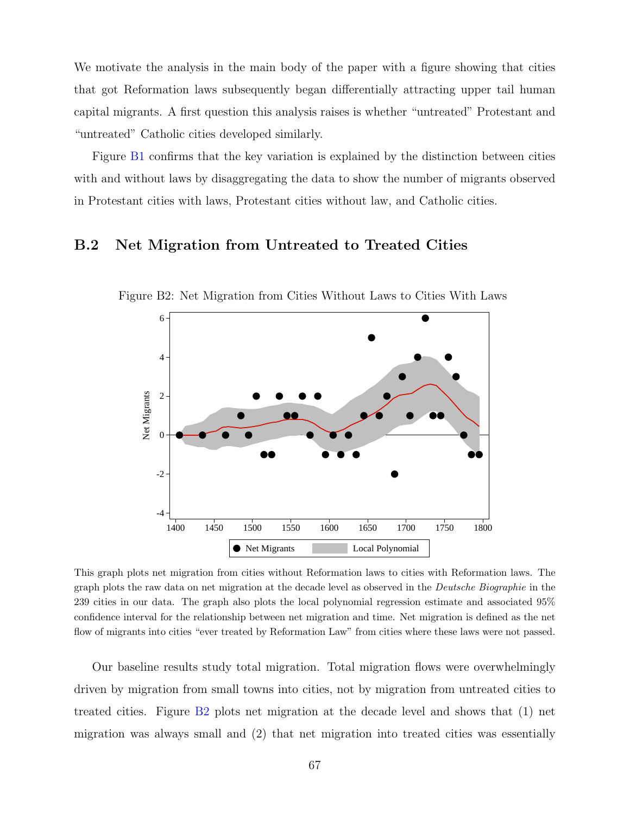We motivate the analysis in the main body of the paper with a figure showing that cities that got Reformation laws subsequently began differentially attracting upper tail human capital migrants. A first question this analysis raises is whether "untreated" Protestant and "untreated" Catholic cities developed similarly.

Figure [B1](#page-10-0) confirms that the key variation is explained by the distinction between cities with and without laws by disaggregating the data to show the number of migrants observed in Protestant cities with laws, Protestant cities without law, and Catholic cities.

## B.2 Net Migration from Untreated to Treated Cities



Figure B2: Net Migration from Cities Without Laws to Cities With Laws

This graph plots net migration from cities without Reformation laws to cities with Reformation laws. The graph plots the raw data on net migration at the decade level as observed in the Deutsche Biographie in the 239 cities in our data. The graph also plots the local polynomial regression estimate and associated 95% confidence interval for the relationship between net migration and time. Net migration is defined as the net flow of migrants into cities "ever treated by Reformation Law" from cities where these laws were not passed.

Our baseline results study total migration. Total migration flows were overwhelmingly driven by migration from small towns into cities, not by migration from untreated cities to treated cities. Figure [B2](#page-10-1) plots net migration at the decade level and shows that (1) net migration was always small and (2) that net migration into treated cities was essentially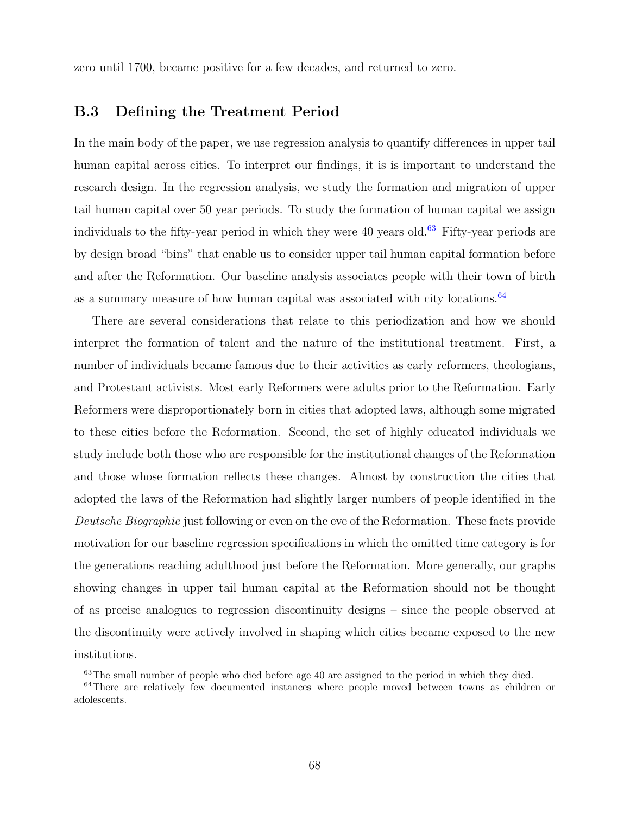zero until 1700, became positive for a few decades, and returned to zero.

## B.3 Defining the Treatment Period

In the main body of the paper, we use regression analysis to quantify differences in upper tail human capital across cities. To interpret our findings, it is is important to understand the research design. In the regression analysis, we study the formation and migration of upper tail human capital over 50 year periods. To study the formation of human capital we assign individuals to the fifty-year period in which they were 40 years old.<sup>[63](#page-68-0)</sup> Fifty-year periods are by design broad "bins" that enable us to consider upper tail human capital formation before and after the Reformation. Our baseline analysis associates people with their town of birth as a summary measure of how human capital was associated with city locations.<sup>[64](#page-68-1)</sup>

There are several considerations that relate to this periodization and how we should interpret the formation of talent and the nature of the institutional treatment. First, a number of individuals became famous due to their activities as early reformers, theologians, and Protestant activists. Most early Reformers were adults prior to the Reformation. Early Reformers were disproportionately born in cities that adopted laws, although some migrated to these cities before the Reformation. Second, the set of highly educated individuals we study include both those who are responsible for the institutional changes of the Reformation and those whose formation reflects these changes. Almost by construction the cities that adopted the laws of the Reformation had slightly larger numbers of people identified in the Deutsche Biographie just following or even on the eve of the Reformation. These facts provide motivation for our baseline regression specifications in which the omitted time category is for the generations reaching adulthood just before the Reformation. More generally, our graphs showing changes in upper tail human capital at the Reformation should not be thought of as precise analogues to regression discontinuity designs – since the people observed at the discontinuity were actively involved in shaping which cities became exposed to the new institutions.

<span id="page-68-1"></span><span id="page-68-0"></span><sup>&</sup>lt;sup>63</sup>The small number of people who died before age 40 are assigned to the period in which they died.

<sup>&</sup>lt;sup>64</sup>There are relatively few documented instances where people moved between towns as children or adolescents.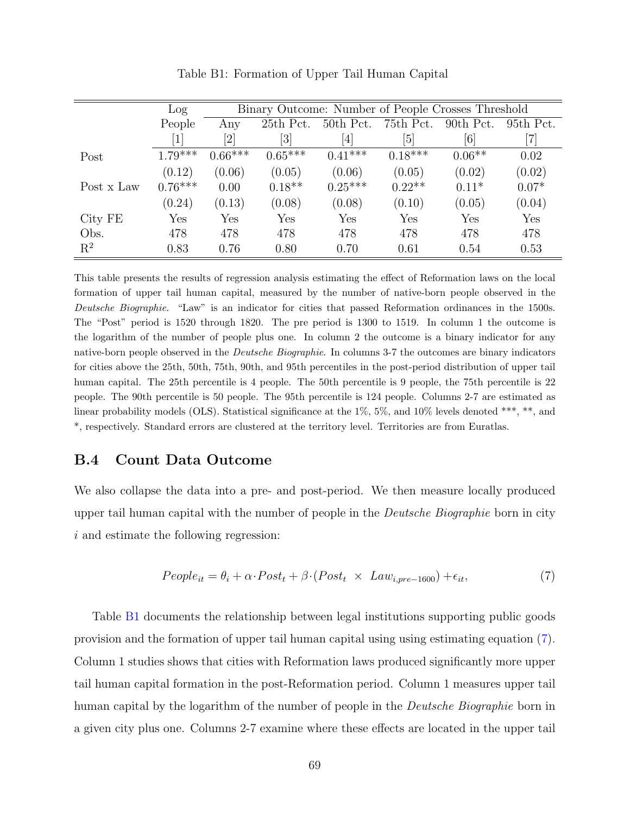|            | Log       | Binary Outcome: Number of People Crosses Threshold |           |           |           |           |                              |
|------------|-----------|----------------------------------------------------|-----------|-----------|-----------|-----------|------------------------------|
|            | People    | Any                                                | 25th Pct. | 50th Pct. | 75th Pct. | 90th Pct. | 95th Pct.                    |
|            |           |                                                    | [3]       | [4]       | [5]       | [6]       | $\left\lceil 7 \right\rceil$ |
| Post       | $1.79***$ | $0.66***$                                          | $0.65***$ | $0.41***$ | $0.18***$ | $0.06**$  | 0.02                         |
|            | (0.12)    | (0.06)                                             | (0.05)    | (0.06)    | (0.05)    | (0.02)    | (0.02)                       |
| Post x Law | $0.76***$ | 0.00                                               | $0.18**$  | $0.25***$ | $0.22**$  | $0.11*$   | $0.07*$                      |
|            | (0.24)    | (0.13)                                             | (0.08)    | (0.08)    | (0.10)    | (0.05)    | (0.04)                       |
| City FE    | Yes       | Yes                                                | Yes       | Yes       | Yes       | Yes       | Yes                          |
| Obs.       | 478       | 478                                                | 478       | 478       | 478       | 478       | 478                          |
| $R^2$      | 0.83      | 0.76                                               | 0.80      | 0.70      | 0.61      | 0.54      | 0.53                         |

Table B1: Formation of Upper Tail Human Capital

This table presents the results of regression analysis estimating the effect of Reformation laws on the local formation of upper tail human capital, measured by the number of native-born people observed in the Deutsche Biographie. "Law" is an indicator for cities that passed Reformation ordinances in the 1500s. The "Post" period is 1520 through 1820. The pre period is 1300 to 1519. In column 1 the outcome is the logarithm of the number of people plus one. In column 2 the outcome is a binary indicator for any native-born people observed in the *Deutsche Biographie*. In columns 3-7 the outcomes are binary indicators for cities above the 25th, 50th, 75th, 90th, and 95th percentiles in the post-period distribution of upper tail human capital. The 25th percentile is 4 people. The 50th percentile is 9 people, the 75th percentile is 22 people. The 90th percentile is 50 people. The 95th percentile is 124 people. Columns 2-7 are estimated as linear probability models (OLS). Statistical significance at the  $1\%$ ,  $5\%$ , and  $10\%$  levels denoted \*\*\*, \*\*, and \*, respectively. Standard errors are clustered at the territory level. Territories are from Euratlas.

## B.4 Count Data Outcome

We also collapse the data into a pre- and post-period. We then measure locally produced upper tail human capital with the number of people in the *Deutsche Biographie* born in city i and estimate the following regression:

<span id="page-69-0"></span>
$$
People_{it} = \theta_i + \alpha \cdot Post_t + \beta \cdot (Post_t \times Law_{i, pre-1600}) + \epsilon_{it},\tag{7}
$$

Table [B1](#page-14-0) documents the relationship between legal institutions supporting public goods provision and the formation of upper tail human capital using using estimating equation [\(7\)](#page-69-0). Column 1 studies shows that cities with Reformation laws produced significantly more upper tail human capital formation in the post-Reformation period. Column 1 measures upper tail human capital by the logarithm of the number of people in the *Deutsche Biographie* born in a given city plus one. Columns 2-7 examine where these effects are located in the upper tail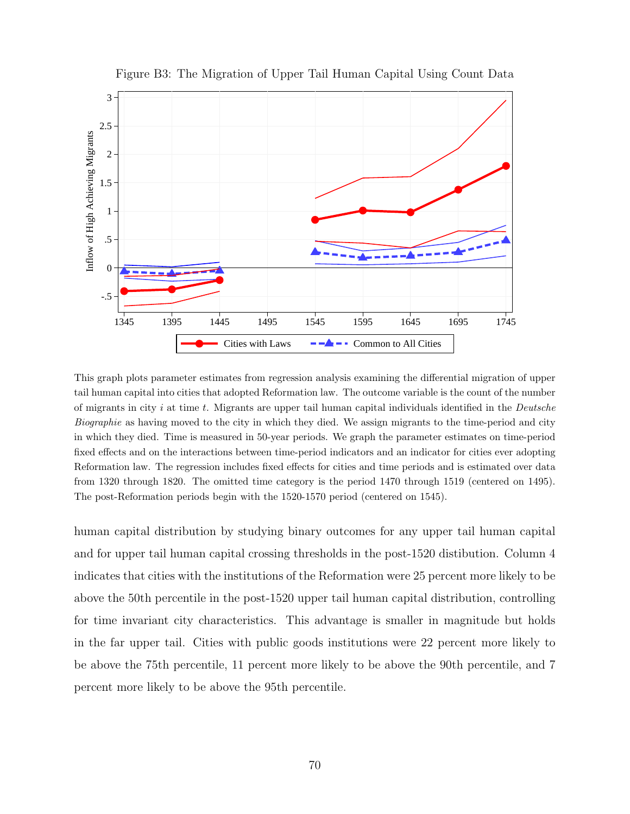

Figure B3: The Migration of Upper Tail Human Capital Using Count Data

This graph plots parameter estimates from regression analysis examining the differential migration of upper tail human capital into cities that adopted Reformation law. The outcome variable is the count of the number of migrants in city  $i$  at time  $t$ . Migrants are upper tail human capital individuals identified in the *Deutsche* Biographie as having moved to the city in which they died. We assign migrants to the time-period and city in which they died. Time is measured in 50-year periods. We graph the parameter estimates on time-period fixed effects and on the interactions between time-period indicators and an indicator for cities ever adopting Reformation law. The regression includes fixed effects for cities and time periods and is estimated over data from 1320 through 1820. The omitted time category is the period 1470 through 1519 (centered on 1495). The post-Reformation periods begin with the 1520-1570 period (centered on 1545).

human capital distribution by studying binary outcomes for any upper tail human capital and for upper tail human capital crossing thresholds in the post-1520 distibution. Column 4 indicates that cities with the institutions of the Reformation were 25 percent more likely to be above the 50th percentile in the post-1520 upper tail human capital distribution, controlling for time invariant city characteristics. This advantage is smaller in magnitude but holds in the far upper tail. Cities with public goods institutions were 22 percent more likely to be above the 75th percentile, 11 percent more likely to be above the 90th percentile, and 7 percent more likely to be above the 95th percentile.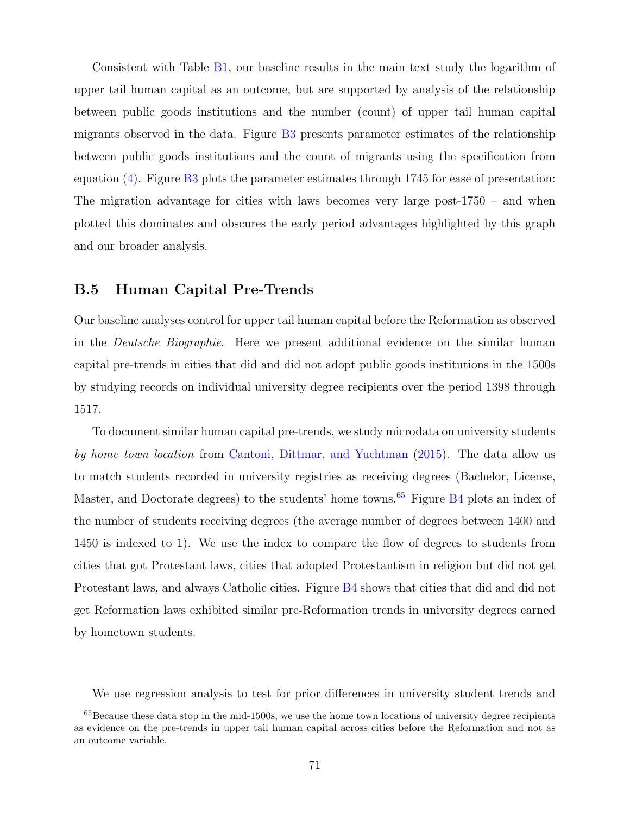Consistent with Table [B1,](#page-14-0) our baseline results in the main text study the logarithm of upper tail human capital as an outcome, but are supported by analysis of the relationship between public goods institutions and the number (count) of upper tail human capital migrants observed in the data. Figure [B3](#page-14-1) presents parameter estimates of the relationship between public goods institutions and the count of migrants using the specification from equation [\(4\)](#page-17-0). Figure [B3](#page-14-1) plots the parameter estimates through 1745 for ease of presentation: The migration advantage for cities with laws becomes very large post-1750 – and when plotted this dominates and obscures the early period advantages highlighted by this graph and our broader analysis.

## B.5 Human Capital Pre-Trends

Our baseline analyses control for upper tail human capital before the Reformation as observed in the Deutsche Biographie. Here we present additional evidence on the similar human capital pre-trends in cities that did and did not adopt public goods institutions in the 1500s by studying records on individual university degree recipients over the period 1398 through 1517.

To document similar human capital pre-trends, we study microdata on university students by home town location from [Cantoni, Dittmar, and Yuchtman](#page-41-6) [\(2015\)](#page-41-6). The data allow us to match students recorded in university registries as receiving degrees (Bachelor, License, Master, and Doctorate degrees) to the students' home towns.<sup>[65](#page-71-0)</sup> Figure  $B4$  plots an index of the number of students receiving degrees (the average number of degrees between 1400 and 1450 is indexed to 1). We use the index to compare the flow of degrees to students from cities that got Protestant laws, cities that adopted Protestantism in religion but did not get Protestant laws, and always Catholic cities. Figure [B4](#page-18-0) shows that cities that did and did not get Reformation laws exhibited similar pre-Reformation trends in university degrees earned by hometown students.

<span id="page-71-0"></span>We use regression analysis to test for prior differences in university student trends and

 $65$ Because these data stop in the mid-1500s, we use the home town locations of university degree recipients as evidence on the pre-trends in upper tail human capital across cities before the Reformation and not as an outcome variable.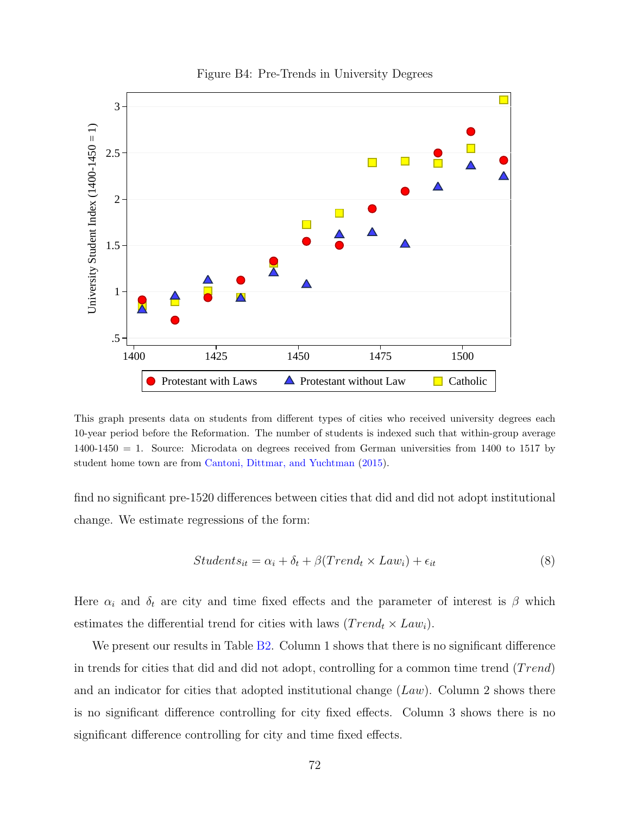

#### Figure B4: Pre-Trends in University Degrees

This graph presents data on students from different types of cities who received university degrees each 10-year period before the Reformation. The number of students is indexed such that within-group average 1400-1450 = 1. Source: Microdata on degrees received from German universities from 1400 to 1517 by student home town are from [Cantoni, Dittmar, and Yuchtman](#page-41-0) [\(2015\)](#page-41-0).

find no significant pre-1520 differences between cities that did and did not adopt institutional change. We estimate regressions of the form:

$$
Students_{it} = \alpha_i + \delta_t + \beta (Trend_t \times Law_i) + \epsilon_{it}
$$
\n(8)

Here  $\alpha_i$  and  $\delta_t$  are city and time fixed effects and the parameter of interest is  $\beta$  which estimates the differential trend for cities with laws  $(Trend_t \times Law_i)$ .

We present our results in Table [B2.](#page-16-0) Column 1 shows that there is no significant difference in trends for cities that did and did not adopt, controlling for a common time trend  $(Trend)$ and an indicator for cities that adopted institutional change  $(Law)$ . Column 2 shows there is no significant difference controlling for city fixed effects. Column 3 shows there is no significant difference controlling for city and time fixed effects.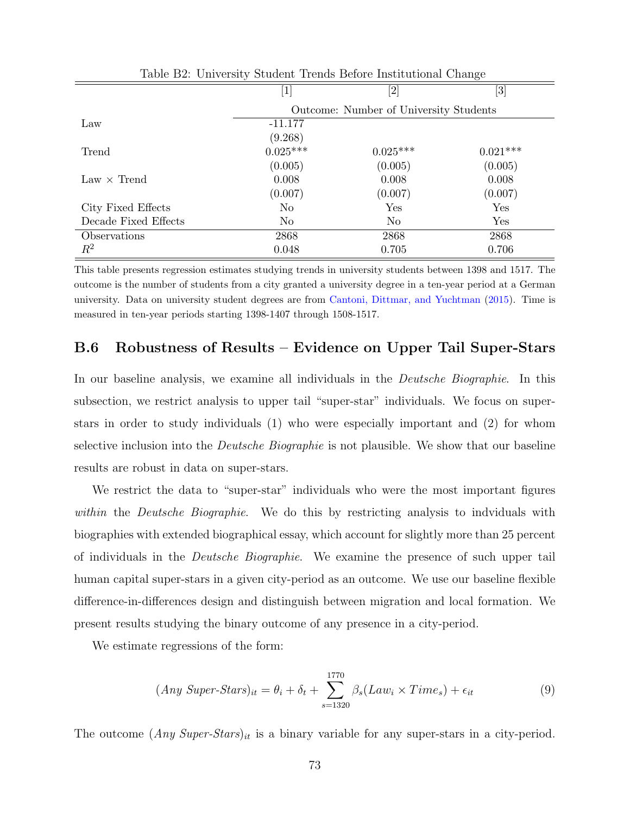| Table D2. University Dragent Trends Delore montanonal Change |                                        |                   |                                                                                                                                                                                                                  |  |  |  |  |  |
|--------------------------------------------------------------|----------------------------------------|-------------------|------------------------------------------------------------------------------------------------------------------------------------------------------------------------------------------------------------------|--|--|--|--|--|
|                                                              | [1]                                    | $\left[ 2\right]$ | $[3] % \includegraphics[width=1\textwidth]{images/TrDiM-Architecture.png} \caption{The image shows the image shows a different image. The image shows a different image shows a different image.} \label{TrDiS}$ |  |  |  |  |  |
|                                                              | Outcome: Number of University Students |                   |                                                                                                                                                                                                                  |  |  |  |  |  |
| Law                                                          | $-11.177$                              |                   |                                                                                                                                                                                                                  |  |  |  |  |  |
|                                                              | (9.268)                                |                   |                                                                                                                                                                                                                  |  |  |  |  |  |
| Trend                                                        | $0.025***$                             | $0.025***$        | $0.021***$                                                                                                                                                                                                       |  |  |  |  |  |
|                                                              | (0.005)                                | (0.005)           | (0.005)                                                                                                                                                                                                          |  |  |  |  |  |
| $Law \times$ Trend                                           | 0.008                                  | 0.008             | 0.008                                                                                                                                                                                                            |  |  |  |  |  |
|                                                              | (0.007)                                | (0.007)           | (0.007)                                                                                                                                                                                                          |  |  |  |  |  |
| City Fixed Effects                                           | N <sub>o</sub>                         | Yes               | Yes                                                                                                                                                                                                              |  |  |  |  |  |
| Decade Fixed Effects                                         | No                                     | N <sub>o</sub>    | Yes                                                                                                                                                                                                              |  |  |  |  |  |
| Observations                                                 | 2868                                   | 2868              | 2868                                                                                                                                                                                                             |  |  |  |  |  |
| $\,R^2$                                                      | 0.048                                  | 0.705             | 0.706                                                                                                                                                                                                            |  |  |  |  |  |

Table B2: University Student Trends Before Institutional Change

This table presents regression estimates studying trends in university students between 1398 and 1517. The outcome is the number of students from a city granted a university degree in a ten-year period at a German university. Data on university student degrees are from [Cantoni, Dittmar, and Yuchtman](#page-41-0) [\(2015\)](#page-41-0). Time is measured in ten-year periods starting 1398-1407 through 1508-1517.

### B.6 Robustness of Results – Evidence on Upper Tail Super-Stars

In our baseline analysis, we examine all individuals in the Deutsche Biographie. In this subsection, we restrict analysis to upper tail "super-star" individuals. We focus on superstars in order to study individuals (1) who were especially important and (2) for whom selective inclusion into the *Deutsche Biographie* is not plausible. We show that our baseline results are robust in data on super-stars.

We restrict the data to "super-star" individuals who were the most important figures within the *Deutsche Biographie*. We do this by restricting analysis to indviduals with biographies with extended biographical essay, which account for slightly more than 25 percent of individuals in the Deutsche Biographie. We examine the presence of such upper tail human capital super-stars in a given city-period as an outcome. We use our baseline flexible difference-in-differences design and distinguish between migration and local formation. We present results studying the binary outcome of any presence in a city-period.

We estimate regressions of the form:

$$
(Any \; Super-Stars)_{it} = \theta_i + \delta_t + \sum_{s=1320}^{1770} \beta_s (Law_i \times Time_s) + \epsilon_{it}
$$
\n
$$
(9)
$$

The outcome  $(\text{Any Super-}Stars)_{it}$  is a binary variable for any super-stars in a city-period.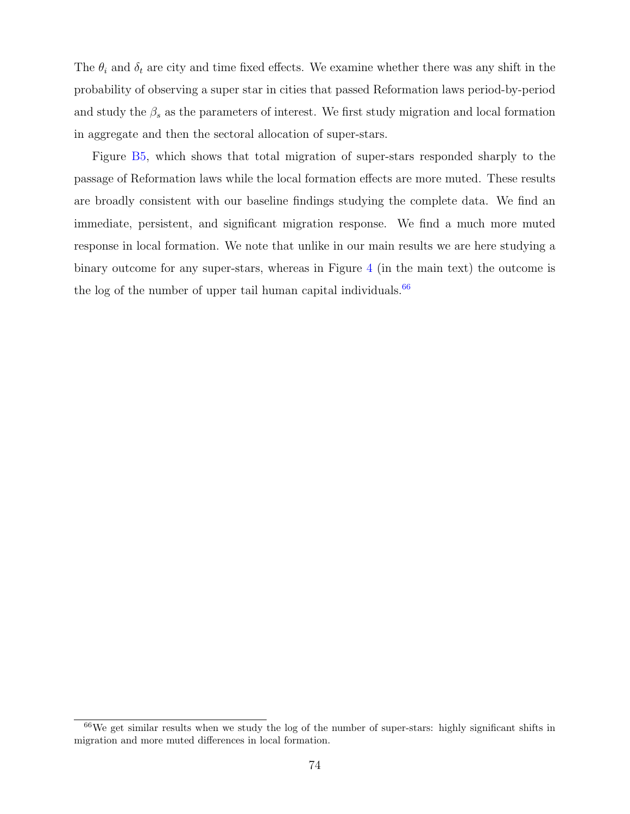The  $\theta_i$  and  $\delta_t$  are city and time fixed effects. We examine whether there was any shift in the probability of observing a super star in cities that passed Reformation laws period-by-period and study the  $\beta_s$  as the parameters of interest. We first study migration and local formation in aggregate and then the sectoral allocation of super-stars.

Figure [B5,](#page-30-0) which shows that total migration of super-stars responded sharply to the passage of Reformation laws while the local formation effects are more muted. These results are broadly consistent with our baseline findings studying the complete data. We find an immediate, persistent, and significant migration response. We find a much more muted response in local formation. We note that unlike in our main results we are here studying a binary outcome for any super-stars, whereas in Figure [4](#page-18-0) (in the main text) the outcome is the log of the number of upper tail human capital individuals. $66$ 

<span id="page-74-0"></span><sup>66</sup>We get similar results when we study the log of the number of super-stars: highly significant shifts in migration and more muted differences in local formation.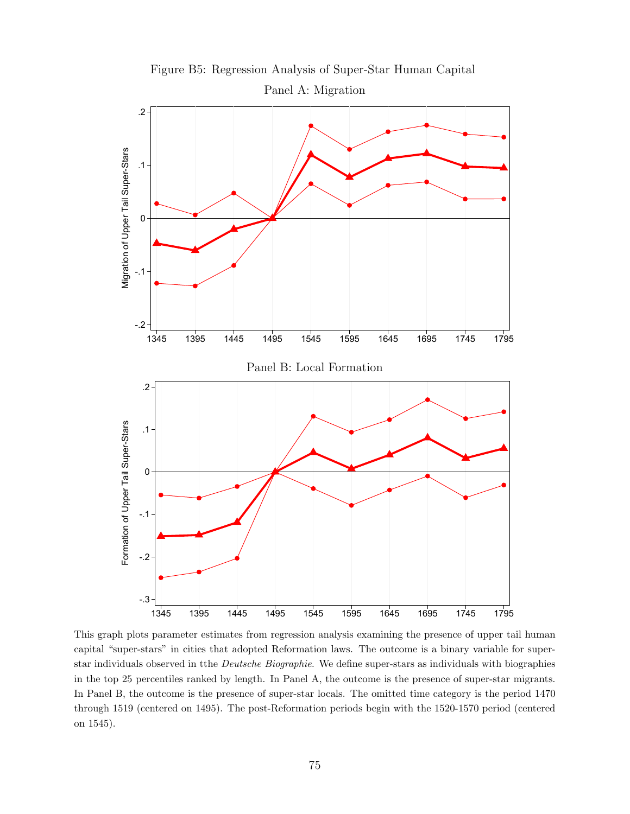

This graph plots parameter estimates from regression analysis examining the presence of upper tail human capital "super-stars" in cities that adopted Reformation laws. The outcome is a binary variable for superstar individuals observed in tthe Deutsche Biographie. We define super-stars as individuals with biographies in the top 25 percentiles ranked by length. In Panel A, the outcome is the presence of super-star migrants. In Panel B, the outcome is the presence of super-star locals. The omitted time category is the period 1470 through 1519 (centered on 1495). The post-Reformation periods begin with the 1520-1570 period (centered on 1545).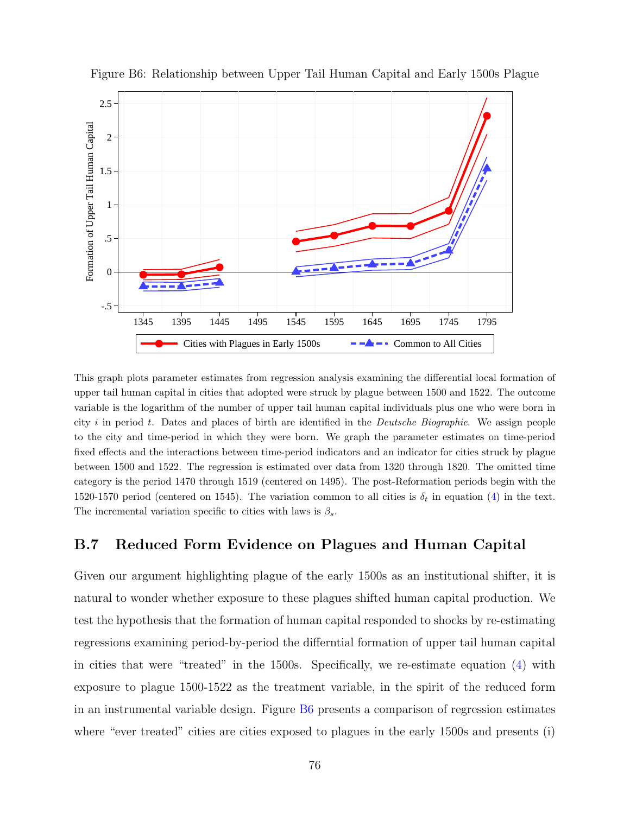

Figure B6: Relationship between Upper Tail Human Capital and Early 1500s Plague

This graph plots parameter estimates from regression analysis examining the differential local formation of upper tail human capital in cities that adopted were struck by plague between 1500 and 1522. The outcome variable is the logarithm of the number of upper tail human capital individuals plus one who were born in city i in period t. Dates and places of birth are identified in the *Deutsche Biographie*. We assign people to the city and time-period in which they were born. We graph the parameter estimates on time-period fixed effects and the interactions between time-period indicators and an indicator for cities struck by plague between 1500 and 1522. The regression is estimated over data from 1320 through 1820. The omitted time category is the period 1470 through 1519 (centered on 1495). The post-Reformation periods begin with the 1520-1570 period (centered on 1545). The variation common to all cities is  $\delta_t$  in equation [\(4\)](#page-17-0) in the text. The incremental variation specific to cities with laws is  $\beta_s$ .

### B.7 Reduced Form Evidence on Plagues and Human Capital

Given our argument highlighting plague of the early 1500s as an institutional shifter, it is natural to wonder whether exposure to these plagues shifted human capital production. We test the hypothesis that the formation of human capital responded to shocks by re-estimating regressions examining period-by-period the differntial formation of upper tail human capital in cities that were "treated" in the 1500s. Specifically, we re-estimate equation [\(4\)](#page-17-0) with exposure to plague 1500-1522 as the treatment variable, in the spirit of the reduced form in an instrumental variable design. Figure [B6](#page-36-0) presents a comparison of regression estimates where "ever treated" cities are cities exposed to plagues in the early 1500s and presents (i)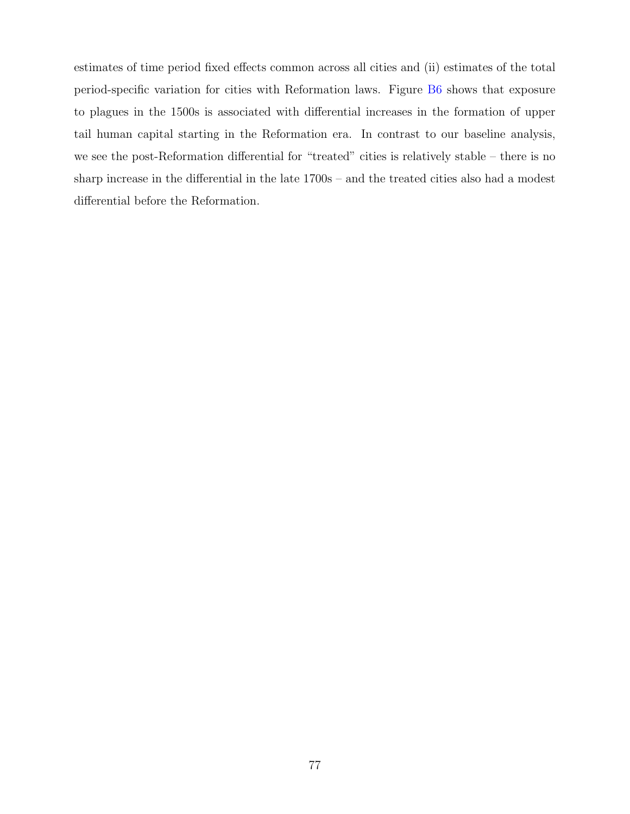estimates of time period fixed effects common across all cities and (ii) estimates of the total period-specific variation for cities with Reformation laws. Figure [B6](#page-36-0) shows that exposure to plagues in the 1500s is associated with differential increases in the formation of upper tail human capital starting in the Reformation era. In contrast to our baseline analysis, we see the post-Reformation differential for "treated" cities is relatively stable – there is no sharp increase in the differential in the late 1700s – and the treated cities also had a modest differential before the Reformation.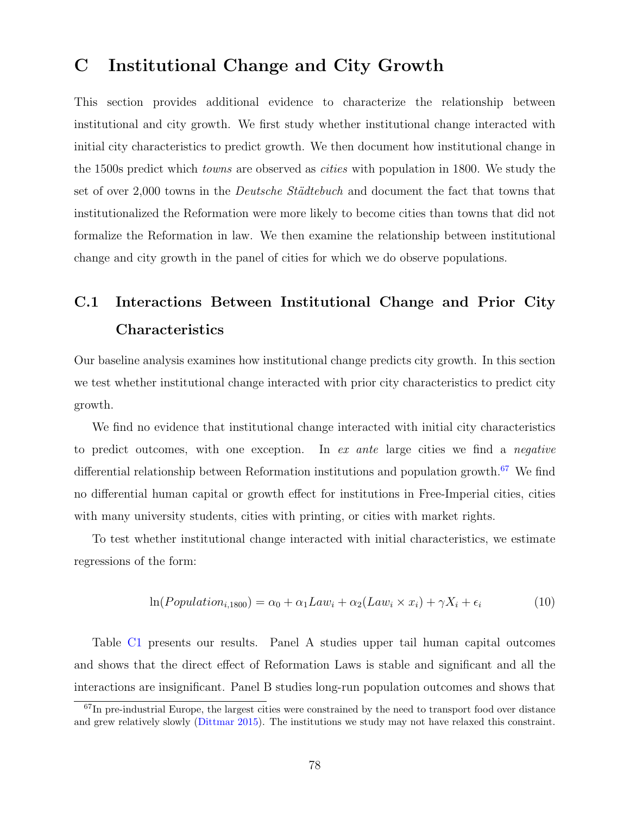## C Institutional Change and City Growth

This section provides additional evidence to characterize the relationship between institutional and city growth. We first study whether institutional change interacted with initial city characteristics to predict growth. We then document how institutional change in the 1500s predict which towns are observed as cities with population in 1800. We study the set of over 2,000 towns in the *Deutsche Städtebuch* and document the fact that towns that institutionalized the Reformation were more likely to become cities than towns that did not formalize the Reformation in law. We then examine the relationship between institutional change and city growth in the panel of cities for which we do observe populations.

## C.1 Interactions Between Institutional Change and Prior City Characteristics

Our baseline analysis examines how institutional change predicts city growth. In this section we test whether institutional change interacted with prior city characteristics to predict city growth.

We find no evidence that institutional change interacted with initial city characteristics to predict outcomes, with one exception. In ex ante large cities we find a negative differential relationship between Reformation institutions and population growth.<sup>[67](#page-78-0)</sup> We find no differential human capital or growth effect for institutions in Free-Imperial cities, cities with many university students, cities with printing, or cities with market rights.

To test whether institutional change interacted with initial characteristics, we estimate regressions of the form:

$$
\ln(Population_{i,1800}) = \alpha_0 + \alpha_1 Law_i + \alpha_2(Law_i \times x_i) + \gamma X_i + \epsilon_i \tag{10}
$$

Table [C1](#page-14-0) presents our results. Panel A studies upper tail human capital outcomes and shows that the direct effect of Reformation Laws is stable and significant and all the interactions are insignificant. Panel B studies long-run population outcomes and shows that

<span id="page-78-0"></span> $67$ In pre-industrial Europe, the largest cities were constrained by the need to transport food over distance and grew relatively slowly [\(Dittmar](#page-41-1) [2015\)](#page-41-1). The institutions we study may not have relaxed this constraint.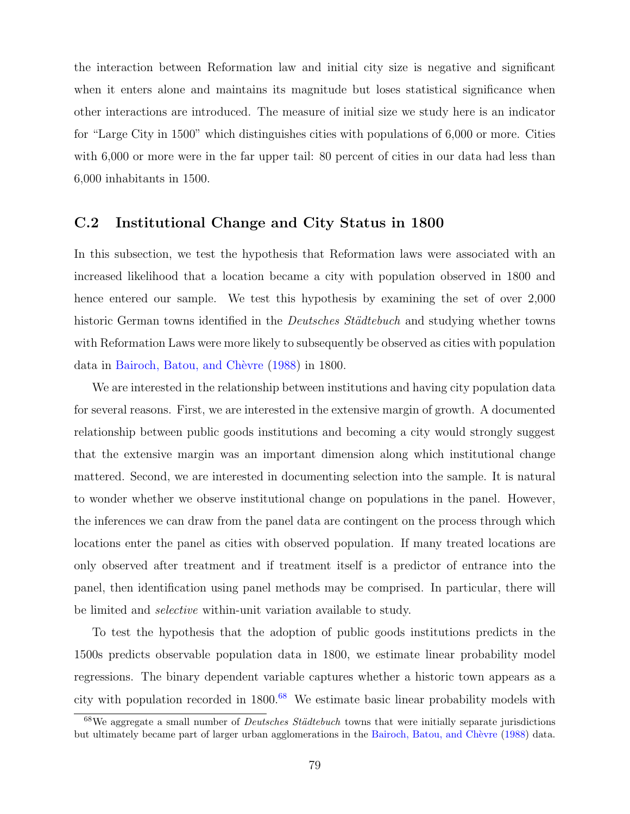the interaction between Reformation law and initial city size is negative and significant when it enters alone and maintains its magnitude but loses statistical significance when other interactions are introduced. The measure of initial size we study here is an indicator for "Large City in 1500" which distinguishes cities with populations of 6,000 or more. Cities with 6,000 or more were in the far upper tail: 80 percent of cities in our data had less than 6,000 inhabitants in 1500.

### C.2 Institutional Change and City Status in 1800

In this subsection, we test the hypothesis that Reformation laws were associated with an increased likelihood that a location became a city with population observed in 1800 and hence entered our sample. We test this hypothesis by examining the set of over 2,000 historic German towns identified in the *Deutsches Städtebuch* and studying whether towns with Reformation Laws were more likely to subsequently be observed as cities with population data in Bairoch, Batou, and Chèvre [\(1988\)](#page-40-0) in 1800.

We are interested in the relationship between institutions and having city population data for several reasons. First, we are interested in the extensive margin of growth. A documented relationship between public goods institutions and becoming a city would strongly suggest that the extensive margin was an important dimension along which institutional change mattered. Second, we are interested in documenting selection into the sample. It is natural to wonder whether we observe institutional change on populations in the panel. However, the inferences we can draw from the panel data are contingent on the process through which locations enter the panel as cities with observed population. If many treated locations are only observed after treatment and if treatment itself is a predictor of entrance into the panel, then identification using panel methods may be comprised. In particular, there will be limited and selective within-unit variation available to study.

To test the hypothesis that the adoption of public goods institutions predicts in the 1500s predicts observable population data in 1800, we estimate linear probability model regressions. The binary dependent variable captures whether a historic town appears as a city with population recorded in  $1800<sup>68</sup>$  $1800<sup>68</sup>$  $1800<sup>68</sup>$  We estimate basic linear probability models with

<span id="page-79-0"></span> $68$ We aggregate a small number of *Deutsches Städtebuch* towns that were initially separate jurisdictions but ultimately became part of larger urban agglomerations in the Bairoch, Batou, and Chèvre [\(1988\)](#page-40-0) data.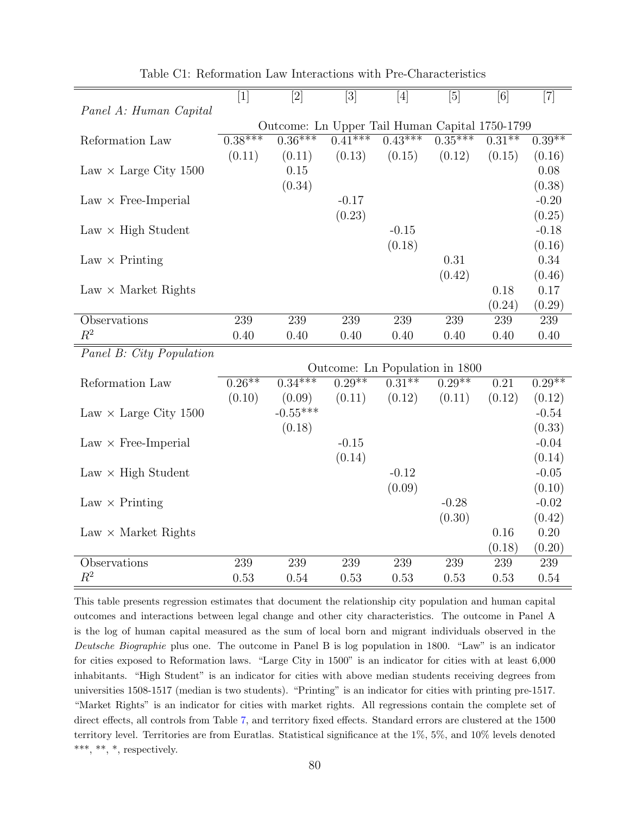|                              | $[1]$     | $[2]$                                          | $[3]$     | [4]                            | $[5]$     | [6]               | $[7]$    |
|------------------------------|-----------|------------------------------------------------|-----------|--------------------------------|-----------|-------------------|----------|
| Panel A: Human Capital       |           |                                                |           |                                |           |                   |          |
|                              |           | Outcome: Ln Upper Tail Human Capital 1750-1799 |           |                                |           |                   |          |
| Reformation Law              | $0.38***$ | $0.36***$                                      | $0.41***$ | $0.43***$                      | $0.35***$ | $0.31***$         | $0.39**$ |
|                              | (0.11)    | (0.11)                                         | (0.13)    | (0.15)                         | (0.12)    | (0.15)            | (0.16)   |
| Law $\times$ Large City 1500 |           | 0.15                                           |           |                                |           |                   | 0.08     |
|                              |           | (0.34)                                         |           |                                |           |                   | (0.38)   |
| $Law \times Free-Imperial$   |           |                                                | $-0.17$   |                                |           |                   | $-0.20$  |
|                              |           |                                                | (0.23)    |                                |           |                   | (0.25)   |
| $Law \times High Student$    |           |                                                |           | $-0.15$                        |           |                   | $-0.18$  |
|                              |           |                                                |           | (0.18)                         |           |                   | (0.16)   |
| $Law \times Printing$        |           |                                                |           |                                | 0.31      |                   | 0.34     |
|                              |           |                                                |           |                                | (0.42)    |                   | (0.46)   |
| $Law \times Market Rights$   |           |                                                |           |                                |           | 0.18              | 0.17     |
|                              |           |                                                |           |                                |           | (0.24)            | (0.29)   |
| Observations                 | 239       | 239                                            | 239       | 239                            | 239       | 239               | 239      |
| $R^2$                        | 0.40      | 0.40                                           | 0.40      | 0.40                           | 0.40      | 0.40              | 0.40     |
| Panel B: City Population     |           |                                                |           |                                |           |                   |          |
|                              |           |                                                |           | Outcome: Ln Population in 1800 |           |                   |          |
| Reformation Law              | $0.26**$  | $0.34***$                                      | $0.29**$  | $0.31***$                      | $0.29**$  | $\overline{0.21}$ | $0.29**$ |
|                              | (0.10)    | (0.09)                                         | (0.11)    | (0.12)                         | (0.11)    | (0.12)            | (0.12)   |
| Law $\times$ Large City 1500 |           | $-0.55***$                                     |           |                                |           |                   | $-0.54$  |
|                              |           | (0.18)                                         |           |                                |           |                   | (0.33)   |
| $Law \times Free-Imperial$   |           |                                                | $-0.15$   |                                |           |                   | $-0.04$  |
|                              |           |                                                | (0.14)    |                                |           |                   | (0.14)   |
| $Law \times High Student$    |           |                                                |           | $-0.12$                        |           |                   | $-0.05$  |
|                              |           |                                                |           | (0.09)                         |           |                   | (0.10)   |
| $Law \times Printing$        |           |                                                |           |                                | $-0.28$   |                   | $-0.02$  |
|                              |           |                                                |           |                                | (0.30)    |                   | (0.42)   |
| $Law \times Market Rights$   |           |                                                |           |                                |           | 0.16              | 0.20     |
|                              |           |                                                |           |                                |           | (0.18)            | (0.20)   |
|                              |           |                                                |           |                                |           |                   |          |
| Observations<br>$R^2$        | 239       | 239                                            | 239       | 239                            | 239       | 239               | 239      |

Table C1: Reformation Law Interactions with Pre-Characteristics

This table presents regression estimates that document the relationship city population and human capital outcomes and interactions between legal change and other city characteristics. The outcome in Panel A is the log of human capital measured as the sum of local born and migrant individuals observed in the Deutsche Biographie plus one. The outcome in Panel B is log population in 1800. "Law" is an indicator for cities exposed to Reformation laws. "Large City in 1500" is an indicator for cities with at least 6,000 inhabitants. "High Student" is an indicator for cities with above median students receiving degrees from universities 1508-1517 (median is two students). "Printing" is an indicator for cities with printing pre-1517. "Market Rights" is an indicator for cities with market rights. All regressions contain the complete set of direct effects, all controls from Table [7,](#page-27-0) and territory fixed effects. Standard errors are clustered at the 1500 territory level. Territories are from Euratlas. Statistical significance at the 1%, 5%, and 10% levels denoted \*\*\*, \*\*, \*, respectively.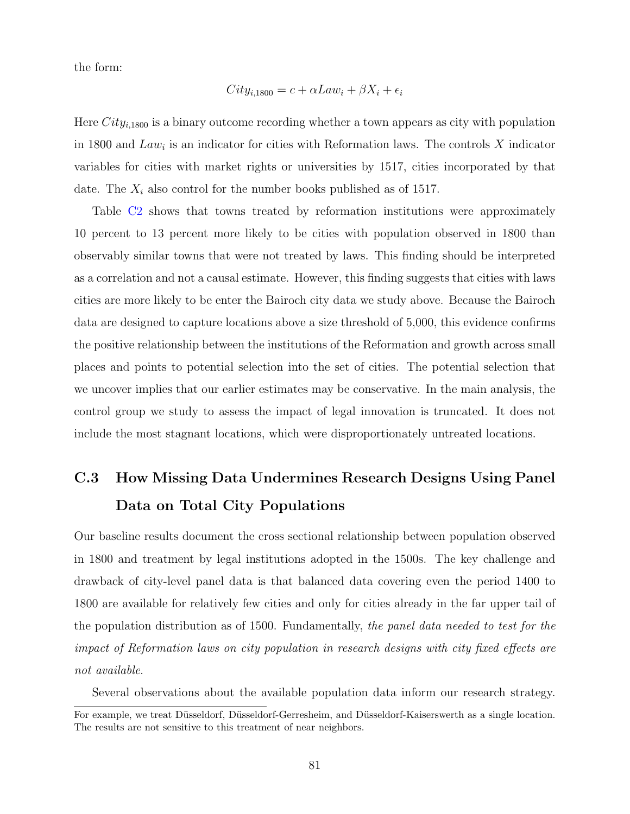the form:

$$
City_{i,1800} = c + \alpha Law_i + \beta X_i + \epsilon_i
$$

Here  $City_{i,1800}$  is a binary outcome recording whether a town appears as city with population in 1800 and  $Law_i$  is an indicator for cities with Reformation laws. The controls X indicator variables for cities with market rights or universities by 1517, cities incorporated by that date. The  $X_i$  also control for the number books published as of 1517.

Table [C2](#page-16-0) shows that towns treated by reformation institutions were approximately 10 percent to 13 percent more likely to be cities with population observed in 1800 than observably similar towns that were not treated by laws. This finding should be interpreted as a correlation and not a causal estimate. However, this finding suggests that cities with laws cities are more likely to be enter the Bairoch city data we study above. Because the Bairoch data are designed to capture locations above a size threshold of 5,000, this evidence confirms the positive relationship between the institutions of the Reformation and growth across small places and points to potential selection into the set of cities. The potential selection that we uncover implies that our earlier estimates may be conservative. In the main analysis, the control group we study to assess the impact of legal innovation is truncated. It does not include the most stagnant locations, which were disproportionately untreated locations.

## C.3 How Missing Data Undermines Research Designs Using Panel Data on Total City Populations

Our baseline results document the cross sectional relationship between population observed in 1800 and treatment by legal institutions adopted in the 1500s. The key challenge and drawback of city-level panel data is that balanced data covering even the period 1400 to 1800 are available for relatively few cities and only for cities already in the far upper tail of the population distribution as of 1500. Fundamentally, the panel data needed to test for the impact of Reformation laws on city population in research designs with city fixed effects are not available.

Several observations about the available population data inform our research strategy.

For example, we treat Düsseldorf, Düsseldorf-Gerresheim, and Düsseldorf-Kaiserswerth as a single location. The results are not sensitive to this treatment of near neighbors.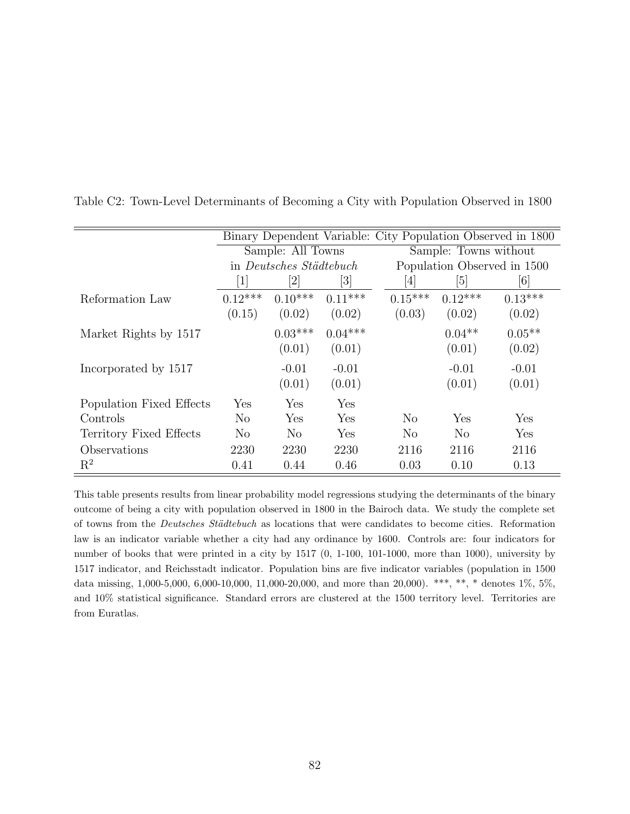|                          |                  |                                |                              | Binary Dependent Variable: City Population Observed in 1800 |                       |                             |  |  |  |
|--------------------------|------------------|--------------------------------|------------------------------|-------------------------------------------------------------|-----------------------|-----------------------------|--|--|--|
|                          |                  | Sample: All Towns              |                              |                                                             | Sample: Towns without |                             |  |  |  |
|                          |                  | in <i>Deutsches Städtebuch</i> |                              |                                                             |                       | Population Observed in 1500 |  |  |  |
|                          | $\left  \right $ | [2]                            | $\left\lvert 3 \right\rvert$ | $\vert 4 \vert$                                             | [5]                   | [6]                         |  |  |  |
| Reformation Law          | $0.12***$        | $0.10***$                      | $0.11***$                    | $0.15***$                                                   | $0.12***$             | $0.13***$                   |  |  |  |
|                          | (0.15)           | (0.02)                         | (0.02)                       | (0.03)                                                      | (0.02)                | (0.02)                      |  |  |  |
| Market Rights by 1517    |                  | $0.03***$                      | $0.04***$                    |                                                             | $0.04**$              | $0.05**$                    |  |  |  |
|                          |                  | (0.01)                         | (0.01)                       |                                                             | (0.01)                | (0.02)                      |  |  |  |
| Incorporated by 1517     |                  | $-0.01$                        | $-0.01$                      |                                                             | $-0.01$               | $-0.01$                     |  |  |  |
|                          |                  | (0.01)                         | (0.01)                       |                                                             | (0.01)                | (0.01)                      |  |  |  |
| Population Fixed Effects | Yes              | Yes                            | Yes                          |                                                             |                       |                             |  |  |  |
| Controls                 | N <sub>o</sub>   | Yes                            | Yes                          | N <sub>o</sub>                                              | Yes                   | Yes                         |  |  |  |
| Territory Fixed Effects  | N <sub>0</sub>   | N <sub>o</sub>                 | Yes                          | N <sub>o</sub>                                              | N <sub>o</sub>        | Yes                         |  |  |  |
| Observations             | 2230             | 2230                           | 2230                         | 2116                                                        | 2116                  | 2116                        |  |  |  |
| $R^2$                    | 0.41             | 0.44                           | 0.46                         | 0.03                                                        | 0.10                  | 0.13                        |  |  |  |

Table C2: Town-Level Determinants of Becoming a City with Population Observed in 1800

This table presents results from linear probability model regressions studying the determinants of the binary outcome of being a city with population observed in 1800 in the Bairoch data. We study the complete set of towns from the *Deutsches Städtebuch* as locations that were candidates to become cities. Reformation law is an indicator variable whether a city had any ordinance by 1600. Controls are: four indicators for number of books that were printed in a city by 1517 (0, 1-100, 101-1000, more than 1000), university by 1517 indicator, and Reichsstadt indicator. Population bins are five indicator variables (population in 1500 data missing, 1,000-5,000, 6,000-10,000, 11,000-20,000, and more than 20,000). \*\*\*, \*\*, \* denotes 1%, 5%, and 10% statistical significance. Standard errors are clustered at the 1500 territory level. Territories are from Euratlas.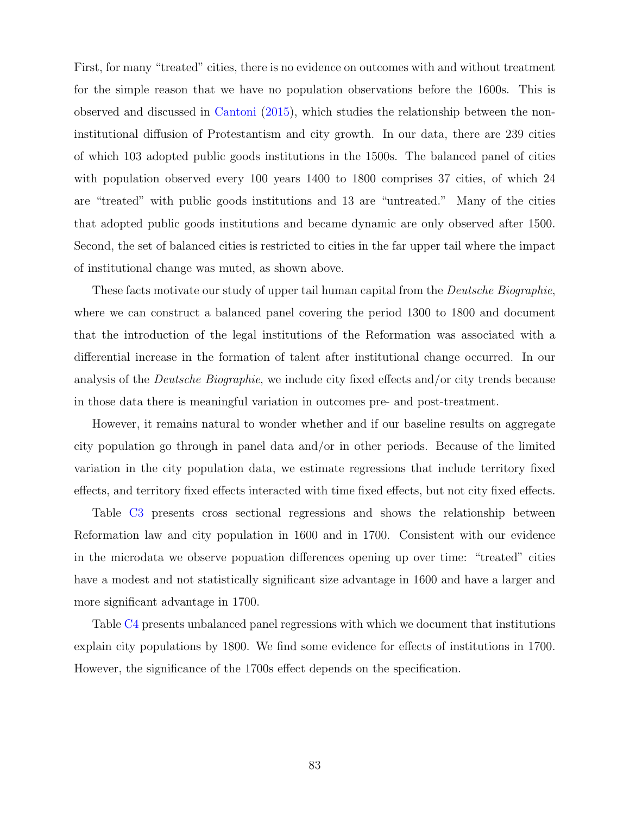First, for many "treated" cities, there is no evidence on outcomes with and without treatment for the simple reason that we have no population observations before the 1600s. This is observed and discussed in [Cantoni](#page-41-2) [\(2015\)](#page-41-2), which studies the relationship between the noninstitutional diffusion of Protestantism and city growth. In our data, there are 239 cities of which 103 adopted public goods institutions in the 1500s. The balanced panel of cities with population observed every 100 years 1400 to 1800 comprises 37 cities, of which 24 are "treated" with public goods institutions and 13 are "untreated." Many of the cities that adopted public goods institutions and became dynamic are only observed after 1500. Second, the set of balanced cities is restricted to cities in the far upper tail where the impact of institutional change was muted, as shown above.

These facts motivate our study of upper tail human capital from the *Deutsche Biographie*, where we can construct a balanced panel covering the period 1300 to 1800 and document that the introduction of the legal institutions of the Reformation was associated with a differential increase in the formation of talent after institutional change occurred. In our analysis of the *Deutsche Biographie*, we include city fixed effects and/or city trends because in those data there is meaningful variation in outcomes pre- and post-treatment.

However, it remains natural to wonder whether and if our baseline results on aggregate city population go through in panel data and/or in other periods. Because of the limited variation in the city population data, we estimate regressions that include territory fixed effects, and territory fixed effects interacted with time fixed effects, but not city fixed effects.

Table [C3](#page-21-0) presents cross sectional regressions and shows the relationship between Reformation law and city population in 1600 and in 1700. Consistent with our evidence in the microdata we observe popuation differences opening up over time: "treated" cities have a modest and not statistically significant size advantage in 1600 and have a larger and more significant advantage in 1700.

Table [C4](#page-22-0) presents unbalanced panel regressions with which we document that institutions explain city populations by 1800. We find some evidence for effects of institutions in 1700. However, the significance of the 1700s effect depends on the specification.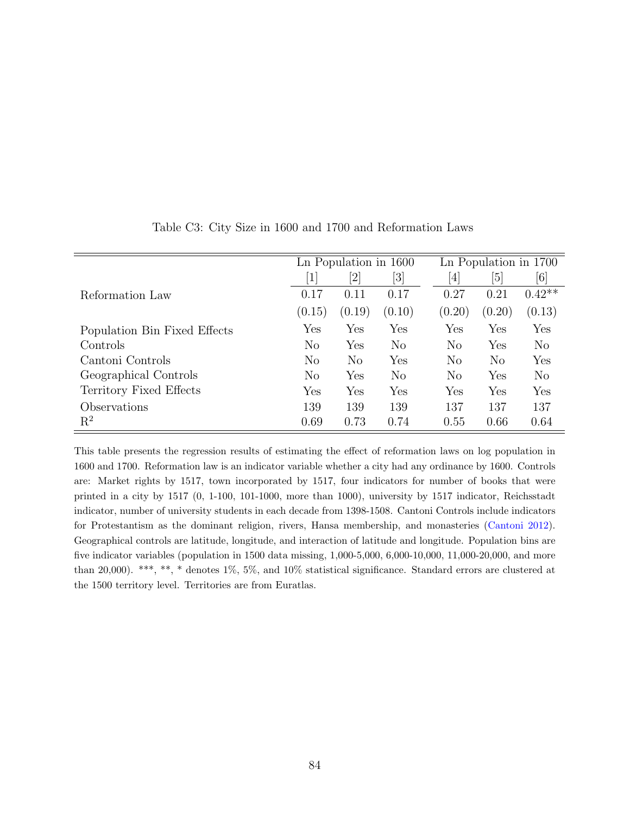|                              |                      | Ln Population in 1600                                                                                                                                          |                                                                                                                                                            |                  | Ln Population in 1700 |                      |  |  |
|------------------------------|----------------------|----------------------------------------------------------------------------------------------------------------------------------------------------------------|------------------------------------------------------------------------------------------------------------------------------------------------------------|------------------|-----------------------|----------------------|--|--|
|                              | $\mathbf 1$          | $[2] % \includegraphics[width=0.9\columnwidth]{figures/fig_2.pdf} \caption{Schematic diagram of the top of the top of the top of the right.} \label{fig:2}} %$ | $[3] % \includegraphics[width=0.9\columnwidth]{figures/fig_1a} \caption{Schematic diagram of the top of the top of the top of the right.} \label{fig:1} %$ | $\left[4\right]$ | $\vert 5 \vert$       | [6]                  |  |  |
| Reformation Law              | 0.17                 | 0.11                                                                                                                                                           | 0.17                                                                                                                                                       | 0.27             | 0.21                  | $0.42**$             |  |  |
|                              | (0.15)               | (0.19)                                                                                                                                                         | (0.10)                                                                                                                                                     | (0.20)           | (0.20)                | (0.13)               |  |  |
| Population Bin Fixed Effects | Yes                  | Yes                                                                                                                                                            | $\operatorname{Yes}$                                                                                                                                       | Yes              | Yes                   | Yes                  |  |  |
| Controls                     | N <sub>o</sub>       | Yes                                                                                                                                                            | $\rm No$                                                                                                                                                   | N <sub>o</sub>   | Yes                   | N <sub>o</sub>       |  |  |
| Cantoni Controls             | N <sub>o</sub>       | $\rm No$                                                                                                                                                       | Yes                                                                                                                                                        | N <sub>o</sub>   | $\rm No$              | Yes                  |  |  |
| Geographical Controls        | N <sub>o</sub>       | Yes                                                                                                                                                            | $\rm No$                                                                                                                                                   | N <sub>o</sub>   | Yes                   | $\rm No$             |  |  |
| Territory Fixed Effects      | $\operatorname{Yes}$ | Yes                                                                                                                                                            | Yes                                                                                                                                                        | Yes              | Yes                   | $\operatorname{Yes}$ |  |  |
| Observations                 | 139                  | 139                                                                                                                                                            | 139                                                                                                                                                        | 137              | 137                   | 137                  |  |  |
| $\mathbf{R}^2$               | 0.69                 | 0.73                                                                                                                                                           | 0.74                                                                                                                                                       | 0.55             | 0.66                  | 0.64                 |  |  |

Table C3: City Size in 1600 and 1700 and Reformation Laws

This table presents the regression results of estimating the effect of reformation laws on log population in 1600 and 1700. Reformation law is an indicator variable whether a city had any ordinance by 1600. Controls are: Market rights by 1517, town incorporated by 1517, four indicators for number of books that were printed in a city by 1517 (0, 1-100, 101-1000, more than 1000), university by 1517 indicator, Reichsstadt indicator, number of university students in each decade from 1398-1508. Cantoni Controls include indicators for Protestantism as the dominant religion, rivers, Hansa membership, and monasteries [\(Cantoni](#page-41-3) [2012\)](#page-41-3). Geographical controls are latitude, longitude, and interaction of latitude and longitude. Population bins are five indicator variables (population in 1500 data missing, 1,000-5,000, 6,000-10,000, 11,000-20,000, and more than 20,000). \*\*\*, \*\*, \* denotes 1%, 5%, and 10% statistical significance. Standard errors are clustered at the 1500 territory level. Territories are from Euratlas.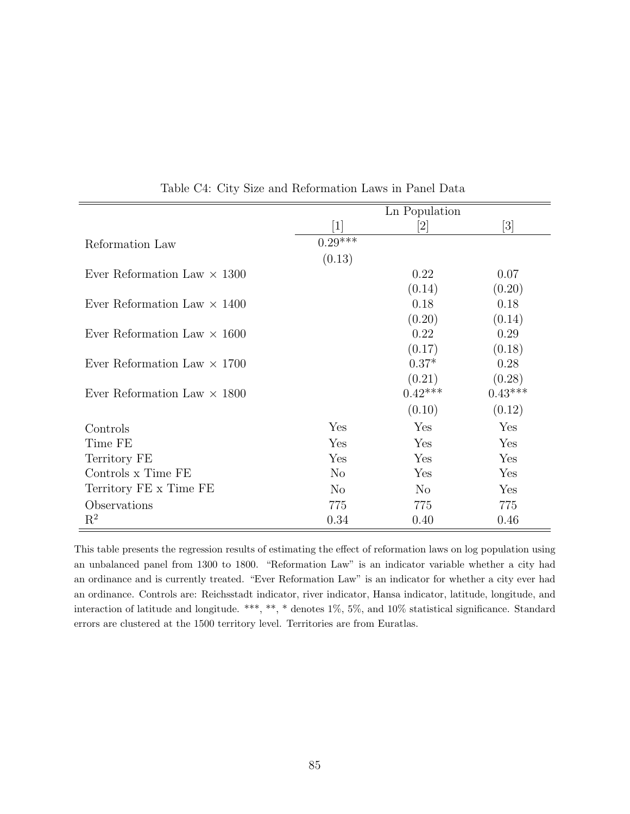|                                    |                 | Ln Population                |                                                                                                                                                            |
|------------------------------------|-----------------|------------------------------|------------------------------------------------------------------------------------------------------------------------------------------------------------|
|                                    | $\vert 1 \vert$ | $\left\lceil 2 \right\rceil$ | $[3] % \includegraphics[width=0.9\columnwidth]{figures/fig_1a} \caption{Schematic diagram of the top of the top of the top of the right.} \label{fig:1} %$ |
| Reformation Law                    | $0.29***$       |                              |                                                                                                                                                            |
|                                    | (0.13)          |                              |                                                                                                                                                            |
| Ever Reformation Law $\times$ 1300 |                 | 0.22                         | 0.07                                                                                                                                                       |
|                                    |                 | (0.14)                       | (0.20)                                                                                                                                                     |
| Ever Reformation Law $\times$ 1400 |                 | 0.18                         | 0.18                                                                                                                                                       |
|                                    |                 | (0.20)                       | (0.14)                                                                                                                                                     |
| Ever Reformation Law $\times$ 1600 |                 | 0.22                         | 0.29                                                                                                                                                       |
|                                    |                 | (0.17)                       | (0.18)                                                                                                                                                     |
| Ever Reformation Law $\times$ 1700 |                 | $0.37*$                      | 0.28                                                                                                                                                       |
|                                    |                 | (0.21)                       | (0.28)                                                                                                                                                     |
| Ever Reformation Law $\times$ 1800 |                 | $0.42***$                    | $0.43***$                                                                                                                                                  |
|                                    |                 | (0.10)                       | (0.12)                                                                                                                                                     |
| Controls                           | Yes             | Yes                          | Yes                                                                                                                                                        |
| Time FE                            | Yes             | Yes                          | Yes                                                                                                                                                        |
| Territory FE                       | Yes             | Yes                          | Yes                                                                                                                                                        |
| Controls x Time FE                 | N <sub>o</sub>  | Yes                          | Yes                                                                                                                                                        |
| Territory FE x Time FE             | N <sub>o</sub>  | N <sub>o</sub>               | Yes                                                                                                                                                        |
| Observations                       | 775             | 775                          | 775                                                                                                                                                        |
| $\mathrm{R}^2$                     | 0.34            | 0.40                         | 0.46                                                                                                                                                       |

Table C4: City Size and Reformation Laws in Panel Data

This table presents the regression results of estimating the effect of reformation laws on log population using an unbalanced panel from 1300 to 1800. "Reformation Law" is an indicator variable whether a city had an ordinance and is currently treated. "Ever Reformation Law" is an indicator for whether a city ever had an ordinance. Controls are: Reichsstadt indicator, river indicator, Hansa indicator, latitude, longitude, and interaction of latitude and longitude. \*\*\*, \*\*, \* denotes 1%, 5%, and 10% statistical significance. Standard errors are clustered at the 1500 territory level. Territories are from Euratlas.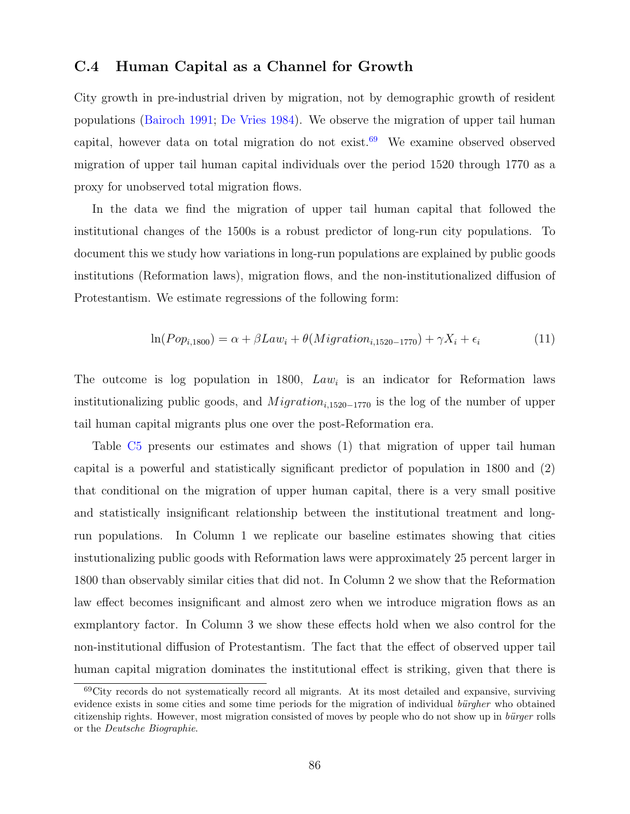#### C.4 Human Capital as a Channel for Growth

City growth in pre-industrial driven by migration, not by demographic growth of resident populations [\(Bairoch](#page-40-1) [1991;](#page-40-1) [De Vries](#page-41-4) [1984\)](#page-41-4). We observe the migration of upper tail human capital, however data on total migration do not exist.<sup>[69](#page-86-0)</sup> We examine observed observed migration of upper tail human capital individuals over the period 1520 through 1770 as a proxy for unobserved total migration flows.

In the data we find the migration of upper tail human capital that followed the institutional changes of the 1500s is a robust predictor of long-run city populations. To document this we study how variations in long-run populations are explained by public goods institutions (Reformation laws), migration flows, and the non-institutionalized diffusion of Protestantism. We estimate regressions of the following form:

$$
\ln(Pop_{i,1800}) = \alpha + \beta Law_i + \theta(Migration_{i,1520-1770}) + \gamma X_i + \epsilon_i \tag{11}
$$

The outcome is log population in 1800,  $Law<sub>i</sub>$  is an indicator for Reformation laws institutionalizing public goods, and  $Migration_{i,1520-1770}$  is the log of the number of upper tail human capital migrants plus one over the post-Reformation era.

Table [C5](#page-24-0) presents our estimates and shows (1) that migration of upper tail human capital is a powerful and statistically significant predictor of population in 1800 and (2) that conditional on the migration of upper human capital, there is a very small positive and statistically insignificant relationship between the institutional treatment and longrun populations. In Column 1 we replicate our baseline estimates showing that cities instutionalizing public goods with Reformation laws were approximately 25 percent larger in 1800 than observably similar cities that did not. In Column 2 we show that the Reformation law effect becomes insignificant and almost zero when we introduce migration flows as an exmplantory factor. In Column 3 we show these effects hold when we also control for the non-institutional diffusion of Protestantism. The fact that the effect of observed upper tail human capital migration dominates the institutional effect is striking, given that there is

<span id="page-86-0"></span><sup>69</sup>City records do not systematically record all migrants. At its most detailed and expansive, surviving evidence exists in some cities and some time periods for the migration of individual bürgher who obtained citizenship rights. However, most migration consisted of moves by people who do not show up in bürger rolls or the Deutsche Biographie.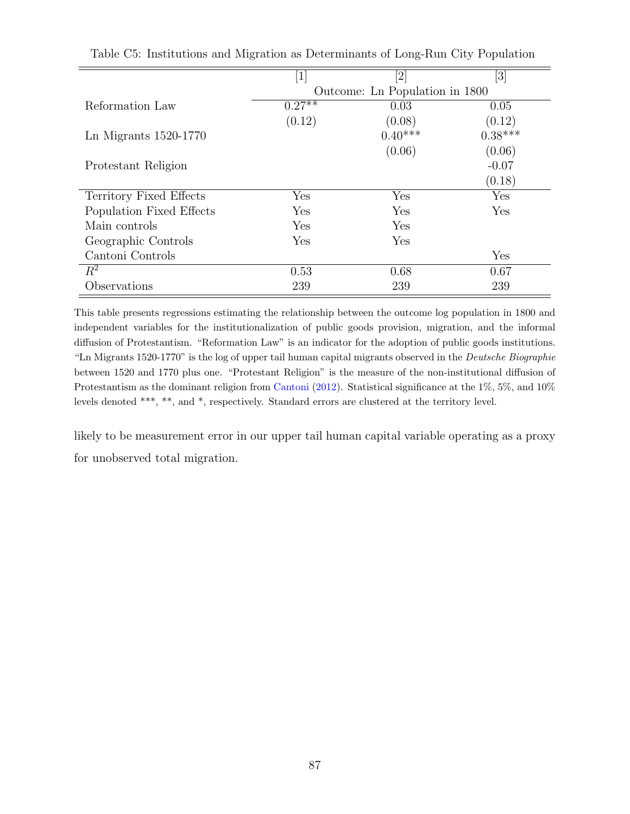| $\left\lceil 1 \right\rceil$   |           | [3]       |  |  |  |  |  |
|--------------------------------|-----------|-----------|--|--|--|--|--|
| Outcome: Ln Population in 1800 |           |           |  |  |  |  |  |
| $0.27**$                       | 0.03      | 0.05      |  |  |  |  |  |
| (0.12)                         | (0.08)    | (0.12)    |  |  |  |  |  |
|                                | $0.40***$ | $0.38***$ |  |  |  |  |  |
|                                | (0.06)    | (0.06)    |  |  |  |  |  |
|                                |           | $-0.07$   |  |  |  |  |  |
|                                |           | (0.18)    |  |  |  |  |  |
| Yes                            | Yes       | Yes       |  |  |  |  |  |
| Yes                            | Yes       | Yes       |  |  |  |  |  |
| Yes                            | Yes       |           |  |  |  |  |  |
| Yes                            | Yes       |           |  |  |  |  |  |
|                                |           | Yes       |  |  |  |  |  |
| 0.53                           | 0.68      | 0.67      |  |  |  |  |  |
| 239                            | 239       | 239       |  |  |  |  |  |
|                                |           |           |  |  |  |  |  |

| Table C5: Institutions and Migration as Determinants of Long-Run City Population |  |  |
|----------------------------------------------------------------------------------|--|--|
|----------------------------------------------------------------------------------|--|--|

This table presents regressions estimating the relationship between the outcome log population in 1800 and independent variables for the institutionalization of public goods provision, migration, and the informal diffusion of Protestantism. "Reformation Law" is an indicator for the adoption of public goods institutions. "Ln Migrants 1520-1770" is the log of upper tail human capital migrants observed in the Deutsche Biographie between 1520 and 1770 plus one. "Protestant Religion" is the measure of the non-institutional diffusion of Protestantism as the dominant religion from [Cantoni](#page-41-3) [\(2012\)](#page-41-3). Statistical significance at the 1%, 5%, and 10% levels denoted \*\*\*, \*\*, and \*, respectively. Standard errors are clustered at the territory level.

likely to be measurement error in our upper tail human capital variable operating as a proxy for unobserved total migration.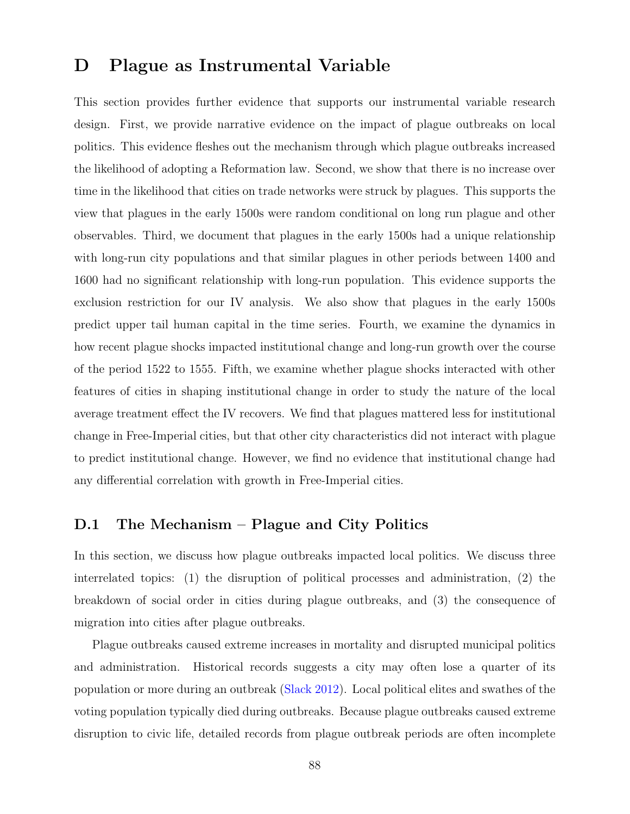### D Plague as Instrumental Variable

This section provides further evidence that supports our instrumental variable research design. First, we provide narrative evidence on the impact of plague outbreaks on local politics. This evidence fleshes out the mechanism through which plague outbreaks increased the likelihood of adopting a Reformation law. Second, we show that there is no increase over time in the likelihood that cities on trade networks were struck by plagues. This supports the view that plagues in the early 1500s were random conditional on long run plague and other observables. Third, we document that plagues in the early 1500s had a unique relationship with long-run city populations and that similar plagues in other periods between 1400 and 1600 had no significant relationship with long-run population. This evidence supports the exclusion restriction for our IV analysis. We also show that plagues in the early 1500s predict upper tail human capital in the time series. Fourth, we examine the dynamics in how recent plague shocks impacted institutional change and long-run growth over the course of the period 1522 to 1555. Fifth, we examine whether plague shocks interacted with other features of cities in shaping institutional change in order to study the nature of the local average treatment effect the IV recovers. We find that plagues mattered less for institutional change in Free-Imperial cities, but that other city characteristics did not interact with plague to predict institutional change. However, we find no evidence that institutional change had any differential correlation with growth in Free-Imperial cities.

### D.1 The Mechanism – Plague and City Politics

In this section, we discuss how plague outbreaks impacted local politics. We discuss three interrelated topics: (1) the disruption of political processes and administration, (2) the breakdown of social order in cities during plague outbreaks, and (3) the consequence of migration into cities after plague outbreaks.

Plague outbreaks caused extreme increases in mortality and disrupted municipal politics and administration. Historical records suggests a city may often lose a quarter of its population or more during an outbreak [\(Slack](#page-44-0) [2012\)](#page-44-0). Local political elites and swathes of the voting population typically died during outbreaks. Because plague outbreaks caused extreme disruption to civic life, detailed records from plague outbreak periods are often incomplete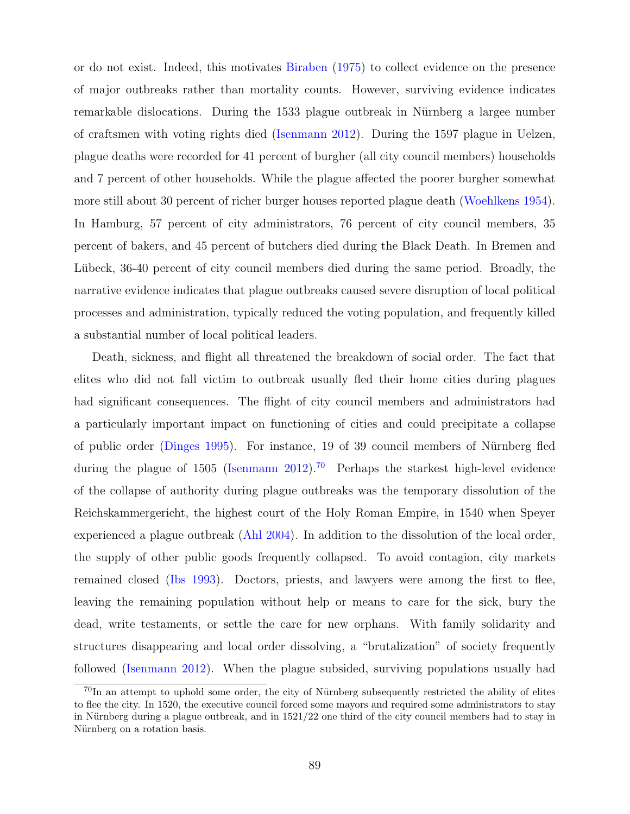or do not exist. Indeed, this motivates [Biraben](#page-40-2) [\(1975\)](#page-40-2) to collect evidence on the presence of major outbreaks rather than mortality counts. However, surviving evidence indicates remarkable dislocations. During the 1533 plague outbreak in Nürnberg a largee number of craftsmen with voting rights died [\(Isenmann](#page-42-0) [2012\)](#page-42-0). During the 1597 plague in Uelzen, plague deaths were recorded for 41 percent of burgher (all city council members) households and 7 percent of other households. While the plague affected the poorer burgher somewhat more still about 30 percent of richer burger houses reported plague death [\(Woehlkens](#page-109-0) [1954\)](#page-109-0). In Hamburg, 57 percent of city administrators, 76 percent of city council members, 35 percent of bakers, and 45 percent of butchers died during the Black Death. In Bremen and Lübeck, 36-40 percent of city council members died during the same period. Broadly, the narrative evidence indicates that plague outbreaks caused severe disruption of local political processes and administration, typically reduced the voting population, and frequently killed a substantial number of local political leaders.

Death, sickness, and flight all threatened the breakdown of social order. The fact that elites who did not fall victim to outbreak usually fled their home cities during plagues had significant consequences. The flight of city council members and administrators had a particularly important impact on functioning of cities and could precipitate a collapse of public order [\(Dinges](#page-41-5) [1995\)](#page-41-5). For instance, 19 of 39 council members of Nürnberg fled during the plague of 1505 [\(Isenmann](#page-42-0) [2012\)](#page-42-0).<sup>[70](#page-89-0)</sup> Perhaps the starkest high-level evidence of the collapse of authority during plague outbreaks was the temporary dissolution of the Reichskammergericht, the highest court of the Holy Roman Empire, in 1540 when Speyer experienced a plague outbreak [\(Ahl](#page-107-0) [2004\)](#page-107-0). In addition to the dissolution of the local order, the supply of other public goods frequently collapsed. To avoid contagion, city markets remained closed [\(Ibs](#page-108-0) [1993\)](#page-108-0). Doctors, priests, and lawyers were among the first to flee, leaving the remaining population without help or means to care for the sick, bury the dead, write testaments, or settle the care for new orphans. With family solidarity and structures disappearing and local order dissolving, a "brutalization" of society frequently followed [\(Isenmann](#page-42-0) [2012\)](#page-42-0). When the plague subsided, surviving populations usually had

<span id="page-89-0"></span> $^{70}$ In an attempt to uphold some order, the city of Nürnberg subsequently restricted the ability of elites to flee the city. In 1520, the executive council forced some mayors and required some administrators to stay in Nürnberg during a plague outbreak, and in  $1521/22$  one third of the city council members had to stay in Nürnberg on a rotation basis.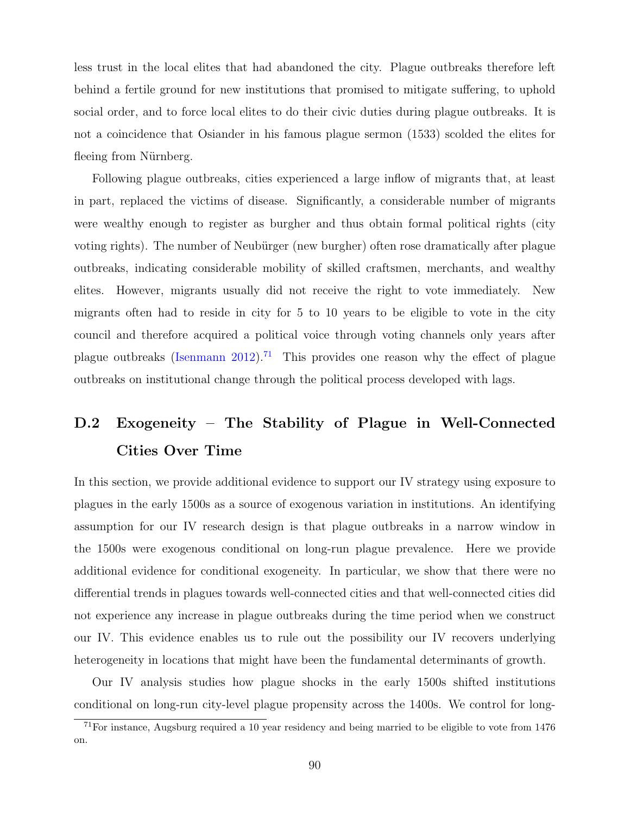less trust in the local elites that had abandoned the city. Plague outbreaks therefore left behind a fertile ground for new institutions that promised to mitigate suffering, to uphold social order, and to force local elites to do their civic duties during plague outbreaks. It is not a coincidence that Osiander in his famous plague sermon (1533) scolded the elites for fleeing from Nürnberg.

Following plague outbreaks, cities experienced a large inflow of migrants that, at least in part, replaced the victims of disease. Significantly, a considerable number of migrants were wealthy enough to register as burgher and thus obtain formal political rights (city voting rights). The number of Neubürger (new burgher) often rose dramatically after plague outbreaks, indicating considerable mobility of skilled craftsmen, merchants, and wealthy elites. However, migrants usually did not receive the right to vote immediately. New migrants often had to reside in city for 5 to 10 years to be eligible to vote in the city council and therefore acquired a political voice through voting channels only years after plague outbreaks [\(Isenmann](#page-42-0) [2012\)](#page-42-0).<sup>[71](#page-90-0)</sup> This provides one reason why the effect of plague outbreaks on institutional change through the political process developed with lags.

## D.2 Exogeneity – The Stability of Plague in Well-Connected Cities Over Time

In this section, we provide additional evidence to support our IV strategy using exposure to plagues in the early 1500s as a source of exogenous variation in institutions. An identifying assumption for our IV research design is that plague outbreaks in a narrow window in the 1500s were exogenous conditional on long-run plague prevalence. Here we provide additional evidence for conditional exogeneity. In particular, we show that there were no differential trends in plagues towards well-connected cities and that well-connected cities did not experience any increase in plague outbreaks during the time period when we construct our IV. This evidence enables us to rule out the possibility our IV recovers underlying heterogeneity in locations that might have been the fundamental determinants of growth.

Our IV analysis studies how plague shocks in the early 1500s shifted institutions conditional on long-run city-level plague propensity across the 1400s. We control for long-

<span id="page-90-0"></span><sup>71</sup>For instance, Augsburg required a 10 year residency and being married to be eligible to vote from 1476 on.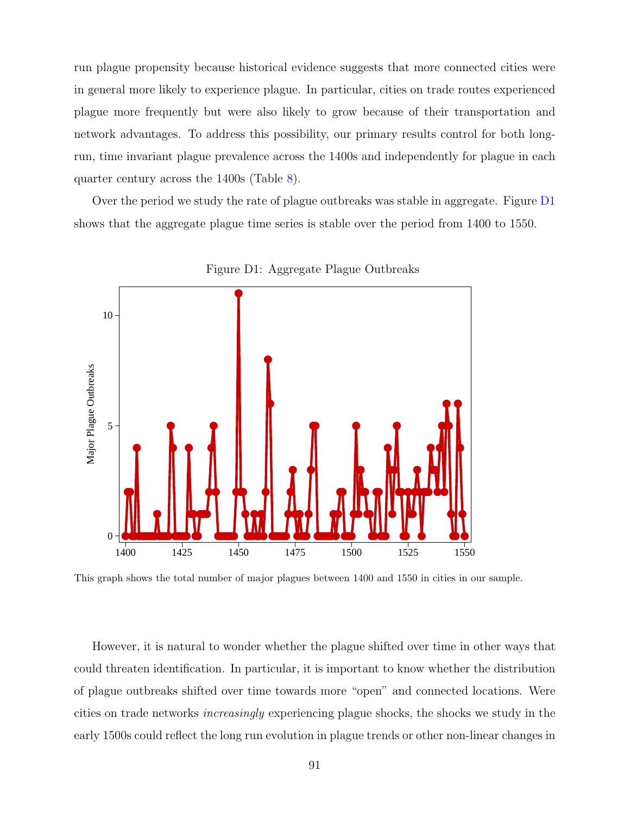run plague propensity because historical evidence suggests that more connected cities were in general more likely to experience plague. In particular, cities on trade routes experienced plague more frequently but were also likely to grow because of their transportation and network advantages. To address this possibility, our primary results control for both longrun, time invariant plague prevalence across the 1400s and independently for plague in each quarter century across the 1400s (Table [8\)](#page-33-0).

Over the period we study the rate of plague outbreaks was stable in aggregate. Figure [D1](#page-10-0) shows that the aggregate plague time series is stable over the period from 1400 to 1550.



Figure D1: Aggregate Plague Outbreaks

This graph shows the total number of major plagues between 1400 and 1550 in cities in our sample.

However, it is natural to wonder whether the plague shifted over time in other ways that could threaten identification. In particular, it is important to know whether the distribution of plague outbreaks shifted over time towards more "open" and connected locations. Were cities on trade networks increasingly experiencing plague shocks, the shocks we study in the early 1500s could reflect the long run evolution in plague trends or other non-linear changes in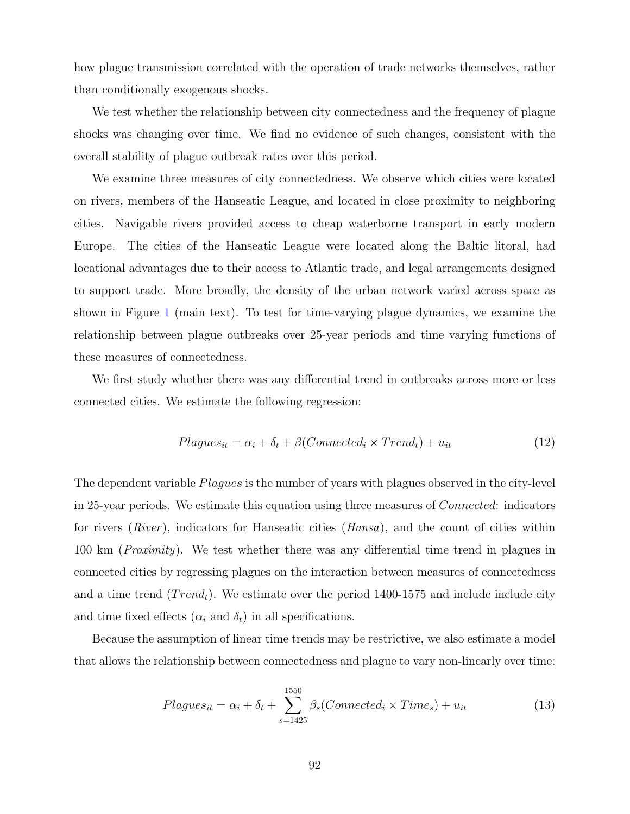how plague transmission correlated with the operation of trade networks themselves, rather than conditionally exogenous shocks.

We test whether the relationship between city connectedness and the frequency of plague shocks was changing over time. We find no evidence of such changes, consistent with the overall stability of plague outbreak rates over this period.

We examine three measures of city connectedness. We observe which cities were located on rivers, members of the Hanseatic League, and located in close proximity to neighboring cities. Navigable rivers provided access to cheap waterborne transport in early modern Europe. The cities of the Hanseatic League were located along the Baltic litoral, had locational advantages due to their access to Atlantic trade, and legal arrangements designed to support trade. More broadly, the density of the urban network varied across space as shown in Figure [1](#page-10-0) (main text). To test for time-varying plague dynamics, we examine the relationship between plague outbreaks over 25-year periods and time varying functions of these measures of connectedness.

We first study whether there was any differential trend in outbreaks across more or less connected cities. We estimate the following regression:

$$
Plagues_{it} = \alpha_i + \delta_t + \beta (Connected_i \times Trend_t) + u_{it}
$$
\n
$$
(12)
$$

The dependent variable Plagues is the number of years with plagues observed in the city-level in 25-year periods. We estimate this equation using three measures of Connected: indicators for rivers (*River*), indicators for Hanseatic cities (*Hansa*), and the count of cities within 100 km (*Proximity*). We test whether there was any differential time trend in plagues in connected cities by regressing plagues on the interaction between measures of connectedness and a time trend  $(Trend<sub>t</sub>)$ . We estimate over the period 1400-1575 and include include city and time fixed effects  $(\alpha_i \text{ and } \delta_t)$  in all specifications.

Because the assumption of linear time trends may be restrictive, we also estimate a model that allows the relationship between connectedness and plague to vary non-linearly over time:

$$
Plagues_{it} = \alpha_i + \delta_t + \sum_{s=1425}^{1550} \beta_s (Connected_i \times Time_s) + u_{it}
$$
\n(13)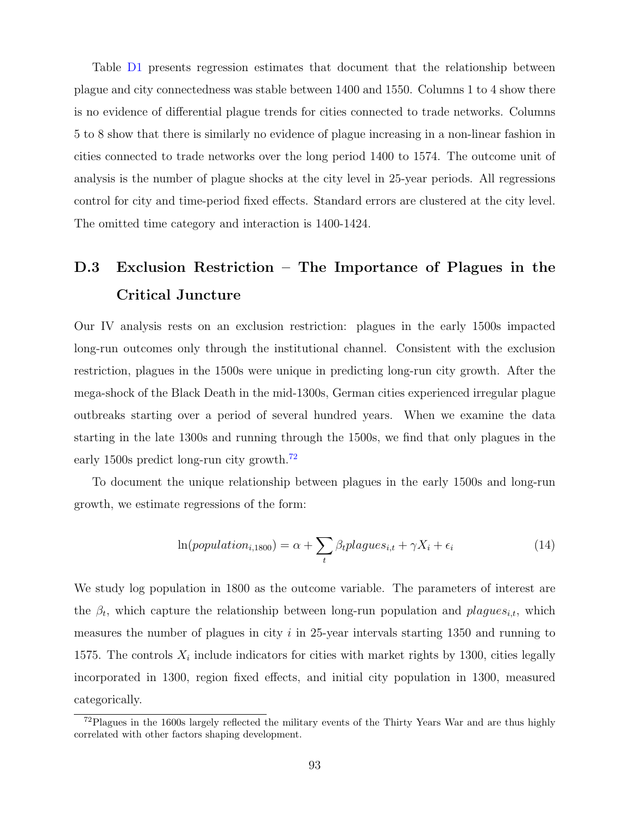Table [D1](#page-14-0) presents regression estimates that document that the relationship between plague and city connectedness was stable between 1400 and 1550. Columns 1 to 4 show there is no evidence of differential plague trends for cities connected to trade networks. Columns 5 to 8 show that there is similarly no evidence of plague increasing in a non-linear fashion in cities connected to trade networks over the long period 1400 to 1574. The outcome unit of analysis is the number of plague shocks at the city level in 25-year periods. All regressions control for city and time-period fixed effects. Standard errors are clustered at the city level. The omitted time category and interaction is 1400-1424.

## D.3 Exclusion Restriction – The Importance of Plagues in the Critical Juncture

Our IV analysis rests on an exclusion restriction: plagues in the early 1500s impacted long-run outcomes only through the institutional channel. Consistent with the exclusion restriction, plagues in the 1500s were unique in predicting long-run city growth. After the mega-shock of the Black Death in the mid-1300s, German cities experienced irregular plague outbreaks starting over a period of several hundred years. When we examine the data starting in the late 1300s and running through the 1500s, we find that only plagues in the early 1500s predict long-run city growth.<sup>[72](#page-93-0)</sup>

To document the unique relationship between plagues in the early 1500s and long-run growth, we estimate regressions of the form:

$$
\ln(population_{i,1800}) = \alpha + \sum_{t} \beta_{t} plagus_{i,t} + \gamma X_{i} + \epsilon_{i}
$$
\n(14)

We study log population in 1800 as the outcome variable. The parameters of interest are the  $\beta_t$ , which capture the relationship between long-run population and plagues<sub>i,t</sub>, which measures the number of plagues in city  $i$  in 25-year intervals starting 1350 and running to 1575. The controls  $X_i$  include indicators for cities with market rights by 1300, cities legally incorporated in 1300, region fixed effects, and initial city population in 1300, measured categorically.

<span id="page-93-0"></span> $72$ Plagues in the 1600s largely reflected the military events of the Thirty Years War and are thus highly correlated with other factors shaping development.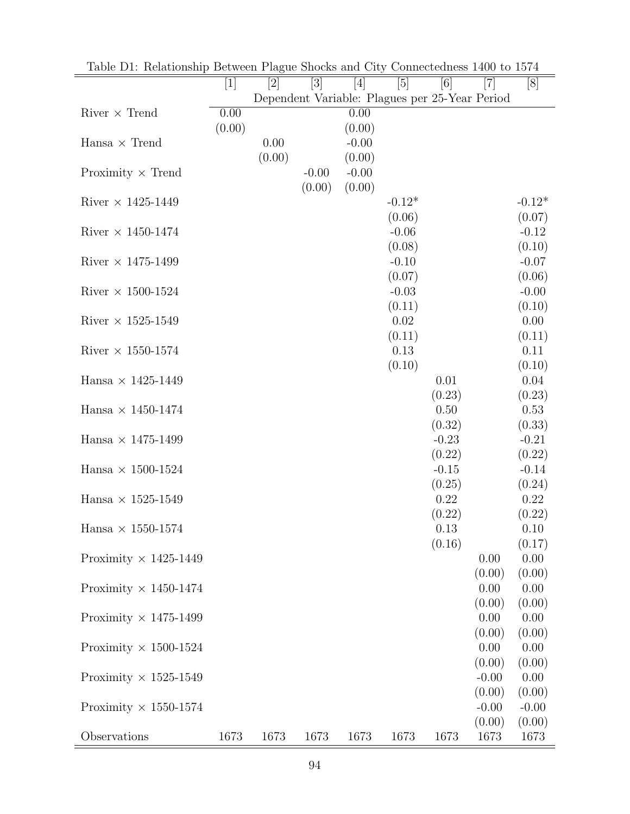| rable Dr. Relationship Detween I hague bhocks and $\sigma_{\text{IV}}$ |        |                |         |                   |                |                                                                                                                                                                                                                                                                                                                         |                                                         |                |
|------------------------------------------------------------------------|--------|----------------|---------|-------------------|----------------|-------------------------------------------------------------------------------------------------------------------------------------------------------------------------------------------------------------------------------------------------------------------------------------------------------------------------|---------------------------------------------------------|----------------|
|                                                                        | $[1]$  | $[2]$          | $[3]$   | $[4]$             | [5]            | $[6] % \includegraphics[width=0.9\columnwidth]{figures/fig_0.pdf} \caption{A small number of samples of the estimators in the left panel. The blue line shows the number of samples of the two different times, and the blue line shows the number of samples of the two different times, respectively.} \label{fig:2}$ | $[7]$<br>Dependent Variable: Plagues per 25-Year Period | [8]            |
| $River \times Trend$                                                   | 0.00   |                |         | 0.00              |                |                                                                                                                                                                                                                                                                                                                         |                                                         |                |
|                                                                        | (0.00) |                |         | (0.00)            |                |                                                                                                                                                                                                                                                                                                                         |                                                         |                |
| $Hansa \times Trend$                                                   |        | 0.00<br>(0.00) |         | $-0.00$<br>(0.00) |                |                                                                                                                                                                                                                                                                                                                         |                                                         |                |
| Proximity $\times$ Trend                                               |        |                | $-0.00$ | $-0.00$           |                |                                                                                                                                                                                                                                                                                                                         |                                                         |                |
|                                                                        |        |                | (0.00)  | (0.00)            |                |                                                                                                                                                                                                                                                                                                                         |                                                         |                |
| River $\times$ 1425-1449                                               |        |                |         |                   | $-0.12*$       |                                                                                                                                                                                                                                                                                                                         |                                                         | $-0.12*$       |
|                                                                        |        |                |         |                   | (0.06)         |                                                                                                                                                                                                                                                                                                                         |                                                         | (0.07)         |
| River $\times$ 1450-1474                                               |        |                |         |                   | $-0.06$        |                                                                                                                                                                                                                                                                                                                         |                                                         | $-0.12$        |
|                                                                        |        |                |         |                   | (0.08)         |                                                                                                                                                                                                                                                                                                                         |                                                         | (0.10)         |
| River $\times$ 1475-1499                                               |        |                |         |                   | $-0.10$        |                                                                                                                                                                                                                                                                                                                         |                                                         | $-0.07$        |
|                                                                        |        |                |         |                   | (0.07)         |                                                                                                                                                                                                                                                                                                                         |                                                         | (0.06)         |
| River $\times$ 1500-1524                                               |        |                |         |                   | $-0.03$        |                                                                                                                                                                                                                                                                                                                         |                                                         | $-0.00$        |
| River $\times$ 1525-1549                                               |        |                |         |                   | (0.11)<br>0.02 |                                                                                                                                                                                                                                                                                                                         |                                                         | (0.10)<br>0.00 |
|                                                                        |        |                |         |                   | (0.11)         |                                                                                                                                                                                                                                                                                                                         |                                                         | (0.11)         |
| River $\times$ 1550-1574                                               |        |                |         |                   | 0.13           |                                                                                                                                                                                                                                                                                                                         |                                                         | 0.11           |
|                                                                        |        |                |         |                   | (0.10)         |                                                                                                                                                                                                                                                                                                                         |                                                         | (0.10)         |
| Hansa $\times$ 1425-1449                                               |        |                |         |                   |                | 0.01                                                                                                                                                                                                                                                                                                                    |                                                         | 0.04           |
|                                                                        |        |                |         |                   |                | (0.23)                                                                                                                                                                                                                                                                                                                  |                                                         | (0.23)         |
| Hansa $\times$ 1450-1474                                               |        |                |         |                   |                | 0.50                                                                                                                                                                                                                                                                                                                    |                                                         | 0.53           |
|                                                                        |        |                |         |                   |                | (0.32)                                                                                                                                                                                                                                                                                                                  |                                                         | (0.33)         |
| Hansa $\times$ 1475-1499                                               |        |                |         |                   |                | $-0.23$                                                                                                                                                                                                                                                                                                                 |                                                         | $-0.21$        |
|                                                                        |        |                |         |                   |                | (0.22)                                                                                                                                                                                                                                                                                                                  |                                                         | (0.22)         |
| Hansa $\times$ 1500-1524                                               |        |                |         |                   |                | $-0.15$                                                                                                                                                                                                                                                                                                                 |                                                         | $-0.14$        |
|                                                                        |        |                |         |                   |                | (0.25)                                                                                                                                                                                                                                                                                                                  |                                                         | (0.24)         |
| Hansa $\times$ 1525-1549                                               |        |                |         |                   |                | 0.22<br>(0.22)                                                                                                                                                                                                                                                                                                          |                                                         | 0.22<br>(0.22) |
| Hansa $\times$ 1550-1574                                               |        |                |         |                   |                | 0.13                                                                                                                                                                                                                                                                                                                    |                                                         | 0.10           |
|                                                                        |        |                |         |                   |                | (0.16)                                                                                                                                                                                                                                                                                                                  |                                                         | (0.17)         |
| Proximity $\times$ 1425-1449                                           |        |                |         |                   |                |                                                                                                                                                                                                                                                                                                                         | 0.00                                                    | 0.00           |
|                                                                        |        |                |         |                   |                |                                                                                                                                                                                                                                                                                                                         | (0.00)                                                  | (0.00)         |
| Proximity $\times$ 1450-1474                                           |        |                |         |                   |                |                                                                                                                                                                                                                                                                                                                         | 0.00                                                    | 0.00           |
|                                                                        |        |                |         |                   |                |                                                                                                                                                                                                                                                                                                                         | (0.00)                                                  | (0.00)         |
| Proximity $\times$ 1475-1499                                           |        |                |         |                   |                |                                                                                                                                                                                                                                                                                                                         | 0.00                                                    | 0.00           |
|                                                                        |        |                |         |                   |                |                                                                                                                                                                                                                                                                                                                         | (0.00)                                                  | (0.00)         |
| Proximity $\times$ 1500-1524                                           |        |                |         |                   |                |                                                                                                                                                                                                                                                                                                                         | 0.00                                                    | 0.00           |
|                                                                        |        |                |         |                   |                |                                                                                                                                                                                                                                                                                                                         | (0.00)<br>$-0.00$                                       | (0.00)<br>0.00 |
| Proximity $\times$ 1525-1549                                           |        |                |         |                   |                |                                                                                                                                                                                                                                                                                                                         | (0.00)                                                  | (0.00)         |
| Proximity $\times$ 1550-1574                                           |        |                |         |                   |                |                                                                                                                                                                                                                                                                                                                         | $-0.00$                                                 | $-0.00$        |
|                                                                        |        |                |         |                   |                |                                                                                                                                                                                                                                                                                                                         | (0.00)                                                  | (0.00)         |
| Observations                                                           | 1673   | 1673           | 1673    | 1673              | 1673           | 1673                                                                                                                                                                                                                                                                                                                    | 1673                                                    | 1673           |

Table D1: Relationship Between Plague Shocks and City Connectedness 1400 to 1574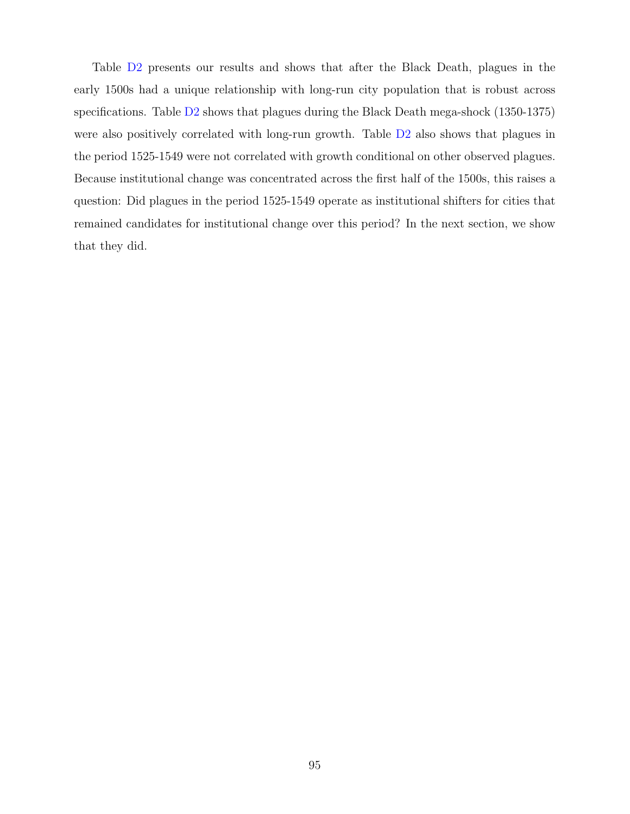Table [D2](#page-16-0) presents our results and shows that after the Black Death, plagues in the early 1500s had a unique relationship with long-run city population that is robust across specifications. Table [D2](#page-16-0) shows that plagues during the Black Death mega-shock (1350-1375) were also positively correlated with long-run growth. Table [D2](#page-16-0) also shows that plagues in the period 1525-1549 were not correlated with growth conditional on other observed plagues. Because institutional change was concentrated across the first half of the 1500s, this raises a question: Did plagues in the period 1525-1549 operate as institutional shifters for cities that remained candidates for institutional change over this period? In the next section, we show that they did.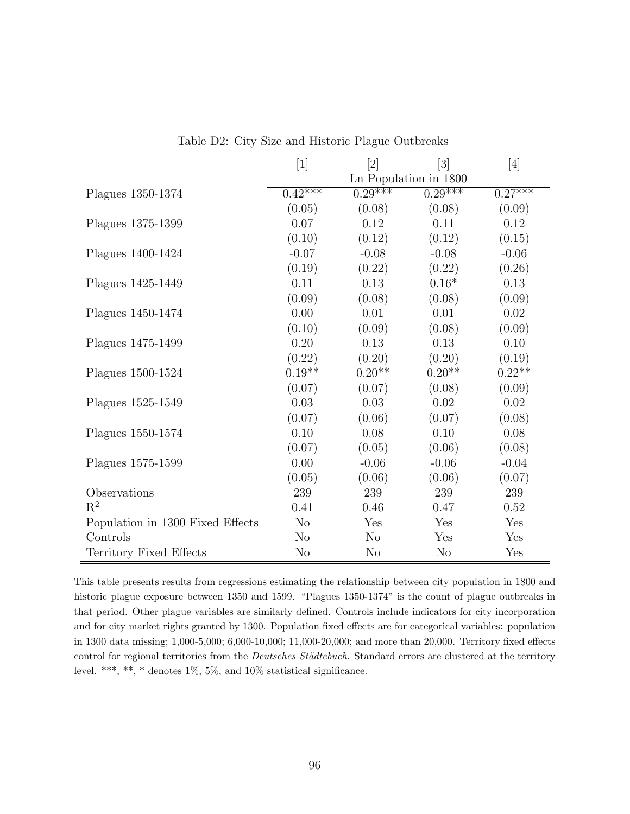|                                  | $[1]$                | $\left[ 2\right]$ | [3]                   | $[4]$     |
|----------------------------------|----------------------|-------------------|-----------------------|-----------|
|                                  |                      |                   | Ln Population in 1800 |           |
| Plagues 1350-1374                | $0.\overline{42***}$ | $0.29***$         | $0.29***$             | $0.27***$ |
|                                  | (0.05)               | (0.08)            | (0.08)                | (0.09)    |
| Plagues 1375-1399                | 0.07                 | 0.12              | 0.11                  | 0.12      |
|                                  | (0.10)               | (0.12)            | (0.12)                | (0.15)    |
| Plagues 1400-1424                | $-0.07$              | $-0.08$           | $-0.08$               | $-0.06$   |
|                                  | (0.19)               | (0.22)            | (0.22)                | (0.26)    |
| Plagues 1425-1449                | 0.11                 | 0.13              | $0.16*$               | 0.13      |
|                                  | (0.09)               | (0.08)            | (0.08)                | (0.09)    |
| Plagues 1450-1474                | 0.00                 | 0.01              | 0.01                  | 0.02      |
|                                  | (0.10)               | (0.09)            | (0.08)                | (0.09)    |
| Plagues 1475-1499                | 0.20                 | 0.13              | 0.13                  | 0.10      |
|                                  | (0.22)               | (0.20)            | (0.20)                | (0.19)    |
| Plagues 1500-1524                | $0.19**$             | $0.20**$          | $0.20**$              | $0.22**$  |
|                                  | (0.07)               | (0.07)            | (0.08)                | (0.09)    |
| Plagues 1525-1549                | 0.03                 | 0.03              | $0.02\,$              | 0.02      |
|                                  | (0.07)               | (0.06)            | (0.07)                | (0.08)    |
| Plagues 1550-1574                | 0.10                 | 0.08              | 0.10                  | 0.08      |
|                                  | (0.07)               | (0.05)            | (0.06)                | (0.08)    |
| Plagues 1575-1599                | 0.00                 | $-0.06$           | $-0.06$               | $-0.04$   |
|                                  | (0.05)               | (0.06)            | (0.06)                | (0.07)    |
| Observations                     | 239                  | 239               | 239                   | 239       |
| $R^2$                            | 0.41                 | 0.46              | 0.47                  | 0.52      |
| Population in 1300 Fixed Effects | N <sub>o</sub>       | Yes               | Yes                   | Yes       |
| Controls                         | N <sub>o</sub>       | N <sub>o</sub>    | Yes                   | Yes       |
| Territory Fixed Effects          | N <sub>o</sub>       | N <sub>o</sub>    | N <sub>o</sub>        | Yes       |

Table D2: City Size and Historic Plague Outbreaks

This table presents results from regressions estimating the relationship between city population in 1800 and historic plague exposure between 1350 and 1599. "Plagues 1350-1374" is the count of plague outbreaks in that period. Other plague variables are similarly defined. Controls include indicators for city incorporation and for city market rights granted by 1300. Population fixed effects are for categorical variables: population in 1300 data missing; 1,000-5,000; 6,000-10,000; 11,000-20,000; and more than 20,000. Territory fixed effects control for regional territories from the Deutsches Städtebuch. Standard errors are clustered at the territory level. \*\*\*, \*\*, \* denotes 1%, 5%, and 10% statistical significance.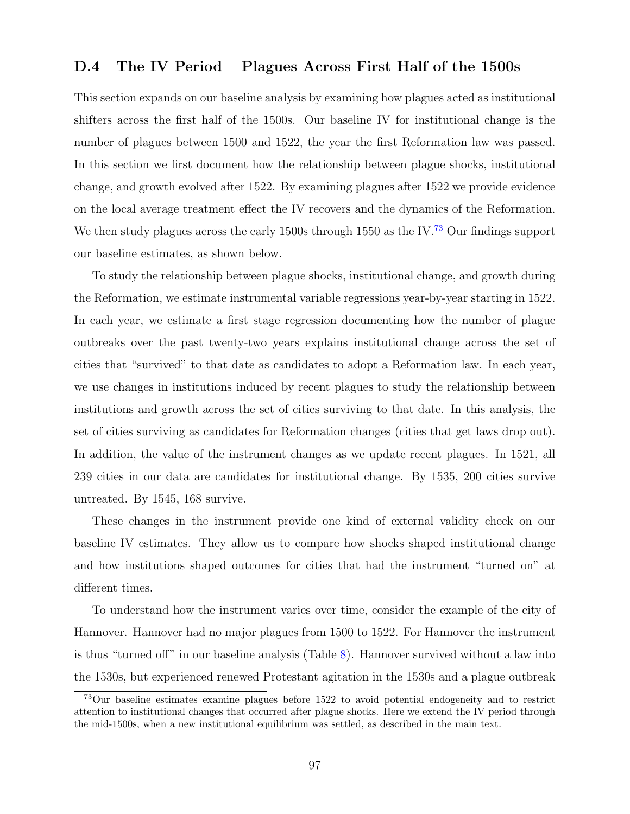### D.4 The IV Period – Plagues Across First Half of the 1500s

This section expands on our baseline analysis by examining how plagues acted as institutional shifters across the first half of the 1500s. Our baseline IV for institutional change is the number of plagues between 1500 and 1522, the year the first Reformation law was passed. In this section we first document how the relationship between plague shocks, institutional change, and growth evolved after 1522. By examining plagues after 1522 we provide evidence on the local average treatment effect the IV recovers and the dynamics of the Reformation. We then study plagues across the early 1500s through 1550 as the IV.<sup>[73](#page-97-0)</sup> Our findings support our baseline estimates, as shown below.

To study the relationship between plague shocks, institutional change, and growth during the Reformation, we estimate instrumental variable regressions year-by-year starting in 1522. In each year, we estimate a first stage regression documenting how the number of plague outbreaks over the past twenty-two years explains institutional change across the set of cities that "survived" to that date as candidates to adopt a Reformation law. In each year, we use changes in institutions induced by recent plagues to study the relationship between institutions and growth across the set of cities surviving to that date. In this analysis, the set of cities surviving as candidates for Reformation changes (cities that get laws drop out). In addition, the value of the instrument changes as we update recent plagues. In 1521, all 239 cities in our data are candidates for institutional change. By 1535, 200 cities survive untreated. By 1545, 168 survive.

These changes in the instrument provide one kind of external validity check on our baseline IV estimates. They allow us to compare how shocks shaped institutional change and how institutions shaped outcomes for cities that had the instrument "turned on" at different times.

To understand how the instrument varies over time, consider the example of the city of Hannover. Hannover had no major plagues from 1500 to 1522. For Hannover the instrument is thus "turned off" in our baseline analysis (Table [8\)](#page-33-0). Hannover survived without a law into the 1530s, but experienced renewed Protestant agitation in the 1530s and a plague outbreak

<span id="page-97-0"></span><sup>73</sup>Our baseline estimates examine plagues before 1522 to avoid potential endogeneity and to restrict attention to institutional changes that occurred after plague shocks. Here we extend the IV period through the mid-1500s, when a new institutional equilibrium was settled, as described in the main text.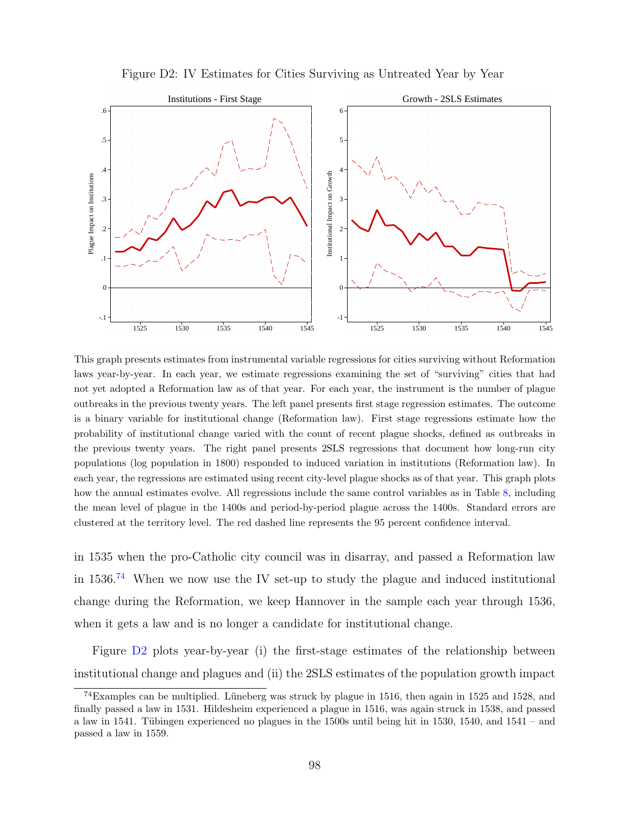

Figure D2: IV Estimates for Cities Surviving as Untreated Year by Year

This graph presents estimates from instrumental variable regressions for cities surviving without Reformation laws year-by-year. In each year, we estimate regressions examining the set of "surviving" cities that had not yet adopted a Reformation law as of that year. For each year, the instrument is the number of plague outbreaks in the previous twenty years. The left panel presents first stage regression estimates. The outcome is a binary variable for institutional change (Reformation law). First stage regressions estimate how the probability of institutional change varied with the count of recent plague shocks, defined as outbreaks in the previous twenty years. The right panel presents 2SLS regressions that document how long-run city populations (log population in 1800) responded to induced variation in institutions (Reformation law). In each year, the regressions are estimated using recent city-level plague shocks as of that year. This graph plots how the annual estimates evolve. All regressions include the same control variables as in Table [8,](#page-33-0) including the mean level of plague in the 1400s and period-by-period plague across the 1400s. Standard errors are clustered at the territory level. The red dashed line represents the 95 percent confidence interval.

in 1535 when the pro-Catholic city council was in disarray, and passed a Reformation law in  $1536<sup>74</sup>$  $1536<sup>74</sup>$  $1536<sup>74</sup>$  When we now use the IV set-up to study the plague and induced institutional change during the Reformation, we keep Hannover in the sample each year through 1536, when it gets a law and is no longer a candidate for institutional change.

Figure [D2](#page-10-1) plots year-by-year (i) the first-stage estimates of the relationship between institutional change and plagues and (ii) the 2SLS estimates of the population growth impact

<span id="page-98-0"></span> $74$ Examples can be multiplied. Lüneberg was struck by plague in 1516, then again in 1525 and 1528, and finally passed a law in 1531. Hildesheim experienced a plague in 1516, was again struck in 1538, and passed a law in 1541. Tübingen experienced no plagues in the 1500s until being hit in 1530, 1540, and 1541 – and passed a law in 1559.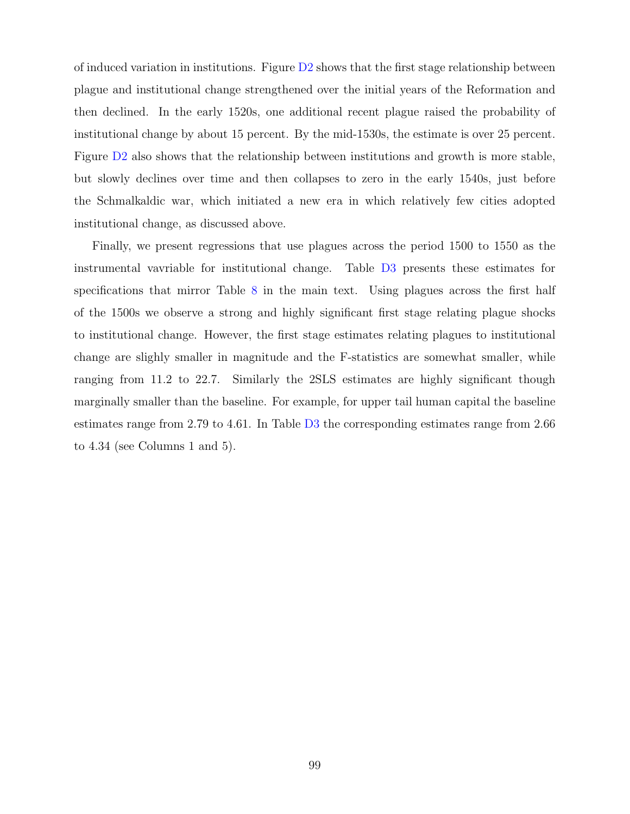of induced variation in institutions. Figure  $D2$  shows that the first stage relationship between plague and institutional change strengthened over the initial years of the Reformation and then declined. In the early 1520s, one additional recent plague raised the probability of institutional change by about 15 percent. By the mid-1530s, the estimate is over 25 percent. Figure [D2](#page-10-1) also shows that the relationship between institutions and growth is more stable, but slowly declines over time and then collapses to zero in the early 1540s, just before the Schmalkaldic war, which initiated a new era in which relatively few cities adopted institutional change, as discussed above.

Finally, we present regressions that use plagues across the period 1500 to 1550 as the instrumental vavriable for institutional change. Table [D3](#page-21-0) presents these estimates for specifications that mirror Table [8](#page-33-0) in the main text. Using plagues across the first half of the 1500s we observe a strong and highly significant first stage relating plague shocks to institutional change. However, the first stage estimates relating plagues to institutional change are slighly smaller in magnitude and the F-statistics are somewhat smaller, while ranging from 11.2 to 22.7. Similarly the 2SLS estimates are highly significant though marginally smaller than the baseline. For example, for upper tail human capital the baseline estimates range from 2.79 to 4.61. In Table [D3](#page-21-0) the corresponding estimates range from 2.66 to 4.34 (see Columns 1 and 5).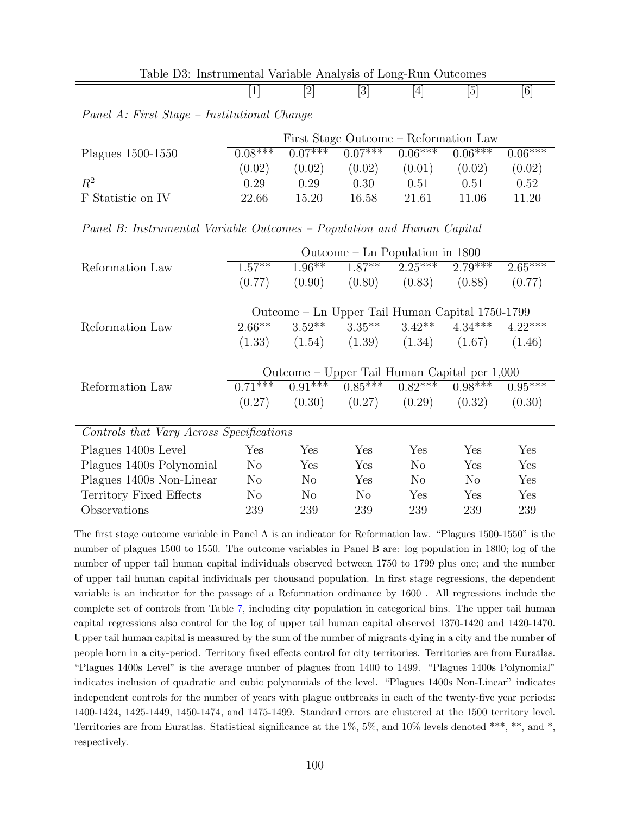| Table D3: Instrumental Variable Analysis of Long-Run Outcomes |  |  |  |
|---------------------------------------------------------------|--|--|--|
|                                                               |  |  |  |

Panel A: First Stage – Institutional Change

|                   | First Stage Outcome – Reformation Law |           |           |           |           |           |  |  |  |
|-------------------|---------------------------------------|-----------|-----------|-----------|-----------|-----------|--|--|--|
| Plagues 1500-1550 | $0.08***$                             | $0.07***$ | $0.07***$ | $0.06***$ | $0.06***$ | $0.06***$ |  |  |  |
|                   | (0.02)                                | (0.02)    | (0.02)    | (0.01)    | (0.02)    | (0.02)    |  |  |  |
| $R^2$             | 0.29                                  | 0.29      | 0.30      | 0.51      | 0.51      | 0.52      |  |  |  |
| F Statistic on IV | 22.66                                 | 15.20     | 16.58     | 21.61     | 11.06     | 11.20     |  |  |  |

| Panel B: Instrumental Variable Outcomes - Population and Human Capital |  |  |  |
|------------------------------------------------------------------------|--|--|--|
|------------------------------------------------------------------------|--|--|--|

|                                          | Outcome $-$ Ln Population in 1800               |                |           |           |                |           |  |
|------------------------------------------|-------------------------------------------------|----------------|-----------|-----------|----------------|-----------|--|
| Reformation Law                          | $1.57***$                                       | $1.96***$      | $1.87***$ | $2.25***$ | $2.79***$      | $2.65***$ |  |
|                                          | (0.77)                                          | (0.90)         | (0.80)    | (0.83)    | (0.88)         | (0.77)    |  |
|                                          |                                                 |                |           |           |                |           |  |
|                                          | Outcome – Ln Upper Tail Human Capital 1750-1799 |                |           |           |                |           |  |
| Reformation Law                          | $2.66***$                                       | $3.52***$      | $3.35***$ | $3.42***$ | $4.34***$      | $4.22***$ |  |
|                                          | (1.33)                                          | (1.54)         | (1.39)    | (1.34)    | (1.67)         | (1.46)    |  |
|                                          |                                                 |                |           |           |                |           |  |
|                                          | Outcome – Upper Tail Human Capital per 1,000    |                |           |           |                |           |  |
| Reformation Law                          | $0.71***$                                       | $0.91***$      | $0.85***$ | $0.82***$ | $0.98***$      | $0.95***$ |  |
|                                          | (0.27)                                          | (0.30)         | (0.27)    | (0.29)    | (0.32)         | (0.30)    |  |
|                                          |                                                 |                |           |           |                |           |  |
| Controls that Vary Across Specifications |                                                 |                |           |           |                |           |  |
| Plagues 1400s Level                      | ${\rm Yes}$                                     | Yes            | Yes       | Yes       | Yes            | Yes       |  |
| Plagues 1400s Polynomial                 | N <sub>o</sub>                                  | Yes            | Yes       | $\rm No$  | Yes            | Yes       |  |
| Plagues 1400s Non-Linear                 | N <sub>o</sub>                                  | N <sub>o</sub> | Yes       | $\rm No$  | N <sub>o</sub> | Yes       |  |
| Territory Fixed Effects                  | N <sub>o</sub>                                  | N <sub>o</sub> | $\rm No$  | Yes       | Yes            | Yes       |  |
| Observations                             | 239                                             | 239            | 239       | 239       | 239            | 239       |  |

The first stage outcome variable in Panel A is an indicator for Reformation law. "Plagues 1500-1550" is the number of plagues 1500 to 1550. The outcome variables in Panel B are: log population in 1800; log of the number of upper tail human capital individuals observed between 1750 to 1799 plus one; and the number of upper tail human capital individuals per thousand population. In first stage regressions, the dependent variable is an indicator for the passage of a Reformation ordinance by 1600 . All regressions include the complete set of controls from Table [7,](#page-27-0) including city population in categorical bins. The upper tail human capital regressions also control for the log of upper tail human capital observed 1370-1420 and 1420-1470. Upper tail human capital is measured by the sum of the number of migrants dying in a city and the number of people born in a city-period. Territory fixed effects control for city territories. Territories are from Euratlas. "Plagues 1400s Level" is the average number of plagues from 1400 to 1499. "Plagues 1400s Polynomial" indicates inclusion of quadratic and cubic polynomials of the level. "Plagues 1400s Non-Linear" indicates independent controls for the number of years with plague outbreaks in each of the twenty-five year periods: 1400-1424, 1425-1449, 1450-1474, and 1475-1499. Standard errors are clustered at the 1500 territory level. Territories are from Euratlas. Statistical significance at the 1%, 5%, and 10% levels denoted \*\*\*, \*\*, and \*, respectively.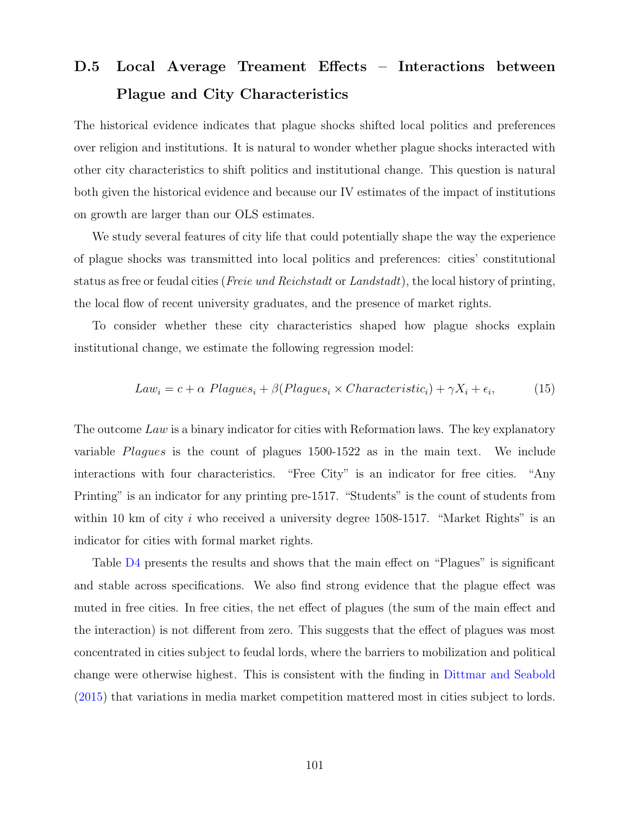## D.5 Local Average Treament Effects – Interactions between Plague and City Characteristics

The historical evidence indicates that plague shocks shifted local politics and preferences over religion and institutions. It is natural to wonder whether plague shocks interacted with other city characteristics to shift politics and institutional change. This question is natural both given the historical evidence and because our IV estimates of the impact of institutions on growth are larger than our OLS estimates.

We study several features of city life that could potentially shape the way the experience of plague shocks was transmitted into local politics and preferences: cities' constitutional status as free or feudal cities (Freie und Reichstadt or Landstadt), the local history of printing, the local flow of recent university graduates, and the presence of market rights.

To consider whether these city characteristics shaped how plague shocks explain institutional change, we estimate the following regression model:

$$
Law_i = c + \alpha \; Plagues_i + \beta (Plagues_i \times Characteristic_i) + \gamma X_i + \epsilon_i, \tag{15}
$$

The outcome Law is a binary indicator for cities with Reformation laws. The key explanatory variable Plagues is the count of plagues 1500-1522 as in the main text. We include interactions with four characteristics. "Free City" is an indicator for free cities. "Any Printing" is an indicator for any printing pre-1517. "Students" is the count of students from within 10 km of city i who received a university degree  $1508-1517$ . "Market Rights" is an indicator for cities with formal market rights.

Table [D4](#page-22-0) presents the results and shows that the main effect on "Plagues" is significant and stable across specifications. We also find strong evidence that the plague effect was muted in free cities. In free cities, the net effect of plagues (the sum of the main effect and the interaction) is not different from zero. This suggests that the effect of plagues was most concentrated in cities subject to feudal lords, where the barriers to mobilization and political change were otherwise highest. This is consistent with the finding in [Dittmar and Seabold](#page-41-6) [\(2015\)](#page-41-6) that variations in media market competition mattered most in cities subject to lords.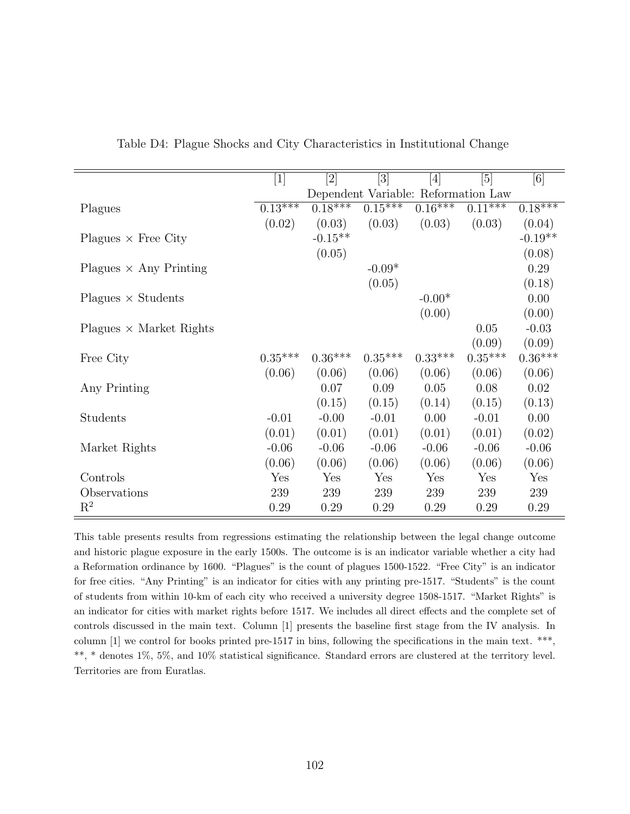|                                | $\left\lceil 1 \right\rceil$        | $[2] % \begin{center} \includegraphics[width=0.3\textwidth]{images/TrDiM-Architecture.png} \end{center} \caption{The image shows the image shows a single image.} \label{fig:TrDiM-Architecture}$ | [3]       | $[4] % \includegraphics[width=1\textwidth]{images/TrDiM-Architecture.png} \caption{The figure shows the results of the estimators in the left hand side.} \label{TrDiM-Architecture}$ | [5]          | [6]       |  |
|--------------------------------|-------------------------------------|---------------------------------------------------------------------------------------------------------------------------------------------------------------------------------------------------|-----------|---------------------------------------------------------------------------------------------------------------------------------------------------------------------------------------|--------------|-----------|--|
|                                | Dependent Variable: Reformation Law |                                                                                                                                                                                                   |           |                                                                                                                                                                                       |              |           |  |
| Plagues                        | $0.13***$                           | $0.18***$                                                                                                                                                                                         | $0.15***$ | $0.16***$                                                                                                                                                                             | $0.11^{***}$ | $0.18***$ |  |
|                                | (0.02)                              | (0.03)                                                                                                                                                                                            | (0.03)    | (0.03)                                                                                                                                                                                | (0.03)       | (0.04)    |  |
| Plagues $\times$ Free City     |                                     | $-0.15**$                                                                                                                                                                                         |           |                                                                                                                                                                                       |              | $-0.19**$ |  |
|                                |                                     | (0.05)                                                                                                                                                                                            |           |                                                                                                                                                                                       |              | (0.08)    |  |
| Plagues $\times$ Any Printing  |                                     |                                                                                                                                                                                                   | $-0.09*$  |                                                                                                                                                                                       |              | 0.29      |  |
|                                |                                     |                                                                                                                                                                                                   | (0.05)    |                                                                                                                                                                                       |              | (0.18)    |  |
| $Plagues \times Students$      |                                     |                                                                                                                                                                                                   |           | $-0.00*$                                                                                                                                                                              |              | 0.00      |  |
|                                |                                     |                                                                                                                                                                                                   |           | (0.00)                                                                                                                                                                                |              | (0.00)    |  |
| Plagues $\times$ Market Rights |                                     |                                                                                                                                                                                                   |           |                                                                                                                                                                                       | 0.05         | $-0.03$   |  |
|                                |                                     |                                                                                                                                                                                                   |           |                                                                                                                                                                                       | (0.09)       | (0.09)    |  |
| Free City                      | $0.35***$                           | $0.36***$                                                                                                                                                                                         | $0.35***$ | $0.33***$                                                                                                                                                                             | $0.35***$    | $0.36***$ |  |
|                                | (0.06)                              | (0.06)                                                                                                                                                                                            | (0.06)    | (0.06)                                                                                                                                                                                | (0.06)       | (0.06)    |  |
| Any Printing                   |                                     | 0.07                                                                                                                                                                                              | 0.09      | 0.05                                                                                                                                                                                  | 0.08         | 0.02      |  |
|                                |                                     | (0.15)                                                                                                                                                                                            | (0.15)    | (0.14)                                                                                                                                                                                | (0.15)       | (0.13)    |  |
| Students                       | $-0.01$                             | $-0.00$                                                                                                                                                                                           | $-0.01$   | 0.00                                                                                                                                                                                  | $-0.01$      | 0.00      |  |
|                                | (0.01)                              | (0.01)                                                                                                                                                                                            | (0.01)    | (0.01)                                                                                                                                                                                | (0.01)       | (0.02)    |  |
| Market Rights                  | $-0.06$                             | $-0.06$                                                                                                                                                                                           | $-0.06$   | $-0.06$                                                                                                                                                                               | $-0.06$      | $-0.06$   |  |
|                                | (0.06)                              | (0.06)                                                                                                                                                                                            | (0.06)    | (0.06)                                                                                                                                                                                | (0.06)       | (0.06)    |  |
| Controls                       | Yes                                 | Yes                                                                                                                                                                                               | Yes       | Yes                                                                                                                                                                                   | Yes          | Yes       |  |
| Observations                   | 239                                 | 239                                                                                                                                                                                               | 239       | 239                                                                                                                                                                                   | 239          | 239       |  |
| $\mathrm{R}^2$                 | 0.29                                | 0.29                                                                                                                                                                                              | 0.29      | 0.29                                                                                                                                                                                  | 0.29         | 0.29      |  |
|                                |                                     |                                                                                                                                                                                                   |           |                                                                                                                                                                                       |              |           |  |

Table D4: Plague Shocks and City Characteristics in Institutional Change

This table presents results from regressions estimating the relationship between the legal change outcome and historic plague exposure in the early 1500s. The outcome is is an indicator variable whether a city had a Reformation ordinance by 1600. "Plagues" is the count of plagues 1500-1522. "Free City" is an indicator for free cities. "Any Printing" is an indicator for cities with any printing pre-1517. "Students" is the count of students from within 10-km of each city who received a university degree 1508-1517. "Market Rights" is an indicator for cities with market rights before 1517. We includes all direct effects and the complete set of controls discussed in the main text. Column [1] presents the baseline first stage from the IV analysis. In column [1] we control for books printed pre-1517 in bins, following the specifications in the main text. \*\*\*, \*\*, \* denotes 1%, 5%, and 10% statistical significance. Standard errors are clustered at the territory level. Territories are from Euratlas.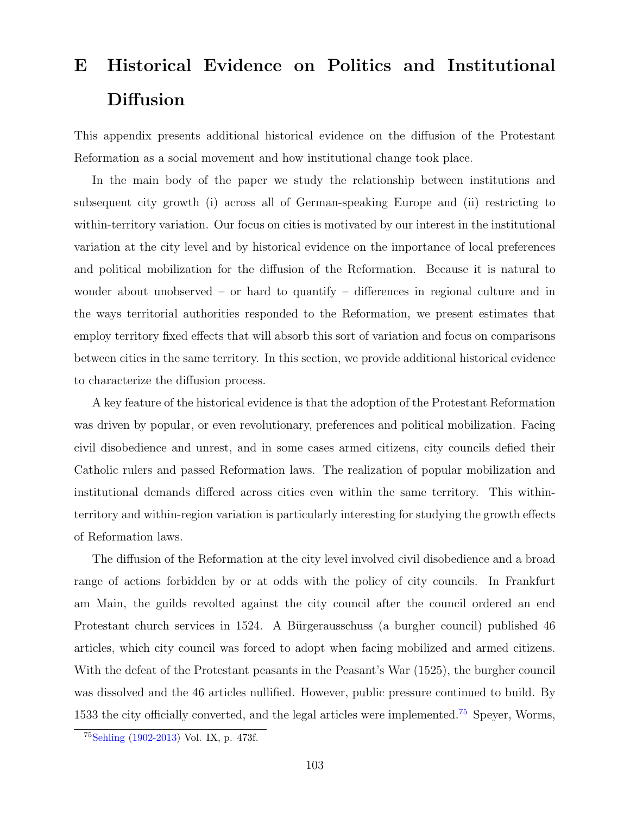# E Historical Evidence on Politics and Institutional Diffusion

This appendix presents additional historical evidence on the diffusion of the Protestant Reformation as a social movement and how institutional change took place.

In the main body of the paper we study the relationship between institutions and subsequent city growth (i) across all of German-speaking Europe and (ii) restricting to within-territory variation. Our focus on cities is motivated by our interest in the institutional variation at the city level and by historical evidence on the importance of local preferences and political mobilization for the diffusion of the Reformation. Because it is natural to wonder about unobserved – or hard to quantify – differences in regional culture and in the ways territorial authorities responded to the Reformation, we present estimates that employ territory fixed effects that will absorb this sort of variation and focus on comparisons between cities in the same territory. In this section, we provide additional historical evidence to characterize the diffusion process.

A key feature of the historical evidence is that the adoption of the Protestant Reformation was driven by popular, or even revolutionary, preferences and political mobilization. Facing civil disobedience and unrest, and in some cases armed citizens, city councils defied their Catholic rulers and passed Reformation laws. The realization of popular mobilization and institutional demands differed across cities even within the same territory. This withinterritory and within-region variation is particularly interesting for studying the growth effects of Reformation laws.

The diffusion of the Reformation at the city level involved civil disobedience and a broad range of actions forbidden by or at odds with the policy of city councils. In Frankfurt am Main, the guilds revolted against the city council after the council ordered an end Protestant church services in 1524. A Bürgerausschuss (a burgher council) published 46 articles, which city council was forced to adopt when facing mobilized and armed citizens. With the defeat of the Protestant peasants in the Peasant's War (1525), the burgher council was dissolved and the 46 articles nullified. However, public pressure continued to build. By 1533 the city officially converted, and the legal articles were implemented.<sup>[75](#page-103-0)</sup> Speyer, Worms,

<span id="page-103-0"></span><sup>75</sup>[Sehling](#page-43-0) [\(1902-2013\)](#page-43-0) Vol. IX, p. 473f.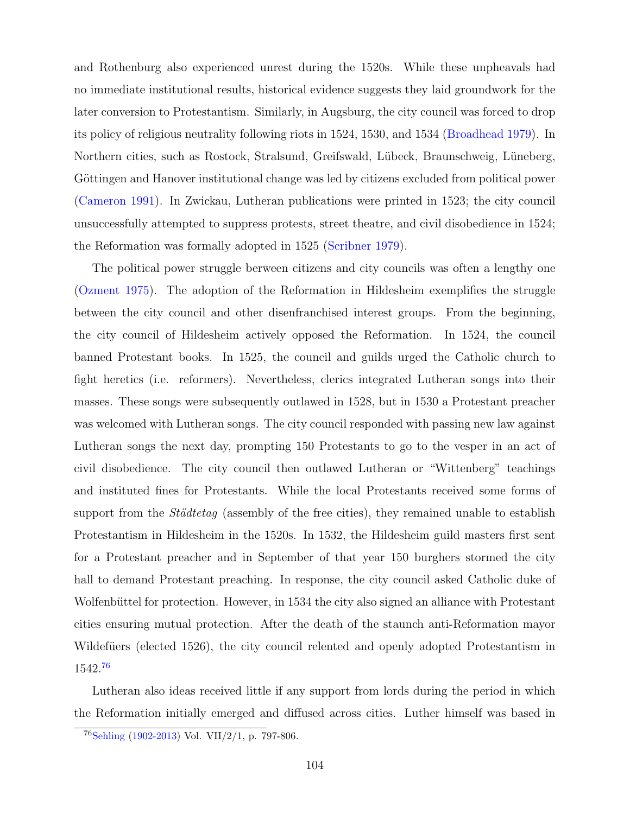and Rothenburg also experienced unrest during the 1520s. While these unpheavals had no immediate institutional results, historical evidence suggests they laid groundwork for the later conversion to Protestantism. Similarly, in Augsburg, the city council was forced to drop its policy of religious neutrality following riots in 1524, 1530, and 1534 [\(Broadhead](#page-41-7) [1979\)](#page-41-7). In Northern cities, such as Rostock, Stralsund, Greifswald, L¨ubeck, Braunschweig, L¨uneberg, Göttingen and Hanover institutional change was led by citizens excluded from political power [\(Cameron](#page-41-8) [1991\)](#page-41-8). In Zwickau, Lutheran publications were printed in 1523; the city council unsuccessfully attempted to suppress protests, street theatre, and civil disobedience in 1524; the Reformation was formally adopted in 1525 [\(Scribner](#page-43-1) [1979\)](#page-43-1).

The political power struggle berween citizens and city councils was often a lengthy one [\(Ozment](#page-43-2) [1975\)](#page-43-2). The adoption of the Reformation in Hildesheim exemplifies the struggle between the city council and other disenfranchised interest groups. From the beginning, the city council of Hildesheim actively opposed the Reformation. In 1524, the council banned Protestant books. In 1525, the council and guilds urged the Catholic church to fight heretics (i.e. reformers). Nevertheless, clerics integrated Lutheran songs into their masses. These songs were subsequently outlawed in 1528, but in 1530 a Protestant preacher was welcomed with Lutheran songs. The city council responded with passing new law against Lutheran songs the next day, prompting 150 Protestants to go to the vesper in an act of civil disobedience. The city council then outlawed Lutheran or "Wittenberg" teachings and instituted fines for Protestants. While the local Protestants received some forms of support from the  $Städtetag$  (assembly of the free cities), they remained unable to establish Protestantism in Hildesheim in the 1520s. In 1532, the Hildesheim guild masters first sent for a Protestant preacher and in September of that year 150 burghers stormed the city hall to demand Protestant preaching. In response, the city council asked Catholic duke of Wolfenbüttel for protection. However, in 1534 the city also signed an alliance with Protestant cities ensuring mutual protection. After the death of the staunch anti-Reformation mayor Wildefüers (elected 1526), the city council relented and openly adopted Protestantism in 1542.[76](#page-104-0)

Lutheran also ideas received little if any support from lords during the period in which the Reformation initially emerged and diffused across cities. Luther himself was based in

<span id="page-104-0"></span><sup>76</sup>[Sehling](#page-43-0) [\(1902-2013\)](#page-43-0) Vol. VII/2/1, p. 797-806.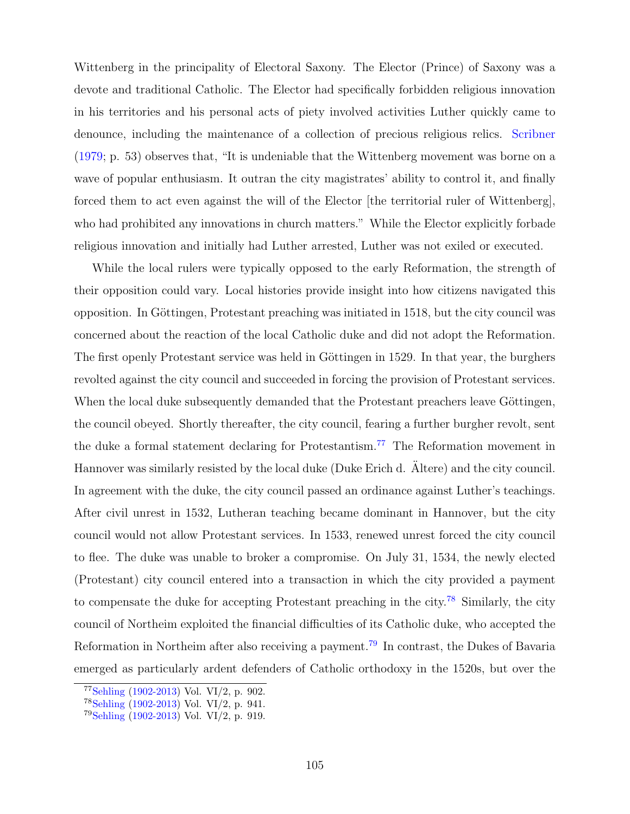Wittenberg in the principality of Electoral Saxony. The Elector (Prince) of Saxony was a devote and traditional Catholic. The Elector had specifically forbidden religious innovation in his territories and his personal acts of piety involved activities Luther quickly came to denounce, including the maintenance of a collection of precious religious relics. [Scribner](#page-43-1) [\(1979;](#page-43-1) p. 53) observes that, "It is undeniable that the Wittenberg movement was borne on a wave of popular enthusiasm. It outran the city magistrates' ability to control it, and finally forced them to act even against the will of the Elector [the territorial ruler of Wittenberg], who had prohibited any innovations in church matters." While the Elector explicitly forbade religious innovation and initially had Luther arrested, Luther was not exiled or executed.

While the local rulers were typically opposed to the early Reformation, the strength of their opposition could vary. Local histories provide insight into how citizens navigated this opposition. In Göttingen, Protestant preaching was initiated in 1518, but the city council was concerned about the reaction of the local Catholic duke and did not adopt the Reformation. The first openly Protestant service was held in Göttingen in 1529. In that year, the burghers revolted against the city council and succeeded in forcing the provision of Protestant services. When the local duke subsequently demanded that the Protestant preachers leave Göttingen, the council obeyed. Shortly thereafter, the city council, fearing a further burgher revolt, sent the duke a formal statement declaring for Protestantism.[77](#page-105-0) The Reformation movement in Hannover was similarly resisted by the local duke (Duke Erich d. Altere) and the city council. In agreement with the duke, the city council passed an ordinance against Luther's teachings. After civil unrest in 1532, Lutheran teaching became dominant in Hannover, but the city council would not allow Protestant services. In 1533, renewed unrest forced the city council to flee. The duke was unable to broker a compromise. On July 31, 1534, the newly elected (Protestant) city council entered into a transaction in which the city provided a payment to compensate the duke for accepting Protestant preaching in the city.<sup>[78](#page-105-1)</sup> Similarly, the city council of Northeim exploited the financial difficulties of its Catholic duke, who accepted the Reformation in Northeim after also receiving a payment.[79](#page-105-2) In contrast, the Dukes of Bavaria emerged as particularly ardent defenders of Catholic orthodoxy in the 1520s, but over the

<span id="page-105-0"></span> $77$ [Sehling](#page-43-0) [\(1902-2013\)](#page-43-0) Vol. VI/2, p. 902.

<span id="page-105-1"></span><sup>78</sup>[Sehling](#page-43-0) [\(1902-2013\)](#page-43-0) Vol. VI/2, p. 941.

<span id="page-105-2"></span> $79$ [Sehling](#page-43-0) [\(1902-2013\)](#page-43-0) Vol. VI/2, p. 919.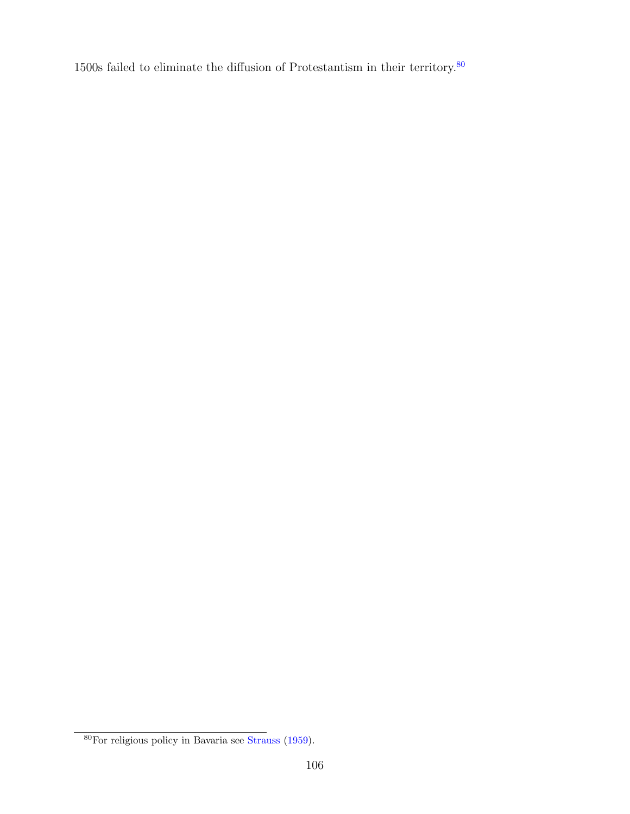$1500\mathrm{s}$  failed to eliminate the diffusion of Protestantism in their territory.  $^{80}$  $^{80}$  $^{80}$ 

<span id="page-106-0"></span>For religious policy in Bavaria see [Strauss](#page-109-1) [\(1959\)](#page-109-1).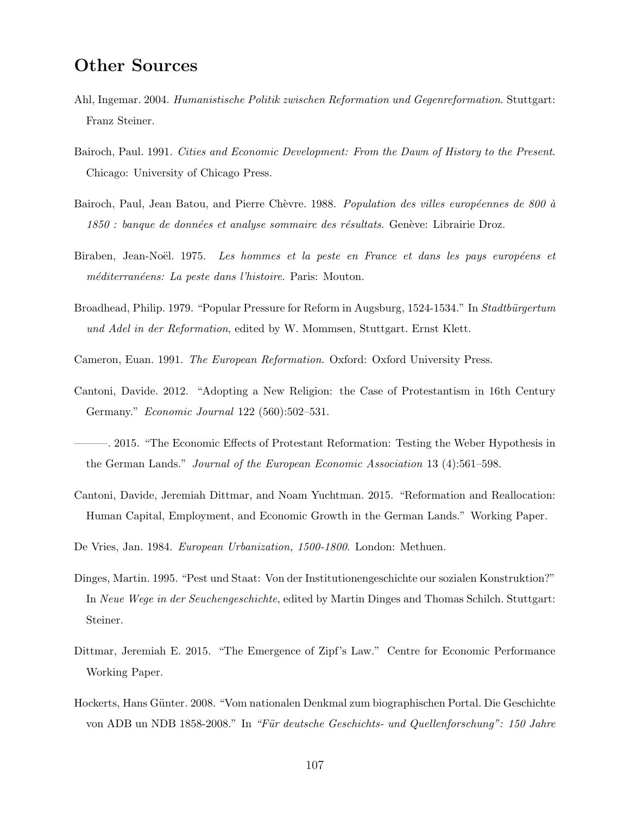### Other Sources

- <span id="page-107-0"></span>Ahl, Ingemar. 2004. Humanistische Politik zwischen Reformation und Gegenreformation. Stuttgart: Franz Steiner.
- Bairoch, Paul. 1991. Cities and Economic Development: From the Dawn of History to the Present. Chicago: University of Chicago Press.
- Bairoch, Paul, Jean Batou, and Pierre Chèvre. 1988. Population des villes européennes de 800 à  $1850$ : banque de données et analyse sommaire des résultats. Genève: Librairie Droz.
- Biraben, Jean-Noël. 1975. Les hommes et la peste en France et dans les pays européens et méditerranéens: La peste dans l'histoire. Paris: Mouton.
- Broadhead, Philip. 1979. "Popular Pressure for Reform in Augsburg, 1524-1534." In Stadtbürgertum und Adel in der Reformation, edited by W. Mommsen, Stuttgart. Ernst Klett.
- Cameron, Euan. 1991. The European Reformation. Oxford: Oxford University Press.
- Cantoni, Davide. 2012. "Adopting a New Religion: the Case of Protestantism in 16th Century Germany." Economic Journal 122 (560):502–531.
- ———. 2015. "The Economic Effects of Protestant Reformation: Testing the Weber Hypothesis in the German Lands." Journal of the European Economic Association 13 (4):561–598.
- Cantoni, Davide, Jeremiah Dittmar, and Noam Yuchtman. 2015. "Reformation and Reallocation: Human Capital, Employment, and Economic Growth in the German Lands." Working Paper.
- De Vries, Jan. 1984. European Urbanization, 1500-1800. London: Methuen.
- Dinges, Martin. 1995. "Pest und Staat: Von der Institutionengeschichte our sozialen Konstruktion?" In Neue Wege in der Seuchengeschichte, edited by Martin Dinges and Thomas Schilch. Stuttgart: Steiner.
- Dittmar, Jeremiah E. 2015. "The Emergence of Zipf's Law." Centre for Economic Performance Working Paper.
- Hockerts, Hans Günter. 2008. "Vom nationalen Denkmal zum biographischen Portal. Die Geschichte von ADB un NDB 1858-2008." In "Für deutsche Geschichts- und Quellenforschung": 150 Jahre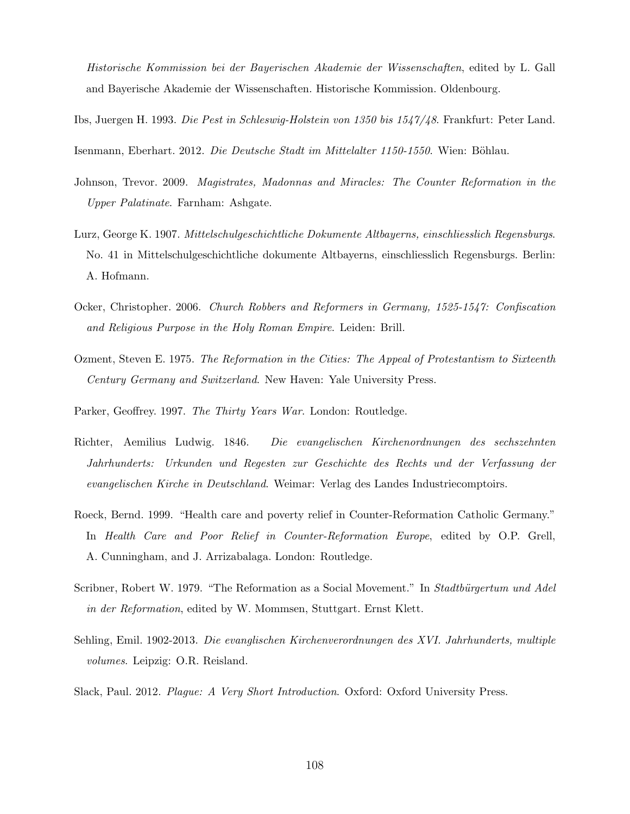Historische Kommission bei der Bayerischen Akademie der Wissenschaften, edited by L. Gall and Bayerische Akademie der Wissenschaften. Historische Kommission. Oldenbourg.

Ibs, Juergen H. 1993. Die Pest in Schleswig-Holstein von 1350 bis 1547/48. Frankfurt: Peter Land.

Isenmann, Eberhart. 2012. Die Deutsche Stadt im Mittelalter 1150-1550. Wien: Böhlau.

- Johnson, Trevor. 2009. Magistrates, Madonnas and Miracles: The Counter Reformation in the Upper Palatinate. Farnham: Ashgate.
- Lurz, George K. 1907. Mittelschulgeschichtliche Dokumente Altbayerns, einschliesslich Regensburgs. No. 41 in Mittelschulgeschichtliche dokumente Altbayerns, einschliesslich Regensburgs. Berlin: A. Hofmann.
- Ocker, Christopher. 2006. Church Robbers and Reformers in Germany, 1525-1547: Confiscation and Religious Purpose in the Holy Roman Empire. Leiden: Brill.
- Ozment, Steven E. 1975. The Reformation in the Cities: The Appeal of Protestantism to Sixteenth Century Germany and Switzerland. New Haven: Yale University Press.

Parker, Geoffrey. 1997. The Thirty Years War. London: Routledge.

- Richter, Aemilius Ludwig. 1846. Die evangelischen Kirchenordnungen des sechszehnten Jahrhunderts: Urkunden und Regesten zur Geschichte des Rechts und der Verfassung der evangelischen Kirche in Deutschland. Weimar: Verlag des Landes Industriecomptoirs.
- Roeck, Bernd. 1999. "Health care and poverty relief in Counter-Reformation Catholic Germany." In Health Care and Poor Relief in Counter-Reformation Europe, edited by O.P. Grell, A. Cunningham, and J. Arrizabalaga. London: Routledge.
- Scribner, Robert W. 1979. "The Reformation as a Social Movement." In Stadtbürgertum und Adel in der Reformation, edited by W. Mommsen, Stuttgart. Ernst Klett.
- Sehling, Emil. 1902-2013. Die evanglischen Kirchenverordnungen des XVI. Jahrhunderts, multiple volumes. Leipzig: O.R. Reisland.

Slack, Paul. 2012. Plague: A Very Short Introduction. Oxford: Oxford University Press.